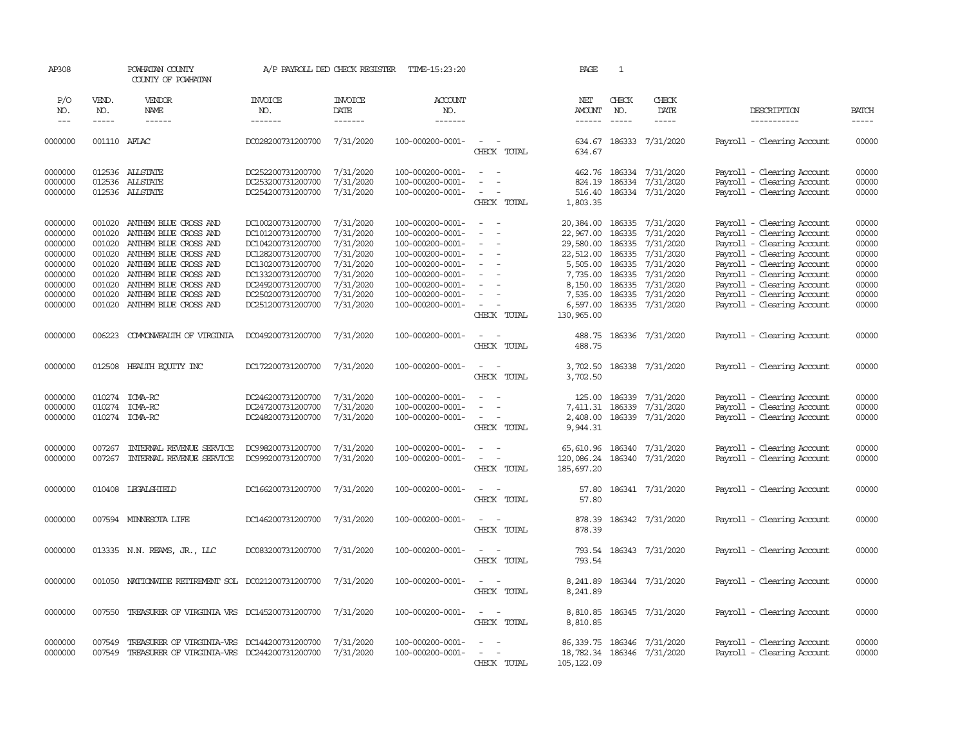| AP308                                                                                           |                                                                    | POWHATAN COUNTY<br>COUNTY OF POWHATAN                                                                                                                                                                                                       |                                                                                                                                                                                           | A/P PAYROLL DED CHECK REGISTER                                                                                    | TIME-15:23:20                                                                                                                                                                    |                                                                                                 | PAGE                                                                                                          | 1                                              |                                                                                                                                                         |                                                                                                                                                                                                                                                                            |                                                                               |
|-------------------------------------------------------------------------------------------------|--------------------------------------------------------------------|---------------------------------------------------------------------------------------------------------------------------------------------------------------------------------------------------------------------------------------------|-------------------------------------------------------------------------------------------------------------------------------------------------------------------------------------------|-------------------------------------------------------------------------------------------------------------------|----------------------------------------------------------------------------------------------------------------------------------------------------------------------------------|-------------------------------------------------------------------------------------------------|---------------------------------------------------------------------------------------------------------------|------------------------------------------------|---------------------------------------------------------------------------------------------------------------------------------------------------------|----------------------------------------------------------------------------------------------------------------------------------------------------------------------------------------------------------------------------------------------------------------------------|-------------------------------------------------------------------------------|
| P/O<br>NO.<br>$\frac{1}{2}$                                                                     | VEND.<br>NO.<br>-----                                              | VENDOR<br>NAME<br>------                                                                                                                                                                                                                    | <b>INVOICE</b><br>NO.<br>-------                                                                                                                                                          | <b>INVOICE</b><br>DATE<br>-------                                                                                 | ACCOUNT<br>NO.<br>-------                                                                                                                                                        |                                                                                                 | NET<br>AMOUNT<br>------                                                                                       | CHECK<br>NO.<br>$\cdots\cdots\cdots$           | CHECK<br>DATE<br>$- - - - -$                                                                                                                            | DESCRIPTION<br>-----------                                                                                                                                                                                                                                                 | <b>BATCH</b><br>-----                                                         |
| 0000000                                                                                         | 001110 AFLAC                                                       |                                                                                                                                                                                                                                             | DC028200731200700                                                                                                                                                                         | 7/31/2020                                                                                                         | 100-000200-0001-                                                                                                                                                                 | $\sim$<br>CHECK TOTAL                                                                           | 634.67                                                                                                        |                                                | 634.67 186333 7/31/2020                                                                                                                                 | Payroll - Clearing Account                                                                                                                                                                                                                                                 | 00000                                                                         |
| 0000000<br>0000000<br>0000000                                                                   |                                                                    | 012536 ALLSTATE<br>012536 ALLSTATE<br>012536 ALLSTATE                                                                                                                                                                                       | DC252200731200700<br>DC253200731200700<br>DC254200731200700                                                                                                                               | 7/31/2020<br>7/31/2020<br>7/31/2020                                                                               | 100-000200-0001-<br>100-000200-0001-<br>100-000200-0001-                                                                                                                         | $\equiv$<br>$\sim$<br>CHECK TOTAL                                                               | 824.19<br>516.40<br>1,803.35                                                                                  |                                                | 462.76 186334 7/31/2020<br>186334 7/31/2020<br>186334 7/31/2020                                                                                         | Payroll - Clearing Account<br>Payroll - Clearing Account<br>Payroll - Clearing Account                                                                                                                                                                                     | 00000<br>00000<br>00000                                                       |
| 0000000<br>0000000<br>0000000<br>0000000<br>0000000<br>0000000<br>0000000<br>0000000<br>0000000 | 001020<br>001020<br>001020<br>001020<br>001020<br>001020<br>001020 | 001020 ANTHEM BLUE CROSS AND<br>ANIHEM BLUE CROSS AND<br>ANIHEM BLUE CROSS AND<br>ANTHEM BLUE CROSS AND<br>ANTHEM BLUE CROSS AND<br>ANTHEM BLUE CROSS AND<br>ANTHEM BLUE CROSS AND<br>ANIHEM BLUE CROSS AND<br>001020 ANTHEM BLUE CROSS AND | DC100200731200700<br>DC101200731200700<br>DC104200731200700<br>DC128200731200700<br>DC130200731200700<br>DC133200731200700<br>DC249200731200700<br>DC250200731200700<br>DC251200731200700 | 7/31/2020<br>7/31/2020<br>7/31/2020<br>7/31/2020<br>7/31/2020<br>7/31/2020<br>7/31/2020<br>7/31/2020<br>7/31/2020 | 100-000200-0001-<br>100-000200-0001-<br>100-000200-0001-<br>100-000200-0001-<br>100-000200-0001-<br>100-000200-0001-<br>100-000200-0001-<br>100-000200-0001-<br>100-000200-0001- | $\sim$<br>$\sim$<br>CHECK TOTAL                                                                 | 22,967.00<br>29,580.00<br>22,512.00<br>5,505.00<br>7,735.00<br>8,150.00<br>7,535.00<br>6,597.00<br>130,965.00 | 186335<br>186335<br>186335<br>186335<br>186335 | 20,384.00 186335 7/31/2020<br>7/31/2020<br>7/31/2020<br>7/31/2020<br>186335 7/31/2020<br>7/31/2020<br>7/31/2020<br>186335 7/31/2020<br>186335 7/31/2020 | Payroll - Clearing Account<br>Payroll - Clearing Account<br>Payroll - Clearing Account<br>Payroll - Clearing Account<br>Payroll - Clearing Account<br>Payroll - Clearing Account<br>Payroll - Clearing Account<br>Payroll - Clearing Account<br>Payroll - Clearing Account | 00000<br>00000<br>00000<br>00000<br>00000<br>00000<br>00000<br>00000<br>00000 |
| 0000000                                                                                         | 006223                                                             | COMONWEALTH OF VIRGINIA                                                                                                                                                                                                                     | DC049200731200700                                                                                                                                                                         | 7/31/2020                                                                                                         | 100-000200-0001-                                                                                                                                                                 | $\sim$ $\sim$<br>CHECK TOTAL                                                                    | 488.75                                                                                                        |                                                | 488.75 186336 7/31/2020                                                                                                                                 | Payroll - Clearing Account                                                                                                                                                                                                                                                 | 00000                                                                         |
| 0000000                                                                                         |                                                                    | 012508 HEALTH EQUITY INC                                                                                                                                                                                                                    | DC172200731200700                                                                                                                                                                         | 7/31/2020                                                                                                         | 100-000200-0001-                                                                                                                                                                 | $\sim$<br>$\sim$<br>CHECK TOTAL                                                                 | 3,702.50<br>3,702.50                                                                                          |                                                | 186338 7/31/2020                                                                                                                                        | Payroll - Clearing Account                                                                                                                                                                                                                                                 | 00000                                                                         |
| 0000000<br>0000000<br>0000000                                                                   | 010274<br>010274                                                   | ICMA-RC<br>ICMA-RC<br>010274 ICMA-RC                                                                                                                                                                                                        | DC246200731200700<br>DC247200731200700<br>DC248200731200700                                                                                                                               | 7/31/2020<br>7/31/2020<br>7/31/2020                                                                               | 100-000200-0001-<br>100-000200-0001-<br>100-000200-0001-                                                                                                                         | $\overline{\phantom{a}}$<br>$\overline{\phantom{a}}$<br>CHECK TOTAL                             | 125.00<br>7,411.31<br>2,408.00<br>9,944.31                                                                    | 186339<br>186339                               | 7/31/2020<br>7/31/2020<br>186339 7/31/2020                                                                                                              | Payroll - Clearing Account<br>Payroll - Clearing Account<br>Payroll - Clearing Account                                                                                                                                                                                     | 00000<br>00000<br>00000                                                       |
| 0000000<br>0000000                                                                              | 007267<br>007267                                                   | INTERNAL REVENUE SERVICE<br>INTERNAL REVENUE SERVICE                                                                                                                                                                                        | DC998200731200700<br>DC999200731200700                                                                                                                                                    | 7/31/2020<br>7/31/2020                                                                                            | 100-000200-0001-<br>100-000200-0001-                                                                                                                                             | $\overline{\phantom{a}}$<br>$\overline{\phantom{a}}$<br>$\overline{\phantom{a}}$<br>CHECK TOTAL | 120,086.24<br>185,697.20                                                                                      |                                                | 65,610.96 186340 7/31/2020<br>186340 7/31/2020                                                                                                          | Payroll - Clearing Account<br>Payroll - Clearing Account                                                                                                                                                                                                                   | 00000<br>00000                                                                |
| 0000000                                                                                         |                                                                    | 010408 LEGALSHIELD                                                                                                                                                                                                                          | DC166200731200700                                                                                                                                                                         | 7/31/2020                                                                                                         | 100-000200-0001-                                                                                                                                                                 | $\sim$<br>$\sim$<br>CHECK TOTAL                                                                 | 57.80<br>57.80                                                                                                |                                                | 186341 7/31/2020                                                                                                                                        | Payroll - Clearing Account                                                                                                                                                                                                                                                 | 00000                                                                         |
| 0000000                                                                                         |                                                                    | 007594 MINNESOTA LIFE                                                                                                                                                                                                                       | DC146200731200700                                                                                                                                                                         | 7/31/2020                                                                                                         | 100-000200-0001-                                                                                                                                                                 | CHECK TOTAL                                                                                     | 878.39<br>878.39                                                                                              |                                                | 186342 7/31/2020                                                                                                                                        | Payroll - Clearing Account                                                                                                                                                                                                                                                 | 00000                                                                         |
| 0000000                                                                                         |                                                                    | 013335 N.N. REAMS, JR., LLC                                                                                                                                                                                                                 | DC083200731200700                                                                                                                                                                         | 7/31/2020                                                                                                         | 100-000200-0001-                                                                                                                                                                 | $\overline{\phantom{a}}$<br>CHECK TOTAL                                                         | 793.54                                                                                                        |                                                | 793.54 186343 7/31/2020                                                                                                                                 | Payroll - Clearing Account                                                                                                                                                                                                                                                 | 00000                                                                         |
| 0000000                                                                                         |                                                                    | 001050 NATIONWIDE RETIREMENT SOL DC021200731200700                                                                                                                                                                                          |                                                                                                                                                                                           | 7/31/2020                                                                                                         | 100-000200-0001-                                                                                                                                                                 | $\sim$<br>$\sim$<br>CHECK TOTAL                                                                 | 8,241.89<br>8,241.89                                                                                          |                                                | 186344 7/31/2020                                                                                                                                        | Payroll - Clearing Account                                                                                                                                                                                                                                                 | 00000                                                                         |
| 0000000                                                                                         |                                                                    | 007550 TREASURER OF VIRGINIA VRS DC145200731200700                                                                                                                                                                                          |                                                                                                                                                                                           | 7/31/2020                                                                                                         | 100-000200-0001-                                                                                                                                                                 | $\overline{\phantom{a}}$<br>$\sim$<br>CHECK TOTAL                                               | 8,810.85                                                                                                      |                                                | 8,810.85 186345 7/31/2020                                                                                                                               | Payroll - Clearing Account                                                                                                                                                                                                                                                 | 00000                                                                         |
| 0000000<br>0000000                                                                              | 007549<br>007549                                                   | TREASURER OF VIRGINIA-VRS DC144200731200700<br>TREASURER OF VIRGINIA-VRS DC244200731200700                                                                                                                                                  |                                                                                                                                                                                           | 7/31/2020<br>7/31/2020                                                                                            | 100-000200-0001-<br>100-000200-0001-                                                                                                                                             | CHECK TOTAL                                                                                     | 105, 122.09                                                                                                   |                                                | 86, 339. 75 186346 7/31/2020<br>18,782.34 186346 7/31/2020                                                                                              | Payroll - Clearing Account<br>Payroll - Clearing Account                                                                                                                                                                                                                   | 00000<br>00000                                                                |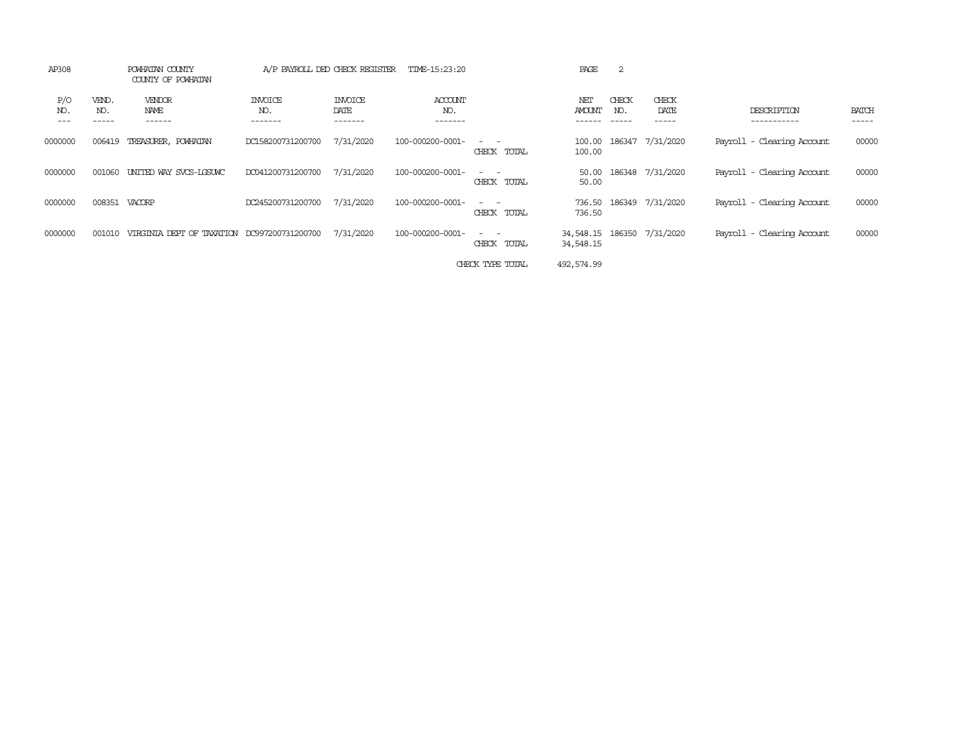| AP308                 |                       | POWHATAN COUNTY<br>COUNTY OF POWHATAN | A/P PAYROLL DED CHECK REGISTER   |                                    | TIME-15:23:20                    |                              | PAGE                           | $\overline{2}$                |                        |                            |                       |
|-----------------------|-----------------------|---------------------------------------|----------------------------------|------------------------------------|----------------------------------|------------------------------|--------------------------------|-------------------------------|------------------------|----------------------------|-----------------------|
| P/O<br>NO.<br>$- - -$ | VEND.<br>NO.<br>----- | VENDOR<br>NAME<br>------              | <b>INVOICE</b><br>NO.<br>------- | <b>INVOICE</b><br>DATE<br>-------- | <b>ACCOUNT</b><br>NO.<br>------- |                              | NET<br><b>AMOUNT</b><br>------ | CHECK<br>NO.<br>$- - - - - -$ | CHECK<br>DATE<br>----- | DESCRIPTION<br>----------- | <b>BATCH</b><br>----- |
| 0000000               | 006419                | TREASURER, POWHATAN                   | DC158200731200700                | 7/31/2020                          | 100-000200-0001-                 | CHECK TOTAL                  | 100.00<br>100.00               |                               | 186347 7/31/2020       | Payroll - Clearing Account | 00000                 |
| 0000000               | 001060                | UNITED WAY SVCS-LGSUWC                | DC041200731200700                | 7/31/2020                          | 100-000200-0001-                 | $\sim$ $\sim$<br>CHECK TOTAL | 50.00<br>50.00                 |                               | 186348 7/31/2020       | Payroll - Clearing Account | 00000                 |
| 0000000               | 008351                | VACORP                                | DC245200731200700                | 7/31/2020                          | 100-000200-0001-                 | $ -$<br>CHECK TOTAL          | 736.50<br>736.50               |                               | 186349 7/31/2020       | Payroll - Clearing Account | 00000                 |
| 0000000               | 001010                | VIRGINIA DEPT OF TAXATION             | DC997200731200700                | 7/31/2020                          | 100-000200-0001-                 | $ -$<br>CHECK TOTAL          | 34,548.15<br>34,548.15         |                               | 186350 7/31/2020       | Payroll - Clearing Account | 00000                 |
|                       |                       |                                       |                                  |                                    |                                  | CHECK TYPE TOTAL             | 492,574.99                     |                               |                        |                            |                       |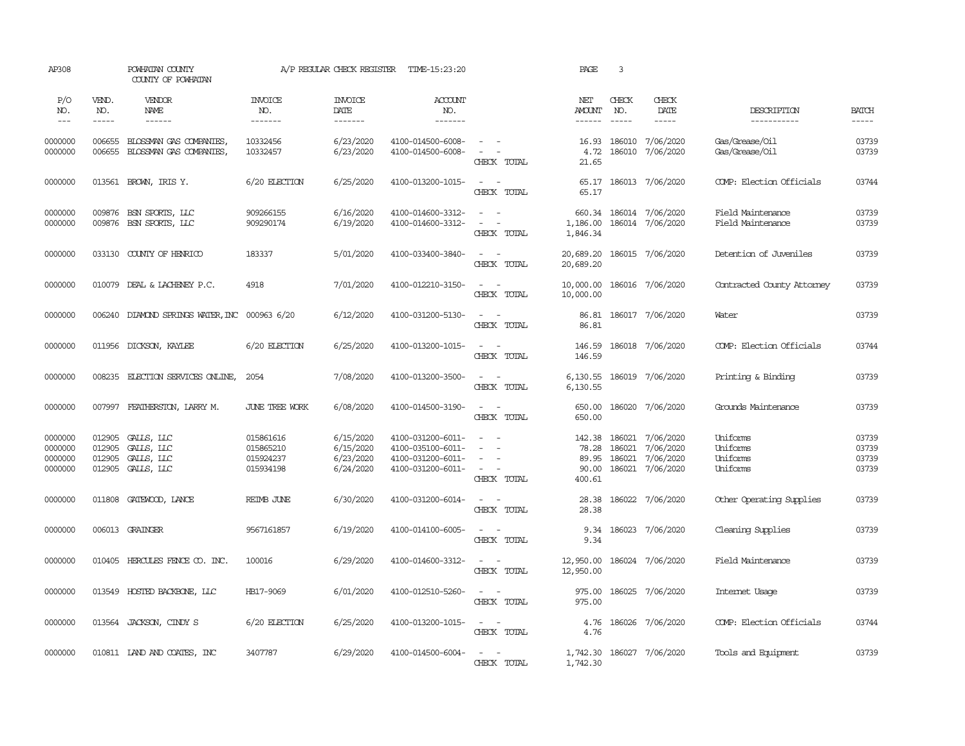| AP308                                    |                                      | POWHATAN COUNTY<br>COUNTY OF POWHATAN                                                                                                                                                                                                                                                                                                                                                                                                                                                                    |                                                  | A/P REGULAR CHECK REGISTER                       | TIME-15:23:20                                                                    |                                                                                                                             | PAGE                                        | 3                                    |                                                  |                                              |                                  |
|------------------------------------------|--------------------------------------|----------------------------------------------------------------------------------------------------------------------------------------------------------------------------------------------------------------------------------------------------------------------------------------------------------------------------------------------------------------------------------------------------------------------------------------------------------------------------------------------------------|--------------------------------------------------|--------------------------------------------------|----------------------------------------------------------------------------------|-----------------------------------------------------------------------------------------------------------------------------|---------------------------------------------|--------------------------------------|--------------------------------------------------|----------------------------------------------|----------------------------------|
| P/O<br>NO.<br>$---$                      | VEND.<br>NO.<br>$\cdots$             | VENDOR<br>NAME<br>$\begin{array}{cccccccccc} \multicolumn{2}{c}{} & \multicolumn{2}{c}{} & \multicolumn{2}{c}{} & \multicolumn{2}{c}{} & \multicolumn{2}{c}{} & \multicolumn{2}{c}{} & \multicolumn{2}{c}{} & \multicolumn{2}{c}{} & \multicolumn{2}{c}{} & \multicolumn{2}{c}{} & \multicolumn{2}{c}{} & \multicolumn{2}{c}{} & \multicolumn{2}{c}{} & \multicolumn{2}{c}{} & \multicolumn{2}{c}{} & \multicolumn{2}{c}{} & \multicolumn{2}{c}{} & \multicolumn{2}{c}{} & \multicolumn{2}{c}{} & \mult$ | <b>INVOICE</b><br>NO.<br>-------                 | <b>INVOICE</b><br>DATE<br>-------                | ACCOUNT<br>NO.<br>-------                                                        |                                                                                                                             | NET<br>AMOUNT                               | CHECK<br>NO.<br>$\cdots\cdots\cdots$ | CHECK<br>DATE<br>$- - - - -$                     | DESCRIPTION<br>-----------                   | <b>BATCH</b><br>-----            |
| 0000000<br>0000000                       | 006655<br>006655                     | BLOSSMAN GAS COMPANIES,<br>BLOSSMAN GAS COMPANIES,                                                                                                                                                                                                                                                                                                                                                                                                                                                       | 10332456<br>10332457                             | 6/23/2020<br>6/23/2020                           | 4100-014500-6008-<br>4100-014500-6008-                                           | $\sim$<br>$\sim$<br>CHECK TOTAL                                                                                             | 16.93<br>4.72<br>21.65                      | 186010<br>186010                     | 7/06/2020<br>7/06/2020                           | Gas/Grease/Oil<br>Gas/Grease/Oil             | 03739<br>03739                   |
| 0000000                                  |                                      | 013561 BROWN, IRIS Y.                                                                                                                                                                                                                                                                                                                                                                                                                                                                                    | 6/20 ELECTION                                    | 6/25/2020                                        | 4100-013200-1015-                                                                | $\sim$ $ \sim$<br>CHECK TOTAL                                                                                               | 65.17<br>65.17                              |                                      | 186013 7/06/2020                                 | COMP: Election Officials                     | 03744                            |
| 0000000<br>0000000                       | 009876                               | BSN SPORTS, LLC<br>009876 BSN SPORTS, LLC                                                                                                                                                                                                                                                                                                                                                                                                                                                                | 909266155<br>909290174                           | 6/16/2020<br>6/19/2020                           | 4100-014600-3312-<br>4100-014600-3312-                                           | $\frac{1}{2} \left( \frac{1}{2} \right) \left( \frac{1}{2} \right) = \frac{1}{2}$<br>$\sim$ $ -$<br>CHECK TOTAL             | 660.34<br>1,186.00<br>1,846.34              |                                      | 186014 7/06/2020<br>186014 7/06/2020             | Field Maintenance<br>Field Maintenance       | 03739<br>03739                   |
| 0000000                                  | 033130                               | COUNTY OF HENRICO                                                                                                                                                                                                                                                                                                                                                                                                                                                                                        | 183337                                           | 5/01/2020                                        | 4100-033400-3840-                                                                | $\sim$ $ \sim$<br>CHECK TOTAL                                                                                               | 20,689.20<br>20,689.20                      |                                      | 186015 7/06/2020                                 | Detention of Juveniles                       | 03739                            |
| 0000000                                  | 010079                               | DEAL & LACHENEY P.C.                                                                                                                                                                                                                                                                                                                                                                                                                                                                                     | 4918                                             | 7/01/2020                                        | 4100-012210-3150-                                                                | $\sim$ $\sim$<br>CHECK TOTAL                                                                                                | 10,000.00<br>10,000.00                      |                                      | 186016 7/06/2020                                 | Contracted County Attorney                   | 03739                            |
| 0000000                                  | 006240                               | DIAMOND SPRINGS WATER, INC 000963 6/20                                                                                                                                                                                                                                                                                                                                                                                                                                                                   |                                                  | 6/12/2020                                        | 4100-031200-5130-                                                                | $\sim$<br>$\sim$<br>CHECK TOTAL                                                                                             | 86.81<br>86.81                              |                                      | 186017 7/06/2020                                 | Water                                        | 03739                            |
| 0000000                                  |                                      | 011956 DICKSON, KAYLEE                                                                                                                                                                                                                                                                                                                                                                                                                                                                                   | 6/20 ELECTION                                    | 6/25/2020                                        | 4100-013200-1015-                                                                | $\sim$ 100 $\sim$<br>CHECK TOTAL                                                                                            | 146.59<br>146.59                            |                                      | 186018 7/06/2020                                 | COMP: Election Officials                     | 03744                            |
| 0000000                                  | 008235                               | ELECTION SERVICES ONLINE,                                                                                                                                                                                                                                                                                                                                                                                                                                                                                | 2054                                             | 7/08/2020                                        | 4100-013200-3500-                                                                | $\sim$ $ \sim$<br>CHECK TOTAL                                                                                               | 6,130.55<br>6,130.55                        |                                      | 186019 7/06/2020                                 | Printing & Binding                           | 03739                            |
| 0000000                                  | 007997                               | FEATHERSTON, LARRY M.                                                                                                                                                                                                                                                                                                                                                                                                                                                                                    | JUNE TREE WORK                                   | 6/08/2020                                        | 4100-014500-3190-                                                                | $\frac{1}{2} \left( \frac{1}{2} \right) \left( \frac{1}{2} \right) = \frac{1}{2} \left( \frac{1}{2} \right)$<br>CHECK TOTAL | 650.00<br>650.00                            |                                      | 186020 7/06/2020                                 | Grounds Maintenance                          | 03739                            |
| 0000000<br>0000000<br>0000000<br>0000000 | 012905<br>012905<br>012905<br>012905 | GALLS, LLC<br>GALLS, LLC<br>GALLS, LLC<br>GALLS, LLC                                                                                                                                                                                                                                                                                                                                                                                                                                                     | 015861616<br>015865210<br>015924237<br>015934198 | 6/15/2020<br>6/15/2020<br>6/23/2020<br>6/24/2020 | 4100-031200-6011-<br>4100-035100-6011-<br>4100-031200-6011-<br>4100-031200-6011- | $\sim$ $ -$<br>$\equiv$<br>$\overline{\phantom{a}}$<br>$\overline{\phantom{a}}$<br>CHECK TOTAL                              | 142.38<br>78.28<br>89.95<br>90.00<br>400.61 | 186021<br>186021<br>186021<br>186021 | 7/06/2020<br>7/06/2020<br>7/06/2020<br>7/06/2020 | Uniforms<br>Uniforms<br>Uniforms<br>Uniforms | 03739<br>03739<br>03739<br>03739 |
| 0000000                                  | 011808                               | GATEWOOD, LANCE                                                                                                                                                                                                                                                                                                                                                                                                                                                                                          | REIMB JUNE                                       | 6/30/2020                                        | 4100-031200-6014-                                                                | $\sim$ $ -$<br>CHECK TOTAL                                                                                                  | 28.38<br>28.38                              |                                      | 186022 7/06/2020                                 | Other Operating Supplies                     | 03739                            |
| 0000000                                  |                                      | 006013 GRAINGER                                                                                                                                                                                                                                                                                                                                                                                                                                                                                          | 9567161857                                       | 6/19/2020                                        | 4100-014100-6005-                                                                | $\sim$<br>$\sim$<br>CHECK TOTAL                                                                                             | 9.34<br>9.34                                |                                      | 186023 7/06/2020                                 | Cleaning Supplies                            | 03739                            |
| 0000000                                  | 010405                               | HERCULES FENCE CO. INC.                                                                                                                                                                                                                                                                                                                                                                                                                                                                                  | 100016                                           | 6/29/2020                                        | 4100-014600-3312-                                                                | $\sim$<br>$\sim$<br>CHECK TOTAL                                                                                             | 12,950.00<br>12,950.00                      |                                      | 186024 7/06/2020                                 | Field Maintenance                            | 03739                            |
| 0000000                                  |                                      | 013549 HOSTED BACKBONE, LLC                                                                                                                                                                                                                                                                                                                                                                                                                                                                              | HB17-9069                                        | 6/01/2020                                        | 4100-012510-5260-                                                                | $\sim$ $ \sim$<br>CHECK TOTAL                                                                                               | 975.00<br>975.00                            |                                      | 186025 7/06/2020                                 | Internet Usage                               | 03739                            |
| 0000000                                  |                                      | 013564 JACKSON, CINDY S                                                                                                                                                                                                                                                                                                                                                                                                                                                                                  | 6/20 ELECTION                                    | 6/25/2020                                        | 4100-013200-1015-                                                                | $\sim$ $ \sim$<br>CHECK TOTAL                                                                                               | 4.76<br>4.76                                |                                      | 186026 7/06/2020                                 | COMP: Election Officials                     | 03744                            |
| 0000000                                  |                                      | 010811 LAND AND COATES, INC                                                                                                                                                                                                                                                                                                                                                                                                                                                                              | 3407787                                          | 6/29/2020                                        | 4100-014500-6004-                                                                | $\sim$ $ \sim$<br>CHECK TOTAL                                                                                               | 1,742.30                                    |                                      | 1,742.30 186027 7/06/2020                        | Tools and Equipment                          | 03739                            |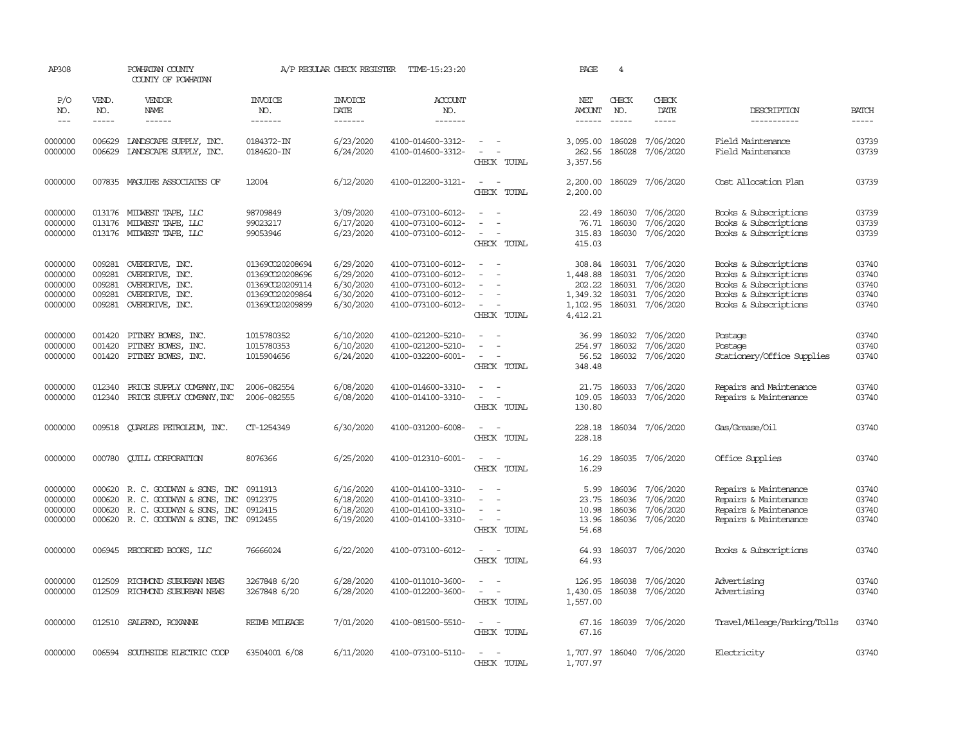| AP308              |                  | POWHATAN COUNTY<br>COUNTY OF POWHATAN            |                              | A/P REGULAR CHECK REGISTER | TIME-15:23:20                          |                                    | PAGE                 | $\overline{4}$   |                               |                                        |                |
|--------------------|------------------|--------------------------------------------------|------------------------------|----------------------------|----------------------------------------|------------------------------------|----------------------|------------------|-------------------------------|----------------------------------------|----------------|
| P/O<br>NO.         | VEND.<br>NO.     | VENDOR<br>NAME                                   | <b>INVOICE</b><br>NO.        | <b>INVOICE</b><br>DATE     | <b>ACCOUNT</b><br>NO.                  |                                    | NET<br><b>AMOUNT</b> | CHECK<br>NO.     | CHECK<br>DATE                 | DESCRIPTION                            | <b>BATCH</b>   |
| $---$              | -----            | $- - - - - -$                                    | -------                      | $- - - - - - -$            | $- - - - - - -$                        |                                    | $- - - - - -$        | $\frac{1}{2}$    | $- - - - -$                   | -----------                            | -----          |
| 0000000<br>0000000 | 006629<br>006629 | LANDSCAPE SUPPLY, INC.<br>LANDSCAPE SUPPLY, INC. | 0184372-IN<br>0184620-IN     | 6/23/2020<br>6/24/2020     | 4100-014600-3312-<br>4100-014600-3312- | $\sim$ $ \sim$<br>$\sim$<br>$\sim$ | 3,095.00<br>262.56   | 186028<br>186028 | 7/06/2020<br>7/06/2020        | Field Maintenance<br>Field Maintenance | 03739<br>03739 |
|                    |                  |                                                  |                              |                            |                                        | CHECK TOTAL                        | 3,357.56             |                  |                               |                                        |                |
| 0000000            |                  | 007835 MAGUIRE ASSOCIATES OF                     | 12004                        | 6/12/2020                  | 4100-012200-3121-                      | $\sim$<br>$\sim$<br>CHECK TOTAL    | 2,200.00<br>2,200.00 | 186029           | 7/06/2020                     | Cost Allocation Plan                   | 03739          |
|                    |                  |                                                  |                              |                            |                                        |                                    |                      |                  |                               |                                        |                |
| 0000000            |                  | 013176 MIDWEST TAPE, LLC                         | 98709849                     | 3/09/2020                  | 4100-073100-6012-                      | $\sim$<br>$\sim$                   | 22.49                | 186030           | 7/06/2020                     | Books & Subscriptions                  | 03739          |
| 0000000            |                  | 013176 MIDWEST TAPE, LLC                         | 99023217                     | 6/17/2020                  | 4100-073100-6012-                      | $\sim$                             | 76.71                | 186030           | 7/06/2020                     | Books & Subscriptions                  | 03739          |
| 0000000            |                  | 013176 MIDWEST TAPE, LLC                         | 99053946                     | 6/23/2020                  | 4100-073100-6012-                      | $\sim$ $-$<br>$\sim$               | 315.83               |                  | 186030 7/06/2020              | Books & Subscriptions                  | 03739          |
|                    |                  |                                                  |                              |                            |                                        | CHECK TOTAL                        | 415.03               |                  |                               |                                        |                |
| 0000000            | 009281           | OVERDRIVE, INC.                                  | 01369CO20208694              | 6/29/2020                  | 4100-073100-6012-                      | $\sim$                             | 308.84               | 186031           | 7/06/2020                     | Books & Subscriptions                  | 03740          |
| 0000000            | 009281           | OVERDRIVE, INC.                                  | 01369CO20208696              | 6/29/2020                  | 4100-073100-6012-                      |                                    | 1,448.88             | 186031           | 7/06/2020                     | Books & Subscriptions                  | 03740          |
| 0000000            | 009281           | OVERDRIVE, INC.                                  | 01369CO20209114              | 6/30/2020                  | 4100-073100-6012-                      | $\equiv$                           | 202.22               | 186031           | 7/06/2020                     | Books & Subscriptions                  | 03740          |
| 0000000            | 009281           | OVERDRIVE, INC.                                  | 01369CO20209864              | 6/30/2020                  | 4100-073100-6012-                      | $\overline{\phantom{a}}$           | 1,349.32             | 186031           | 7/06/2020                     | Books & Subscriptions                  | 03740          |
| 0000000            | 009281           | OVERDRIVE, INC.                                  | 01369CO20209899              | 6/30/2020                  | 4100-073100-6012-                      | $\overline{\phantom{a}}$           | 1,102.95             |                  | 186031 7/06/2020              | Books & Subscriptions                  | 03740          |
|                    |                  |                                                  |                              |                            |                                        | CHECK TOTAL                        | 4,412.21             |                  |                               |                                        |                |
| 0000000            | 001420           | PITNEY BOWES, INC.                               | 1015780352                   | 6/10/2020                  | 4100-021200-5210-                      | $\sim$<br>$\sim$                   | 36.99                |                  | 186032 7/06/2020              | Postage                                | 03740          |
| 0000000            | 001420           | PITNEY BOWES, INC.                               | 1015780353                   | 6/10/2020                  | 4100-021200-5210-                      | $\equiv$                           | 254.97               | 186032           | 7/06/2020                     | Postage                                | 03740          |
| 0000000            | 001420           | PITNEY BOWES, INC.                               | 1015904656                   | 6/24/2020                  | 4100-032200-6001-                      | $\sim$                             | 56.52                |                  | 186032 7/06/2020              | Stationery/Office Supplies             | 03740          |
|                    |                  |                                                  |                              |                            |                                        | CHECK TOTAL                        | 348.48               |                  |                               |                                        |                |
| 0000000            | 012340           | PRICE SUPPLY COMPANY, INC                        | 2006-082554                  | 6/08/2020                  | 4100-014600-3310-                      | $\sim$<br>$\sim$                   | 21.75                | 186033           | 7/06/2020                     | Repairs and Maintenance                | 03740          |
| 0000000            | 012340           | PRICE SUPPLY COMPANY, INC                        | 2006-082555                  | 6/08/2020                  | 4100-014100-3310-                      | $\sim$<br>$\sim$ $-$               | 109.05               |                  | 186033 7/06/2020              | Repairs & Maintenance                  | 03740          |
|                    |                  |                                                  |                              |                            |                                        | CHECK TOTAL                        | 130.80               |                  |                               |                                        |                |
| 0000000            |                  | 009518 QUARLES PETROLEUM, INC.                   | CT-1254349                   | 6/30/2020                  | 4100-031200-6008-                      | $\sim$ $ \sim$                     | 228.18               |                  | 186034 7/06/2020              | Gas/Grease/Oil                         | 03740          |
|                    |                  |                                                  |                              |                            |                                        | CHECK TOTAL                        | 228.18               |                  |                               |                                        |                |
| 0000000            |                  | 000780 CUILL CORPORATION                         | 8076366                      | 6/25/2020                  | 4100-012310-6001-                      | $\sim$<br>$\sim$                   | 16.29                |                  | 186035 7/06/2020              | Office Supplies                        | 03740          |
|                    |                  |                                                  |                              |                            |                                        | CHECK TOTAL                        | 16.29                |                  |                               |                                        |                |
| 0000000            |                  | 000620 R. C. GOODWIN & SONS, INC                 | 0911913                      | 6/16/2020                  | 4100-014100-3310-                      | $\sim$                             | 5.99                 | 186036           | 7/06/2020                     | Repairs & Maintenance                  | 03740          |
| 0000000            |                  | 000620 R. C. GOODWYN & SONS, INC                 | 0912375                      | 6/18/2020                  | 4100-014100-3310-                      |                                    | 23.75                | 186036           | 7/06/2020                     | Repairs & Maintenance                  | 03740          |
| 0000000            |                  | 000620 R. C. GOODWYN & SONS, INC                 | 0912415                      | 6/18/2020                  | 4100-014100-3310-                      | $\sim$                             | 10.98                | 186036           | 7/06/2020                     | Repairs & Maintenance                  | 03740          |
| 0000000            |                  | 000620 R.C. GOODWYN & SONS, INC 0912455          |                              | 6/19/2020                  | 4100-014100-3310-                      | $\sim$<br>$\sim$                   | 13.96                |                  | 186036 7/06/2020              | Repairs & Maintenance                  | 03740          |
|                    |                  |                                                  |                              |                            |                                        | CHECK TOTAL                        | 54.68                |                  |                               |                                        |                |
| 0000000            |                  | 006945 RECORDED BOOKS, LLC                       | 76666024                     | 6/22/2020                  | 4100-073100-6012-                      | $\sim$<br>$\sim$ $-$               | 64.93                |                  | 186037 7/06/2020              | Books & Subscriptions                  | 03740          |
|                    |                  |                                                  |                              |                            |                                        | CHECK TOTAL                        | 64.93                |                  |                               |                                        |                |
|                    |                  |                                                  |                              |                            |                                        | $\overline{\phantom{a}}$<br>$\sim$ |                      |                  |                               |                                        | 03740          |
| 0000000<br>0000000 | 012509<br>012509 | RICHMOND SUBURBAN NEWS<br>RICHMOND SUBURBAN NEWS | 3267848 6/20<br>3267848 6/20 | 6/28/2020<br>6/28/2020     | 4100-011010-3600-<br>4100-012200-3600- | $\sim$ $ -$                        | 126.95<br>1,430.05   | 186038           | 7/06/2020<br>186038 7/06/2020 | Advertising<br>Advertising             | 03740          |
|                    |                  |                                                  |                              |                            |                                        | CHECK TOTAL                        | 1,557.00             |                  |                               |                                        |                |
|                    |                  |                                                  |                              |                            |                                        |                                    |                      |                  |                               |                                        |                |
| 0000000            | 012510           | SALERNO, ROXANNE                                 | REIMB MILEAGE                | 7/01/2020                  | 4100-081500-5510-                      | $\sim$ $ \sim$                     | 67.16                |                  | 186039 7/06/2020              | Travel/Mileage/Parking/Tolls           | 03740          |
|                    |                  |                                                  |                              |                            |                                        | CHECK TOTAL                        | 67.16                |                  |                               |                                        |                |
| 0000000            |                  | 006594 SOUTHSIDE ELECTRIC COOP                   | 63504001 6/08                | 6/11/2020                  | 4100-073100-5110-                      | $\sim$<br>$\sim$                   |                      |                  | 1,707.97 186040 7/06/2020     | Electricity                            | 03740          |
|                    |                  |                                                  |                              |                            |                                        | CHECK TOTAL                        | 1,707.97             |                  |                               |                                        |                |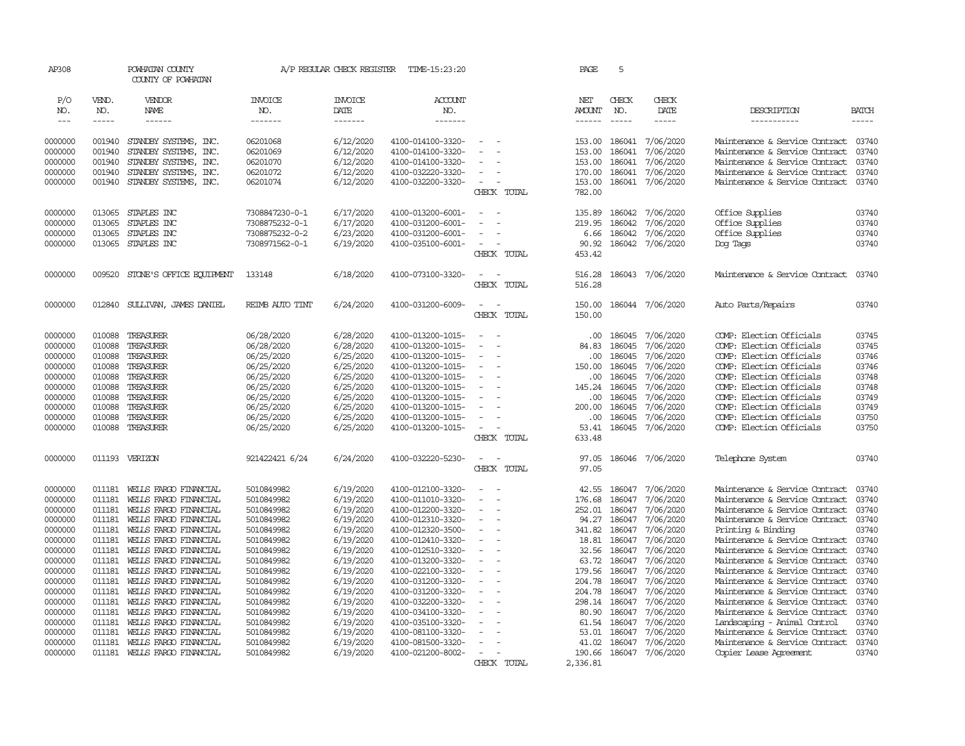| AP308              |                  | POWHATAN COUNTY<br>COUNTY OF POWHATAN          |                                  | A/P REGULAR CHECK REGISTER | TIME-15:23:20                          |                                          |             | PAGE                 | 5                |                        |                                                                  |                |
|--------------------|------------------|------------------------------------------------|----------------------------------|----------------------------|----------------------------------------|------------------------------------------|-------------|----------------------|------------------|------------------------|------------------------------------------------------------------|----------------|
| P/O<br>NO.         | VEND.<br>NO.     | VENDOR<br><b>NAME</b>                          | INVOICE<br>NO.                   | <b>INVOICE</b><br>DATE     | ACCOUNT<br>NO.                         |                                          |             | NET<br><b>AMOUNT</b> | CHECK<br>NO.     | CHECK<br>DATE          | DESCRIPTION                                                      | <b>BATCH</b>   |
| $---$              | -----            | ------                                         | -------                          | -------                    | -------                                |                                          |             | $- - - - - -$        | $\frac{1}{2}$    | $- - - - -$            | -----------                                                      | -----          |
|                    |                  |                                                |                                  |                            |                                        |                                          |             |                      |                  |                        |                                                                  |                |
| 0000000            | 001940           | STANDBY SYSTEMS, INC.                          | 06201068                         | 6/12/2020                  | 4100-014100-3320-                      |                                          |             | 153.00               | 186041           | 7/06/2020              | Maintenance & Service Contract                                   | 03740          |
| 0000000            | 001940           | STANDBY SYSTEMS, INC.                          | 06201069                         | 6/12/2020                  | 4100-014100-3320-                      |                                          |             | 153.00               | 186041           | 7/06/2020              | Maintenance & Service Contract                                   | 03740          |
| 0000000<br>0000000 | 001940<br>001940 | STANDBY SYSTEMS, INC.<br>STANDBY SYSTEMS, INC. | 06201070<br>06201072             | 6/12/2020<br>6/12/2020     | 4100-014100-3320-<br>4100-032220-3320- |                                          |             | 153.00<br>170.00     | 186041<br>186041 | 7/06/2020<br>7/06/2020 | Maintenance & Service Contract<br>Maintenance & Service Contract | 03740<br>03740 |
| 0000000            | 001940           | STANDBY SYSTEMS, INC.                          | 06201074                         | 6/12/2020                  | 4100-032200-3320-                      | $\overline{\phantom{a}}$                 |             | 153.00               | 186041           | 7/06/2020              | Maintenance & Service Contract                                   | 03740          |
|                    |                  |                                                |                                  |                            |                                        | CHECK                                    | TOTAL       | 782.00               |                  |                        |                                                                  |                |
| 0000000            | 013065           | STAPLES INC                                    |                                  | 6/17/2020                  |                                        |                                          |             |                      | 186042           | 7/06/2020              | Office Supplies                                                  | 03740          |
| 0000000            | 013065           | STAPLES INC                                    | 7308847230-0-1<br>7308875232-0-1 | 6/17/2020                  | 4100-013200-6001-<br>4100-031200-6001- | $\sim$<br>$\overline{\phantom{a}}$       |             | 135.89<br>219.95     | 186042           | 7/06/2020              | Office Supplies                                                  | 03740          |
| 0000000            | 013065           | STAPLES INC                                    | 7308875232-0-2                   | 6/23/2020                  | 4100-031200-6001-                      |                                          |             | 6.66                 | 186042           | 7/06/2020              | Office Supplies                                                  | 03740          |
| 0000000            | 013065           | STAPLES INC                                    | 7308971562-0-1                   | 6/19/2020                  | 4100-035100-6001-                      | $\sim$                                   |             | 90.92                | 186042           | 7/06/2020              | Dog Tags                                                         | 03740          |
|                    |                  |                                                |                                  |                            |                                        |                                          | CHECK TOTAL | 453.42               |                  |                        |                                                                  |                |
|                    |                  |                                                |                                  |                            |                                        |                                          |             |                      |                  |                        |                                                                  |                |
| 0000000            | 009520           | STONE'S OFFICE EQUIPMENT                       | 133148                           | 6/18/2020                  | 4100-073100-3320-                      | $\equiv$                                 |             | 516.28               | 186043           | 7/06/2020              | Maintenance & Service Contract                                   | 03740          |
|                    |                  |                                                |                                  |                            |                                        |                                          | CHECK TOTAL | 516.28               |                  |                        |                                                                  |                |
| 0000000            | 012840           | SULLIVAN, JAMES DANIEL                         | REIMB AUIO TINT                  | 6/24/2020                  | 4100-031200-6009-                      | $\equiv$                                 |             | 150.00               |                  | 186044 7/06/2020       | Auto Parts/Repairs                                               | 03740          |
|                    |                  |                                                |                                  |                            |                                        | CHECK                                    | TOTAL       | 150.00               |                  |                        |                                                                  |                |
| 0000000            | 010088           | TREASURER                                      | 06/28/2020                       | 6/28/2020                  | 4100-013200-1015-                      | $\sim$<br>$\overline{\phantom{a}}$       |             | $.00 \times$         | 186045           | 7/06/2020              | COMP: Election Officials                                         | 03745          |
| 0000000            | 010088           | TREASURER                                      | 06/28/2020                       | 6/28/2020                  | 4100-013200-1015-                      |                                          |             | 84.83                | 186045           | 7/06/2020              | COMP: Election Officials                                         | 03745          |
| 0000000            | 010088           | TREASURER                                      | 06/25/2020                       | 6/25/2020                  | 4100-013200-1015-                      |                                          |             | .00.                 | 186045           | 7/06/2020              | COMP: Election Officials                                         | 03746          |
| 0000000            | 010088           | TREASURER                                      | 06/25/2020                       | 6/25/2020                  | 4100-013200-1015-                      |                                          |             | 150.00               | 186045           | 7/06/2020              | COMP: Election Officials                                         | 03746          |
| 0000000            | 010088           | TREASURER                                      | 06/25/2020                       | 6/25/2020                  | 4100-013200-1015-                      | $\sim$                                   |             | .00.                 | 186045           | 7/06/2020              | COMP: Election Officials                                         | 03748          |
| 0000000            | 010088           | TREASURER                                      | 06/25/2020                       | 6/25/2020                  | 4100-013200-1015-                      |                                          |             | 145.24               | 186045           | 7/06/2020              | COMP: Election Officials                                         | 03748          |
| 0000000            | 010088           | TREASURER                                      | 06/25/2020                       | 6/25/2020                  | 4100-013200-1015-                      |                                          |             | .00.                 | 186045           | 7/06/2020              | COMP: Election Officials                                         | 03749          |
| 0000000            | 010088           | TREASURER                                      | 06/25/2020                       | 6/25/2020                  | 4100-013200-1015-                      |                                          |             | 200.00               | 186045           | 7/06/2020              | COMP: Election Officials                                         | 03749          |
| 0000000            | 010088           | TREASURER                                      | 06/25/2020                       | 6/25/2020                  | 4100-013200-1015-                      |                                          |             | .00.                 | 186045           | 7/06/2020              | COMP: Election Officials                                         | 03750          |
| 0000000            | 010088           | TREASURER                                      | 06/25/2020                       | 6/25/2020                  | 4100-013200-1015-                      | $\equiv$                                 |             | 53.41                | 186045           | 7/06/2020              | COMP: Election Officials                                         | 03750          |
|                    |                  |                                                |                                  |                            |                                        | CHECK TOTAL                              |             | 633.48               |                  |                        |                                                                  |                |
| 0000000            |                  | 011193 VERIZON                                 | 921422421 6/24                   | 6/24/2020                  | 4100-032220-5230-                      | $\overline{\phantom{a}}$<br>$\sim$       |             | 97.05                | 186046           | 7/06/2020              | Telephone System                                                 | 03740          |
|                    |                  |                                                |                                  |                            |                                        |                                          | CHECK TOTAL | 97.05                |                  |                        |                                                                  |                |
| 0000000            | 011181           | WEILS FARGO FINANCIAL                          | 5010849982                       | 6/19/2020                  | 4100-012100-3320-                      |                                          |             | 42.55                | 186047           | 7/06/2020              | Maintenance & Service Contract                                   | 03740          |
| 0000000            | 011181           | WELLS FARGO FINANCIAL                          | 5010849982                       | 6/19/2020                  | 4100-011010-3320-                      |                                          |             | 176.68               | 186047           | 7/06/2020              | Maintenance & Service Contract                                   | 03740          |
| 0000000            | 011181           | WELLS FARGO FINANCIAL                          | 5010849982                       | 6/19/2020                  | 4100-012200-3320-                      |                                          |             | 252.01               | 186047           | 7/06/2020              | Maintenance & Service Contract                                   | 03740          |
| 0000000            | 011181           | WELLS FARGO FINANCIAL                          | 5010849982                       | 6/19/2020                  | 4100-012310-3320-                      |                                          |             | 94.27                | 186047           | 7/06/2020              | Maintenance & Service Contract                                   | 03740          |
| 0000000            | 011181           | WELLS FARGO FINANCIAL                          | 5010849982                       | 6/19/2020                  | 4100-012320-3500-                      | $\equiv$<br>$\overline{\phantom{a}}$     |             | 341.82               | 186047           | 7/06/2020              | Printing & Binding                                               | 03740          |
| 0000000            | 011181           | WELLS FARGO FINANCIAL                          | 5010849982                       | 6/19/2020                  | 4100-012410-3320-                      |                                          |             | 18.81                | 186047           | 7/06/2020              | Maintenance & Service Contract                                   | 03740          |
| 0000000            | 011181           | WELLS FARGO FINANCIAL                          | 5010849982                       | 6/19/2020                  | 4100-012510-3320-                      | $\sim$                                   |             | 32.56                | 186047           | 7/06/2020              | Maintenance & Service Contract                                   | 03740          |
| 0000000            | 011181           | WELLS FARGO FINANCIAL                          | 5010849982                       | 6/19/2020                  | 4100-013200-3320-                      |                                          |             | 63.72                | 186047           | 7/06/2020              | Maintenance & Service Contract                                   | 03740          |
| 0000000<br>0000000 | 011181           | WELLS FARGO FINANCIAL<br>WELLS FARGO FINANCIAL | 5010849982                       | 6/19/2020                  | 4100-022100-3320-<br>4100-031200-3320- | $\sim$<br>÷.<br>$\overline{\phantom{a}}$ |             | 179.56<br>204.78     | 186047<br>186047 | 7/06/2020              | Maintenance & Service Contract<br>Maintenance & Service Contract | 03740<br>03740 |
| 0000000            | 011181<br>011181 | WELLS FARGO FINANCIAL                          | 5010849982<br>5010849982         | 6/19/2020<br>6/19/2020     | 4100-031200-3320-                      |                                          |             | 204.78               | 186047           | 7/06/2020<br>7/06/2020 | Maintenance & Service Contract                                   | 03740          |
| 0000000            | 011181           | WELLS FARGO FINANCIAL                          | 5010849982                       | 6/19/2020                  | 4100-032200-3320-                      |                                          |             | 298.14               | 186047           | 7/06/2020              | Maintenance & Service Contract                                   | 03740          |
| 0000000            | 011181           | WELLS FARGO FINANCIAL                          | 5010849982                       | 6/19/2020                  | 4100-034100-3320-                      |                                          |             | 80.90                | 186047           | 7/06/2020              | Maintenance & Service Contract                                   | 03740          |
| 0000000            | 011181           | WELLS FARGO FINANCIAL                          | 5010849982                       | 6/19/2020                  | 4100-035100-3320-                      |                                          |             | 61.54                | 186047           | 7/06/2020              | Landscaping - Animal Control                                     | 03740          |
| 0000000            | 011181           | WELLS FARGO FINANCIAL                          | 5010849982                       | 6/19/2020                  | 4100-081100-3320-                      |                                          |             | 53.01                | 186047           | 7/06/2020              | Maintenance & Service Contract                                   | 03740          |
| 0000000            | 011181           | WELLS FARGO FINANCIAL                          | 5010849982                       | 6/19/2020                  | 4100-081500-3320-                      |                                          |             | 41.02                | 186047           | 7/06/2020              | Maintenance & Service Contract                                   | 03740          |
| 0000000            |                  | 011181 WELLS FARGO FINANCIAL                   | 5010849982                       | 6/19/2020                  | 4100-021200-8002-                      | $\sim$                                   |             | 190.66               | 186047           | 7/06/2020              | Copier Lease Agreement                                           | 03740          |
|                    |                  |                                                |                                  |                            |                                        |                                          | CHECK TOTAL | 2,336.81             |                  |                        |                                                                  |                |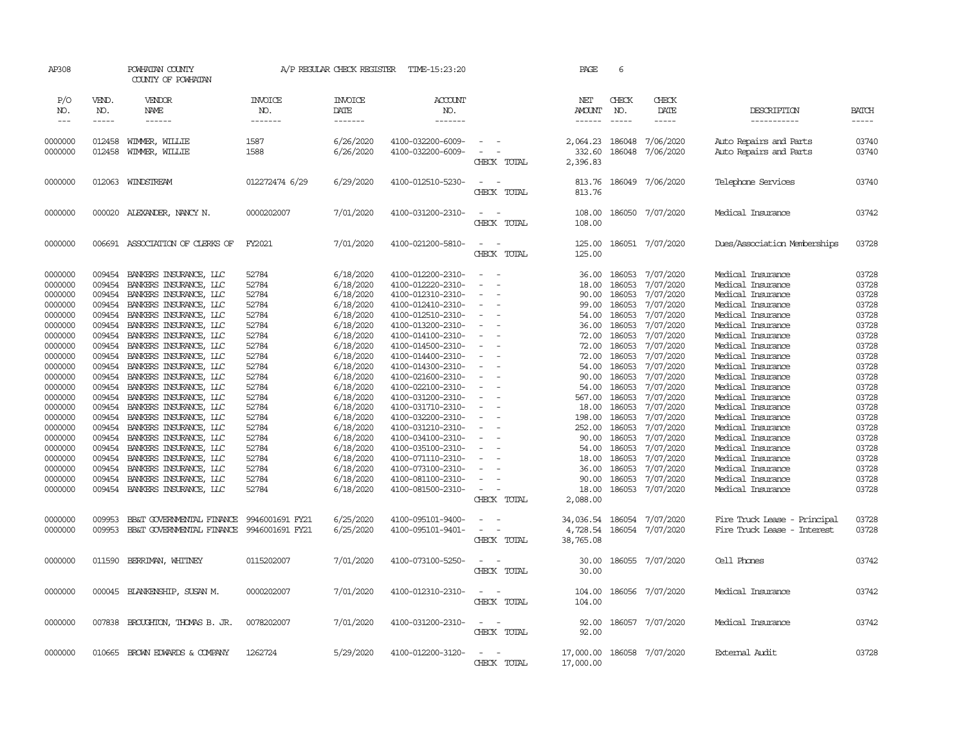| AP308                                                                                                                                       |                                                                                                                      | POWHATAN COUNTY<br>COUNTY OF POWHATAN                                                                                                                                                                                                                                                                                                                 |                                                                                                                   | A/P REGULAR CHECK REGISTER                                                                                                                                            | TIME-15:23:20                                                                                                                                                                                                                                                                 |                                                                                  |             | PAGE                                                                                                               | 6                                                                                                                              |                                                                                                                                                                       |                                                                                                                                                                                                                                                                               |                                                                                                                   |
|---------------------------------------------------------------------------------------------------------------------------------------------|----------------------------------------------------------------------------------------------------------------------|-------------------------------------------------------------------------------------------------------------------------------------------------------------------------------------------------------------------------------------------------------------------------------------------------------------------------------------------------------|-------------------------------------------------------------------------------------------------------------------|-----------------------------------------------------------------------------------------------------------------------------------------------------------------------|-------------------------------------------------------------------------------------------------------------------------------------------------------------------------------------------------------------------------------------------------------------------------------|----------------------------------------------------------------------------------|-------------|--------------------------------------------------------------------------------------------------------------------|--------------------------------------------------------------------------------------------------------------------------------|-----------------------------------------------------------------------------------------------------------------------------------------------------------------------|-------------------------------------------------------------------------------------------------------------------------------------------------------------------------------------------------------------------------------------------------------------------------------|-------------------------------------------------------------------------------------------------------------------|
| P/O<br>NO.<br>$\frac{1}{2}$                                                                                                                 | VEND.<br>NO.<br>-----                                                                                                | VENDOR<br>NAME<br>------                                                                                                                                                                                                                                                                                                                              | <b>INVOICE</b><br>NO.<br>-------                                                                                  | <b>INVOICE</b><br>DATE<br>-------                                                                                                                                     | <b>ACCOUNT</b><br>NO.<br>-------                                                                                                                                                                                                                                              |                                                                                  |             | NET<br><b>AMOUNT</b><br>------                                                                                     | CHECK<br>NO.<br>$- - - - -$                                                                                                    | CHECK<br>DATE<br>$- - - - -$                                                                                                                                          | DESCRIPTION<br>-----------                                                                                                                                                                                                                                                    | <b>BATCH</b><br>$- - - - -$                                                                                       |
|                                                                                                                                             |                                                                                                                      |                                                                                                                                                                                                                                                                                                                                                       |                                                                                                                   |                                                                                                                                                                       |                                                                                                                                                                                                                                                                               |                                                                                  |             |                                                                                                                    |                                                                                                                                |                                                                                                                                                                       |                                                                                                                                                                                                                                                                               |                                                                                                                   |
| 0000000<br>0000000                                                                                                                          | 012458<br>012458                                                                                                     | WIMMER, WILLIE<br>WIMMER, WILLIE                                                                                                                                                                                                                                                                                                                      | 1587<br>1588                                                                                                      | 6/26/2020<br>6/26/2020                                                                                                                                                | 4100-032200-6009-<br>4100-032200-6009-                                                                                                                                                                                                                                        |                                                                                  | CHECK TOTAL | 2,064.23<br>332.60<br>2,396.83                                                                                     | 186048<br>186048                                                                                                               | 7/06/2020<br>7/06/2020                                                                                                                                                | Auto Repairs and Parts<br>Auto Repairs and Parts                                                                                                                                                                                                                              | 03740<br>03740                                                                                                    |
| 0000000                                                                                                                                     |                                                                                                                      | 012063 WINDSTREAM                                                                                                                                                                                                                                                                                                                                     | 012272474 6/29                                                                                                    | 6/29/2020                                                                                                                                                             | 4100-012510-5230-                                                                                                                                                                                                                                                             | $\overline{\phantom{a}}$<br>$\overline{\phantom{a}}$                             | CHECK TOTAL | 813.76<br>813.76                                                                                                   |                                                                                                                                | 186049 7/06/2020                                                                                                                                                      | Telephone Services                                                                                                                                                                                                                                                            | 03740                                                                                                             |
| 0000000                                                                                                                                     |                                                                                                                      | 000020 ALEXANDER, NANCY N.                                                                                                                                                                                                                                                                                                                            | 0000202007                                                                                                        | 7/01/2020                                                                                                                                                             | 4100-031200-2310-                                                                                                                                                                                                                                                             | $\sim$ $\sim$                                                                    | CHECK TOTAL | 108.00<br>108.00                                                                                                   |                                                                                                                                | 186050 7/07/2020                                                                                                                                                      | Medical Insurance                                                                                                                                                                                                                                                             | 03742                                                                                                             |
| 0000000                                                                                                                                     |                                                                                                                      | 006691 ASSOCIATION OF CLERKS OF                                                                                                                                                                                                                                                                                                                       | FY2021                                                                                                            | 7/01/2020                                                                                                                                                             | 4100-021200-5810-                                                                                                                                                                                                                                                             | $\overline{\phantom{a}}$<br>$\overline{\phantom{a}}$                             | CHECK TOTAL | 125.00<br>125.00                                                                                                   |                                                                                                                                | 186051 7/07/2020                                                                                                                                                      | Dues/Association Memberships                                                                                                                                                                                                                                                  | 03728                                                                                                             |
| 0000000<br>0000000<br>0000000<br>0000000<br>0000000<br>0000000<br>0000000<br>0000000<br>0000000<br>0000000<br>0000000<br>0000000<br>0000000 | 009454<br>009454<br>009454<br>009454<br>009454<br>009454<br>009454<br>009454<br>009454<br>009454<br>009454<br>009454 | 009454 BANKERS INSURANCE, LLC<br>BANKERS INSURANCE, LLC<br>BANKERS INSURANCE, LLC<br>BANKERS INSURANCE, LLC<br>BANKERS INSURANCE, LLC<br>BANKERS INSURANCE, LLC<br>BANKERS INSURANCE, LLC<br>BANKERS INSURANCE, LLC<br>BANKERS INSURANCE, LLC<br>BANKERS INSURANCE, LLC<br>BANKERS INSURANCE, LLC<br>BANKERS INSURANCE, LLC<br>BANKERS INSURANCE, LLC | 52784<br>52784<br>52784<br>52784<br>52784<br>52784<br>52784<br>52784<br>52784<br>52784<br>52784<br>52784<br>52784 | 6/18/2020<br>6/18/2020<br>6/18/2020<br>6/18/2020<br>6/18/2020<br>6/18/2020<br>6/18/2020<br>6/18/2020<br>6/18/2020<br>6/18/2020<br>6/18/2020<br>6/18/2020<br>6/18/2020 | 4100-012200-2310-<br>4100-012220-2310-<br>4100-012310-2310-<br>4100-012410-2310-<br>4100-012510-2310-<br>4100-013200-2310-<br>4100-014100-2310-<br>4100-014500-2310-<br>4100-014400-2310-<br>4100-014300-2310-<br>4100-021600-2310-<br>4100-022100-2310-<br>4100-031200-2310- | - 14<br>$\sim$<br>$\sim$<br>$\overline{\phantom{a}}$<br>$\overline{\phantom{a}}$ |             | 36.00<br>18.00<br>90.00<br>99.00<br>54.00<br>36.00<br>72.00<br>72.00<br>72.00<br>54.00<br>90.00<br>54.00<br>567.00 | 186053<br>186053<br>186053<br>186053<br>186053<br>186053<br>186053<br>186053<br>186053<br>186053<br>186053<br>186053<br>186053 | 7/07/2020<br>7/07/2020<br>7/07/2020<br>7/07/2020<br>7/07/2020<br>7/07/2020<br>7/07/2020<br>7/07/2020<br>7/07/2020<br>7/07/2020<br>7/07/2020<br>7/07/2020<br>7/07/2020 | Medical Insurance<br>Medical Insurance<br>Medical Insurance<br>Medical Insurance<br>Medical Insurance<br>Medical Insurance<br>Medical Insurance<br>Medical Insurance<br>Medical Insurance<br>Medical Insurance<br>Medical Insurance<br>Medical Insurance<br>Medical Insurance | 03728<br>03728<br>03728<br>03728<br>03728<br>03728<br>03728<br>03728<br>03728<br>03728<br>03728<br>03728<br>03728 |
| 0000000<br>0000000<br>0000000<br>0000000<br>0000000<br>0000000<br>0000000<br>0000000<br>0000000                                             | 009454<br>009454<br>009454<br>009454<br>009454<br>009454<br>009454<br>009454<br>009454                               | BANKERS INSURANCE, LLC<br>BANKERS INSURANCE, LLC<br>BANKERS INSURANCE, LLC<br>BANKERS INSURANCE, LLC<br>BANKERS INSURANCE, LLC<br>BANKERS INSURANCE, LLC<br>BANKERS INSURANCE, LLC<br>BANKERS INSURANCE, LLC<br>BANKERS INSURANCE, LLC                                                                                                                | 52784<br>52784<br>52784<br>52784<br>52784<br>52784<br>52784<br>52784<br>52784                                     | 6/18/2020<br>6/18/2020<br>6/18/2020<br>6/18/2020<br>6/18/2020<br>6/18/2020<br>6/18/2020<br>6/18/2020<br>6/18/2020                                                     | 4100-031710-2310-<br>4100-032200-2310-<br>4100-031210-2310-<br>4100-034100-2310-<br>4100-035100-2310-<br>4100-071110-2310-<br>4100-073100-2310-<br>4100-081100-2310-<br>4100-081500-2310-                                                                                     | $\overline{a}$<br>$\overline{\phantom{a}}$                                       | CHECK TOTAL | 18.00<br>198.00<br>252.00<br>90.00<br>54.00<br>18.00<br>36.00<br>90.00<br>18.00<br>2,088.00                        | 186053<br>186053<br>186053<br>186053<br>186053<br>186053<br>186053<br>186053<br>186053                                         | 7/07/2020<br>7/07/2020<br>7/07/2020<br>7/07/2020<br>7/07/2020<br>7/07/2020<br>7/07/2020<br>7/07/2020<br>7/07/2020                                                     | Medical Insurance<br>Medical Insurance<br>Medical Insurance<br>Medical Insurance<br>Medical Insurance<br>Medical Insurance<br>Medical Insurance<br>Medical Insurance<br>Medical Insurance                                                                                     | 03728<br>03728<br>03728<br>03728<br>03728<br>03728<br>03728<br>03728<br>03728                                     |
| 0000000<br>0000000                                                                                                                          | 009953<br>009953                                                                                                     | BB&T GOVERNMENTAL FINANCE<br>BB&T GOVERNMENTAL FINANCE 9946001691 FY21                                                                                                                                                                                                                                                                                | 9946001691 FY21                                                                                                   | 6/25/2020<br>6/25/2020                                                                                                                                                | 4100-095101-9400-<br>4100-095101-9401-                                                                                                                                                                                                                                        | $\overline{\phantom{a}}$<br>$\sim$<br>$\overline{\phantom{a}}$                   | CHECK TOTAL | 34,036.54<br>4,728.54<br>38,765.08                                                                                 | 186054                                                                                                                         | 7/07/2020<br>186054 7/07/2020                                                                                                                                         | Fire Truck Lease - Principal<br>Fire Truck Lease - Interest                                                                                                                                                                                                                   | 03728<br>03728                                                                                                    |
| 0000000                                                                                                                                     | 011590                                                                                                               | BERRIMAN, WHITNEY                                                                                                                                                                                                                                                                                                                                     | 0115202007                                                                                                        | 7/01/2020                                                                                                                                                             | 4100-073100-5250-                                                                                                                                                                                                                                                             | $\overline{\phantom{a}}$                                                         | CHECK TOTAL | 30.00<br>30.00                                                                                                     | 186055                                                                                                                         | 7/07/2020                                                                                                                                                             | Cell Phones                                                                                                                                                                                                                                                                   | 03742                                                                                                             |
| 0000000                                                                                                                                     |                                                                                                                      | 000045 BLANKENSHIP, SUSAN M.                                                                                                                                                                                                                                                                                                                          | 0000202007                                                                                                        | 7/01/2020                                                                                                                                                             | 4100-012310-2310-                                                                                                                                                                                                                                                             | $\overline{\phantom{a}}$<br>- -                                                  | CHECK TOTAL | 104.00<br>104.00                                                                                                   | 186056                                                                                                                         | 7/07/2020                                                                                                                                                             | Medical Insurance                                                                                                                                                                                                                                                             | 03742                                                                                                             |
| 0000000                                                                                                                                     |                                                                                                                      | 007838 BROUGHTON, THOMAS B. JR.                                                                                                                                                                                                                                                                                                                       | 0078202007                                                                                                        | 7/01/2020                                                                                                                                                             | 4100-031200-2310-                                                                                                                                                                                                                                                             | $\sim$<br>$\sim$                                                                 | CHECK TOTAL | 92.00<br>92.00                                                                                                     |                                                                                                                                | 186057 7/07/2020                                                                                                                                                      | Medical Insurance                                                                                                                                                                                                                                                             | 03742                                                                                                             |
| 0000000                                                                                                                                     |                                                                                                                      | 010665 BROWN EDWARDS & COMPANY                                                                                                                                                                                                                                                                                                                        | 1262724                                                                                                           | 5/29/2020                                                                                                                                                             | 4100-012200-3120-                                                                                                                                                                                                                                                             | $\sim$<br>$\sim$                                                                 | CHECK TOTAL | 17,000.00<br>17,000.00                                                                                             |                                                                                                                                | 186058 7/07/2020                                                                                                                                                      | External Audit                                                                                                                                                                                                                                                                | 03728                                                                                                             |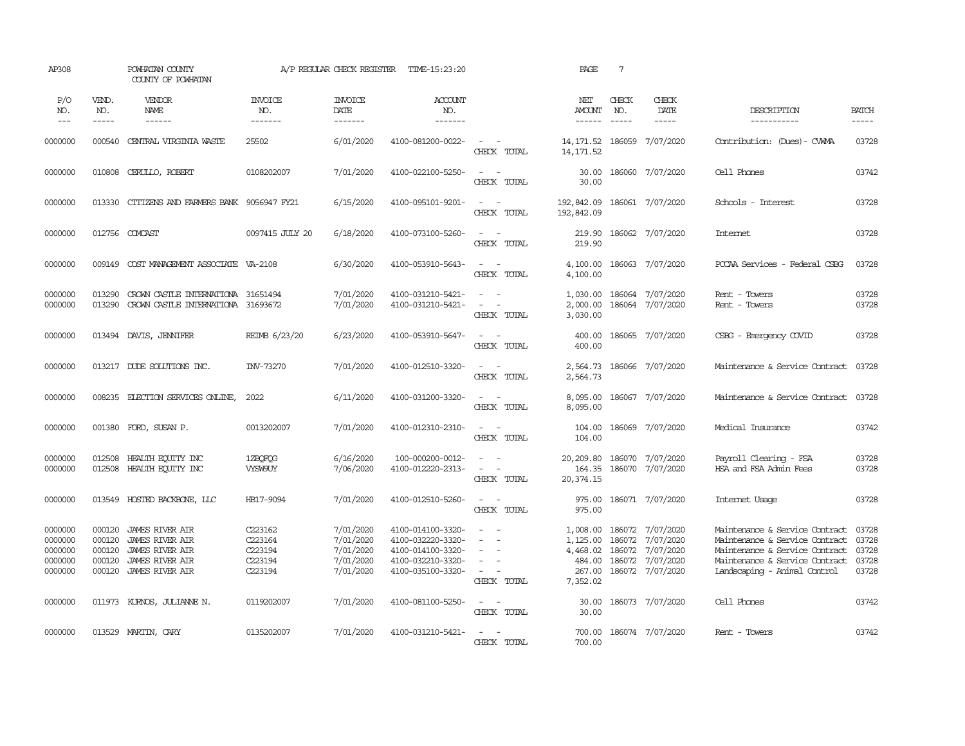| AP308                                               |                                                | POWHATAN COUNTY<br>COUNTY OF POWHATAN                                                                                                                                                                                                                                                                                                                                                                                                                                                                    |                                                     | A/P REGULAR CHECK REGISTER                                    | TIME-15:23:20                                                                                         |                                                                                                                                                           | PAGE                                                                                                                                                                                                                                                                                                                                                                                                                                                                                                    | $7\phantom{.0}$             |                                                                                                           |                                                                                                                                                                                  |                          |
|-----------------------------------------------------|------------------------------------------------|----------------------------------------------------------------------------------------------------------------------------------------------------------------------------------------------------------------------------------------------------------------------------------------------------------------------------------------------------------------------------------------------------------------------------------------------------------------------------------------------------------|-----------------------------------------------------|---------------------------------------------------------------|-------------------------------------------------------------------------------------------------------|-----------------------------------------------------------------------------------------------------------------------------------------------------------|---------------------------------------------------------------------------------------------------------------------------------------------------------------------------------------------------------------------------------------------------------------------------------------------------------------------------------------------------------------------------------------------------------------------------------------------------------------------------------------------------------|-----------------------------|-----------------------------------------------------------------------------------------------------------|----------------------------------------------------------------------------------------------------------------------------------------------------------------------------------|--------------------------|
| P/O<br>NO.<br>$  -$                                 | VEND.<br>NO.<br>$\frac{1}{2}$                  | VENDOR<br>NAME<br>$\begin{array}{cccccccccc} \multicolumn{2}{c}{} & \multicolumn{2}{c}{} & \multicolumn{2}{c}{} & \multicolumn{2}{c}{} & \multicolumn{2}{c}{} & \multicolumn{2}{c}{} & \multicolumn{2}{c}{} & \multicolumn{2}{c}{} & \multicolumn{2}{c}{} & \multicolumn{2}{c}{} & \multicolumn{2}{c}{} & \multicolumn{2}{c}{} & \multicolumn{2}{c}{} & \multicolumn{2}{c}{} & \multicolumn{2}{c}{} & \multicolumn{2}{c}{} & \multicolumn{2}{c}{} & \multicolumn{2}{c}{} & \multicolumn{2}{c}{} & \mult$ | <b>INVOICE</b><br>NO.<br>-------                    | <b>INVOICE</b><br>DATE<br>-------                             | <b>ACCOUNT</b><br>NO.<br>-------                                                                      |                                                                                                                                                           | NET<br>AMOUNT<br>$\begin{array}{cccccccccc} \multicolumn{2}{c}{} & \multicolumn{2}{c}{} & \multicolumn{2}{c}{} & \multicolumn{2}{c}{} & \multicolumn{2}{c}{} & \multicolumn{2}{c}{} & \multicolumn{2}{c}{} & \multicolumn{2}{c}{} & \multicolumn{2}{c}{} & \multicolumn{2}{c}{} & \multicolumn{2}{c}{} & \multicolumn{2}{c}{} & \multicolumn{2}{c}{} & \multicolumn{2}{c}{} & \multicolumn{2}{c}{} & \multicolumn{2}{c}{} & \multicolumn{2}{c}{} & \multicolumn{2}{c}{} & \multicolumn{2}{c}{} & \mult$ | CHECK<br>NO.<br>$- - - - -$ | CHECK<br>DATE<br>$\cdots \cdots \cdots$                                                                   | DESCRIPTION<br>------------                                                                                                                                                      | <b>BATCH</b><br>$\cdots$ |
| 0000000                                             | 000540                                         | CENTRAL VIRGINIA WASTE                                                                                                                                                                                                                                                                                                                                                                                                                                                                                   | 25502                                               | 6/01/2020                                                     | 4100-081200-0022-                                                                                     | $\sim$ $ -$<br>CHECK TOTAL                                                                                                                                | 14, 171.52<br>14, 171.52                                                                                                                                                                                                                                                                                                                                                                                                                                                                                |                             | 186059 7/07/2020                                                                                          | Contribution: (Dues) - CWMA                                                                                                                                                      | 03728                    |
| 0000000                                             | 010808                                         | CERULLO, ROBERT                                                                                                                                                                                                                                                                                                                                                                                                                                                                                          | 0108202007                                          | 7/01/2020                                                     | 4100-022100-5250-                                                                                     | $\sim$<br>$\sim$ $-$<br>CHECK TOTAL                                                                                                                       | 30.00<br>30.00                                                                                                                                                                                                                                                                                                                                                                                                                                                                                          |                             | 186060 7/07/2020                                                                                          | Cell Phones                                                                                                                                                                      | 03742                    |
| 0000000                                             | 013330                                         | CITIZENS AND FARMERS BANK 9056947 FY21                                                                                                                                                                                                                                                                                                                                                                                                                                                                   |                                                     | 6/15/2020                                                     | 4100-095101-9201-                                                                                     | $\sim$<br>$\sim$ $-$<br>CHECK TOTAL                                                                                                                       | 192,842.09<br>192,842.09                                                                                                                                                                                                                                                                                                                                                                                                                                                                                |                             | 186061 7/07/2020                                                                                          | Schools - Interest                                                                                                                                                               | 03728                    |
| 0000000                                             |                                                | 012756 COMCAST                                                                                                                                                                                                                                                                                                                                                                                                                                                                                           | 0097415 JULY 20                                     | 6/18/2020                                                     | 4100-073100-5260-                                                                                     | $\sim$ $  -$<br>CHECK TOTAL                                                                                                                               | 219.90<br>219.90                                                                                                                                                                                                                                                                                                                                                                                                                                                                                        |                             | 186062 7/07/2020                                                                                          | Internet                                                                                                                                                                         | 03728                    |
| 0000000                                             |                                                | 009149 COST MANAGEMENT ASSOCIATE VA-2108                                                                                                                                                                                                                                                                                                                                                                                                                                                                 |                                                     | 6/30/2020                                                     | 4100-053910-5643-                                                                                     | $\mathcal{L}_{\text{max}}$ , and $\mathcal{L}_{\text{max}}$<br>CHECK TOTAL                                                                                | 4,100.00                                                                                                                                                                                                                                                                                                                                                                                                                                                                                                |                             | 4,100.00 186063 7/07/2020                                                                                 | PCCAA Services - Federal CSBG                                                                                                                                                    | 03728                    |
| 0000000<br>0000000                                  | 013290<br>013290                               | CROWN CASTLE INTERNATIONA 31651494<br>CROWN CASTLE INTERNATIONA 31693672                                                                                                                                                                                                                                                                                                                                                                                                                                 |                                                     | 7/01/2020<br>7/01/2020                                        | 4100-031210-5421-<br>4100-031210-5421-                                                                | $\omega_{\rm{max}}$ and $\omega_{\rm{max}}$<br>$\sim$ $ -$<br>CHECK TOTAL                                                                                 | 1,030.00<br>2,000.00<br>3,030.00                                                                                                                                                                                                                                                                                                                                                                                                                                                                        |                             | 186064 7/07/2020<br>186064 7/07/2020                                                                      | Rent - Towers<br>Rent - Towers                                                                                                                                                   | 03728<br>03728           |
| 0000000                                             |                                                | 013494 DAVIS, JENNIFER                                                                                                                                                                                                                                                                                                                                                                                                                                                                                   | REIMB 6/23/20                                       | 6/23/2020                                                     | 4100-053910-5647-                                                                                     | $\sim$ $ \sim$<br>CHECK TOTAL                                                                                                                             | 400.00<br>400.00                                                                                                                                                                                                                                                                                                                                                                                                                                                                                        |                             | 186065 7/07/2020                                                                                          | CSBG - Emergency COVID                                                                                                                                                           | 03728                    |
| 0000000                                             |                                                | 013217 DUDE SOLUTIONS INC.                                                                                                                                                                                                                                                                                                                                                                                                                                                                               | INV-73270                                           | 7/01/2020                                                     | 4100-012510-3320-                                                                                     | $\sim$ $ -$<br>CHECK TOTAL                                                                                                                                | 2,564.73<br>2,564.73                                                                                                                                                                                                                                                                                                                                                                                                                                                                                    |                             | 186066 7/07/2020                                                                                          | Maintenance & Service Contract 03728                                                                                                                                             |                          |
| 0000000                                             |                                                | 008235 ELECTION SERVICES ONLINE,                                                                                                                                                                                                                                                                                                                                                                                                                                                                         | 2022                                                | 6/11/2020                                                     | 4100-031200-3320-                                                                                     | $\sim$ $ -$<br>CHECK TOTAL                                                                                                                                | 8,095.00<br>8,095.00                                                                                                                                                                                                                                                                                                                                                                                                                                                                                    |                             | 186067 7/07/2020                                                                                          | Maintenance & Service Contract 03728                                                                                                                                             |                          |
| 0000000                                             |                                                | 001380 FORD, SUSAN P.                                                                                                                                                                                                                                                                                                                                                                                                                                                                                    | 0013202007                                          | 7/01/2020                                                     | 4100-012310-2310-                                                                                     | $\omega_{\rm{max}}$ and $\omega_{\rm{max}}$<br>CHECK TOTAL                                                                                                | 104.00<br>104.00                                                                                                                                                                                                                                                                                                                                                                                                                                                                                        |                             | 186069 7/07/2020                                                                                          | Medical Insurance                                                                                                                                                                | 03742                    |
| 0000000<br>0000000                                  | 012508                                         | HEALTH EQUITY INC<br>012508 HEALTH EQUITY INC                                                                                                                                                                                                                                                                                                                                                                                                                                                            | 1ZBQFQG<br><b>VYSW9UY</b>                           | 6/16/2020<br>7/06/2020                                        | 100-000200-0012-<br>4100-012220-2313-                                                                 | $\omega_{\rm{max}}$ and $\omega_{\rm{max}}$<br>$\mathcal{L}_{\text{max}}$ , and $\mathcal{L}_{\text{max}}$<br>CHECK TOTAL                                 | 20,209.80<br>164.35<br>20,374.15                                                                                                                                                                                                                                                                                                                                                                                                                                                                        |                             | 186070 7/07/2020<br>186070 7/07/2020                                                                      | Payroll Clearing - FSA<br>HSA and FSA Admin Fees                                                                                                                                 | 03728<br>03728           |
| 0000000                                             |                                                | 013549 HOSTED BACKBONE, LLC                                                                                                                                                                                                                                                                                                                                                                                                                                                                              | HB17-9094                                           | 7/01/2020                                                     | 4100-012510-5260-                                                                                     | $\omega_{\rm{max}}$ and $\omega_{\rm{max}}$<br>CHECK TOTAL                                                                                                | 975.00                                                                                                                                                                                                                                                                                                                                                                                                                                                                                                  |                             | 975.00 186071 7/07/2020                                                                                   | Internet Usage                                                                                                                                                                   | 03728                    |
| 0000000<br>0000000<br>0000000<br>0000000<br>0000000 | 000120<br>000120<br>000120<br>000120<br>000120 | <b>JAMES RIVER AIR</b><br><b>JAMES RIVER AIR</b><br><b>JAMES RIVER AIR</b><br><b>JAMES RIVER AIR</b><br><b>JAMES RIVER AIR</b>                                                                                                                                                                                                                                                                                                                                                                           | C223162<br>C223164<br>C223194<br>C223194<br>C223194 | 7/01/2020<br>7/01/2020<br>7/01/2020<br>7/01/2020<br>7/01/2020 | 4100-014100-3320-<br>4100-032220-3320-<br>4100-014100-3320-<br>4100-032210-3320-<br>4100-035100-3320- | $\overline{\phantom{a}}$<br>$\sim$<br>$\overline{\phantom{a}}$<br>$\overline{a}$<br>$\sim$<br>$\sim$<br>$\sim$<br>$\overline{\phantom{a}}$<br>CHECK TOTAL | 1,125.00<br>4,468.02<br>484.00<br>267.00<br>7,352.02                                                                                                                                                                                                                                                                                                                                                                                                                                                    |                             | 1,008.00 186072 7/07/2020<br>186072 7/07/2020<br>186072 7/07/2020<br>186072 7/07/2020<br>186072 7/07/2020 | Maintenance & Service Contract<br>Maintenance & Service Contract<br>Maintenance & Service Contract 03728<br>Maintenance & Service Contract 03728<br>Landscaping - Animal Control | 03728<br>03728<br>03728  |
| 0000000                                             |                                                | 011973 KURNOS, JULIANNE N.                                                                                                                                                                                                                                                                                                                                                                                                                                                                               | 0119202007                                          | 7/01/2020                                                     | 4100-081100-5250-                                                                                     | $\mathcal{L}_{\text{max}}$ , and $\mathcal{L}_{\text{max}}$<br>CHECK TOTAL                                                                                | 30.00<br>30.00                                                                                                                                                                                                                                                                                                                                                                                                                                                                                          |                             | 186073 7/07/2020                                                                                          | Cell Phones                                                                                                                                                                      | 03742                    |
| 0000000                                             |                                                | 013529 MARTIN, CARY                                                                                                                                                                                                                                                                                                                                                                                                                                                                                      | 0135202007                                          | 7/01/2020                                                     | 4100-031210-5421-                                                                                     | $\sim$ $ \sim$<br>CHECK TOTAL                                                                                                                             | 700.00                                                                                                                                                                                                                                                                                                                                                                                                                                                                                                  |                             | 700.00 186074 7/07/2020                                                                                   | Rent - Towers                                                                                                                                                                    | 03742                    |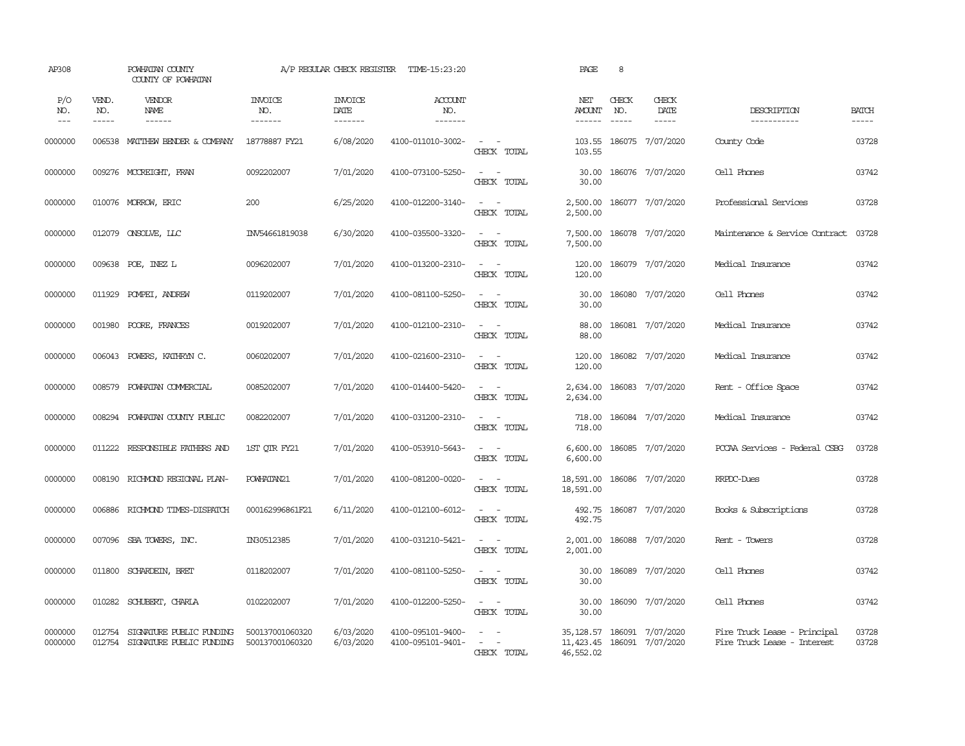| AP308               |                             | POWHATAN COUNTY<br>COUNTY OF POWHATAN                       |                                    | A/P REGULAR CHECK REGISTER        | TIME-15:23:20                          |                                                                                                                             | PAGE                           | 8                                                                                                                                                                                                                                                                                                                                                                                                            |                                                           |                                                             |                       |
|---------------------|-----------------------------|-------------------------------------------------------------|------------------------------------|-----------------------------------|----------------------------------------|-----------------------------------------------------------------------------------------------------------------------------|--------------------------------|--------------------------------------------------------------------------------------------------------------------------------------------------------------------------------------------------------------------------------------------------------------------------------------------------------------------------------------------------------------------------------------------------------------|-----------------------------------------------------------|-------------------------------------------------------------|-----------------------|
| P/O<br>NO.<br>$---$ | VEND.<br>NO.<br>$- - - - -$ | VENDOR<br>NAME<br>$- - - - - -$                             | <b>INVOICE</b><br>NO.<br>-------   | <b>INVOICE</b><br>DATE<br>------- | <b>ACCOUNT</b><br>NO.<br>-------       |                                                                                                                             | NET<br><b>AMOUNT</b><br>------ | CHECK<br>NO.<br>$\frac{1}{2} \frac{1}{2} \frac{1}{2} \frac{1}{2} \frac{1}{2} \frac{1}{2} \frac{1}{2} \frac{1}{2} \frac{1}{2} \frac{1}{2} \frac{1}{2} \frac{1}{2} \frac{1}{2} \frac{1}{2} \frac{1}{2} \frac{1}{2} \frac{1}{2} \frac{1}{2} \frac{1}{2} \frac{1}{2} \frac{1}{2} \frac{1}{2} \frac{1}{2} \frac{1}{2} \frac{1}{2} \frac{1}{2} \frac{1}{2} \frac{1}{2} \frac{1}{2} \frac{1}{2} \frac{1}{2} \frac{$ | CHECK<br>DATE<br>$- - - - -$                              | DESCRIPTION<br>-----------                                  | <b>BATCH</b><br>----- |
| 0000000             |                             | 006538 MATTHEW BENDER & COMPANY                             | 18778887 FY21                      | 6/08/2020                         | 4100-011010-3002-                      | $\sim$ $\sim$<br>CHECK TOTAL                                                                                                | 103.55<br>103.55               |                                                                                                                                                                                                                                                                                                                                                                                                              | 186075 7/07/2020                                          | County Code                                                 | 03728                 |
| 0000000             |                             | 009276 MCCREIGHT, FRAN                                      | 0092202007                         | 7/01/2020                         | 4100-073100-5250-                      | $\sim$ $ \sim$<br>CHECK TOTAL                                                                                               | 30.00<br>30.00                 |                                                                                                                                                                                                                                                                                                                                                                                                              | 186076 7/07/2020                                          | Cell Phones                                                 | 03742                 |
| 0000000             |                             | 010076 MORROW, ERIC                                         | 200                                | 6/25/2020                         | 4100-012200-3140-                      | $\omega_{\rm{max}}$ and $\omega_{\rm{max}}$<br>CHECK TOTAL                                                                  | 2,500.00<br>2,500.00           |                                                                                                                                                                                                                                                                                                                                                                                                              | 186077 7/07/2020                                          | Professional Services                                       | 03728                 |
| 0000000             |                             | 012079 CNSOLVE, LLC                                         | INV54661819038                     | 6/30/2020                         | 4100-035500-3320-                      | $\sim$ 100 $\sim$<br>CHECK TOTAL                                                                                            | 7,500.00<br>7,500.00           |                                                                                                                                                                                                                                                                                                                                                                                                              | 186078 7/07/2020                                          | Maintenance & Service Contract                              | 03728                 |
| 0000000             |                             | 009638 POE, INEZ L                                          | 0096202007                         | 7/01/2020                         | 4100-013200-2310-                      | $\omega_{\rm{max}}$ and $\omega_{\rm{max}}$<br>CHECK TOTAL                                                                  | 120.00<br>120.00               |                                                                                                                                                                                                                                                                                                                                                                                                              | 186079 7/07/2020                                          | Medical Insurance                                           | 03742                 |
| 0000000             | 011929                      | POMPEI, ANDREW                                              | 0119202007                         | 7/01/2020                         | 4100-081100-5250-                      | $\sim$ 100 $\sim$<br>CHECK TOTAL                                                                                            | 30.00<br>30.00                 |                                                                                                                                                                                                                                                                                                                                                                                                              | 186080 7/07/2020                                          | Cell Phones                                                 | 03742                 |
| 0000000             | 001980                      | POORE, FRANCES                                              | 0019202007                         | 7/01/2020                         | 4100-012100-2310-                      | $\omega_{\rm{max}}$ and $\omega_{\rm{max}}$<br>CHECK TOTAL                                                                  | 88.00<br>88.00                 |                                                                                                                                                                                                                                                                                                                                                                                                              | 186081 7/07/2020                                          | Medical Insurance                                           | 03742                 |
| 0000000             | 006043                      | POWERS, KATHRYN C.                                          | 0060202007                         | 7/01/2020                         | 4100-021600-2310-                      | $\omega_{\rm{max}}$ and $\omega_{\rm{max}}$<br>CHECK TOTAL                                                                  | 120.00<br>120.00               |                                                                                                                                                                                                                                                                                                                                                                                                              | 186082 7/07/2020                                          | Medical Insurance                                           | 03742                 |
| 0000000             | 008579                      | POWHATAN COMMERCIAL                                         | 0085202007                         | 7/01/2020                         | 4100-014400-5420-                      | $\sim$ $ \sim$<br>CHECK TOTAL                                                                                               | 2,634.00<br>2,634.00           |                                                                                                                                                                                                                                                                                                                                                                                                              | 186083 7/07/2020                                          | Rent - Office Space                                         | 03742                 |
| 0000000             | 008294                      | POWHATAN COUNTY PUBLIC                                      | 0082202007                         | 7/01/2020                         | 4100-031200-2310-                      | $\sim$ $ -$<br>CHECK TOTAL                                                                                                  | 718.00<br>718.00               |                                                                                                                                                                                                                                                                                                                                                                                                              | 186084 7/07/2020                                          | Medical Insurance                                           | 03742                 |
| 0000000             |                             | 011222 RESPONSIBLE FAIHERS AND                              | 1ST QTR FY21                       | 7/01/2020                         | 4100-053910-5643-                      | $\omega_{\rm{max}}$ and $\omega_{\rm{max}}$<br>CHECK TOTAL                                                                  | 6,600.00<br>6,600.00           |                                                                                                                                                                                                                                                                                                                                                                                                              | 186085 7/07/2020                                          | PCCAA Services - Federal CSBG                               | 03728                 |
| 0000000             | 008190                      | RICHMOND REGIONAL PLAN-                                     | POWHATAN21                         | 7/01/2020                         | 4100-081200-0020-                      | $\sim$ $ -$<br>CHECK TOTAL                                                                                                  | 18,591.00<br>18,591.00         |                                                                                                                                                                                                                                                                                                                                                                                                              | 186086 7/07/2020                                          | RRPDC-Dues                                                  | 03728                 |
| 0000000             | 006886                      | RICHMOND TIMES-DISPATCH                                     | 000162996861F21                    | 6/11/2020                         | 4100-012100-6012-                      | $\omega_{\rm{max}}$ and $\omega_{\rm{max}}$<br>CHECK TOTAL                                                                  | 492.75<br>492.75               |                                                                                                                                                                                                                                                                                                                                                                                                              | 186087 7/07/2020                                          | Books & Subscriptions                                       | 03728                 |
| 0000000             |                             | 007096 SBA TOWERS, INC.                                     | IN30512385                         | 7/01/2020                         | 4100-031210-5421-                      | $\sim$ 100 $\sim$<br>CHECK TOTAL                                                                                            | 2,001.00<br>2,001.00           |                                                                                                                                                                                                                                                                                                                                                                                                              | 186088 7/07/2020                                          | Rent - Towers                                               | 03728                 |
| 0000000             | 011800                      | SCHARDEIN, BRET                                             | 0118202007                         | 7/01/2020                         | 4100-081100-5250-                      | $\frac{1}{2} \left( \frac{1}{2} \right) \left( \frac{1}{2} \right) = \frac{1}{2} \left( \frac{1}{2} \right)$<br>CHECK TOTAL | 30.00<br>30.00                 |                                                                                                                                                                                                                                                                                                                                                                                                              | 186089 7/07/2020                                          | Cell Phones                                                 | 03742                 |
| 0000000             | 010282                      | SCHUBERT, CHARLA                                            | 0102202007                         | 7/01/2020                         | 4100-012200-5250-                      | $\sim$<br>$\sim$ $-$<br>CHECK TOTAL                                                                                         | 30.00<br>30.00                 |                                                                                                                                                                                                                                                                                                                                                                                                              | 186090 7/07/2020                                          | Cell Phones                                                 | 03742                 |
| 0000000<br>0000000  | 012754                      | SIGNATURE PUBLIC FUNDING<br>012754 SIGNATURE PUBLIC FUNDING | 500137001060320<br>500137001060320 | 6/03/2020<br>6/03/2020            | 4100-095101-9400-<br>4100-095101-9401- | $\omega_{\rm{max}}$ and $\omega_{\rm{max}}$<br>$\mathcal{L}_{\text{max}}$ , and $\mathcal{L}_{\text{max}}$<br>CHECK TOTAL   | 46,552.02                      |                                                                                                                                                                                                                                                                                                                                                                                                              | 35, 128.57 186091 7/07/2020<br>11,423.45 186091 7/07/2020 | Fire Truck Lease - Principal<br>Fire Truck Lease - Interest | 03728<br>03728        |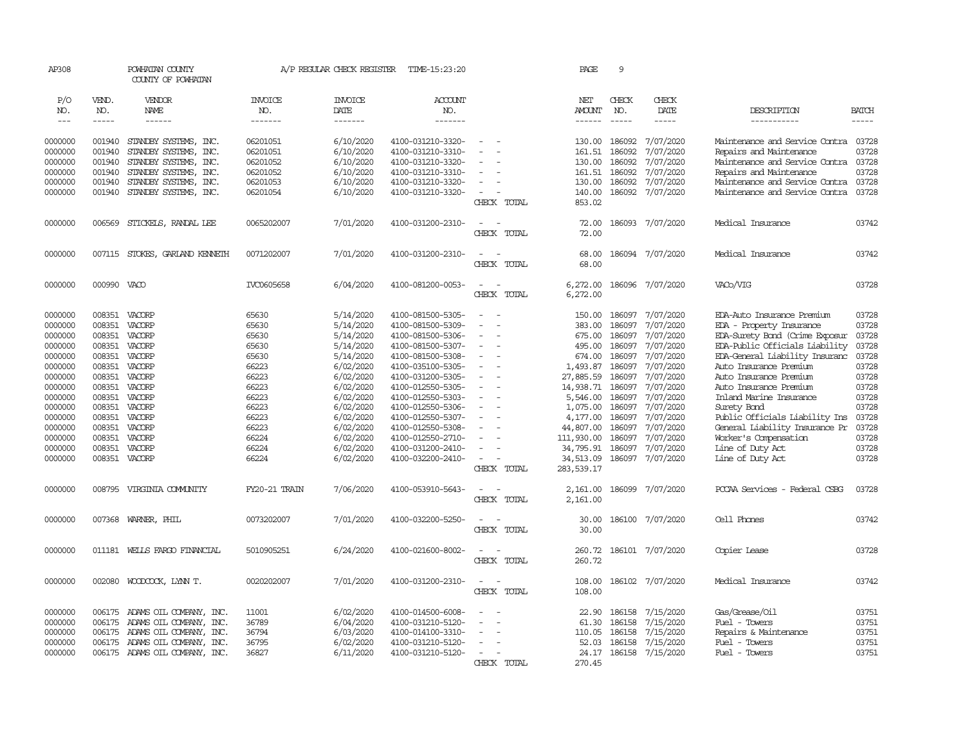| AP308              |                  | POWHATAN COUNTY<br>COUNTY OF POWHATAN          |                       | A/P REGULAR CHECK REGISTER | TIME-15:23:20                          |                                                   | PAGE                    | 9                |                        |                                                           |                |
|--------------------|------------------|------------------------------------------------|-----------------------|----------------------------|----------------------------------------|---------------------------------------------------|-------------------------|------------------|------------------------|-----------------------------------------------------------|----------------|
| P/O<br>NO.         | VEND.<br>NO.     | VENDOR<br>NAME                                 | <b>INVOICE</b><br>NO. | <b>INVOICE</b><br>DATE     | ACCOUNT<br>NO.                         |                                                   | NET<br>AMOUNT           | CHECK<br>NO.     | CHECK<br>DATE          | DESCRIPTION                                               | <b>BATCH</b>   |
| $\frac{1}{2}$      | -----            | ------                                         | -------               | -------                    | -------                                |                                                   | $- - - - - -$           | $- - - - -$      | -----                  | -----------                                               | $- - - - -$    |
| 0000000<br>0000000 | 001940<br>001940 | STANDBY SYSTEMS, INC.<br>STANDBY SYSTEMS, INC. | 06201051<br>06201051  | 6/10/2020<br>6/10/2020     | 4100-031210-3320-<br>4100-031210-3310- | $\equiv$                                          | 130.00<br>161.51        | 186092<br>186092 | 7/07/2020<br>7/07/2020 | Maintenance and Service Contra<br>Repairs and Maintenance | 03728<br>03728 |
| 0000000            | 001940           | STANDBY SYSTEMS, INC.                          | 06201052              | 6/10/2020                  | 4100-031210-3320-                      |                                                   | 130.00                  | 186092           | 7/07/2020              | Maintenance and Service Contra                            | 03728          |
| 0000000            | 001940           | STANDBY SYSTEMS, INC.                          | 06201052              | 6/10/2020                  | 4100-031210-3310-                      |                                                   | 161.51                  | 186092           | 7/07/2020              | Repairs and Maintenance                                   | 03728          |
| 0000000            | 001940           | STANDBY SYSTEMS, INC.                          | 06201053              | 6/10/2020                  | 4100-031210-3320-                      | $\equiv$                                          | 130.00                  | 186092           | 7/07/2020              | Maintenance and Service Contra                            | 03728          |
| 0000000            | 001940           | STANDBY SYSTEMS, INC.                          | 06201054              | 6/10/2020                  | 4100-031210-3320-                      | $\sim$<br>CHECK TOTAL                             | 140.00<br>853.02        | 186092           | 7/07/2020              | Maintenance and Service Contra                            | 03728          |
| 0000000            | 006569           | STICKELS, RANDAL LEE                           | 0065202007            | 7/01/2020                  | 4100-031200-2310-                      | $\overline{\phantom{a}}$<br>CHECK TOTAL           | 72.00<br>72.00          |                  | 186093 7/07/2020       | Medical Insurance                                         | 03742          |
| 0000000            |                  | 007115 STOKES, GARLAND KENNETH                 | 0071202007            | 7/01/2020                  | 4100-031200-2310-                      | $\sim$<br>$\sim$<br>CHECK TOTAL                   | 68.00<br>68.00          |                  | 186094 7/07/2020       | Medical Insurance                                         | 03742          |
| 0000000            | 000990 VACO      |                                                | IVC0605658            | 6/04/2020                  | 4100-081200-0053-                      | $\sim$<br>$\sim$<br>CHECK TOTAL                   | 6,272.00<br>6,272.00    |                  | 186096 7/07/2020       | VAC <sub>b</sub> /VIG                                     | 03728          |
| 0000000            |                  | 008351 VACORP                                  | 65630                 | 5/14/2020                  | 4100-081500-5305-                      | $\overline{\phantom{a}}$                          | 150.00                  | 186097           | 7/07/2020              | EDA-Auto Insurance Premium                                | 03728          |
| 0000000            | 008351           | VACORP                                         | 65630                 | 5/14/2020                  | 4100-081500-5309-                      | $\overline{a}$                                    | 383.00                  | 186097           | 7/07/2020              | EDA - Property Insurance                                  | 03728          |
| 0000000            | 008351           | VACORP                                         | 65630                 | 5/14/2020                  | 4100-081500-5306-                      |                                                   | 675.00                  | 186097           | 7/07/2020              | EDA-Surety Bond (Crime Exposur                            | 03728          |
| 0000000            | 008351           | VACORP                                         | 65630                 | 5/14/2020                  | 4100-081500-5307-                      | $\equiv$                                          | 495.00                  | 186097           | 7/07/2020              | EDA-Public Officials Liability                            | 03728          |
| 0000000<br>0000000 | 008351<br>008351 | VACORP<br>VACORP                               | 65630<br>66223        | 5/14/2020<br>6/02/2020     | 4100-081500-5308-<br>4100-035100-5305- | $\equiv$                                          | 674.00<br>1,493.87      | 186097<br>186097 | 7/07/2020<br>7/07/2020 | EDA-General Liability Insuranc<br>Auto Insurance Premium  | 03728<br>03728 |
| 0000000            | 008351           | VACORP                                         | 66223                 | 6/02/2020                  | 4100-031200-5305-                      |                                                   | 27,885.59               | 186097           | 7/07/2020              | Auto Insurance Premium                                    | 03728          |
| 0000000            | 008351           | VACORP                                         | 66223                 | 6/02/2020                  | 4100-012550-5305-                      | $\equiv$                                          | 14,938.71               | 186097           | 7/07/2020              | Auto Insurance Premium                                    | 03728          |
| 0000000            | 008351           | VACORP                                         | 66223                 | 6/02/2020                  | 4100-012550-5303-                      |                                                   | 5,546.00                | 186097           | 7/07/2020              | Inland Marine Insurance                                   | 03728          |
| 0000000            | 008351           | VACORP                                         | 66223                 | 6/02/2020                  | 4100-012550-5306-                      | $\sim$                                            | 1,075.00                | 186097           | 7/07/2020              | Surety Bond                                               | 03728          |
| 0000000            | 008351           | VACORP                                         | 66223                 | 6/02/2020                  | 4100-012550-5307-                      | $\sim$                                            | 4,177.00                | 186097           | 7/07/2020              | Public Officials Liability Ins                            | 03728          |
| 0000000            | 008351           | VACORP                                         | 66223                 | 6/02/2020                  | 4100-012550-5308-                      |                                                   | 44,807.00               | 186097           | 7/07/2020              | General Liability Insurance Pr                            | 03728          |
| 0000000            | 008351           | VACORP                                         | 66224                 | 6/02/2020                  | 4100-012550-2710-                      |                                                   | 111,930.00              | 186097           | 7/07/2020              | Worker's Compensation                                     | 03728          |
| 0000000            | 008351           | VACORP                                         | 66224                 | 6/02/2020                  | 4100-031200-2410-                      |                                                   | 34,795.91               | 186097           | 7/07/2020              | Line of Duty Act                                          | 03728          |
| 0000000            | 008351           | VACORP                                         | 66224                 | 6/02/2020                  | 4100-032200-2410-                      | $\sim$<br>CHECK TOTAL                             | 34,513.09<br>283,539.17 | 186097           | 7/07/2020              | Line of Duty Act                                          | 03728          |
| 0000000            | 008795           | VIRGINIA COMUNITY                              | FY20-21 TRAIN         | 7/06/2020                  | 4100-053910-5643-                      | $\sim$<br>$\sim$<br>CHECK TOTAL                   | 2,161.00<br>2,161.00    | 186099           | 7/07/2020              | PCCAA Services - Federal CSBG                             | 03728          |
| 0000000            |                  | 007368 WARNER, PHIL                            | 0073202007            | 7/01/2020                  | 4100-032200-5250-                      | $\overline{\phantom{a}}$<br>$\sim$<br>CHECK TOTAL | 30.00<br>30.00          |                  | 186100 7/07/2020       | Cell Phones                                               | 03742          |
| 0000000            |                  | 011181 WELLS FARGO FINANCIAL                   | 5010905251            | 6/24/2020                  | 4100-021600-8002-                      | $\overline{\phantom{a}}$<br>CHECK TOTAL           | 260.72<br>260.72        |                  | 186101 7/07/2020       | Copier Lease                                              | 03728          |
| 0000000            | 002080           | WOODCOCK, LYNN T.                              | 0020202007            | 7/01/2020                  | 4100-031200-2310-                      | $\sim$<br>$\sim$<br>CHECK TOTAL                   | 108.00<br>108.00        |                  | 186102 7/07/2020       | Medical Insurance                                         | 03742          |
| 0000000            | 006175           | ADAMS OIL COMPANY, INC.                        | 11001                 | 6/02/2020                  | 4100-014500-6008-                      |                                                   | 22.90                   | 186158           | 7/15/2020              | Gas/Grease/0il                                            | 03751          |
| 0000000            | 006175           | ADAMS OIL COMPANY, INC.                        | 36789                 | 6/04/2020                  | 4100-031210-5120-                      |                                                   | 61.30                   | 186158           | 7/15/2020              | Fuel - Towers                                             | 03751          |
| 0000000            | 006175           | ADAMS OIL COMPANY, INC.                        | 36794                 | 6/03/2020                  | 4100-014100-3310-                      |                                                   | 110.05                  | 186158           | 7/15/2020              | Repairs & Maintenance                                     | 03751          |
| 0000000            | 006175           | ADAMS OIL COMPANY, INC.                        | 36795                 | 6/02/2020                  | 4100-031210-5120-                      |                                                   | 52.03                   | 186158           | 7/15/2020              | Fuel - Towers                                             | 03751          |
| 0000000            |                  | 006175 ADAMS OIL COMPANY, INC.                 | 36827                 | 6/11/2020                  | 4100-031210-5120-                      | $\sim$                                            | 24.17                   |                  | 186158 7/15/2020       | Fuel - Towers                                             | 03751          |
|                    |                  |                                                |                       |                            |                                        | CHECK TOTAL                                       | 270.45                  |                  |                        |                                                           |                |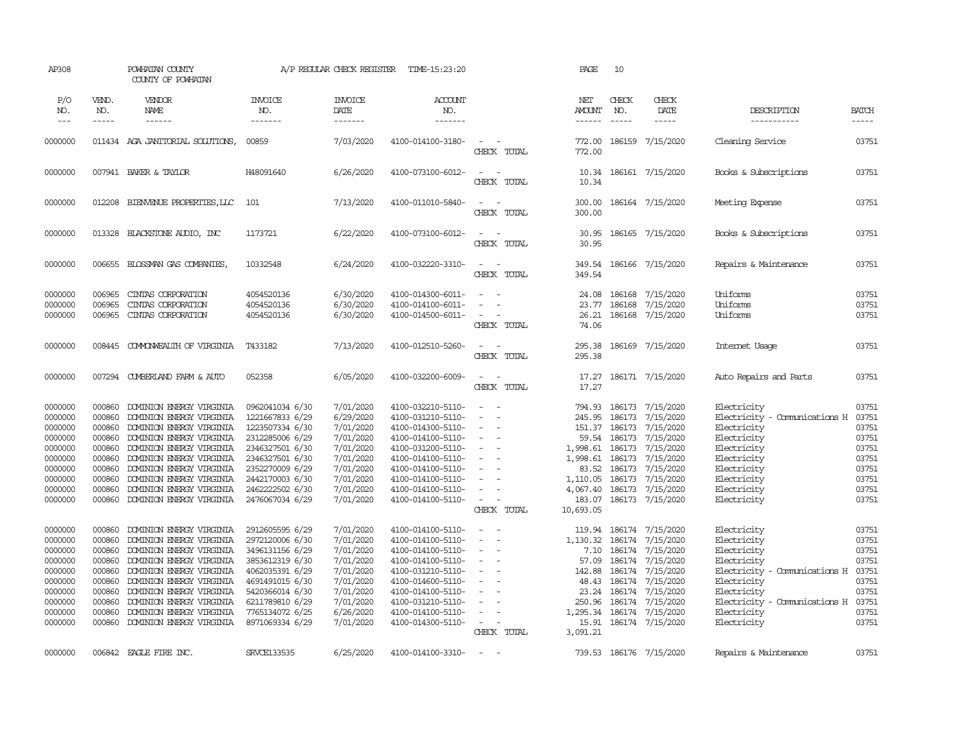| AP308                              |                             | POWHATAN COUNTY<br>COUNTY OF POWHATAN                |                                    | A/P REGULAR CHECK REGISTER         | TIME-15:23:20                          |                                                                     | PAGE                                  | 10                                                                                                                                                                                                                                                                                                                                                                                                           |                                     |                                                    |                             |
|------------------------------------|-----------------------------|------------------------------------------------------|------------------------------------|------------------------------------|----------------------------------------|---------------------------------------------------------------------|---------------------------------------|--------------------------------------------------------------------------------------------------------------------------------------------------------------------------------------------------------------------------------------------------------------------------------------------------------------------------------------------------------------------------------------------------------------|-------------------------------------|----------------------------------------------------|-----------------------------|
| P/O<br>NO.<br>$\sim$ $\sim$ $\sim$ | VEND.<br>NO.<br>$- - - - -$ | VENDOR<br>NAME<br>$- - - - - -$                      | <b>INVOICE</b><br>NO.<br>-------   | <b>INVOICE</b><br>DATE<br>-------- | ACCOUNT<br>NO.<br>-------              |                                                                     | NET<br><b>AMOUNT</b><br>$- - - - - -$ | CHECK<br>NO.<br>$\frac{1}{2} \frac{1}{2} \frac{1}{2} \frac{1}{2} \frac{1}{2} \frac{1}{2} \frac{1}{2} \frac{1}{2} \frac{1}{2} \frac{1}{2} \frac{1}{2} \frac{1}{2} \frac{1}{2} \frac{1}{2} \frac{1}{2} \frac{1}{2} \frac{1}{2} \frac{1}{2} \frac{1}{2} \frac{1}{2} \frac{1}{2} \frac{1}{2} \frac{1}{2} \frac{1}{2} \frac{1}{2} \frac{1}{2} \frac{1}{2} \frac{1}{2} \frac{1}{2} \frac{1}{2} \frac{1}{2} \frac{$ | CHECK<br>DATE<br>$- - - - -$        | DESCRIPTION<br>-----------                         | <b>BATCH</b><br>$- - - - -$ |
| 0000000                            |                             | 011434 AGA JANITORIAL SOLUTIONS,                     | 00859                              | 7/03/2020                          | 4100-014100-3180-                      |                                                                     | 772.00                                |                                                                                                                                                                                                                                                                                                                                                                                                              | 186159 7/15/2020                    | Cleaning Service                                   | 03751                       |
|                                    |                             |                                                      |                                    |                                    |                                        | CHECK TOTAL                                                         | 772.00                                |                                                                                                                                                                                                                                                                                                                                                                                                              |                                     |                                                    |                             |
| 0000000                            |                             | 007941 BAKER & TAYLOR                                | H48091640                          | 6/26/2020                          | 4100-073100-6012-                      | $\sim$ $-$<br>$\overline{\phantom{a}}$<br>CHECK TOTAL               | 10.34<br>10.34                        |                                                                                                                                                                                                                                                                                                                                                                                                              | 186161 7/15/2020                    | Books & Subscriptions                              | 03751                       |
| 0000000                            | 012208                      | BIENVENJE PROPERTIES, LLC                            | 101                                | 7/13/2020                          | 4100-011010-5840-                      | $\sim$ $\sim$<br>CHECK TOTAL                                        | 300.00<br>300.00                      |                                                                                                                                                                                                                                                                                                                                                                                                              | 186164 7/15/2020                    | Meeting Expense                                    | 03751                       |
| 0000000                            | 013328                      | BLACKSTONE AUDIO, INC                                | 1173721                            | 6/22/2020                          | 4100-073100-6012-                      | $\sim$ $\sim$<br>CHECK TOTAL                                        | 30.95<br>30.95                        |                                                                                                                                                                                                                                                                                                                                                                                                              | 186165 7/15/2020                    | Books & Subscriptions                              | 03751                       |
| 0000000                            |                             | 006655 BLOSSMAN GAS COMPANIES,                       | 10332548                           | 6/24/2020                          | 4100-032220-3310-                      | $\overline{\phantom{a}}$<br>$\overline{\phantom{a}}$<br>CHECK TOTAL | 349.54<br>349.54                      |                                                                                                                                                                                                                                                                                                                                                                                                              | 186166 7/15/2020                    | Repairs & Maintenance                              | 03751                       |
| 0000000                            | 006965                      | CINIAS CORPORATION                                   | 4054520136                         | 6/30/2020                          | 4100-014300-6011-                      | $\sim$<br>$\sim$                                                    | 24.08                                 | 186168                                                                                                                                                                                                                                                                                                                                                                                                       | 7/15/2020                           | Uniforms                                           | 03751                       |
| 0000000                            | 006965                      | CINIAS CORPORATION                                   | 4054520136                         | 6/30/2020                          | 4100-014100-6011-                      | $\sim$                                                              | 23.77                                 | 186168                                                                                                                                                                                                                                                                                                                                                                                                       | 7/15/2020                           | Uniforms                                           | 03751                       |
| 0000000                            | 006965                      | CINIAS CORPORATION                                   | 4054520136                         | 6/30/2020                          | 4100-014500-6011-                      | $\sim$<br>$\sim$<br>CHECK TOTAL                                     | 74.06                                 |                                                                                                                                                                                                                                                                                                                                                                                                              | 26.21 186168 7/15/2020              | Uniforms                                           | 03751                       |
| 0000000                            | 008445                      | COMONWEALTH OF VIRGINIA                              | T433182                            | 7/13/2020                          | 4100-012510-5260-                      | $\sim$<br>$\sim$<br>CHECK TOTAL                                     | 295.38<br>295.38                      |                                                                                                                                                                                                                                                                                                                                                                                                              | 186169 7/15/2020                    | Internet Usage                                     | 03751                       |
| 0000000                            |                             | 007294 CUMBERLAND FARM & AUTO                        | 052358                             | 6/05/2020                          | 4100-032200-6009-                      | $\sim$<br>$\sim$<br>CHECK TOTAL                                     | 17.27<br>17.27                        |                                                                                                                                                                                                                                                                                                                                                                                                              | 186171 7/15/2020                    | Auto Repairs and Parts                             | 03751                       |
| 0000000                            | 000860                      | DOMINION ENERGY VIRGINIA                             | 0962041034 6/30                    | 7/01/2020                          | 4100-032210-5110-                      | $\sim$                                                              | 794.93                                | 186173                                                                                                                                                                                                                                                                                                                                                                                                       | 7/15/2020                           | Electricity                                        | 03751                       |
| 0000000                            | 000860                      | DOMINION ENERGY VIRGINIA                             | 1221667833 6/29                    | 6/29/2020                          | 4100-031210-5110-                      |                                                                     | 245.95                                | 186173                                                                                                                                                                                                                                                                                                                                                                                                       | 7/15/2020                           | Electricity - Comunications H                      | 03751                       |
| 0000000                            | 000860                      | DOMINION ENERGY VIRGINIA                             | 1223507334 6/30                    | 7/01/2020                          | 4100-014300-5110-                      | ÷.                                                                  |                                       |                                                                                                                                                                                                                                                                                                                                                                                                              | 151.37 186173 7/15/2020             | Electricity                                        | 03751                       |
| 0000000                            | 000860                      | DOMINION ENERGY VIRGINIA                             | 2312285006 6/29                    | 7/01/2020                          | 4100-014100-5110-                      | $\sim$                                                              |                                       | 59.54 186173                                                                                                                                                                                                                                                                                                                                                                                                 | 7/15/2020                           | Electricity                                        | 03751                       |
| 0000000                            | 000860                      | DOMINION ENERGY VIRGINIA                             | 2346327501 6/30                    | 7/01/2020                          | 4100-031200-5110-                      | $\overline{\phantom{a}}$                                            | 1,998.61                              | 186173                                                                                                                                                                                                                                                                                                                                                                                                       | 7/15/2020                           | Electricity                                        | 03751                       |
| 0000000                            | 000860                      | DOMINION ENERGY VIRGINIA                             | 2346327501 6/30                    | 7/01/2020                          | 4100-014100-5110-                      | $\sim$                                                              | 1,998.61                              | 186173                                                                                                                                                                                                                                                                                                                                                                                                       | 7/15/2020                           | Electricity                                        | 03751                       |
| 0000000<br>0000000                 | 000860<br>000860            | DOMINION ENERGY VIRGINIA<br>DOMINION ENERGY VIRGINIA | 2352270009 6/29<br>2442170003 6/30 | 7/01/2020<br>7/01/2020             | 4100-014100-5110-<br>4100-014100-5110- |                                                                     | 1,110.05 186173                       |                                                                                                                                                                                                                                                                                                                                                                                                              | 83.52 186173 7/15/2020<br>7/15/2020 | Electricity<br>Electricity                         | 03751<br>03751              |
| 0000000                            | 000860                      | DOMINION ENERGY VIRGINIA                             | 2462222502 6/30                    | 7/01/2020                          | 4100-014100-5110-                      | $\sim$                                                              | 4,067.40                              |                                                                                                                                                                                                                                                                                                                                                                                                              | 186173 7/15/2020                    | Electricity                                        | 03751                       |
| 0000000                            | 000860                      | DOMINION ENERGY VIRGINIA                             | 2476067034 6/29                    | 7/01/2020                          | 4100-014100-5110-                      | $\sim$ 100 $\sim$                                                   |                                       |                                                                                                                                                                                                                                                                                                                                                                                                              | 183.07 186173 7/15/2020             | Electricity                                        | 03751                       |
|                                    |                             |                                                      |                                    |                                    |                                        | CHECK TOTAL                                                         | 10,693.05                             |                                                                                                                                                                                                                                                                                                                                                                                                              |                                     |                                                    |                             |
| 0000000                            | 000860                      | DOMINION ENERGY VIRGINIA                             | 2912605595 6/29                    | 7/01/2020                          | 4100-014100-5110-                      | $\overline{\phantom{a}}$                                            | 119.94                                |                                                                                                                                                                                                                                                                                                                                                                                                              | 186174 7/15/2020                    | Electricity                                        | 03751                       |
| 0000000                            | 000860                      | DOMINION ENERGY VIRGINIA                             | 2972120006 6/30                    | 7/01/2020                          | 4100-014100-5110-                      | $\sim$<br>$\overline{\phantom{a}}$                                  | 1,130.32                              |                                                                                                                                                                                                                                                                                                                                                                                                              | 186174 7/15/2020                    | Electricity                                        | 03751                       |
| 0000000                            | 000860                      | DOMINION ENERGY VIRGINIA                             | 3496131156 6/29                    | 7/01/2020                          | 4100-014100-5110-                      | $\sim$                                                              | 7.10                                  |                                                                                                                                                                                                                                                                                                                                                                                                              | 186174 7/15/2020                    | Electricity                                        | 03751                       |
| 0000000                            | 000860                      | DOMINION ENERGY VIRGINIA                             | 3853612319 6/30                    | 7/01/2020                          | 4100-014100-5110-                      | $\overline{\phantom{a}}$                                            | 57.09                                 | 186174                                                                                                                                                                                                                                                                                                                                                                                                       | 7/15/2020                           | Electricity                                        | 03751                       |
| 0000000                            | 000860                      | DOMINION ENERGY VIRGINIA                             | 4062035391 6/29                    | 7/01/2020                          | 4100-031210-5110-                      | $\sim$                                                              | 142.88                                |                                                                                                                                                                                                                                                                                                                                                                                                              | 186174 7/15/2020                    | Electricity - Comunications H                      | 03751                       |
| 0000000                            | 000860                      | DOMINION ENERGY VIRGINIA                             | 4691491015 6/30                    | 7/01/2020                          | 4100-014600-5110-                      | $\sim$<br>$\overline{\phantom{a}}$                                  | 48.43                                 | 186174                                                                                                                                                                                                                                                                                                                                                                                                       | 7/15/2020                           | Electricity                                        | 03751                       |
| 0000000<br>0000000                 | 000860<br>000860            | DOMINION ENERGY VIRGINIA<br>DOMINION ENERGY VIRGINIA | 5420366014 6/30<br>6211789810 6/29 | 7/01/2020<br>7/01/2020             | 4100-014100-5110-<br>4100-031210-5110- | $\overline{\phantom{a}}$<br>$\overline{\phantom{a}}$                | 23.24<br>250.96                       | 186174                                                                                                                                                                                                                                                                                                                                                                                                       | 7/15/2020<br>186174 7/15/2020       | Electricity<br>Electricity - Comunications H 03751 | 03751                       |
| 0000000                            | 000860                      | DOMINION ENERGY VIRGINIA                             | 7765134072 6/25                    | 6/26/2020                          | 4100-014100-5110-                      | $\sim$                                                              |                                       |                                                                                                                                                                                                                                                                                                                                                                                                              | 1,295.34 186174 7/15/2020           | Electricity                                        | 03751                       |
| 0000000                            | 000860                      | DOMINION ENERGY VIRGINIA                             | 8971069334 6/29                    | 7/01/2020                          | 4100-014300-5110-                      | $\overline{\phantom{a}}$                                            | 15.91                                 |                                                                                                                                                                                                                                                                                                                                                                                                              | 186174 7/15/2020                    | Electricity                                        | 03751                       |
|                                    |                             |                                                      |                                    |                                    |                                        | CHECK TOTAL                                                         | 3,091.21                              |                                                                                                                                                                                                                                                                                                                                                                                                              |                                     |                                                    |                             |
| 0000000                            |                             | 006842 EAGLE FIRE INC.                               | <b>SRVCE133535</b>                 | 6/25/2020                          | 4100-014100-3310-                      | $\overline{\phantom{a}}$                                            |                                       |                                                                                                                                                                                                                                                                                                                                                                                                              | 739.53 186176 7/15/2020             | Repairs & Maintenance                              | 03751                       |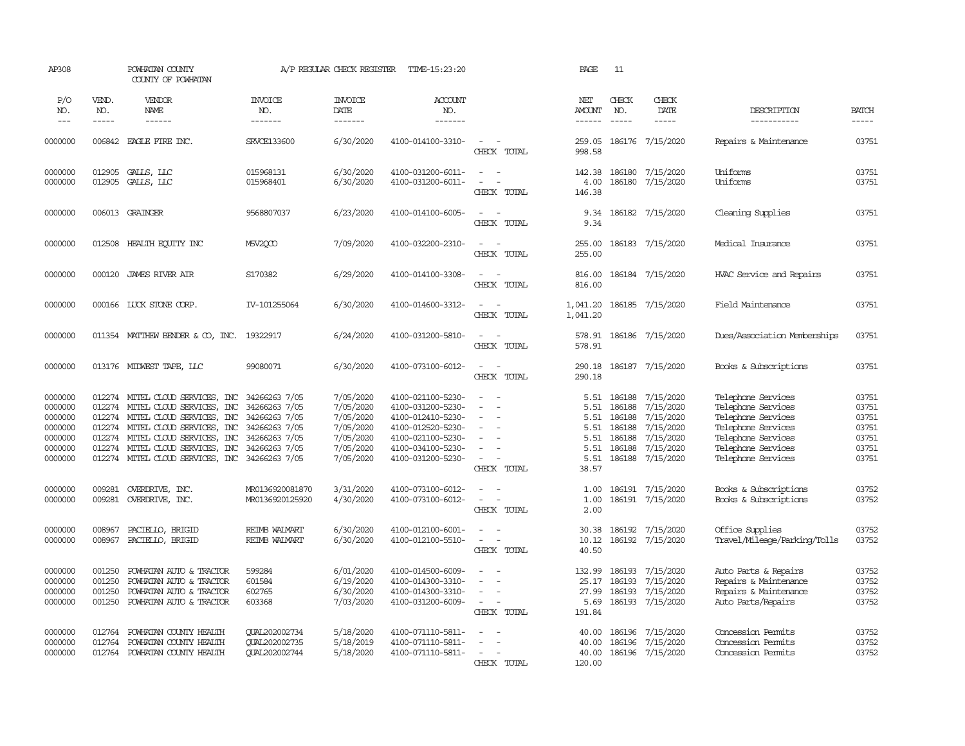| AP308                                                                     |                                      | POWHATAN COUNTY<br>COUNTY OF POWHATAN                                                                                                                                                                                                                                                                                                 |                                                               | A/P REGULAR CHECK REGISTER                                                              | TIME-15:23:20                                                                                                                                   |                                                                                                                         | PAGE                                          | 11                                                  |                                                                                                            |                                                                                                                                                        |                                                             |
|---------------------------------------------------------------------------|--------------------------------------|---------------------------------------------------------------------------------------------------------------------------------------------------------------------------------------------------------------------------------------------------------------------------------------------------------------------------------------|---------------------------------------------------------------|-----------------------------------------------------------------------------------------|-------------------------------------------------------------------------------------------------------------------------------------------------|-------------------------------------------------------------------------------------------------------------------------|-----------------------------------------------|-----------------------------------------------------|------------------------------------------------------------------------------------------------------------|--------------------------------------------------------------------------------------------------------------------------------------------------------|-------------------------------------------------------------|
| P/O<br>NO.<br>$---$                                                       | VEND.<br>NO.<br>-----                | <b>VENDOR</b><br><b>NAME</b><br>$- - - - - -$                                                                                                                                                                                                                                                                                         | <b>INVOICE</b><br>NO.<br>-------                              | <b>INVOICE</b><br>DATE<br>-------                                                       | ACCOUNT<br>NO.<br>-------                                                                                                                       |                                                                                                                         | NET<br><b>AMOUNT</b><br>$- - - - - -$         | CHECK<br>NO.<br>$\frac{1}{2}$                       | CHECK<br>DATE<br>$- - - - -$                                                                               | DESCRIPTION<br>-----------                                                                                                                             | <b>BATCH</b><br>$- - - - -$                                 |
| 0000000                                                                   |                                      | 006842 EAGLE FIRE INC.                                                                                                                                                                                                                                                                                                                | SRVCE133600                                                   | 6/30/2020                                                                               | 4100-014100-3310-                                                                                                                               | $\sim$ $\sim$<br>CHECK TOTAL                                                                                            | 998.58                                        |                                                     | 259.05 186176 7/15/2020                                                                                    | Repairs & Maintenance                                                                                                                                  | 03751                                                       |
| 0000000<br>0000000                                                        | 012905                               | GALLS, LLC<br>012905 GALLS, LLC                                                                                                                                                                                                                                                                                                       | 015968131<br>015968401                                        | 6/30/2020<br>6/30/2020                                                                  | 4100-031200-6011-<br>4100-031200-6011-                                                                                                          | $\sim$ $\sim$<br>$\overline{\phantom{a}}$<br>$\overline{\phantom{a}}$<br>CHECK TOTAL                                    | 4.00<br>146.38                                |                                                     | 142.38 186180 7/15/2020<br>186180 7/15/2020                                                                | Uniforms<br>Uniforms                                                                                                                                   | 03751<br>03751                                              |
| 0000000                                                                   |                                      | 006013 GRAINGER                                                                                                                                                                                                                                                                                                                       | 9568807037                                                    | 6/23/2020                                                                               | 4100-014100-6005-                                                                                                                               | $\sim$<br>CHECK TOTAL                                                                                                   | 9.34<br>9.34                                  |                                                     | 186182 7/15/2020                                                                                           | Cleaning Supplies                                                                                                                                      | 03751                                                       |
| 0000000                                                                   | 012508                               | HEALTH EQUITY INC                                                                                                                                                                                                                                                                                                                     | M5V2QCO                                                       | 7/09/2020                                                                               | 4100-032200-2310-                                                                                                                               | $\sim$ $\sim$<br>CHECK TOTAL                                                                                            | 255.00<br>255.00                              |                                                     | 186183 7/15/2020                                                                                           | Medical Insurance                                                                                                                                      | 03751                                                       |
| 0000000                                                                   | 000120                               | <b>JAMES RIVER AIR</b>                                                                                                                                                                                                                                                                                                                | S170382                                                       | 6/29/2020                                                                               | 4100-014100-3308-                                                                                                                               | $\overline{a}$<br>$\sim$<br>CHECK TOTAL                                                                                 | 816.00<br>816.00                              |                                                     | 186184 7/15/2020                                                                                           | HVAC Service and Repairs                                                                                                                               | 03751                                                       |
| 0000000                                                                   |                                      | 000166 LUCK STONE CORP.                                                                                                                                                                                                                                                                                                               | IV-101255064                                                  | 6/30/2020                                                                               | 4100-014600-3312-                                                                                                                               | $\overline{\phantom{a}}$<br>CHECK TOTAL                                                                                 | 1,041.20<br>1,041.20                          |                                                     | 186185 7/15/2020                                                                                           | Field Maintenance                                                                                                                                      | 03751                                                       |
| 0000000                                                                   |                                      | 011354 MATTHEW BENDER & CO, INC. 19322917                                                                                                                                                                                                                                                                                             |                                                               | 6/24/2020                                                                               | 4100-031200-5810-                                                                                                                               | $\sim$<br>CHECK TOTAL                                                                                                   | 578.91<br>578.91                              |                                                     | 186186 7/15/2020                                                                                           | Dues/Association Memberships                                                                                                                           | 03751                                                       |
| 0000000                                                                   |                                      | 013176 MIDWEST TAPE, LLC                                                                                                                                                                                                                                                                                                              | 99080071                                                      | 6/30/2020                                                                               | 4100-073100-6012-                                                                                                                               | $\overline{\phantom{a}}$<br>$\sim$<br>CHECK TOTAL                                                                       | 290.18                                        |                                                     | 290.18 186187 7/15/2020                                                                                    | Books & Subscriptions                                                                                                                                  | 03751                                                       |
| 0000000<br>0000000<br>0000000<br>0000000<br>0000000<br>0000000<br>0000000 | 012274<br>012274<br>012274           | 012274 MITEL CLOUD SERVICES, INC 34266263 7/05<br>MITEL CLOUD SERVICES, INC 34266263 7/05<br>MITEL CLOUD SERVICES, INC 34266263 7/05<br>MITEL CLOUD SERVICES, INC 34266263 7/05<br>012274 MITEL CLOUD SERVICES, INC 34266263 7/05<br>012274 MITEL CLOUD SERVICES, INC 34266263 7/05<br>012274 MITEL CLOUD SERVICES, INC 34266263 7/05 |                                                               | 7/05/2020<br>7/05/2020<br>7/05/2020<br>7/05/2020<br>7/05/2020<br>7/05/2020<br>7/05/2020 | 4100-021100-5230-<br>4100-031200-5230-<br>4100-012410-5230-<br>4100-012520-5230-<br>4100-021100-5230-<br>4100-034100-5230-<br>4100-031200-5230- | $\sim$<br>$\sim$<br>$\equiv$<br>$\overline{\phantom{a}}$<br>$\sim$<br>$\sim$<br>$\overline{\phantom{a}}$<br>CHECK TOTAL | 5.51<br>5.51<br>5.51<br>5.51<br>5.51<br>38.57 | 186188<br>186188<br>186188<br>5.51 186188<br>186188 | 5.51 186188 7/15/2020<br>7/15/2020<br>7/15/2020<br>7/15/2020<br>7/15/2020<br>7/15/2020<br>186188 7/15/2020 | Telephone Services<br>Telephone Services<br>Telephone Services<br>Telephone Services<br>Telephone Services<br>Telephone Services<br>Telephone Services | 03751<br>03751<br>03751<br>03751<br>03751<br>03751<br>03751 |
| 0000000<br>0000000                                                        | 009281<br>009281                     | OVERDRIVE, INC.<br>OVERDRIVE, INC.                                                                                                                                                                                                                                                                                                    | MR0136920081870<br>MR0136920125920                            | 3/31/2020<br>4/30/2020                                                                  | 4100-073100-6012-<br>4100-073100-6012-                                                                                                          | $\sim$<br>$\sim$<br>$\sim$<br>CHECK TOTAL                                                                               | 1.00<br>1.00<br>2.00                          |                                                     | 186191 7/15/2020<br>186191 7/15/2020                                                                       | Books & Subscriptions<br>Books & Subscriptions                                                                                                         | 03752<br>03752                                              |
| 0000000<br>0000000                                                        | 008967<br>008967                     | PACIELLO, BRIGID<br>PACIELLO, BRIGID                                                                                                                                                                                                                                                                                                  | <b>REIMB WALMART</b><br><b>REIMB WALMART</b>                  | 6/30/2020<br>6/30/2020                                                                  | 4100-012100-6001-<br>4100-012100-5510-                                                                                                          | $\overline{\phantom{a}}$<br>$\overline{\phantom{a}}$<br>$\sim$ $-$<br>CHECK TOTAL                                       | 30.38<br>40.50                                |                                                     | 186192 7/15/2020<br>10.12 186192 7/15/2020                                                                 | Office Supplies<br>Travel/Mileage/Parking/Tolls                                                                                                        | 03752<br>03752                                              |
| 0000000<br>0000000<br>0000000<br>0000000                                  | 001250<br>001250<br>001250<br>001250 | POWHATAN AUTO & TRACTOR<br>POWHATAN AUTO & TRACTOR<br>POWHATAN AUTO & TRACTOR<br>POWHATAN AUTO & TRACTOR                                                                                                                                                                                                                              | 599284<br>601584<br>602765<br>603368                          | 6/01/2020<br>6/19/2020<br>6/30/2020<br>7/03/2020                                        | 4100-014500-6009-<br>4100-014300-3310-<br>4100-014300-3310-<br>4100-031200-6009-                                                                | $\sim$<br>$\sim$<br>$\overline{\phantom{a}}$<br>CHECK TOTAL                                                             | 5.69<br>191.84                                | 25.17 186193<br>27.99 186193                        | 132.99 186193 7/15/2020<br>7/15/2020<br>7/15/2020<br>186193 7/15/2020                                      | Auto Parts & Repairs<br>Repairs & Maintenance<br>Repairs & Maintenance<br>Auto Parts/Repairs                                                           | 03752<br>03752<br>03752<br>03752                            |
| 0000000<br>0000000<br>0000000                                             | 012764<br>012764                     | POWHATAN COUNTY HEALTH<br>POWHATAN COUNTY HEALTH<br>012764 POWHATAN COUNTY HEALTH                                                                                                                                                                                                                                                     | <b>CUAL202002734</b><br><b>CUAL202002735</b><br>QUAL202002744 | 5/18/2020<br>5/18/2019<br>5/18/2020                                                     | 4100-071110-5811-<br>4100-071110-5811-<br>4100-071110-5811-                                                                                     | $\overline{\phantom{a}}$<br>$\sim$<br>CHECK TOTAL                                                                       | 40.00<br>40.00<br>40.00<br>120.00             | 186196                                              | 7/15/2020<br>186196 7/15/2020<br>186196 7/15/2020                                                          | Concession Permits<br>Concession Permits<br>Concession Permits                                                                                         | 03752<br>03752<br>03752                                     |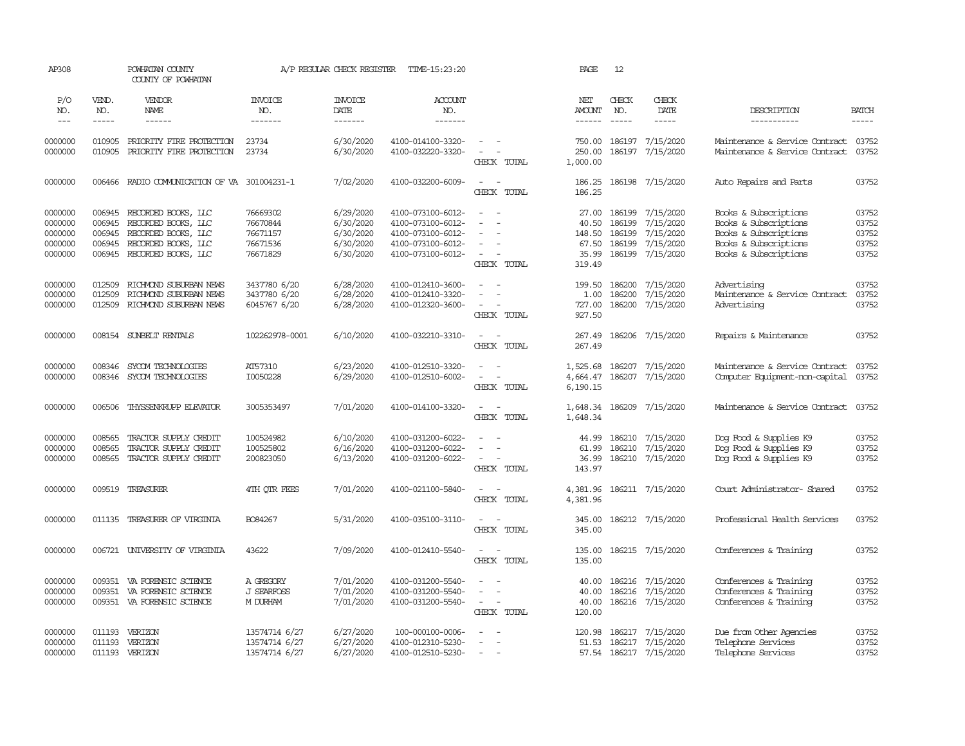| AP308                                               |                                                | POWHATAN COUNTY<br>COUNTY OF POWHATAN                                                                           |                                                          | A/P REGULAR CHECK REGISTER                                    | TIME-15:23:20                                                                                         |                                                                                             | PAGE                                                 | 12                                   |                                                                      |                                                                                                                           |                                           |
|-----------------------------------------------------|------------------------------------------------|-----------------------------------------------------------------------------------------------------------------|----------------------------------------------------------|---------------------------------------------------------------|-------------------------------------------------------------------------------------------------------|---------------------------------------------------------------------------------------------|------------------------------------------------------|--------------------------------------|----------------------------------------------------------------------|---------------------------------------------------------------------------------------------------------------------------|-------------------------------------------|
| P/O<br>NO.<br>$\frac{1}{2}$                         | VEND.<br>NO.<br>$\cdots$                       | VENDOR<br>NAME                                                                                                  | <b>INVOICE</b><br>NO.<br>-------                         | <b>INVOICE</b><br>DATE<br>-------                             | <b>ACCOUNT</b><br>NO.<br>-------                                                                      |                                                                                             | NET<br>AMOUNT<br>$- - - - - -$                       | CHECK<br>NO.<br>$\frac{1}{2}$        | CHECK<br>DATE<br>-----                                               | DESCRIPTION<br>-----------                                                                                                | <b>BATCH</b><br>$- - - - -$               |
| 0000000<br>0000000                                  | 010905<br>010905                               | PRIORITY FIRE PROTECTION<br>PRIORITY FIRE PROTECTION                                                            | 23734<br>23734                                           | 6/30/2020<br>6/30/2020                                        | 4100-014100-3320-<br>4100-032220-3320-                                                                | $\sim$<br>$\sim$<br>$\sim$<br>CHECK TOTAL                                                   | 750.00<br>250.00<br>1,000.00                         | 186197                               | 7/15/2020<br>186197 7/15/2020                                        | Maintenance & Service Contract<br>Maintenance & Service Contract                                                          | 03752<br>03752                            |
| 0000000                                             | 006466                                         | RADIO COMUNICATION OF VA                                                                                        | 301004231-1                                              | 7/02/2020                                                     | 4100-032200-6009-                                                                                     | $\sim$<br>$\sim$<br>CHECK TOTAL                                                             | 186.25<br>186.25                                     |                                      | 186198 7/15/2020                                                     | Auto Repairs and Parts                                                                                                    | 03752                                     |
| 0000000<br>0000000<br>0000000<br>0000000<br>0000000 | 006945<br>006945<br>006945<br>006945<br>006945 | RECORDED BOOKS, LLC<br>RECORDED BOOKS, LLC<br>RECORDED BOOKS, LLC<br>RECORDED BOOKS, LLC<br>RECORDED BOOKS, LLC | 76669302<br>76670844<br>76671157<br>76671536<br>76671829 | 6/29/2020<br>6/30/2020<br>6/30/2020<br>6/30/2020<br>6/30/2020 | 4100-073100-6012-<br>4100-073100-6012-<br>4100-073100-6012-<br>4100-073100-6012-<br>4100-073100-6012- | $\sim$<br>$\equiv$<br>$\equiv$<br>$\blacksquare$<br>$\overline{\phantom{a}}$<br>CHECK TOTAL | 27.00<br>40.50<br>148.50<br>67.50<br>35.99<br>319.49 | 186199<br>186199<br>186199<br>186199 | 7/15/2020<br>7/15/2020<br>7/15/2020<br>7/15/2020<br>186199 7/15/2020 | Books & Subscriptions<br>Books & Subscriptions<br>Books & Subscriptions<br>Books & Subscriptions<br>Books & Subscriptions | 03752<br>03752<br>03752<br>03752<br>03752 |
| 0000000<br>0000000<br>0000000                       | 012509<br>012509<br>012509                     | RICHMOND SUBURBAN NEWS<br>RICHMOND SUBURBAN NEWS<br>RICHMOND SUBURBAN NEWS                                      | 3437780 6/20<br>3437780 6/20<br>6045767 6/20             | 6/28/2020<br>6/28/2020<br>6/28/2020                           | 4100-012410-3600-<br>4100-012410-3320-<br>4100-012320-3600-                                           | $\sim$<br>$\overline{\phantom{a}}$<br>CHECK TOTAL                                           | 199.50<br>1.00<br>727.00<br>927.50                   | 186200<br>186200                     | 7/15/2020<br>7/15/2020<br>186200 7/15/2020                           | Advertising<br>Maintenance & Service Contract<br>Advertising                                                              | 03752<br>03752<br>03752                   |
| 0000000                                             |                                                | 008154 SUNBELT RENTALS                                                                                          | 102262978-0001                                           | 6/10/2020                                                     | 4100-032210-3310-                                                                                     | $\sim$<br>$\sim$<br>CHECK TOTAL                                                             | 267.49<br>267.49                                     |                                      | 186206 7/15/2020                                                     | Repairs & Maintenance                                                                                                     | 03752                                     |
| 0000000<br>0000000                                  | 008346<br>008346                               | SYCOM TECHNOLOGIES<br>SYCOM TECHNOLOGIES                                                                        | AT57310<br>I0050228                                      | 6/23/2020<br>6/29/2020                                        | 4100-012510-3320-<br>4100-012510-6002-                                                                | $\overline{\phantom{a}}$<br>$\sim$<br>$\sim$<br>CHECK TOTAL                                 | 1,525.68<br>4,664.47<br>6,190.15                     |                                      | 186207 7/15/2020<br>186207 7/15/2020                                 | Maintenance & Service Contract<br>Computer Equipment-non-capital                                                          | 03752<br>03752                            |
| 0000000                                             | 006506                                         | THYSSENKRUPP ELEVATOR                                                                                           | 3005353497                                               | 7/01/2020                                                     | 4100-014100-3320-                                                                                     | $\sim$ $ \sim$<br>CHECK TOTAL                                                               | 1,648.34                                             |                                      | 1,648.34 186209 7/15/2020                                            | Maintenance & Service Contract                                                                                            | 03752                                     |
| 0000000<br>0000000<br>0000000                       | 008565<br>008565<br>008565                     | TRACTOR SUPPLY CREDIT<br>TRACTOR SUPPLY CREDIT<br>TRACTOR SUPPLY CREDIT                                         | 100524982<br>100525802<br>200823050                      | 6/10/2020<br>6/16/2020<br>6/13/2020                           | 4100-031200-6022-<br>4100-031200-6022-<br>4100-031200-6022-                                           | $\sim$<br>$\sim$<br>$\sim$<br>CHECK TOTAL                                                   | 44.99<br>61.99<br>36.99<br>143.97                    | 186210<br>186210                     | 186210 7/15/2020<br>7/15/2020<br>7/15/2020                           | Dog Food & Supplies K9<br>Dog Food & Supplies K9<br>Dog Food & Supplies K9                                                | 03752<br>03752<br>03752                   |
| 0000000                                             |                                                | 009519 TREASURER                                                                                                | 4TH QTR FEES                                             | 7/01/2020                                                     | 4100-021100-5840-                                                                                     | $\sim$<br>$\overline{\phantom{a}}$<br>CHECK TOTAL                                           | 4,381.96<br>4,381.96                                 |                                      | 186211 7/15/2020                                                     | Court Administrator- Shared                                                                                               | 03752                                     |
| 0000000                                             |                                                | 011135 TREASURER OF VIRGINIA                                                                                    | B084267                                                  | 5/31/2020                                                     | 4100-035100-3110-                                                                                     | $\sim$<br>$\sim$<br>CHECK TOTAL                                                             | 345.00<br>345.00                                     |                                      | 186212 7/15/2020                                                     | Professional Health Services                                                                                              | 03752                                     |
| 0000000                                             |                                                | 006721 UNIVERSITY OF VIRGINIA                                                                                   | 43622                                                    | 7/09/2020                                                     | 4100-012410-5540-                                                                                     | $\sim$<br>$\sim$<br>CHECK TOTAL                                                             | 135.00<br>135.00                                     |                                      | 186215 7/15/2020                                                     | Conferences & Training                                                                                                    | 03752                                     |
| 0000000<br>0000000<br>0000000                       | 009351<br>009351                               | VA FORENSIC SCIENCE<br>VA FORENSIC SCIENCE<br>009351 VA FORENSIC SCIENCE                                        | A GREGORY<br>J SEARFOSS<br>M DURHAM                      | 7/01/2020<br>7/01/2020<br>7/01/2020                           | 4100-031200-5540-<br>4100-031200-5540-<br>4100-031200-5540-                                           | $\sim$<br>$\sim$<br>$\sim$<br>$\sim$<br>$\sim$<br>CHECK TOTAL                               | 40.00<br>40.00<br>40.00<br>120.00                    | 186216<br>186216<br>186216           | 7/15/2020<br>7/15/2020<br>7/15/2020                                  | Conferences & Training<br>Conferences & Training<br>Conferences & Training                                                | 03752<br>03752<br>03752                   |
| 0000000<br>0000000<br>0000000                       | 011193                                         | 011193 VERIZON<br>VERIZON<br>011193 VERIZON                                                                     | 13574714 6/27<br>13574714 6/27<br>13574714 6/27          | 6/27/2020<br>6/27/2020<br>6/27/2020                           | 100-000100-0006-<br>4100-012310-5230-<br>4100-012510-5230-                                            | $\equiv$<br>$\sim$<br>$\overline{\phantom{a}}$                                              | 120.98<br>51.53                                      |                                      | 186217 7/15/2020<br>186217 7/15/2020<br>57.54 186217 7/15/2020       | Due from Other Agencies<br>Telephone Services<br>Telephone Services                                                       | 03752<br>03752<br>03752                   |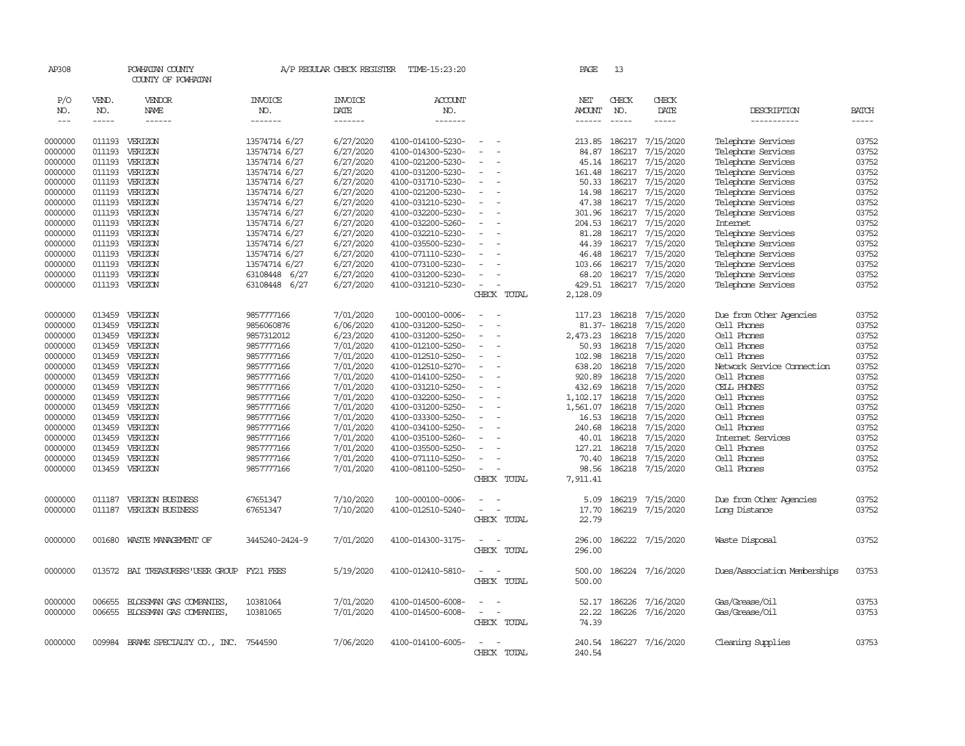| AP308              |                  | POWHATAN COUNTY<br>COUNTY OF POWHATAN             |                          | A/P REGULAR CHECK REGISTER | TIME-15:23:20                          |                          |             | PAGE                 | 13               |                               |                                           |                |
|--------------------|------------------|---------------------------------------------------|--------------------------|----------------------------|----------------------------------------|--------------------------|-------------|----------------------|------------------|-------------------------------|-------------------------------------------|----------------|
| P/O<br>NO.         | VEND.<br>NO.     | <b>VENDOR</b><br><b>NAME</b>                      | <b>INVOICE</b><br>NO.    | <b>INVOICE</b><br>DATE     | ACCOUNT<br>NO.                         |                          |             | NET<br><b>AMOUNT</b> | CHECK<br>NO.     | CHECK<br>DATE                 | DESCRIPTION                               | <b>BATCH</b>   |
| $---$              | $- - - - -$      | $- - - - - -$                                     | -------                  | -------                    | -------                                |                          |             | $- - - - - -$        | $\frac{1}{2}$    | $- - - - -$                   | -----------                               | $- - - - -$    |
| 0000000            | 011193           | VERIZON                                           | 13574714 6/27            | 6/27/2020                  | 4100-014100-5230-                      |                          |             | 213.85               | 186217           | 7/15/2020                     | Telephone Services                        | 03752          |
| 0000000            | 011193           | VERIZON                                           | 13574714 6/27            | 6/27/2020                  | 4100-014300-5230-                      |                          |             | 84.87                | 186217           | 7/15/2020                     | Telephone Services                        | 03752          |
| 0000000            | 011193           | VERIZON                                           | 13574714 6/27            | 6/27/2020                  | 4100-021200-5230-                      |                          |             | 45.14                | 186217           | 7/15/2020                     | Telephone Services                        | 03752          |
| 0000000            | 011193           | VERIZON                                           | 13574714 6/27            | 6/27/2020                  | 4100-031200-5230-                      |                          |             | 161.48               | 186217           | 7/15/2020                     | Telephone Services                        | 03752          |
| 0000000            | 011193           | VERIZON                                           | 13574714 6/27            | 6/27/2020                  | 4100-031710-5230-                      | $\sim$                   |             | 50.33                | 186217           | 7/15/2020                     | Telephone Services                        | 03752          |
| 0000000            | 011193           | VERIZON                                           | 13574714 6/27            | 6/27/2020                  | 4100-021200-5230-                      | $\equiv$                 |             | 14.98                | 186217           | 7/15/2020                     | Telephone Services                        | 03752          |
| 0000000            | 011193           | VERIZON                                           | 13574714 6/27            | 6/27/2020                  | 4100-031210-5230-                      |                          |             | 47.38                | 186217           | 7/15/2020                     | Telephone Services                        | 03752          |
| 0000000            | 011193           | VERIZON                                           | 13574714 6/27            | 6/27/2020                  | 4100-032200-5230-                      |                          |             | 301.96               | 186217           | 7/15/2020                     | Telephone Services                        | 03752          |
| 0000000            | 011193           | VERIZON                                           | 13574714 6/27            | 6/27/2020                  | 4100-032200-5260-                      |                          |             | 204.53               | 186217           | 7/15/2020                     | Internet                                  | 03752          |
| 0000000            | 011193           | VERIZON                                           | 13574714 6/27            | 6/27/2020                  | 4100-032210-5230-                      |                          |             | 81.28                | 186217           | 7/15/2020                     | Telephone Services                        | 03752          |
| 0000000            | 011193           | VERIZON                                           | 13574714 6/27            | 6/27/2020                  | 4100-035500-5230-                      |                          |             | 44.39                | 186217           | 7/15/2020                     | Telephone Services                        | 03752          |
| 0000000            | 011193           | VERIZON                                           | 13574714 6/27            | 6/27/2020                  | 4100-071110-5230-                      |                          |             | 46.48                | 186217           | 7/15/2020                     | Telephone Services                        | 03752          |
| 0000000            | 011193           | VERIZON                                           | 13574714 6/27            | 6/27/2020                  | 4100-073100-5230-                      |                          |             | 103.66               | 186217           | 7/15/2020                     | Telephone Services                        | 03752          |
| 0000000            | 011193           | VERIZON                                           | 63108448 6/27            | 6/27/2020                  | 4100-031200-5230-                      |                          |             | 68.20                | 186217           | 7/15/2020                     | Telephone Services                        | 03752          |
| 0000000            |                  | 011193 VERIZON                                    | 63108448 6/27            | 6/27/2020                  | 4100-031210-5230-                      | $\sim$                   |             | 429.51               |                  | 186217 7/15/2020              | Telephone Services                        | 03752          |
|                    |                  |                                                   |                          |                            |                                        |                          | CHECK TOTAL | 2,128.09             |                  |                               |                                           |                |
|                    |                  |                                                   |                          |                            |                                        |                          |             |                      |                  |                               |                                           |                |
| 0000000            | 013459           | VERIZON                                           | 9857777166               | 7/01/2020                  | 100-000100-0006-                       |                          |             | 117.23               | 186218           | 7/15/2020                     | Due from Other Agencies                   | 03752          |
| 0000000            | 013459           | VERIZON                                           | 9856060876               | 6/06/2020                  | 4100-031200-5250-                      | $\sim$                   |             |                      | 81.37-186218     | 7/15/2020                     | Cell Phones                               | 03752          |
| 0000000            | 013459           | VERIZON                                           | 9857312012               | 6/23/2020                  | 4100-031200-5250-                      | $\overline{\phantom{a}}$ |             | 2,473.23             | 186218           | 7/15/2020                     | Cell Phones                               | 03752          |
| 0000000            | 013459           | VERIZON                                           | 9857777166               | 7/01/2020                  | 4100-012100-5250-                      |                          |             | 50.93                | 186218           | 7/15/2020                     | Cell Phones                               | 03752          |
| 0000000            | 013459           | VERIZON                                           | 9857777166               | 7/01/2020                  | 4100-012510-5250-                      | $\blacksquare$           |             | 102.98               | 186218           | 7/15/2020                     | Cell Phones                               | 03752          |
| 0000000            | 013459<br>013459 | VERIZON                                           | 9857777166               | 7/01/2020                  | 4100-012510-5270-                      |                          |             | 638.20<br>920.89     | 186218           | 7/15/2020                     | Network Service Connection<br>Cell Phones | 03752<br>03752 |
| 0000000<br>0000000 | 013459           | VERIZON<br>VERIZON                                | 9857777166<br>9857777166 | 7/01/2020<br>7/01/2020     | 4100-014100-5250-<br>4100-031210-5250- |                          |             | 432.69               | 186218<br>186218 | 7/15/2020<br>7/15/2020        | CELL PHONES                               | 03752          |
| 0000000            | 013459           | VERIZON                                           | 9857777166               | 7/01/2020                  | 4100-032200-5250-                      | $\equiv$                 |             | 1,102.17             | 186218           | 7/15/2020                     | Cell Phones                               | 03752          |
| 0000000            | 013459           | VERIZON                                           | 9857777166               | 7/01/2020                  | 4100-031200-5250-                      |                          |             | 1,561.07             | 186218           | 7/15/2020                     | Cell Phones                               | 03752          |
| 0000000            | 013459           | VERIZON                                           | 9857777166               | 7/01/2020                  | 4100-033300-5250-                      |                          |             | 16.53                | 186218           | 7/15/2020                     | Cell Phones                               | 03752          |
| 0000000            | 013459           | VERIZON                                           | 9857777166               | 7/01/2020                  | 4100-034100-5250-                      |                          |             | 240.68               | 186218           | 7/15/2020                     | Cell Phones                               | 03752          |
| 0000000            | 013459           | VERIZON                                           | 9857777166               | 7/01/2020                  | 4100-035100-5260-                      |                          |             | 40.01                | 186218           | 7/15/2020                     | Internet Services                         | 03752          |
| 0000000            | 013459           | VERIZON                                           | 9857777166               | 7/01/2020                  | 4100-035500-5250-                      |                          |             | 127.21               | 186218           | 7/15/2020                     | Cell Phones                               | 03752          |
| 0000000            | 013459           | VERIZON                                           | 9857777166               | 7/01/2020                  | 4100-071110-5250-                      |                          |             | 70.40                | 186218           | 7/15/2020                     | Cell Phones                               | 03752          |
| 0000000            | 013459           | VERIZON                                           | 9857777166               | 7/01/2020                  | 4100-081100-5250-                      | $\sim$                   |             | 98.56                |                  | 186218 7/15/2020              | Cell Phones                               | 03752          |
|                    |                  |                                                   |                          |                            |                                        |                          | CHECK TOTAL | 7,911.41             |                  |                               |                                           |                |
|                    |                  |                                                   |                          |                            |                                        |                          |             |                      |                  |                               |                                           |                |
| 0000000            | 011187           | VERIZON BUSINESS                                  | 67651347                 | 7/10/2020                  | 100-000100-0006-                       |                          |             | 5.09                 | 186219           | 7/15/2020                     | Due from Other Agencies                   | 03752          |
| 0000000            | 011187           | VERIZON BUSINESS                                  | 67651347                 | 7/10/2020                  | 4100-012510-5240-                      | $\sim$                   |             | 17.70                | 186219           | 7/15/2020                     | Long Distance                             | 03752          |
|                    |                  |                                                   |                          |                            |                                        |                          | CHECK TOTAL | 22.79                |                  |                               |                                           |                |
| 0000000            |                  | 001680 WASTE MANAGEMENT OF                        | 3445240-2424-9           | 7/01/2020                  | 4100-014300-3175-                      | $\overline{\phantom{a}}$ |             | 296.00               |                  | 186222 7/15/2020              | Waste Disposal                            | 03752          |
|                    |                  |                                                   |                          |                            |                                        |                          | CHECK TOTAL | 296.00               |                  |                               |                                           |                |
|                    |                  |                                                   |                          |                            |                                        |                          |             |                      |                  |                               |                                           |                |
| 0000000            |                  | 013572 BAI TREASURERS USER GROUP FY21 FEES        |                          | 5/19/2020                  | 4100-012410-5810-                      | $\sim$                   | $\sim$      | 500.00               |                  | 186224 7/16/2020              | Dues/Association Memberships              | 03753          |
|                    |                  |                                                   |                          |                            |                                        |                          | CHECK TOTAL | 500.00               |                  |                               |                                           |                |
|                    |                  |                                                   |                          |                            |                                        |                          |             |                      |                  |                               |                                           |                |
| 0000000<br>0000000 | 006655<br>006655 | BLOSSMAN GAS COMPANIES,<br>BLOSSMAN GAS COMPANIES | 10381064<br>10381065     | 7/01/2020<br>7/01/2020     | 4100-014500-6008-<br>4100-014500-6008- | $\equiv$                 |             | 52.17<br>22.22       | 186226           | 7/16/2020<br>186226 7/16/2020 | Gas/Grease/Oil<br>Gas/Grease/Oil          | 03753<br>03753 |
|                    |                  |                                                   |                          |                            |                                        |                          | CHECK TOTAL | 74.39                |                  |                               |                                           |                |
|                    |                  |                                                   |                          |                            |                                        |                          |             |                      |                  |                               |                                           |                |
| 0000000            | 009984           | BRAME SPECIALIY CO., INC. 7544590                 |                          | 7/06/2020                  | 4100-014100-6005-                      | $\sim$                   |             | 240.54               |                  | 186227 7/16/2020              | Cleaning Supplies                         | 03753          |
|                    |                  |                                                   |                          |                            |                                        |                          | CHECK TOTAL | 240.54               |                  |                               |                                           |                |
|                    |                  |                                                   |                          |                            |                                        |                          |             |                      |                  |                               |                                           |                |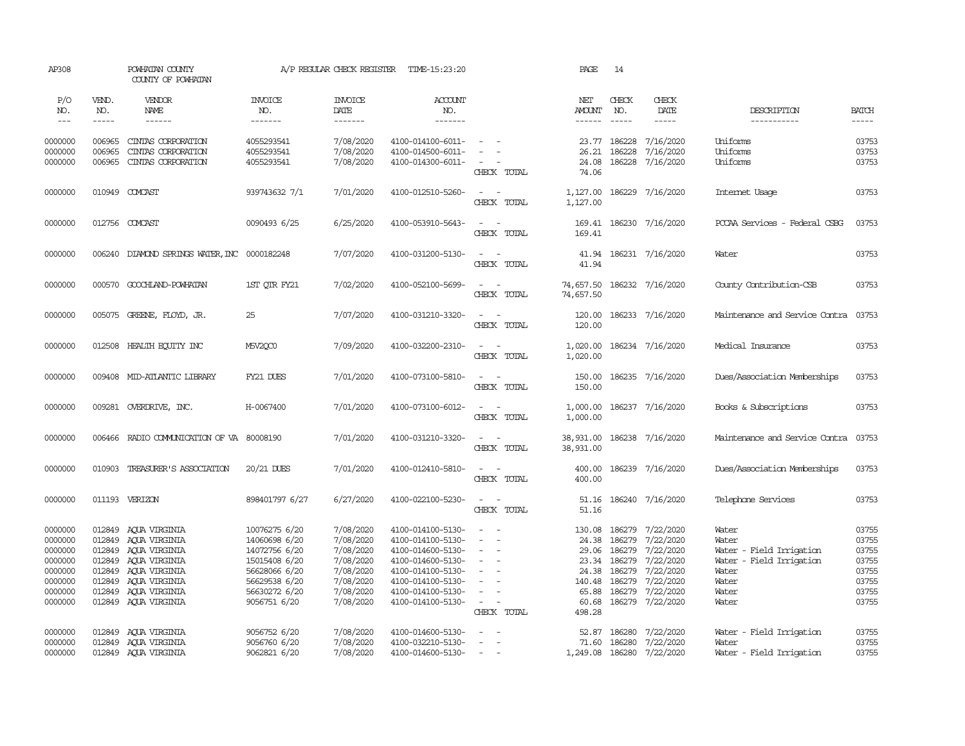| AP308                                                                                |                                                | POWHATAN COUNTY<br>COUNTY OF POWHATAN                                                                                                                     |                                                                                                                                     | A/P REGULAR CHECK REGISTER                                                                           | TIME-15:23:20                                                                                                                                                        |                                                                                             | PAGE                                                           | 14                                                                       |                                                                                                                   |                                                                                                            |                                                                      |
|--------------------------------------------------------------------------------------|------------------------------------------------|-----------------------------------------------------------------------------------------------------------------------------------------------------------|-------------------------------------------------------------------------------------------------------------------------------------|------------------------------------------------------------------------------------------------------|----------------------------------------------------------------------------------------------------------------------------------------------------------------------|---------------------------------------------------------------------------------------------|----------------------------------------------------------------|--------------------------------------------------------------------------|-------------------------------------------------------------------------------------------------------------------|------------------------------------------------------------------------------------------------------------|----------------------------------------------------------------------|
| P/O<br>NO.<br>$\frac{1}{2}$                                                          | VEND.<br>NO.<br>-----                          | VENDOR<br>NAME                                                                                                                                            | <b>INVOICE</b><br>NO.<br>-------                                                                                                    | <b>INVOICE</b><br>DATE<br>-------                                                                    | <b>ACCOUNT</b><br>NO.<br>-------                                                                                                                                     |                                                                                             | NET<br><b>AMOUNT</b>                                           | CHECK<br>NO.                                                             | CHECK<br>DATE                                                                                                     | DESCRIPTION<br>-----------                                                                                 | <b>BATCH</b><br>$- - - - -$                                          |
| 0000000<br>0000000<br>0000000                                                        | 006965<br>006965<br>006965                     | CINIAS CORPORATION<br>CINIAS CORPORATION<br>CINIAS CORPORATION                                                                                            | 4055293541<br>4055293541<br>4055293541                                                                                              | 7/08/2020<br>7/08/2020<br>7/08/2020                                                                  | 4100-014100-6011-<br>4100-014500-6011-<br>4100-014300-6011-                                                                                                          | $\sim$<br>CHECK TOTAL                                                                       | 23.77<br>26.21<br>74.06                                        | 186228<br>186228                                                         | 7/16/2020<br>7/16/2020<br>24.08 186228 7/16/2020                                                                  | Uniforms<br>Uniforms<br>Uniforms                                                                           | 03753<br>03753<br>03753                                              |
| 0000000                                                                              | 010949                                         | COMCAST                                                                                                                                                   | 939743632 7/1                                                                                                                       | 7/01/2020                                                                                            | 4100-012510-5260-                                                                                                                                                    | $\sim$<br>$\sim$<br>CHECK TOTAL                                                             | 1,127.00                                                       |                                                                          | 1,127.00 186229 7/16/2020                                                                                         | Internet Usage                                                                                             | 03753                                                                |
| 0000000                                                                              |                                                | 012756 COMCAST                                                                                                                                            | 0090493 6/25                                                                                                                        | 6/25/2020                                                                                            | 4100-053910-5643-                                                                                                                                                    | $\sim$ $ \sim$<br>CHECK TOTAL                                                               | 169.41                                                         |                                                                          | 169.41 186230 7/16/2020                                                                                           | PCCAA Services - Federal CSBG                                                                              | 03753                                                                |
| 0000000                                                                              | 006240                                         | DIAMOND SPRINGS WATER, INC 0000182248                                                                                                                     |                                                                                                                                     | 7/07/2020                                                                                            | 4100-031200-5130-                                                                                                                                                    | $\sim$<br>CHECK TOTAL                                                                       | 41.94<br>41.94                                                 |                                                                          | 186231 7/16/2020                                                                                                  | Water                                                                                                      | 03753                                                                |
| 0000000                                                                              |                                                | 000570 GOOCHLAND-POWHATAN                                                                                                                                 | 1ST QTR FY21                                                                                                                        | 7/02/2020                                                                                            | 4100-052100-5699-                                                                                                                                                    | $\sim$<br>CHECK TOTAL                                                                       | 74,657.50                                                      |                                                                          | 74,657.50 186232 7/16/2020                                                                                        | County Contribution-CSB                                                                                    | 03753                                                                |
| 0000000                                                                              |                                                | 005075 GREENE, FLOYD, JR.                                                                                                                                 | 25                                                                                                                                  | 7/07/2020                                                                                            | 4100-031210-3320-                                                                                                                                                    | $\sim$<br>CHECK TOTAL                                                                       | 120.00<br>120.00                                               |                                                                          | 186233 7/16/2020                                                                                                  | Maintenance and Service Contra                                                                             | 03753                                                                |
| 0000000                                                                              |                                                | 012508 HEALTH ECUTTY INC                                                                                                                                  | M5V2OC0                                                                                                                             | 7/09/2020                                                                                            | 4100-032200-2310-                                                                                                                                                    | $\sim$ $\sim$<br>CHECK TOTAL                                                                | 1,020.00                                                       |                                                                          | 1,020.00 186234 7/16/2020                                                                                         | Medical Insurance                                                                                          | 03753                                                                |
| 0000000                                                                              |                                                | 009408 MID-ATLANTIC LIBRARY                                                                                                                               | FY21 DUES                                                                                                                           | 7/01/2020                                                                                            | 4100-073100-5810-                                                                                                                                                    | $\sim$<br>$\sim$ $-$<br>CHECK TOTAL                                                         | 150.00<br>150.00                                               |                                                                          | 186235 7/16/2020                                                                                                  | Dues/Association Memberships                                                                               | 03753                                                                |
| 0000000                                                                              |                                                | 009281 OVERDRIVE, INC.                                                                                                                                    | H-0067400                                                                                                                           | 7/01/2020                                                                                            | 4100-073100-6012-                                                                                                                                                    | $\sim$ $ \sim$<br>CHECK TOTAL                                                               | 1,000.00                                                       |                                                                          | 1,000.00 186237 7/16/2020                                                                                         | Books & Subscriptions                                                                                      | 03753                                                                |
| 0000000                                                                              | 006466                                         | RADIO COMMUNICATION OF VA 80008190                                                                                                                        |                                                                                                                                     | 7/01/2020                                                                                            | 4100-031210-3320-                                                                                                                                                    | $\sim$ $  -$<br>CHECK TOTAL                                                                 | 38,931.00                                                      |                                                                          | 38,931.00 186238 7/16/2020                                                                                        | Maintenance and Service Contra                                                                             | 03753                                                                |
| 0000000                                                                              |                                                | 010903 TREASURER'S ASSOCIATION                                                                                                                            | 20/21 DUES                                                                                                                          | 7/01/2020                                                                                            | 4100-012410-5810-                                                                                                                                                    | $\sim$ $ -$<br>CHECK TOTAL                                                                  | 400.00<br>400.00                                               |                                                                          | 186239 7/16/2020                                                                                                  | Dues/Association Memberships                                                                               | 03753                                                                |
| 0000000                                                                              |                                                | 011193 VERIZON                                                                                                                                            | 898401797 6/27                                                                                                                      | 6/27/2020                                                                                            | 4100-022100-5230-                                                                                                                                                    | $\sim$<br>$\sim$<br>CHECK TOTAL                                                             | 51.16<br>51.16                                                 |                                                                          | 186240 7/16/2020                                                                                                  | Telephone Services                                                                                         | 03753                                                                |
| 0000000<br>0000000<br>0000000<br>0000000<br>0000000<br>0000000<br>0000000<br>0000000 | 012849<br>012849<br>012849<br>012849<br>012849 | AOUA VIRGINIA<br>012849 AQUA VIRGINIA<br>AQUA VIRGINIA<br>012849 AQUA VIRGINIA<br>AOUA VIRGINIA<br>AQUA VIRGINIA<br>012849 AQUA VIRGINIA<br>AQUA VIRGINIA | 10076275 6/20<br>14060698 6/20<br>14072756 6/20<br>15015408 6/20<br>56628066 6/20<br>56629538 6/20<br>56630272 6/20<br>9056751 6/20 | 7/08/2020<br>7/08/2020<br>7/08/2020<br>7/08/2020<br>7/08/2020<br>7/08/2020<br>7/08/2020<br>7/08/2020 | 4100-014100-5130-<br>4100-014100-5130-<br>4100-014600-5130-<br>4100-014600-5130-<br>4100-014100-5130-<br>4100-014100-5130-<br>4100-014100-5130-<br>4100-014100-5130- | $\sim$<br>$\sim$<br>$\sim$<br>$\sim$<br>$\sim$<br>$\sim$<br>$\sim$<br>$\sim$<br>CHECK TOTAL | 130.08<br>23.34<br>24.38<br>140.48<br>65.88<br>60.68<br>498.28 | 186279<br>29.06 186279<br>186279<br>186279<br>186279<br>186279<br>186279 | 7/22/2020<br>24.38 186279 7/22/2020<br>7/22/2020<br>7/22/2020<br>7/22/2020<br>7/22/2020<br>7/22/2020<br>7/22/2020 | Water<br>Water<br>Water - Field Irrigation<br>Water - Field Irrigation<br>Water<br>Water<br>Water<br>Water | 03755<br>03755<br>03755<br>03755<br>03755<br>03755<br>03755<br>03755 |
| 0000000<br>0000000<br>0000000                                                        | 012849                                         | AQUA VIRGINIA<br>012849 AQUA VIRGINIA<br>012849 ACUA VIRGINIA                                                                                             | 9056752 6/20<br>9056760 6/20<br>9062821 6/20                                                                                        | 7/08/2020<br>7/08/2020<br>7/08/2020                                                                  | 4100-014600-5130-<br>4100-032210-5130-<br>4100-014600-5130-                                                                                                          | $\equiv$<br>$\sim$<br>$\sim$                                                                |                                                                |                                                                          | 52.87 186280 7/22/2020<br>71.60 186280 7/22/2020<br>1,249.08 186280 7/22/2020                                     | Water - Field Irrigation<br>Water<br>Water - Field Irrigation                                              | 03755<br>03755<br>03755                                              |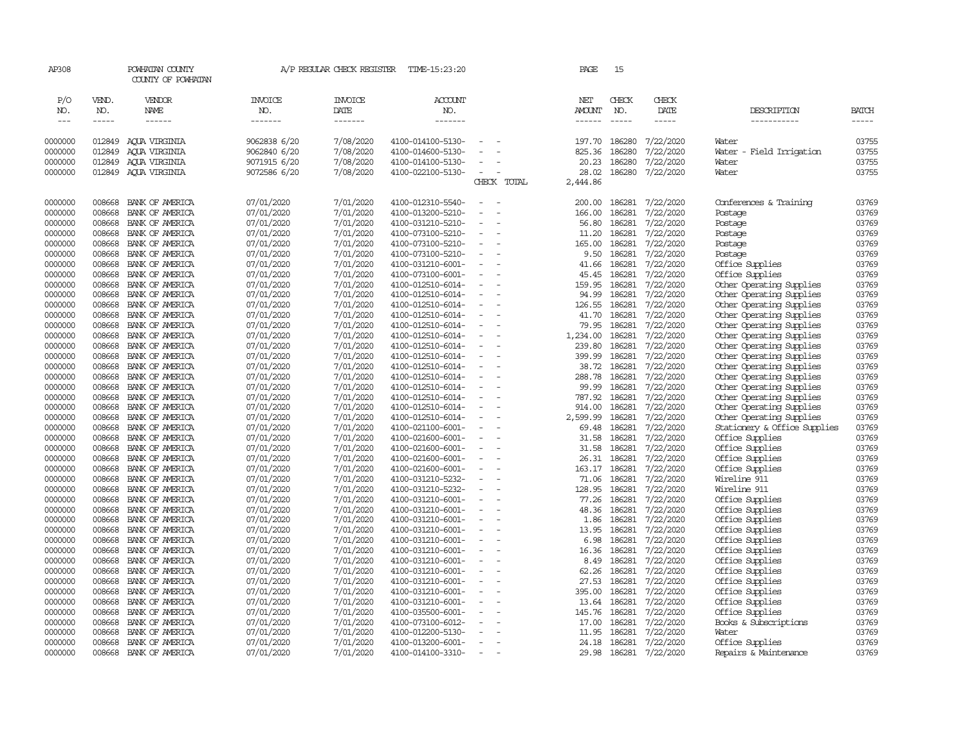| AP308               |                  | POWHATAN COUNTY<br>COUNTY OF POWHATAN |                          | A/P REGULAR CHECK REGISTER | TIME-15:23:20                          |                          |                          | PAGE                 | 15               |                        |                                                      |                |
|---------------------|------------------|---------------------------------------|--------------------------|----------------------------|----------------------------------------|--------------------------|--------------------------|----------------------|------------------|------------------------|------------------------------------------------------|----------------|
| P/O<br>NO.          | VEND.<br>NO.     | VENDOR<br><b>NAME</b>                 | INVOICE<br>NO.           | <b>INVOICE</b><br>DATE     | <b>ACCOUNT</b><br>NO.                  |                          |                          | NET<br><b>AMOUNT</b> | CHECK<br>NO.     | CHECK<br>DATE          | DESCRIPTION                                          | <b>BATCH</b>   |
| $\qquad \qquad - -$ | -----            | ------                                | -------                  | -------                    | -------                                |                          |                          | ------               | $\frac{1}{2}$    | -----                  | -----------                                          | $- - - - -$    |
| 0000000             | 012849           | AQUA VIRGINIA                         | 9062838 6/20             | 7/08/2020                  | 4100-014100-5130-                      | $\overline{\phantom{a}}$ |                          |                      | 197.70 186280    | 7/22/2020              | Water                                                | 03755          |
| 0000000             | 012849           | AQUA VIRGINIA                         | 9062840 6/20             | 7/08/2020                  | 4100-014600-5130-                      |                          |                          | 825.36               | 186280           | 7/22/2020              | Water - Field Irrigation                             | 03755          |
| 0000000             | 012849           | ACUA VIRGINIA                         | 9071915 6/20             | 7/08/2020                  | 4100-014100-5130-                      |                          |                          | 20.23                | 186280           | 7/22/2020              | Water                                                | 03755          |
| 0000000             |                  | 012849 AQUA VIRGINIA                  | 9072586 6/20             | 7/08/2020                  | 4100-022100-5130-                      | $\sim$                   |                          | 28.02                |                  | 186280 7/22/2020       | Water                                                | 03755          |
|                     |                  |                                       |                          |                            |                                        |                          | CHECK TOTAL              | 2,444.86             |                  |                        |                                                      |                |
| 0000000             | 008668           | BANK OF AMERICA                       | 07/01/2020               | 7/01/2020                  | 4100-012310-5540-                      |                          |                          | 200.00               | 186281           | 7/22/2020              | Conferences & Training                               | 03769          |
| 0000000             | 008668           | BANK OF AMERICA                       | 07/01/2020               | 7/01/2020                  | 4100-013200-5210-                      | $\equiv$                 | $\overline{\phantom{a}}$ | 166.00               | 186281           | 7/22/2020              | Postage                                              | 03769          |
| 0000000             | 008668           | BANK OF AMERICA                       | 07/01/2020               | 7/01/2020                  | 4100-031210-5210-                      | $\overline{\phantom{a}}$ |                          | 56.80                | 186281           | 7/22/2020              | Postage                                              | 03769          |
| 0000000             | 008668           | BANK OF AMERICA                       | 07/01/2020               | 7/01/2020                  | 4100-073100-5210-                      |                          |                          | 11.20                | 186281           | 7/22/2020              | Postage                                              | 03769          |
| 0000000             | 008668           | BANK OF AMERICA                       | 07/01/2020               | 7/01/2020                  | 4100-073100-5210-                      | $\overline{\phantom{a}}$ |                          | 165.00               | 186281           | 7/22/2020              | Postage                                              | 03769          |
| 0000000             | 008668           | BANK OF AMERICA                       | 07/01/2020               | 7/01/2020                  | 4100-073100-5210-                      | $\overline{\phantom{a}}$ |                          | 9.50                 | 186281           | 7/22/2020              | Postage                                              | 03769          |
| 0000000             | 008668           | BANK OF AMERICA                       | 07/01/2020               | 7/01/2020                  | 4100-031210-6001-                      |                          |                          | 41.66                | 186281           | 7/22/2020              | Office Supplies                                      | 03769          |
| 0000000             | 008668           | BANK OF AMERICA                       | 07/01/2020               | 7/01/2020                  | 4100-073100-6001-                      |                          |                          | 45.45                | 186281           | 7/22/2020              | Office Supplies                                      | 03769          |
| 0000000             | 008668           | BANK OF AMERICA                       | 07/01/2020               | 7/01/2020                  | 4100-012510-6014-                      | $\overline{\phantom{a}}$ |                          | 159.95               | 186281           | 7/22/2020              | Other Operating Supplies                             | 03769          |
| 0000000             | 008668           | BANK OF AMERICA                       | 07/01/2020               | 7/01/2020                  | 4100-012510-6014-                      | $\overline{\phantom{a}}$ |                          | 94.99                | 186281           | 7/22/2020              | Other Operating Supplies                             | 03769          |
| 0000000             | 008668           | BANK OF AMERICA                       | 07/01/2020               | 7/01/2020                  | 4100-012510-6014-                      |                          |                          |                      | 126.55 186281    | 7/22/2020              | Other Operating Supplies                             | 03769          |
| 0000000             | 008668           | BANK OF AMERICA                       | 07/01/2020               | 7/01/2020                  | 4100-012510-6014-                      | $\overline{\phantom{a}}$ |                          |                      | 41.70 186281     | 7/22/2020              | Other Operating Supplies                             | 03769          |
| 0000000             | 008668           | BANK OF AMERICA                       | 07/01/2020               | 7/01/2020                  | 4100-012510-6014-                      | $\overline{\phantom{a}}$ |                          | 79.95                | 186281           | 7/22/2020              | Other Operating Supplies                             | 03769          |
| 0000000             | 008668           | BANK OF AMERICA                       | 07/01/2020               | 7/01/2020                  | 4100-012510-6014-                      |                          |                          | 1,234.00             | 186281           | 7/22/2020              | Other Operating Supplies                             | 03769          |
| 0000000             | 008668<br>008668 | BANK OF AMERICA                       | 07/01/2020               | 7/01/2020<br>7/01/2020     | 4100-012510-6014-                      | $\overline{\phantom{a}}$ |                          | 239.80               | 186281<br>186281 | 7/22/2020              | Other Operating Supplies                             | 03769          |
| 0000000<br>0000000  | 008668           | BANK OF AMERICA<br>BANK OF AMERICA    | 07/01/2020<br>07/01/2020 | 7/01/2020                  | 4100-012510-6014-<br>4100-012510-6014- | $\equiv$                 |                          | 399.99<br>38.72      | 186281           | 7/22/2020<br>7/22/2020 | Other Operating Supplies                             | 03769<br>03769 |
| 0000000             | 008668           | BANK OF AMERICA                       | 07/01/2020               | 7/01/2020                  | 4100-012510-6014-                      |                          |                          | 288.78               | 186281           | 7/22/2020              | Other Operating Supplies<br>Other Operating Supplies | 03769          |
| 0000000             | 008668           | BANK OF AMERICA                       | 07/01/2020               | 7/01/2020                  | 4100-012510-6014-                      | $\overline{\phantom{a}}$ |                          | 99.99                | 186281           | 7/22/2020              | Other Operating Supplies                             | 03769          |
| 0000000             | 008668           | BANK OF AMERICA                       | 07/01/2020               | 7/01/2020                  | 4100-012510-6014-                      | $\equiv$                 |                          | 787.92               | 186281           | 7/22/2020              | Other Operating Supplies                             | 03769          |
| 0000000             | 008668           | BANK OF AMERICA                       | 07/01/2020               | 7/01/2020                  | 4100-012510-6014-                      |                          |                          | 914.00               | 186281           | 7/22/2020              | Other Operating Supplies                             | 03769          |
| 0000000             | 008668           | BANK OF AMERICA                       | 07/01/2020               | 7/01/2020                  | 4100-012510-6014-                      | $\sim$                   |                          | 2,599.99             | 186281           | 7/22/2020              | Other Operating Supplies                             | 03769          |
| 0000000             | 008668           | BANK OF AMERICA                       | 07/01/2020               | 7/01/2020                  | 4100-021100-6001-                      |                          |                          | 69.48                | 186281           | 7/22/2020              | Stationery & Office Supplies                         | 03769          |
| 0000000             | 008668           | BANK OF AMERICA                       | 07/01/2020               | 7/01/2020                  | 4100-021600-6001-                      | $\overline{\phantom{a}}$ |                          | 31.58                | 186281           | 7/22/2020              | Office Supplies                                      | 03769          |
| 0000000             | 008668           | BANK OF AMERICA                       | 07/01/2020               | 7/01/2020                  | 4100-021600-6001-                      |                          |                          | 31.58                | 186281           | 7/22/2020              | Office Supplies                                      | 03769          |
| 0000000             | 008668           | BANK OF AMERICA                       | 07/01/2020               | 7/01/2020                  | 4100-021600-6001-                      | $\blacksquare$           |                          | 26.31                | 186281           | 7/22/2020              | Office Supplies                                      | 03769          |
| 0000000             | 008668           | BANK OF AMERICA                       | 07/01/2020               | 7/01/2020                  | 4100-021600-6001-                      | $\overline{\phantom{a}}$ |                          | 163.17               | 186281           | 7/22/2020              | Office Supplies                                      | 03769          |
| 0000000             | 008668           | BANK OF AMERICA                       | 07/01/2020               | 7/01/2020                  | 4100-031210-5232-                      |                          |                          |                      | 71.06 186281     | 7/22/2020              | Wireline 911                                         | 03769          |
| 0000000             | 008668           | BANK OF AMERICA                       | 07/01/2020               | 7/01/2020                  | 4100-031210-5232-                      | $\sim$                   |                          | 128.95               | 186281           | 7/22/2020              | Wireline 911                                         | 03769          |
| 0000000             | 008668           | BANK OF AMERICA                       | 07/01/2020               | 7/01/2020                  | 4100-031210-6001-                      | $\overline{\phantom{a}}$ |                          | 77.26                | 186281           | 7/22/2020              | Office Supplies                                      | 03769          |
| 0000000             | 008668           | BANK OF AMERICA                       | 07/01/2020               | 7/01/2020                  | 4100-031210-6001-                      |                          |                          | 48.36                | 186281           | 7/22/2020              | Office Supplies                                      | 03769          |
| 0000000             | 008668           | BANK OF AMERICA                       | 07/01/2020               | 7/01/2020                  | 4100-031210-6001-                      | $\overline{\phantom{a}}$ |                          | 1.86                 | 186281           | 7/22/2020              | Office Supplies                                      | 03769          |
| 0000000             | 008668           | BANK OF AMERICA                       | 07/01/2020               | 7/01/2020                  | 4100-031210-6001-                      | $\overline{\phantom{a}}$ |                          | 13.95                | 186281           | 7/22/2020              | Office Supplies                                      | 03769          |
| 0000000             | 008668           | BANK OF AMERICA                       | 07/01/2020               | 7/01/2020                  | 4100-031210-6001-                      | $\overline{\phantom{a}}$ |                          | 6.98                 | 186281           | 7/22/2020              | Office Supplies                                      | 03769          |
| 0000000             | 008668           | BANK OF AMERICA                       | 07/01/2020               | 7/01/2020                  | 4100-031210-6001-                      |                          |                          |                      | 16.36 186281     | 7/22/2020              | Office Supplies                                      | 03769          |
| 0000000             | 008668           | BANK OF AMERICA                       | 07/01/2020               | 7/01/2020                  | 4100-031210-6001-                      | $\overline{\phantom{a}}$ |                          | 8.49                 | 186281           | 7/22/2020              | Office Supplies                                      | 03769          |
| 0000000             | 008668           | BANK OF AMERICA                       | 07/01/2020               | 7/01/2020                  | 4100-031210-6001-                      | $\overline{\phantom{a}}$ |                          | 62.26                | 186281           | 7/22/2020              | Office Supplies                                      | 03769          |
| 0000000             | 008668           | BANK OF AMERICA                       | 07/01/2020               | 7/01/2020                  | 4100-031210-6001-                      |                          |                          | 27.53                | 186281           | 7/22/2020              | Office Supplies                                      | 03769          |
| 0000000             | 008668           | BANK OF AMERICA                       | 07/01/2020               | 7/01/2020                  | 4100-031210-6001-                      | $\overline{\phantom{a}}$ |                          | 395.00               | 186281           | 7/22/2020              | Office Supplies                                      | 03769          |
| 0000000             | 008668           | BANK OF AMERICA                       | 07/01/2020               | 7/01/2020                  | 4100-031210-6001-                      | $\overline{\phantom{a}}$ |                          | 13.64                | 186281           | 7/22/2020              | Office Supplies                                      | 03769          |
| 0000000             | 008668           | BANK OF AMERICA                       | 07/01/2020               | 7/01/2020                  | 4100-035500-6001-                      |                          |                          | 145.76               | 186281           | 7/22/2020              | Office Supplies                                      | 03769          |
| 0000000             | 008668           | BANK OF AMERICA                       | 07/01/2020               | 7/01/2020                  | 4100-073100-6012-                      |                          |                          | 17.00<br>11.95       | 186281           | 7/22/2020              | Books & Subscriptions                                | 03769<br>03769 |
| 0000000<br>0000000  | 008668<br>008668 | BANK OF AMERICA<br>BANK OF AMERICA    | 07/01/2020<br>07/01/2020 | 7/01/2020<br>7/01/2020     | 4100-012200-5130-<br>4100-013200-6001- | $\overline{\phantom{a}}$ |                          | 24.18                | 186281<br>186281 | 7/22/2020<br>7/22/2020 | Water<br>Office Supplies                             | 03769          |
| 0000000             | 008668           | BANK OF AMERICA                       | 07/01/2020               | 7/01/2020                  | 4100-014100-3310-                      | $\sim$                   |                          |                      | 29.98 186281     | 7/22/2020              | Repairs & Maintenance                                | 03769          |
|                     |                  |                                       |                          |                            |                                        |                          |                          |                      |                  |                        |                                                      |                |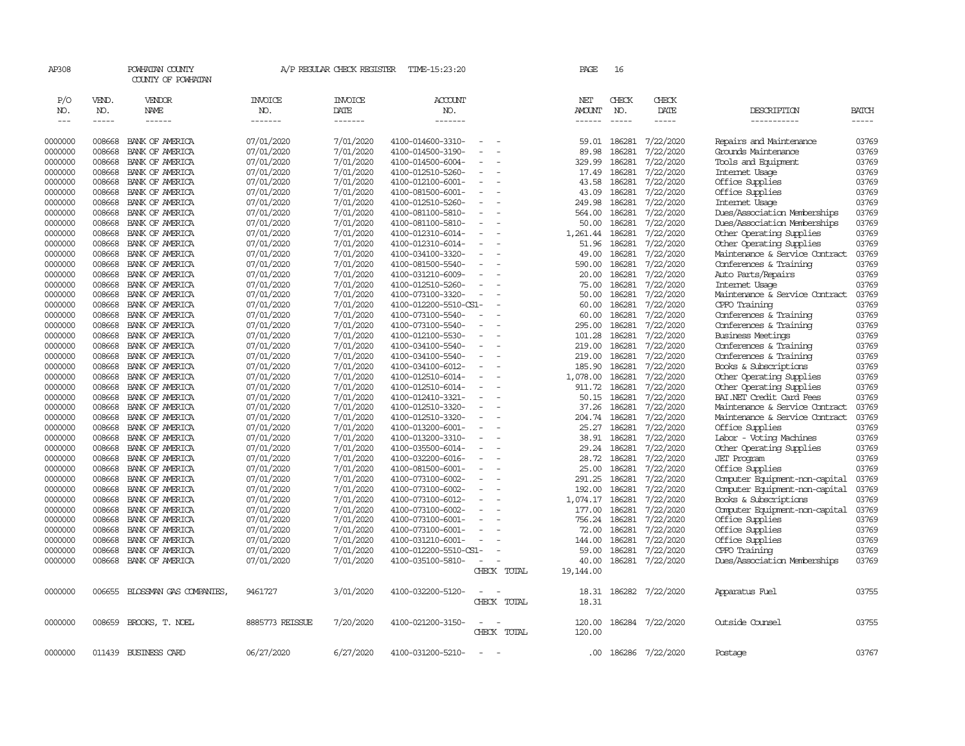| AP308      |              | POWHATAN COUNTY<br>COUNTY OF POWHATAN |                       | A/P REGULAR CHECK REGISTER | TIME-15:23:20         |                          |             | PAGE          | 16           |                  |                                |       |
|------------|--------------|---------------------------------------|-----------------------|----------------------------|-----------------------|--------------------------|-------------|---------------|--------------|------------------|--------------------------------|-------|
| P/O<br>NO. | VEND.<br>NO. | VENDOR<br>NAME                        | <b>INVOICE</b><br>NO. | <b>INVOICE</b><br>DATE     | <b>ACCOUNT</b><br>NO. |                          |             | NET<br>AMOUNT | CHECK<br>NO. | CHECK<br>DATE    | DESCRIPTION                    | BATCH |
| $---$      | $- - - - -$  | ------                                | -------               | -------                    | -------               |                          |             |               | $- - - - -$  | -----            | -----------                    | ----- |
|            |              |                                       |                       |                            |                       |                          |             |               |              |                  |                                |       |
| 0000000    | 008668       | BANK OF AMERICA                       | 07/01/2020            | 7/01/2020                  | 4100-014600-3310-     | $\overline{\phantom{a}}$ |             | 59.01         | 186281       | 7/22/2020        | Repairs and Maintenance        | 03769 |
| 0000000    | 008668       | BANK OF AMERICA                       | 07/01/2020            | 7/01/2020                  | 4100-014500-3190-     |                          |             | 89.98         | 186281       | 7/22/2020        | Grounds Maintenance            | 03769 |
| 0000000    | 008668       | BANK OF AMERICA                       | 07/01/2020            | 7/01/2020                  | 4100-014500-6004-     |                          |             | 329.99        | 186281       | 7/22/2020        | Tools and Equipment            | 03769 |
| 0000000    | 008668       | BANK OF AMERICA                       | 07/01/2020            | 7/01/2020                  | 4100-012510-5260-     |                          |             | 17.49         | 186281       | 7/22/2020        | Internet Usage                 | 03769 |
| 0000000    | 008668       | BANK OF AMERICA                       | 07/01/2020            | 7/01/2020                  | 4100-012100-6001-     |                          |             | 43.58         | 186281       | 7/22/2020        | Office Supplies                | 03769 |
| 0000000    | 008668       | BANK OF AMERICA                       | 07/01/2020            | 7/01/2020                  | 4100-081500-6001-     | $\equiv$                 |             | 43.09         | 186281       | 7/22/2020        | Office Supplies                | 03769 |
| 0000000    | 008668       | BANK OF AMERICA                       | 07/01/2020            | 7/01/2020                  | 4100-012510-5260-     |                          |             | 249.98        | 186281       | 7/22/2020        | Internet Usage                 | 03769 |
| 0000000    | 008668       | BANK OF AMERICA                       | 07/01/2020            | 7/01/2020                  | 4100-081100-5810-     | $\overline{\phantom{a}}$ |             | 564.00        | 186281       | 7/22/2020        | Dues/Association Memberships   | 03769 |
| 0000000    | 008668       | BANK OF AMERICA                       | 07/01/2020            | 7/01/2020                  | 4100-081100-5810-     |                          |             | 50.00         | 186281       | 7/22/2020        | Dues/Association Memberships   | 03769 |
| 0000000    | 008668       | BANK OF AMERICA                       | 07/01/2020            | 7/01/2020                  | 4100-012310-6014-     |                          |             | 1,261.44      | 186281       | 7/22/2020        | Other Operating Supplies       | 03769 |
| 0000000    | 008668       | BANK OF AMERICA                       | 07/01/2020            | 7/01/2020                  | 4100-012310-6014-     |                          |             | 51.96         | 186281       | 7/22/2020        | Other Operating Supplies       | 03769 |
| 0000000    | 008668       | BANK OF AMERICA                       | 07/01/2020            | 7/01/2020                  | 4100-034100-3320-     |                          |             | 49.00         | 186281       | 7/22/2020        | Maintenance & Service Contract | 03769 |
| 0000000    | 008668       | BANK OF AMERICA                       | 07/01/2020            | 7/01/2020                  | 4100-081500-5540-     | $\equiv$                 |             | 590.00        | 186281       | 7/22/2020        | Conferences & Training         | 03769 |
| 0000000    | 008668       | BANK OF AMERICA                       | 07/01/2020            | 7/01/2020                  | 4100-031210-6009-     |                          |             | 20.00         | 186281       | 7/22/2020        | Auto Parts/Repairs             | 03769 |
| 0000000    | 008668       | BANK OF AMERICA                       | 07/01/2020            | 7/01/2020                  | 4100-012510-5260-     | $\equiv$                 |             | 75.00         | 186281       | 7/22/2020        | Internet Usage                 | 03769 |
| 0000000    | 008668       | BANK OF AMERICA                       | 07/01/2020            | 7/01/2020                  | 4100-073100-3320-     | $\overline{\phantom{a}}$ |             | 50.00         | 186281       | 7/22/2020        | Maintenance & Service Contract | 03769 |
| 0000000    | 008668       | BANK OF AMERICA                       | 07/01/2020            | 7/01/2020                  | 4100-012200-5510-CS1- |                          |             | 60.00         | 186281       | 7/22/2020        | CPFO Training                  | 03769 |
| 0000000    | 008668       | BANK OF AMERICA                       | 07/01/2020            | 7/01/2020                  | 4100-073100-5540-     |                          |             | 60.00         | 186281       | 7/22/2020        | Conferences & Training         | 03769 |
| 0000000    | 008668       | BANK OF AMERICA                       | 07/01/2020            | 7/01/2020                  | 4100-073100-5540-     |                          |             | 295.00        | 186281       | 7/22/2020        | Conferences & Training         | 03769 |
| 0000000    | 008668       | BANK OF AMERICA                       | 07/01/2020            | 7/01/2020                  | 4100-012100-5530-     | $\equiv$                 |             | 101.28        | 186281       | 7/22/2020        | <b>Business Meetings</b>       | 03769 |
| 0000000    | 008668       | BANK OF AMERICA                       | 07/01/2020            | 7/01/2020                  | 4100-034100-5540-     |                          |             | 219.00        | 186281       | 7/22/2020        | Conferences & Training         | 03769 |
| 0000000    | 008668       | BANK OF AMERICA                       | 07/01/2020            | 7/01/2020                  | 4100-034100-5540-     |                          |             | 219.00        | 186281       | 7/22/2020        | Conferences & Training         | 03769 |
| 0000000    | 008668       | BANK OF AMERICA                       | 07/01/2020            | 7/01/2020                  | 4100-034100-6012-     |                          |             | 185.90        | 186281       | 7/22/2020        | Books & Subscriptions          | 03769 |
| 0000000    | 008668       | BANK OF AMERICA                       | 07/01/2020            | 7/01/2020                  | 4100-012510-6014-     |                          |             | 1,078.00      | 186281       | 7/22/2020        | Other Operating Supplies       | 03769 |
| 0000000    | 008668       | BANK OF AMERICA                       | 07/01/2020            | 7/01/2020                  | 4100-012510-6014-     | $\overline{\phantom{a}}$ |             | 911.72        | 186281       | 7/22/2020        | Other Operating Supplies       | 03769 |
| 0000000    | 008668       | BANK OF AMERICA                       | 07/01/2020            | 7/01/2020                  | 4100-012410-3321-     |                          |             | 50.15         | 186281       | 7/22/2020        | BAI.NET Credit Card Fees       | 03769 |
| 0000000    | 008668       | BANK OF AMERICA                       | 07/01/2020            | 7/01/2020                  | 4100-012510-3320-     |                          |             | 37.26         | 186281       | 7/22/2020        | Maintenance & Service Contract | 03769 |
| 0000000    | 008668       | BANK OF AMERICA                       | 07/01/2020            | 7/01/2020                  | 4100-012510-3320-     | ÷,                       |             | 204.74        | 186281       | 7/22/2020        | Maintenance & Service Contract | 03769 |
| 0000000    | 008668       | BANK OF AMERICA                       | 07/01/2020            | 7/01/2020                  | 4100-013200-6001-     |                          |             | 25.27         | 186281       | 7/22/2020        | Office Supplies                | 03769 |
| 0000000    | 008668       | BANK OF AMERICA                       | 07/01/2020            | 7/01/2020                  | 4100-013200-3310-     | $\equiv$                 |             | 38.91         | 186281       | 7/22/2020        | Labor - Voting Machines        | 03769 |
| 0000000    | 008668       | BANK OF AMERICA                       | 07/01/2020            | 7/01/2020                  | 4100-035500-6014-     |                          |             | 29.24         | 186281       | 7/22/2020        | Other Operating Supplies       | 03769 |
| 0000000    | 008668       | BANK OF AMERICA                       | 07/01/2020            | 7/01/2020                  | 4100-032200-6016-     | $\sim$                   |             | 28.72         | 186281       | 7/22/2020        | <b>JET</b> Program             | 03769 |
| 0000000    | 008668       | BANK OF AMERICA                       | 07/01/2020            | 7/01/2020                  | 4100-081500-6001-     | $\overline{\phantom{a}}$ |             | 25.00         | 186281       | 7/22/2020        | Office Supplies                | 03769 |
| 0000000    | 008668       | BANK OF AMERICA                       | 07/01/2020            | 7/01/2020                  | 4100-073100-6002-     |                          |             | 291.25        | 186281       | 7/22/2020        | Computer Equipment-non-capital | 03769 |
| 0000000    | 008668       | BANK OF AMERICA                       | 07/01/2020            | 7/01/2020                  | 4100-073100-6002-     |                          |             | 192.00        | 186281       | 7/22/2020        | Computer Equipment-non-capital | 03769 |
| 0000000    | 008668       | BANK OF AMERICA                       | 07/01/2020            | 7/01/2020                  | 4100-073100-6012-     |                          |             | 1,074.17      | 186281       | 7/22/2020        | Books & Subscriptions          | 03769 |
| 0000000    | 008668       | BANK OF AMERICA                       | 07/01/2020            | 7/01/2020                  | 4100-073100-6002-     | $\equiv$                 |             | 177.00        | 186281       | 7/22/2020        | Computer Equipment-non-capital | 03769 |
| 0000000    | 008668       | BANK OF AMERICA                       | 07/01/2020            | 7/01/2020                  | 4100-073100-6001-     |                          |             | 756.24        | 186281       | 7/22/2020        | Office Supplies                | 03769 |
| 0000000    | 008668       | BANK OF AMERICA                       | 07/01/2020            | 7/01/2020                  | 4100-073100-6001-     |                          |             | 72.00         | 186281       | 7/22/2020        | Office Supplies                | 03769 |
| 0000000    | 008668       | BANK OF AMERICA                       | 07/01/2020            | 7/01/2020                  | 4100-031210-6001-     |                          |             | 144.00        | 186281       | 7/22/2020        | Office Supplies                | 03769 |
| 0000000    | 008668       | BANK OF AMERICA                       | 07/01/2020            | 7/01/2020                  | 4100-012200-5510-CS1- |                          |             | 59.00         | 186281       | 7/22/2020        | CPFO Training                  | 03769 |
| 0000000    | 008668       | BANK OF AMERICA                       | 07/01/2020            | 7/01/2020                  | 4100-035100-5810-     | $\overline{\phantom{a}}$ |             | 40.00         |              | 186281 7/22/2020 | Dues/Association Memberships   | 03769 |
|            |              |                                       |                       |                            |                       |                          | CHECK TOTAL | 19,144.00     |              |                  |                                |       |
| 0000000    | 006655       | BLOSSMAN GAS COMPANIES,               | 9461727               | 3/01/2020                  | 4100-032200-5120-     | $\equiv$                 |             | 18.31         |              | 186282 7/22/2020 | Apparatus Fuel                 | 03755 |
|            |              |                                       |                       |                            |                       |                          | CHECK TOTAL | 18.31         |              |                  |                                |       |
|            |              |                                       |                       |                            |                       |                          |             |               |              |                  |                                |       |
| 0000000    | 008659       | BROOKS, T. NOEL                       | 8885773 REISSUE       | 7/20/2020                  | 4100-021200-3150-     | $\overline{\phantom{a}}$ |             | 120.00        |              | 186284 7/22/2020 | Outside Counsel                | 03755 |
|            |              |                                       |                       |                            |                       |                          | CHECK TOTAL | 120.00        |              |                  |                                |       |
|            |              |                                       |                       |                            |                       |                          |             |               |              |                  |                                |       |
| 0000000    |              | 011439 BUSINESS CARD                  | 06/27/2020            | 6/27/2020                  | 4100-031200-5210-     | $\sim$                   |             | .00.          |              | 186286 7/22/2020 | Postage                        | 03767 |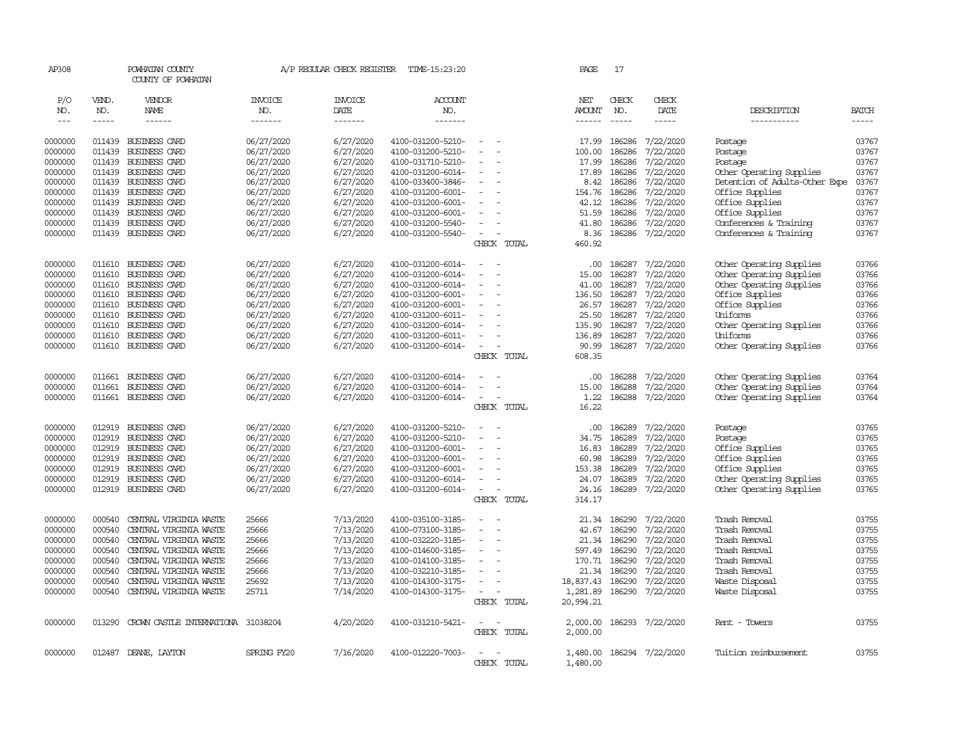| AP308      |              | POWHATAN COUNTY<br>COUNTY OF POWHATAN |                       | A/P REGULAR CHECK REGISTER | TIME-15:23:20     |                          | PAGE           | 17           |                  |                                |              |
|------------|--------------|---------------------------------------|-----------------------|----------------------------|-------------------|--------------------------|----------------|--------------|------------------|--------------------------------|--------------|
| P/O<br>NO. | VEND.<br>NO. | VENDOR<br>NAME                        | <b>INVOICE</b><br>NO. | <b>INVOICE</b><br>DATE     | ACCOUNT<br>NO.    |                          | NET<br>AMOUNT  | CHECK<br>NO. | CHECK<br>DATE    | DESCRIPTION                    | <b>BATCH</b> |
| $---$      | $- - - - -$  | $- - - - - -$                         | -------               | -------                    | -------           |                          | $- - - - - -$  | $- - - - -$  | -----            | -----------                    | $- - - - -$  |
|            |              |                                       |                       |                            |                   |                          |                |              |                  |                                |              |
| 0000000    | 011439       | BUSINESS CARD                         | 06/27/2020            | 6/27/2020                  | 4100-031200-5210- |                          | 17.99          | 186286       | 7/22/2020        | Postage                        | 03767        |
| 0000000    | 011439       | BUSINESS CARD                         | 06/27/2020            | 6/27/2020                  | 4100-031200-5210- | $\sim$<br>$\sim$         | 100.00         | 186286       | 7/22/2020        | Postage                        | 03767        |
| 0000000    | 011439       | BUSINESS CARD                         | 06/27/2020            | 6/27/2020                  | 4100-031710-5210- | $\sim$                   | 17.99          | 186286       | 7/22/2020        | Postage                        | 03767        |
| 0000000    | 011439       | BUSINESS CARD                         | 06/27/2020            | 6/27/2020                  | 4100-031200-6014- |                          | 17.89          | 186286       | 7/22/2020        | Other Operating Supplies       | 03767        |
| 0000000    | 011439       | BUSINESS CARD                         | 06/27/2020            | 6/27/2020                  | 4100-033400-3846- |                          | 8.42           | 186286       | 7/22/2020        | Detention of Adults-Other Expe | 03767        |
| 0000000    | 011439       | BUSINESS CARD                         | 06/27/2020            | 6/27/2020                  | 4100-031200-6001- | $\sim$                   | 154.76         | 186286       | 7/22/2020        | Office Supplies                | 03767        |
| 0000000    | 011439       | BUSINESS CARD                         | 06/27/2020            | 6/27/2020                  | 4100-031200-6001- |                          | 42.12          | 186286       | 7/22/2020        | Office Supplies                | 03767        |
| 0000000    | 011439       | BUSINESS CARD                         | 06/27/2020            | 6/27/2020                  | 4100-031200-6001- |                          | 51.59          | 186286       | 7/22/2020        | Office Supplies                | 03767        |
| 0000000    | 011439       | BUSINESS CARD                         | 06/27/2020            | 6/27/2020                  | 4100-031200-5540- | $\sim$                   | 41.80          | 186286       | 7/22/2020        | Conferences & Training         | 03767        |
| 0000000    | 011439       | BUSINESS CARD                         | 06/27/2020            | 6/27/2020                  | 4100-031200-5540- | CHECK TOTAL              | 8.36<br>460.92 | 186286       | 7/22/2020        | Conferences & Training         | 03767        |
|            |              |                                       |                       |                            |                   |                          |                |              |                  |                                |              |
| 0000000    | 011610       | BUSINESS CARD                         | 06/27/2020            | 6/27/2020                  | 4100-031200-6014- |                          | .00.           | 186287       | 7/22/2020        | Other Operating Supplies       | 03766        |
| 0000000    | 011610       | BUSINESS CARD                         | 06/27/2020            | 6/27/2020                  | 4100-031200-6014- |                          | 15.00          | 186287       | 7/22/2020        | Other Operating Supplies       | 03766        |
| 0000000    | 011610       | BUSINESS CARD                         | 06/27/2020            | 6/27/2020                  | 4100-031200-6014- |                          | 41.00          | 186287       | 7/22/2020        | Other Operating Supplies       | 03766        |
| 0000000    | 011610       | BUSINESS CARD                         | 06/27/2020            | 6/27/2020                  | 4100-031200-6001- |                          | 136.50         | 186287       | 7/22/2020        | Office Supplies                | 03766        |
| 0000000    | 011610       | <b>BUSINESS CARD</b>                  | 06/27/2020            | 6/27/2020                  | 4100-031200-6001- | $\overline{\phantom{a}}$ | 26.57          | 186287       | 7/22/2020        | Office Supplies                | 03766        |
| 0000000    | 011610       | BUSINESS CARD                         | 06/27/2020            | 6/27/2020                  | 4100-031200-6011- |                          | 25.50          | 186287       | 7/22/2020        | Uniforms                       | 03766        |
| 0000000    | 011610       | BUSINESS CARD                         | 06/27/2020            | 6/27/2020                  | 4100-031200-6014- |                          | 135.90         | 186287       | 7/22/2020        | Other Operating Supplies       | 03766        |
| 0000000    | 011610       | BUSINESS CARD                         | 06/27/2020            | 6/27/2020                  | 4100-031200-6011- |                          | 136.89         | 186287       | 7/22/2020        | Uniforms                       | 03766        |
| 0000000    |              | 011610 BUSINESS CARD                  | 06/27/2020            | 6/27/2020                  | 4100-031200-6014- | $\overline{\phantom{a}}$ | 90.99          |              | 186287 7/22/2020 | Other Operating Supplies       | 03766        |
|            |              |                                       |                       |                            |                   | CHECK TOTAL              | 608.35         |              |                  |                                |              |
| 0000000    | 011661       | BUSINESS CARD                         | 06/27/2020            | 6/27/2020                  | 4100-031200-6014- |                          | .00            | 186288       | 7/22/2020        | Other Operating Supplies       | 03764        |
| 0000000    | 011661       | BUSINESS CARD                         | 06/27/2020            | 6/27/2020                  | 4100-031200-6014- | $\overline{\phantom{a}}$ | 15.00          | 186288       | 7/22/2020        | Other Operating Supplies       | 03764        |
| 0000000    |              | 011661 BUSINESS CARD                  | 06/27/2020            | 6/27/2020                  | 4100-031200-6014- | $\equiv$                 | 1.22           | 186288       | 7/22/2020        | Other Operating Supplies       | 03764        |
|            |              |                                       |                       |                            |                   | CHECK TOTAL              | 16.22          |              |                  |                                |              |
|            |              |                                       |                       |                            |                   |                          |                |              |                  |                                |              |
| 0000000    |              | 012919 BUSINESS CARD                  | 06/27/2020            | 6/27/2020                  | 4100-031200-5210- | $\sim$                   | .00            | 186289       | 7/22/2020        | Postage                        | 03765        |
| 0000000    | 012919       | BUSINESS CARD                         | 06/27/2020            | 6/27/2020                  | 4100-031200-5210- | $\equiv$                 | 34.75          | 186289       | 7/22/2020        | Postage                        | 03765        |
| 0000000    | 012919       | BUSINESS CARD                         | 06/27/2020            | 6/27/2020                  | 4100-031200-6001- |                          | 16.83          | 186289       | 7/22/2020        | Office Supplies                | 03765        |
| 0000000    | 012919       | BUSINESS CARD                         | 06/27/2020            | 6/27/2020                  | 4100-031200-6001- |                          | 60.98          | 186289       | 7/22/2020        | Office Supplies                | 03765        |
| 0000000    | 012919       | BUSINESS CARD                         | 06/27/2020            | 6/27/2020                  | 4100-031200-6001- | $\sim$                   | 153.38         | 186289       | 7/22/2020        | Office Supplies                | 03765        |
| 0000000    | 012919       | BUSINESS CARD                         | 06/27/2020            | 6/27/2020                  | 4100-031200-6014- | $\equiv$                 | 24.07          | 186289       | 7/22/2020        | Other Operating Supplies       | 03765        |
| 0000000    | 012919       | BUSINESS CARD                         | 06/27/2020            | 6/27/2020                  | 4100-031200-6014- | $\sim$                   | 24.16          | 186289       | 7/22/2020        | Other Operating Supplies       | 03765        |
|            |              |                                       |                       |                            |                   | CHECK TOTAL              | 314.17         |              |                  |                                |              |
| 0000000    | 000540       | CENTRAL VIRGINIA WASTE                | 25666                 | 7/13/2020                  | 4100-035100-3185- | $\sim$                   | 21.34          | 186290       | 7/22/2020        | Trash Removal                  | 03755        |
| 0000000    | 000540       | CENTRAL VIRGINIA WASTE                | 25666                 | 7/13/2020                  | 4100-073100-3185- |                          | 42.67          | 186290       | 7/22/2020        | Trash Removal                  | 03755        |
| 0000000    | 000540       | CENTRAL VIRGINIA WASTE                | 25666                 | 7/13/2020                  | 4100-032220-3185- | $\sim$                   | 21.34          | 186290       | 7/22/2020        | Trash Removal                  | 03755        |
| 0000000    | 000540       | CENTRAL VIRGINIA WASTE                | 25666                 | 7/13/2020                  | 4100-014600-3185- | $\equiv$                 | 597.49         | 186290       | 7/22/2020        | Trash Removal                  | 03755        |
| 0000000    | 000540       | CENTRAL VIRGINIA WASTE                | 25666                 | 7/13/2020                  | 4100-014100-3185- |                          | 170.71         | 186290       | 7/22/2020        | Trash Removal                  | 03755        |
| 0000000    | 000540       | CENTRAL VIRGINIA WASTE                | 25666                 | 7/13/2020                  | 4100-032210-3185- |                          | 21.34          | 186290       | 7/22/2020        | Trash Removal                  | 03755        |
| 0000000    | 000540       | CENTRAL VIRGINIA WASTE                | 25692                 | 7/13/2020                  | 4100-014300-3175- |                          | 18,837.43      | 186290       | 7/22/2020        | Waste Disposal                 | 03755        |
| 0000000    | 000540       | CENTRAL VIRGINIA WASTE                | 25711                 | 7/14/2020                  | 4100-014300-3175- | $\sim$                   | 1,281.89       | 186290       | 7/22/2020        | Waste Disposal                 | 03755        |
|            |              |                                       |                       |                            |                   | CHECK TOTAL              | 20,994.21      |              |                  |                                |              |
|            |              |                                       |                       |                            |                   |                          |                |              |                  |                                |              |
| 0000000    | 013290       | CROWN CASTLE INTERNATIONA 31038204    |                       | 4/20/2020                  | 4100-031210-5421- | $\sim$<br>CHECK TOTAL    | 2,000.00       |              | 186293 7/22/2020 | Rent - Towers                  | 03755        |
|            |              |                                       |                       |                            |                   |                          | 2,000.00       |              |                  |                                |              |
| 0000000    | 012487       | DEANE, LAYTON                         | SPRING FY20           | 7/16/2020                  | 4100-012220-7003- |                          | 1,480.00       |              | 186294 7/22/2020 | Tuition reimbursement          | 03755        |
|            |              |                                       |                       |                            |                   | CHECK TOTAL              | 1,480.00       |              |                  |                                |              |
|            |              |                                       |                       |                            |                   |                          |                |              |                  |                                |              |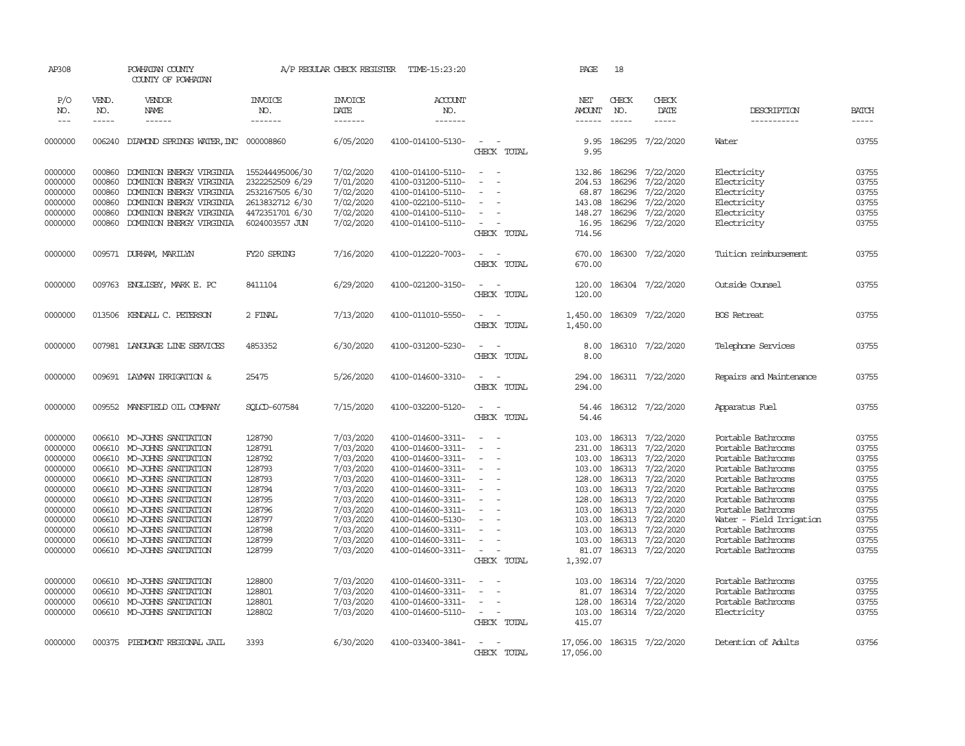| AP308                                                                                                                                                  |                                                          | POWHATAN COUNTY<br>COUNTY OF POWHATAN                                                                                                                                                                                                                                                                                                                                                         |                                                                                                                                          | A/P REGULAR CHECK REGISTER                                                                                                                                                         | TIME-15:23:20                                                                                                                                                                                                                                                                                      |                                                                                                           | PAGE                                                                                                                           | 18                                                                                         |                                                                                                                                                                                                                              |                                                                                                                                                                                                                                                                                                                        |                                                                                                                            |
|--------------------------------------------------------------------------------------------------------------------------------------------------------|----------------------------------------------------------|-----------------------------------------------------------------------------------------------------------------------------------------------------------------------------------------------------------------------------------------------------------------------------------------------------------------------------------------------------------------------------------------------|------------------------------------------------------------------------------------------------------------------------------------------|------------------------------------------------------------------------------------------------------------------------------------------------------------------------------------|----------------------------------------------------------------------------------------------------------------------------------------------------------------------------------------------------------------------------------------------------------------------------------------------------|-----------------------------------------------------------------------------------------------------------|--------------------------------------------------------------------------------------------------------------------------------|--------------------------------------------------------------------------------------------|------------------------------------------------------------------------------------------------------------------------------------------------------------------------------------------------------------------------------|------------------------------------------------------------------------------------------------------------------------------------------------------------------------------------------------------------------------------------------------------------------------------------------------------------------------|----------------------------------------------------------------------------------------------------------------------------|
| P/O<br>NO.<br>$---$                                                                                                                                    | VEND.<br>NO.<br>-----                                    | VENDOR<br>NAME<br>$- - - - - -$                                                                                                                                                                                                                                                                                                                                                               | <b>INVOICE</b><br>NO.<br>-------                                                                                                         | <b>INVOICE</b><br>DATE<br>-------                                                                                                                                                  | <b>ACCOUNT</b><br>NO.<br>-------                                                                                                                                                                                                                                                                   |                                                                                                           | NET<br><b>AMOUNT</b><br>$- - - - - -$                                                                                          | CHECK<br>NO.<br>$\frac{1}{2}$                                                              | CHECK<br>DATE<br>-----                                                                                                                                                                                                       | DESCRIPTION<br>-----------                                                                                                                                                                                                                                                                                             | <b>BATCH</b><br>$- - - - -$                                                                                                |
| 0000000                                                                                                                                                | 006240                                                   | DIAMOND SPRINGS WATER, INC 000008860                                                                                                                                                                                                                                                                                                                                                          |                                                                                                                                          | 6/05/2020                                                                                                                                                                          | 4100-014100-5130-                                                                                                                                                                                                                                                                                  | $\overline{\phantom{a}}$<br>CHECK TOTAL                                                                   | 9.95<br>9.95                                                                                                                   | 186295                                                                                     | 7/22/2020                                                                                                                                                                                                                    | Water                                                                                                                                                                                                                                                                                                                  | 03755                                                                                                                      |
| 0000000<br>0000000<br>0000000<br>0000000<br>0000000<br>0000000                                                                                         | 000860<br>000860<br>000860<br>000860<br>000860<br>000860 | DOMINION ENERGY VIRGINIA<br>DOMINION ENERGY VIRGINIA<br>DOMINION ENERGY VIRGINIA<br>DOMINION ENERGY VIRGINIA<br>DOMINION ENERGY VIRGINIA<br>DOMINION ENERGY VIRGINIA                                                                                                                                                                                                                          | 155244495006/30<br>2322252509 6/29<br>2532167505 6/30<br>2613832712 6/30<br>4472351701 6/30<br>6024003557 JUN                            | 7/02/2020<br>7/01/2020<br>7/02/2020<br>7/02/2020<br>7/02/2020<br>7/02/2020                                                                                                         | 4100-014100-5110-<br>4100-031200-5110-<br>4100-014100-5110-<br>4100-022100-5110-<br>4100-014100-5110-<br>4100-014100-5110-                                                                                                                                                                         | $\sim$<br>$\sim$<br>$\sim$<br>$\sim$<br>$\overline{\phantom{a}}$<br>CHECK TOTAL                           | 132.86<br>204.53<br>68.87<br>143.08<br>148.27<br>16.95<br>714.56                                                               | 186296<br>186296<br>186296<br>186296<br>186296<br>186296                                   | 7/22/2020<br>7/22/2020<br>7/22/2020<br>7/22/2020<br>7/22/2020<br>7/22/2020                                                                                                                                                   | Electricity<br>Electricity<br>Electricity<br>Electricity<br>Electricity<br>Electricity                                                                                                                                                                                                                                 | 03755<br>03755<br>03755<br>03755<br>03755<br>03755                                                                         |
| 0000000                                                                                                                                                |                                                          | 009571 DURHAM, MARILYN                                                                                                                                                                                                                                                                                                                                                                        | FY20 SPRING                                                                                                                              | 7/16/2020                                                                                                                                                                          | 4100-012220-7003-                                                                                                                                                                                                                                                                                  | $\overline{\phantom{a}}$<br>CHECK TOTAL                                                                   | 670.00<br>670.00                                                                                                               |                                                                                            | 186300 7/22/2020                                                                                                                                                                                                             | Tuition reimbursement                                                                                                                                                                                                                                                                                                  | 03755                                                                                                                      |
| 0000000                                                                                                                                                |                                                          | 009763 ENGLISBY, MARK E. PC                                                                                                                                                                                                                                                                                                                                                                   | 8411104                                                                                                                                  | 6/29/2020                                                                                                                                                                          | 4100-021200-3150-                                                                                                                                                                                                                                                                                  | $\sim$<br>$\sim$<br>CHECK TOTAL                                                                           | 120.00<br>120.00                                                                                                               |                                                                                            | 186304 7/22/2020                                                                                                                                                                                                             | Outside Counsel                                                                                                                                                                                                                                                                                                        | 03755                                                                                                                      |
| 0000000                                                                                                                                                |                                                          | 013506 KENDALL C. PETERSON                                                                                                                                                                                                                                                                                                                                                                    | 2 FINAL                                                                                                                                  | 7/13/2020                                                                                                                                                                          | 4100-011010-5550-                                                                                                                                                                                                                                                                                  | $\overline{\phantom{a}}$<br>$\sim$<br>CHECK TOTAL                                                         | 1,450.00<br>1,450.00                                                                                                           |                                                                                            | 186309 7/22/2020                                                                                                                                                                                                             | <b>BOS</b> Retreat                                                                                                                                                                                                                                                                                                     | 03755                                                                                                                      |
| 0000000                                                                                                                                                |                                                          | 007981 LANGUAGE LINE SERVICES                                                                                                                                                                                                                                                                                                                                                                 | 4853352                                                                                                                                  | 6/30/2020                                                                                                                                                                          | 4100-031200-5230-                                                                                                                                                                                                                                                                                  | $\sim$<br>$\sim$<br>CHECK TOTAL                                                                           | 8.00<br>8.00                                                                                                                   |                                                                                            | 186310 7/22/2020                                                                                                                                                                                                             | Telephone Services                                                                                                                                                                                                                                                                                                     | 03755                                                                                                                      |
| 0000000                                                                                                                                                |                                                          | 009691 LAYMAN IRRIGATION &                                                                                                                                                                                                                                                                                                                                                                    | 25475                                                                                                                                    | 5/26/2020                                                                                                                                                                          | 4100-014600-3310-                                                                                                                                                                                                                                                                                  | $\sim$<br>$\sim$<br>CHECK TOTAL                                                                           | 294.00<br>294.00                                                                                                               |                                                                                            | 186311 7/22/2020                                                                                                                                                                                                             | Repairs and Maintenance                                                                                                                                                                                                                                                                                                | 03755                                                                                                                      |
| 0000000                                                                                                                                                |                                                          | 009552 MANSFIELD OIL COMPANY                                                                                                                                                                                                                                                                                                                                                                  | SOLCD-607584                                                                                                                             | 7/15/2020                                                                                                                                                                          | 4100-032200-5120-                                                                                                                                                                                                                                                                                  | $\sim$<br>CHECK TOTAL                                                                                     | 54.46<br>54.46                                                                                                                 |                                                                                            | 186312 7/22/2020                                                                                                                                                                                                             | Apparatus Fuel                                                                                                                                                                                                                                                                                                         | 03755                                                                                                                      |
| 0000000<br>0000000<br>0000000<br>0000000<br>0000000<br>0000000<br>0000000<br>0000000<br>0000000<br>0000000<br>0000000<br>0000000<br>0000000<br>0000000 | 006610<br>006610<br>006610<br>006610<br>006610           | 006610 MO-JOHNS SANITATION<br>MO-JOHNS SANITATION<br>006610 MO-JOHNS SANITATION<br>MO-JOHNS SANITATION<br>MO-JOHNS SANITATION<br>006610 MO-JOHNS SANITATION<br>006610 MO-JOHNS SANITATION<br>006610 MO-JOHNS SANITATION<br>006610 MO-JOHNS SANITATION<br>006610 MO-JOHNS SANITATION<br>MO-JOHNS SANITATION<br>006610 MO-JOHNS SANITATION<br>006610 MO-JOHNS SANITATION<br>MO-JOHNS SANITATION | 128790<br>128791<br>128792<br>128793<br>128793<br>128794<br>128795<br>128796<br>128797<br>128798<br>128799<br>128799<br>128800<br>128801 | 7/03/2020<br>7/03/2020<br>7/03/2020<br>7/03/2020<br>7/03/2020<br>7/03/2020<br>7/03/2020<br>7/03/2020<br>7/03/2020<br>7/03/2020<br>7/03/2020<br>7/03/2020<br>7/03/2020<br>7/03/2020 | 4100-014600-3311-<br>4100-014600-3311-<br>4100-014600-3311-<br>4100-014600-3311-<br>4100-014600-3311-<br>4100-014600-3311-<br>4100-014600-3311-<br>4100-014600-3311-<br>4100-014600-5130-<br>4100-014600-3311-<br>4100-014600-3311-<br>4100-014600-3311-<br>4100-014600-3311-<br>4100-014600-3311- | $\equiv$<br>$\equiv$<br>$\equiv$<br>$\equiv$<br>$\equiv$<br>$\equiv$<br>$\sim$<br>CHECK TOTAL<br>$\equiv$ | 103.00<br>231.00<br>103.00<br>103.00<br>128.00<br>103.00<br>103.00<br>103.00<br>103.00<br>81.07<br>1,392.07<br>103.00<br>81.07 | 186313<br>186313<br>186313<br>186313<br>186313<br>128.00 186313<br>103.00 186313<br>186314 | 7/22/2020<br>7/22/2020<br>7/22/2020<br>7/22/2020<br>7/22/2020<br>186313 7/22/2020<br>7/22/2020<br>7/22/2020<br>186313 7/22/2020<br>186313 7/22/2020<br>186313 7/22/2020<br>186313 7/22/2020<br>7/22/2020<br>186314 7/22/2020 | Portable Bathrooms<br>Portable Bathrooms<br>Portable Bathrooms<br>Portable Bathrooms<br>Portable Bathrooms<br>Portable Bathrooms<br>Portable Bathrooms<br>Portable Bathrooms<br>Water - Field Irrigation<br>Portable Bathrooms<br>Portable Bathrooms<br>Portable Bathrooms<br>Portable Bathrooms<br>Portable Bathrooms | 03755<br>03755<br>03755<br>03755<br>03755<br>03755<br>03755<br>03755<br>03755<br>03755<br>03755<br>03755<br>03755<br>03755 |
| 0000000<br>0000000                                                                                                                                     | 006610                                                   | MO-JOHNS SANITATION<br>006610 MO-JOHNS SANITATION                                                                                                                                                                                                                                                                                                                                             | 128801<br>128802                                                                                                                         | 7/03/2020<br>7/03/2020                                                                                                                                                             | 4100-014600-3311-<br>4100-014600-5110-                                                                                                                                                                                                                                                             | $\equiv$<br>$\overline{\phantom{a}}$<br>CHECK TOTAL                                                       | 128.00<br>103.00<br>415.07                                                                                                     |                                                                                            | 186314 7/22/2020<br>186314 7/22/2020                                                                                                                                                                                         | Portable Bathrooms<br>Electricity                                                                                                                                                                                                                                                                                      | 03755<br>03755                                                                                                             |
| 0000000                                                                                                                                                |                                                          | 000375 PIEDMONT REGIONAL JAIL                                                                                                                                                                                                                                                                                                                                                                 | 3393                                                                                                                                     | 6/30/2020                                                                                                                                                                          | 4100-033400-3841-                                                                                                                                                                                                                                                                                  | $\sim$<br>CHECK TOTAL                                                                                     | 17,056.00<br>17,056.00                                                                                                         |                                                                                            | 186315 7/22/2020                                                                                                                                                                                                             | Detention of Adults                                                                                                                                                                                                                                                                                                    | 03756                                                                                                                      |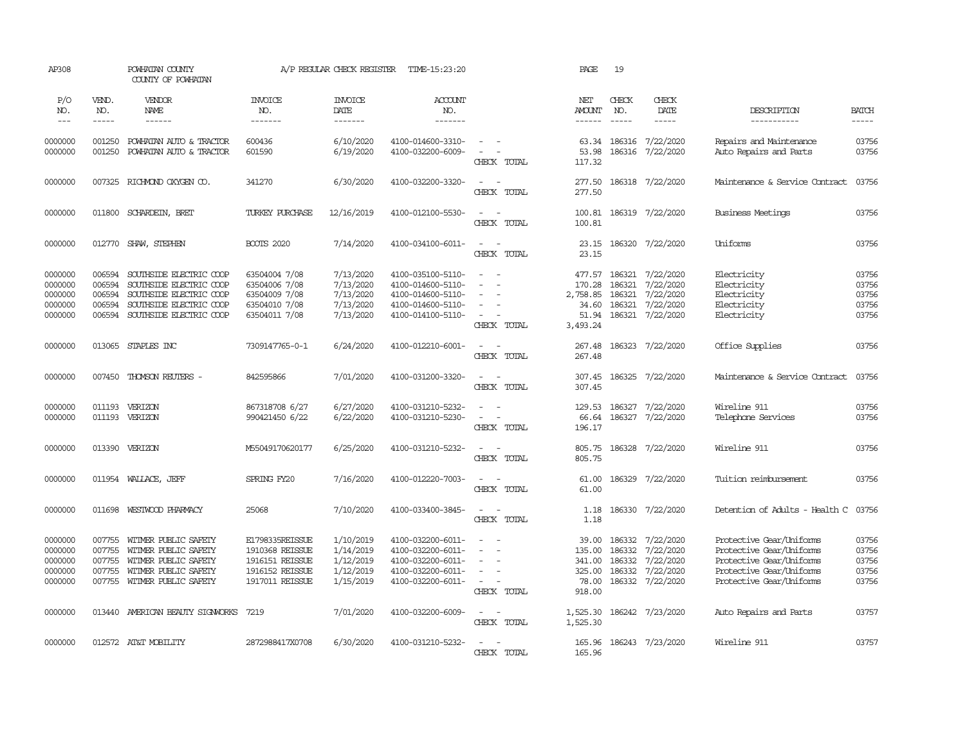| AP308                                               |                                                | POWHATAN COUNTY<br>COUNTY OF POWHATAN                                                                                               |                                                                                             | A/P REGULAR CHECK REGISTER                                    | TIME-15:23:20                                                                                         |                                                                                                                                                 | PAGE                                                       | 19                                   |                                                                      |                                                                                                                                          |                                           |
|-----------------------------------------------------|------------------------------------------------|-------------------------------------------------------------------------------------------------------------------------------------|---------------------------------------------------------------------------------------------|---------------------------------------------------------------|-------------------------------------------------------------------------------------------------------|-------------------------------------------------------------------------------------------------------------------------------------------------|------------------------------------------------------------|--------------------------------------|----------------------------------------------------------------------|------------------------------------------------------------------------------------------------------------------------------------------|-------------------------------------------|
| P/O<br>NO.<br>$\frac{1}{2}$                         | VEND.<br>NO.<br>-----                          | VENDOR<br>NAME<br>$- - - - - -$                                                                                                     | <b>INVOICE</b><br>NO.<br>-------                                                            | <b>INVOICE</b><br>DATE<br>--------                            | ACCOUNT<br>NO.<br>-------                                                                             |                                                                                                                                                 | NET<br>AMOUNT                                              | CHECK<br>NO.<br>$\frac{1}{2}$        | CHECK<br>DATE<br>$\frac{1}{2}$                                       | DESCRIPTION<br>------------                                                                                                              | <b>BATCH</b><br>$\frac{1}{2}$             |
| 0000000                                             | 001250                                         | POWHATAN AUTO & TRACTOR                                                                                                             | 600436                                                                                      | 6/10/2020                                                     | 4100-014600-3310-                                                                                     | $\overline{\phantom{a}}$                                                                                                                        | $- - - - - -$<br>63.34                                     | 186316                               | 7/22/2020                                                            | Repairs and Maintenance                                                                                                                  | 03756                                     |
| 0000000                                             | 001250                                         | POWHATAN AUTO & TRACTOR                                                                                                             | 601590                                                                                      | 6/19/2020                                                     | 4100-032200-6009-                                                                                     | $\overline{\phantom{a}}$<br>CHECK TOTAL                                                                                                         | 53.98<br>117.32                                            | 186316                               | 7/22/2020                                                            | Auto Repairs and Parts                                                                                                                   | 03756                                     |
| 0000000                                             | 007325                                         | RICHMOND OXYGEN CO.                                                                                                                 | 341270                                                                                      | 6/30/2020                                                     | 4100-032200-3320-                                                                                     | $\sim$<br>$\sim$<br>CHECK TOTAL                                                                                                                 | 277.50<br>277.50                                           |                                      | 186318 7/22/2020                                                     | Maintenance & Service Contract                                                                                                           | 03756                                     |
| 0000000                                             | 011800                                         | SCHARDEIN, BRET                                                                                                                     | TURKEY PURCHASE                                                                             | 12/16/2019                                                    | 4100-012100-5530-                                                                                     | $\sim$<br>$\sim$<br>CHECK TOTAL                                                                                                                 | 100.81<br>100.81                                           |                                      | 186319 7/22/2020                                                     | Business Meetings                                                                                                                        | 03756                                     |
| 0000000                                             |                                                | 012770 SHAW, STEPHEN                                                                                                                | <b>BOOTS 2020</b>                                                                           | 7/14/2020                                                     | 4100-034100-6011-                                                                                     | $\overline{\phantom{a}}$<br>$\sim$<br>CHECK TOTAL                                                                                               | 23.15<br>23.15                                             |                                      | 186320 7/22/2020                                                     | Uniforms                                                                                                                                 | 03756                                     |
| 0000000<br>0000000<br>0000000<br>0000000<br>0000000 | 006594<br>006594<br>006594<br>006594<br>006594 | SOUTHSIDE ELECTRIC COOP<br>SOUTHSIDE ELECTRIC COOP<br>SOUTHSIDE ELECTRIC COOP<br>SOUTHSIDE ELECTRIC COOP<br>SOUTHSIDE ELECTRIC COOP | 63504004 7/08<br>63504006 7/08<br>63504009 7/08<br>63504010 7/08<br>63504011 7/08           | 7/13/2020<br>7/13/2020<br>7/13/2020<br>7/13/2020<br>7/13/2020 | 4100-035100-5110-<br>4100-014600-5110-<br>4100-014600-5110-<br>4100-014600-5110-<br>4100-014100-5110- | $\sim$<br>$\sim$<br>$\overline{\phantom{a}}$<br>$\sim$<br>$\sim$<br>$\sim$<br>$\overline{\phantom{a}}$<br>CHECK TOTAL                           | 477.57<br>170.28<br>2,758.85<br>34.60<br>51.94<br>3,493.24 | 186321<br>186321<br>186321<br>186321 | 7/22/2020<br>7/22/2020<br>7/22/2020<br>7/22/2020<br>186321 7/22/2020 | Electricity<br>Electricity<br>Electricity<br>Electricity<br>Electricity                                                                  | 03756<br>03756<br>03756<br>03756<br>03756 |
| 0000000                                             |                                                | 013065 STAPLES INC                                                                                                                  | 7309147765-0-1                                                                              | 6/24/2020                                                     | 4100-012210-6001-                                                                                     | $\sim$ $ \sim$<br>CHECK TOTAL                                                                                                                   | 267.48<br>267.48                                           |                                      | 186323 7/22/2020                                                     | Office Supplies                                                                                                                          | 03756                                     |
| 0000000                                             | 007450                                         | THOMSON REUTERS -                                                                                                                   | 842595866                                                                                   | 7/01/2020                                                     | 4100-031200-3320-                                                                                     | $\sim$<br>$\sim$<br>CHECK TOTAL                                                                                                                 | 307.45<br>307.45                                           |                                      | 186325 7/22/2020                                                     | Maintenance & Service Contract                                                                                                           | 03756                                     |
| 0000000<br>0000000                                  | 011193<br>011193                               | VERIZON<br>VERIZON                                                                                                                  | 867318708 6/27<br>990421450 6/22                                                            | 6/27/2020<br>6/22/2020                                        | 4100-031210-5232-<br>4100-031210-5230-                                                                | $\sim$<br>$\sim$<br>CHECK TOTAL                                                                                                                 | 129.53<br>66.64<br>196.17                                  | 186327                               | 7/22/2020<br>186327 7/22/2020                                        | Wireline 911<br>Telephone Services                                                                                                       | 03756<br>03756                            |
| 0000000                                             | 013390                                         | VERIZON                                                                                                                             | M55049170620177                                                                             | 6/25/2020                                                     | 4100-031210-5232-                                                                                     | $\overline{\phantom{a}}$<br>$\overline{\phantom{a}}$<br>CHECK TOTAL                                                                             | 805.75<br>805.75                                           |                                      | 186328 7/22/2020                                                     | Wireline 911                                                                                                                             | 03756                                     |
| 0000000                                             | 011954                                         | WALLACE, JEFF                                                                                                                       | SPRING FY20                                                                                 | 7/16/2020                                                     | 4100-012220-7003-                                                                                     | $\overline{\phantom{a}}$<br>$\sim$<br>CHECK TOTAL                                                                                               | 61.00<br>61.00                                             |                                      | 186329 7/22/2020                                                     | Tuition reimbursement                                                                                                                    | 03756                                     |
| 0000000                                             | 011698                                         | WESTWOOD PHARMACY                                                                                                                   | 25068                                                                                       | 7/10/2020                                                     | 4100-033400-3845-                                                                                     | $\sim$<br>$\sim$<br>CHECK TOTAL                                                                                                                 | 1.18<br>1.18                                               |                                      | 186330 7/22/2020                                                     | Detention of Adults - Health C                                                                                                           | 03756                                     |
| 0000000<br>0000000<br>0000000<br>0000000<br>0000000 | 007755<br>007755<br>007755<br>007755<br>007755 | WITMER PUBLIC SAFETY<br>WITMER PUBLIC SAFETY<br>WITMER PUBLIC SAFETY<br>WITMER PUBLIC SAFETY<br>WITMER PUBLIC SAFETY                | E1798335REISSUE<br>1910368 REISSUE<br>1916151 REISSUE<br>1916152 REISSUE<br>1917011 REISSUE | 1/10/2019<br>1/14/2019<br>1/12/2019<br>1/12/2019<br>1/15/2019 | 4100-032200-6011-<br>4100-032200-6011-<br>4100-032200-6011-<br>4100-032200-6011-<br>4100-032200-6011- | $\frac{1}{2} \left( \frac{1}{2} \right) \left( \frac{1}{2} \right) = \frac{1}{2} \left( \frac{1}{2} \right)$<br>$\sim$<br>$\sim$<br>CHECK TOTAL | 39.00<br>135.00<br>341.00<br>325.00<br>78.00<br>918.00     | 186332<br>186332<br>186332<br>186332 | 7/22/2020<br>7/22/2020<br>7/22/2020<br>7/22/2020<br>186332 7/22/2020 | Protective Gear/Uniforms<br>Protective Gear/Uniforms<br>Protective Gear/Uniforms<br>Protective Gear/Uniforms<br>Protective Gear/Uniforms | 03756<br>03756<br>03756<br>03756<br>03756 |
| 0000000                                             |                                                | 013440 AMERICAN BEAUTY SIGNWORKS                                                                                                    | 7219                                                                                        | 7/01/2020                                                     | 4100-032200-6009-                                                                                     | $\sim$ $ \sim$<br>CHECK TOTAL                                                                                                                   | 1,525.30<br>1,525.30                                       |                                      | 186242 7/23/2020                                                     | Auto Repairs and Parts                                                                                                                   | 03757                                     |
| 0000000                                             |                                                | 012572 AT&T MOBILITY                                                                                                                | 2872988417X0708                                                                             | 6/30/2020                                                     | 4100-031210-5232-                                                                                     | $\sim$<br>$\sim$<br>CHECK TOTAL                                                                                                                 | 165.96<br>165.96                                           |                                      | 186243 7/23/2020                                                     | Wireline 911                                                                                                                             | 03757                                     |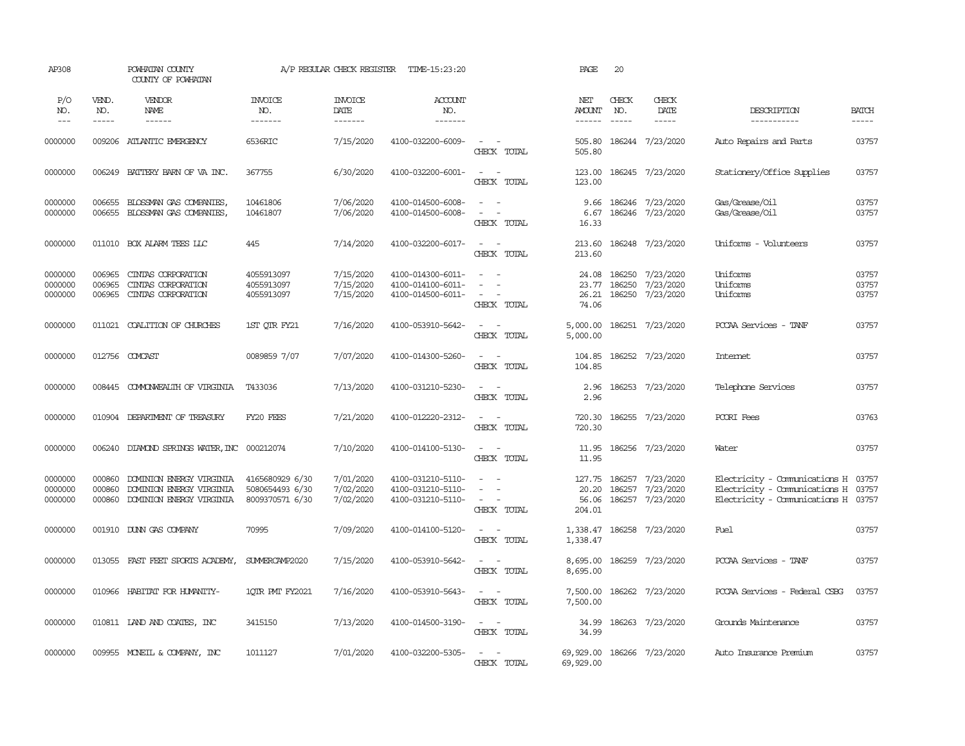| AP308                         |                             | POWHATAN COUNTY<br>COUNTY OF POWHATAN                                            |                                                       | A/P REGULAR CHECK REGISTER                | TIME-15:23:20                                               |                                                                       | PAGE                               | 20                            |                                                   |                                                                                                                   |                         |
|-------------------------------|-----------------------------|----------------------------------------------------------------------------------|-------------------------------------------------------|-------------------------------------------|-------------------------------------------------------------|-----------------------------------------------------------------------|------------------------------------|-------------------------------|---------------------------------------------------|-------------------------------------------------------------------------------------------------------------------|-------------------------|
| P/O<br>NO.<br>$---$           | VEND.<br>NO.<br>$- - - - -$ | VENDOR<br>NAME<br>$- - - - - -$                                                  | <b>INVOICE</b><br>NO.<br>-------                      | <b>INVOICE</b><br>DATE<br>$- - - - - - -$ | <b>ACCOUNT</b><br>NO.<br>$- - - - - - -$                    |                                                                       | NET<br>AMOUNT<br>$- - - - - -$     | CHECK<br>NO.<br>$\frac{1}{2}$ | CHECK<br>DATE<br>$- - - - -$                      | DESCRIPTION<br>-----------                                                                                        | <b>BATCH</b><br>-----   |
| 0000000                       | 009206                      | ATLANTIC EMERGENCY                                                               | 6536RIC                                               | 7/15/2020                                 | 4100-032200-6009-                                           | $\sim$ $ \sim$<br>CHECK TOTAL                                         | 505.80<br>505.80                   |                               | 186244 7/23/2020                                  | Auto Repairs and Parts                                                                                            | 03757                   |
| 0000000                       | 006249                      | BATTERY BARN OF VA INC.                                                          | 367755                                                | 6/30/2020                                 | 4100-032200-6001-                                           | $\sim$ $-$<br>$\sim$<br>CHECK TOTAL                                   | 123.00<br>123.00                   |                               | 186245 7/23/2020                                  | Stationery/Office Supplies                                                                                        | 03757                   |
| 0000000<br>0000000            | 006655<br>006655            | BLOSSMAN GAS COMPANIES,<br>BLOSSMAN GAS COMPANIES,                               | 10461806<br>10461807                                  | 7/06/2020<br>7/06/2020                    | 4100-014500-6008-<br>4100-014500-6008-                      | $\equiv$<br>$\sim$<br>$\sim$<br>CHECK TOTAL                           | 9.66<br>6.67<br>16.33              |                               | 186246 7/23/2020<br>186246 7/23/2020              | Gas/Grease/Oil<br>Gas/Grease/Oil                                                                                  | 03757<br>03757          |
| 0000000                       | 011010                      | BOX ALARM TEES LLC                                                               | 445                                                   | 7/14/2020                                 | 4100-032200-6017-                                           | $\sim$ $\sim$<br>CHECK TOTAL                                          | 213.60<br>213.60                   |                               | 186248 7/23/2020                                  | Uniforms - Volunteers                                                                                             | 03757                   |
| 0000000<br>0000000<br>0000000 | 006965<br>006965<br>006965  | CINIAS CORPORATION<br>CINTAS CORPORATION<br>CINIAS CORPORATION                   | 4055913097<br>4055913097<br>4055913097                | 7/15/2020<br>7/15/2020<br>7/15/2020       | 4100-014300-6011-<br>4100-014100-6011-<br>4100-014500-6011- | $\sim$<br>$\overline{\phantom{a}}$<br>$\sim$<br>$\sim$<br>CHECK TOTAL | 24.08<br>23.77<br>26.21<br>74.06   | 186250<br>186250<br>186250    | 7/23/2020<br>7/23/2020<br>7/23/2020               | Uniforms<br>Uniforms<br>Uniforms                                                                                  | 03757<br>03757<br>03757 |
| 0000000                       |                             | 011021 COALITION OF CHURCHES                                                     | 1ST QTR FY21                                          | 7/16/2020                                 | 4100-053910-5642-                                           | $\sim$ $ \sim$<br>CHECK TOTAL                                         | 5,000.00<br>5,000.00               |                               | 186251 7/23/2020                                  | PCCAA Services - TANF                                                                                             | 03757                   |
| 0000000                       | 012756                      | COMCAST                                                                          | 0089859 7/07                                          | 7/07/2020                                 | 4100-014300-5260-                                           | $\sim$ $ \sim$<br>CHECK TOTAL                                         | 104.85<br>104.85                   |                               | 186252 7/23/2020                                  | Internet                                                                                                          | 03757                   |
| 0000000                       | 008445                      | COMONWEALTH OF VIRGINIA                                                          | T433036                                               | 7/13/2020                                 | 4100-031210-5230-                                           | $\sim$ $ \sim$<br>CHECK TOTAL                                         | 2.96<br>2.96                       |                               | 186253 7/23/2020                                  | Telephone Services                                                                                                | 03757                   |
| 0000000                       | 010904                      | DEPARIMENT OF TREASURY                                                           | FY20 FEES                                             | 7/21/2020                                 | 4100-012220-2312-                                           | $\sim$<br>$\overline{\phantom{a}}$<br>CHECK TOTAL                     | 720.30<br>720.30                   |                               | 186255 7/23/2020                                  | PCORI Fees                                                                                                        | 03763                   |
| 0000000                       | 006240                      | DIAMOND SPRINGS WATER, INC 000212074                                             |                                                       | 7/10/2020                                 | 4100-014100-5130-                                           | $\sim$<br>$\sim$<br>CHECK TOTAL                                       | 11.95<br>11.95                     |                               | 186256 7/23/2020                                  | Water                                                                                                             | 03757                   |
| 0000000<br>0000000<br>0000000 | 000860<br>000860<br>000860  | DOMINION ENERGY VIRGINIA<br>DOMINION ENERGY VIRGINIA<br>DOMINION ENERGY VIRGINIA | 4165680929 6/30<br>5080654493 6/30<br>8009370571 6/30 | 7/01/2020<br>7/02/2020<br>7/02/2020       | 4100-031210-5110-<br>4100-031210-5110-<br>4100-031210-5110- | $\sim$ $\sim$<br>$\sim$<br>$\sim$<br>$\sim$<br>CHECK TOTAL            | 127.75<br>20.20<br>56.06<br>204.01 | 186257                        | 186257 7/23/2020<br>7/23/2020<br>186257 7/23/2020 | Electricity - Comunications H 03757<br>Electricity - Comunications H 03757<br>Electricity - Comunications H 03757 |                         |
| 0000000                       | 001910                      | DUNN GAS COMPANY                                                                 | 70995                                                 | 7/09/2020                                 | 4100-014100-5120-                                           | $\sim$<br>CHECK TOTAL                                                 | 1,338.47<br>1,338.47               |                               | 186258 7/23/2020                                  | Fuel                                                                                                              | 03757                   |
| 0000000                       | 013055                      | FAST FEET SPORTS ACADEMY,                                                        | SUMERCAMP2020                                         | 7/15/2020                                 | 4100-053910-5642-                                           | $\sim$<br>CHECK TOTAL                                                 | 8,695.00<br>8,695.00               |                               | 186259 7/23/2020                                  | PCCAA Services - TANF                                                                                             | 03757                   |
| 0000000                       |                             | 010966 HABITAT FOR HUMANITY-                                                     | 10IR PMT FY2021                                       | 7/16/2020                                 | 4100-053910-5643-                                           | $\sim$<br>$\sim$<br>CHECK TOTAL                                       | 7,500.00<br>7,500.00               |                               | 186262 7/23/2020                                  | PCCAA Services - Federal CSBG                                                                                     | 03757                   |
| 0000000                       |                             | 010811 IAND AND COATES, INC                                                      | 3415150                                               | 7/13/2020                                 | 4100-014500-3190-                                           | $\sim$<br>$\sim$<br>CHECK TOTAL                                       | 34.99<br>34.99                     |                               | 186263 7/23/2020                                  | Grounds Maintenance                                                                                               | 03757                   |
| 0000000                       |                             | 009955 MONEIL & COMPANY, INC                                                     | 1011127                                               | 7/01/2020                                 | 4100-032200-5305-                                           | $\sim$<br>$\sim$<br>CHECK TOTAL                                       | 69,929.00<br>69,929.00             |                               | 186266 7/23/2020                                  | Auto Insurance Premium                                                                                            | 03757                   |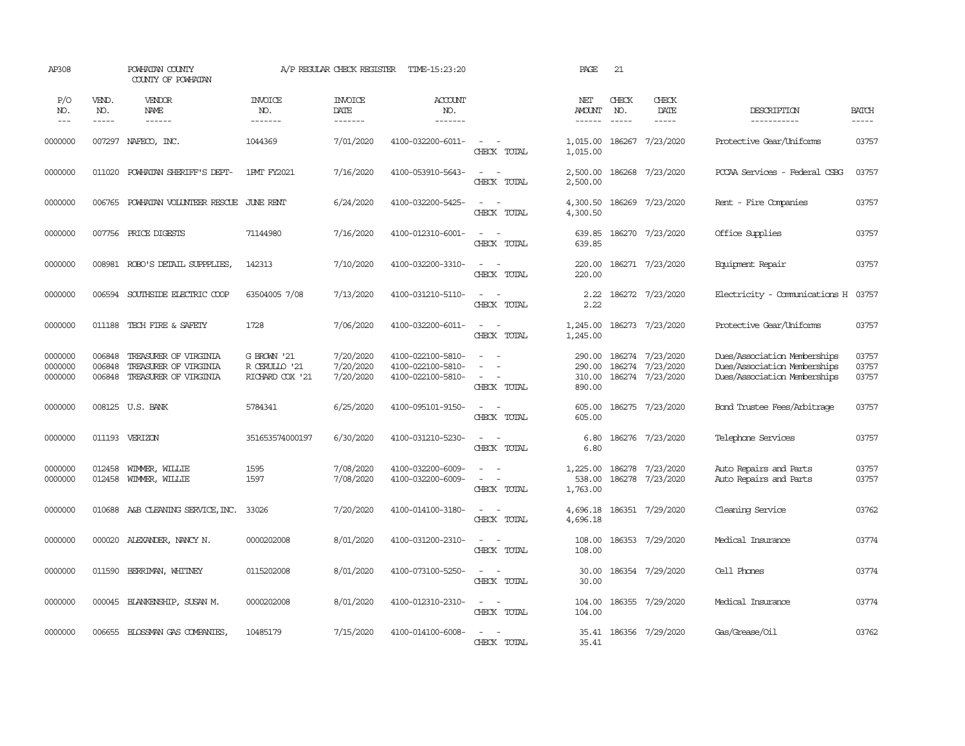| AP308                         |                             | POWHATAN COUNTY<br>COUNTY OF POWHATAN                                                                                                                                                                                                                                                                                                                                                                                                                                                                    |                                                 | A/P REGULAR CHECK REGISTER          | TIME-15:23:20                                               |                                                                                             | PAGE                                  | 21                            |                                                          |                                                                                              |                         |
|-------------------------------|-----------------------------|----------------------------------------------------------------------------------------------------------------------------------------------------------------------------------------------------------------------------------------------------------------------------------------------------------------------------------------------------------------------------------------------------------------------------------------------------------------------------------------------------------|-------------------------------------------------|-------------------------------------|-------------------------------------------------------------|---------------------------------------------------------------------------------------------|---------------------------------------|-------------------------------|----------------------------------------------------------|----------------------------------------------------------------------------------------------|-------------------------|
| P/O<br>NO.<br>$---$           | VEND.<br>NO.<br>$- - - - -$ | VENDOR<br>NAME<br>$\begin{array}{cccccccccc} \multicolumn{2}{c}{} & \multicolumn{2}{c}{} & \multicolumn{2}{c}{} & \multicolumn{2}{c}{} & \multicolumn{2}{c}{} & \multicolumn{2}{c}{} & \multicolumn{2}{c}{} & \multicolumn{2}{c}{} & \multicolumn{2}{c}{} & \multicolumn{2}{c}{} & \multicolumn{2}{c}{} & \multicolumn{2}{c}{} & \multicolumn{2}{c}{} & \multicolumn{2}{c}{} & \multicolumn{2}{c}{} & \multicolumn{2}{c}{} & \multicolumn{2}{c}{} & \multicolumn{2}{c}{} & \multicolumn{2}{c}{} & \mult$ | <b>INVOICE</b><br>NO.<br>-------                | <b>INVOICE</b><br>DATE<br>-------   | <b>ACCOUNT</b><br>NO.<br>$- - - - - - -$                    |                                                                                             | NET<br><b>AMOUNT</b><br>$- - - - - -$ | CHECK<br>NO.<br>$\frac{1}{2}$ | CHECK<br>DATE<br>$- - - - -$                             | DESCRIPTION<br>-----------                                                                   | <b>BATCH</b><br>-----   |
| 0000000                       | 007297                      | NAFECO, INC.                                                                                                                                                                                                                                                                                                                                                                                                                                                                                             | 1044369                                         | 7/01/2020                           | 4100-032200-6011-                                           | $\overline{\phantom{a}}$<br>$\sim$ $-$<br>CHECK TOTAL                                       | 1,015.00<br>1,015.00                  | 186267                        | 7/23/2020                                                | Protective Gear/Uniforms                                                                     | 03757                   |
| 0000000                       | 011020                      | POWHATAN SHERIFF'S DEPT-                                                                                                                                                                                                                                                                                                                                                                                                                                                                                 | 1PMT FY2021                                     | 7/16/2020                           | 4100-053910-5643-                                           | $\sim$<br>$\sim$<br>CHECK TOTAL                                                             | 2,500.00<br>2,500.00                  |                               | 186268 7/23/2020                                         | PCCAA Services - Federal CSBG                                                                | 03757                   |
| 0000000                       | 006765                      | POWHATAN VOLUNTEER RESCUE                                                                                                                                                                                                                                                                                                                                                                                                                                                                                | JUNE RENT                                       | 6/24/2020                           | 4100-032200-5425-                                           | $\overline{\phantom{a}}$<br>$\sim$<br>CHECK TOTAL                                           | 4,300.50<br>4,300.50                  | 186269                        | 7/23/2020                                                | Rent - Fire Companies                                                                        | 03757                   |
| 0000000                       |                             | 007756 PRICE DIGESTS                                                                                                                                                                                                                                                                                                                                                                                                                                                                                     | 71144980                                        | 7/16/2020                           | 4100-012310-6001-                                           | $\sim$<br>$\sim$<br>CHECK TOTAL                                                             | 639.85<br>639.85                      |                               | 186270 7/23/2020                                         | Office Supplies                                                                              | 03757                   |
| 0000000                       |                             | 008981 ROBO'S DETAIL SUPPPLIES,                                                                                                                                                                                                                                                                                                                                                                                                                                                                          | 142313                                          | 7/10/2020                           | 4100-032200-3310-                                           | $\sim$ $\sim$<br>CHECK TOTAL                                                                | 220.00<br>220.00                      |                               | 186271 7/23/2020                                         | Equipment Repair                                                                             | 03757                   |
| 0000000                       | 006594                      | SOUTHSIDE ELECTRIC COOP                                                                                                                                                                                                                                                                                                                                                                                                                                                                                  | 63504005 7/08                                   | 7/13/2020                           | 4100-031210-5110-                                           | $\sim$<br>$\sim$<br>CHECK TOTAL                                                             | 2.22<br>2.22                          |                               | 186272 7/23/2020                                         | Electricity - Comunications H 03757                                                          |                         |
| 0000000                       | 011188                      | TECH FIRE & SAFETY                                                                                                                                                                                                                                                                                                                                                                                                                                                                                       | 1728                                            | 7/06/2020                           | 4100-032200-6011-                                           | $\sim$ $ -$<br>CHECK TOTAL                                                                  | 1,245.00<br>1,245.00                  |                               | 186273 7/23/2020                                         | Protective Gear/Uniforms                                                                     | 03757                   |
| 0000000<br>0000000<br>0000000 | 006848<br>006848<br>006848  | TREASURER OF VIRGINIA<br>TREASURER OF VIRGINIA<br>TREASURER OF VIRGINIA                                                                                                                                                                                                                                                                                                                                                                                                                                  | G BROWN '21<br>R CERULLO '21<br>RICHARD COX '21 | 7/20/2020<br>7/20/2020<br>7/20/2020 | 4100-022100-5810-<br>4100-022100-5810-<br>4100-022100-5810- | $\equiv$<br>$\equiv$<br>$\overline{\phantom{a}}$<br>$\overline{\phantom{a}}$<br>CHECK TOTAL | 290.00<br>290.00<br>310.00<br>890.00  |                               | 186274 7/23/2020<br>186274 7/23/2020<br>186274 7/23/2020 | Dues/Association Memberships<br>Dues/Association Memberships<br>Dues/Association Memberships | 03757<br>03757<br>03757 |
| 0000000                       |                             | 008125 U.S. BANK                                                                                                                                                                                                                                                                                                                                                                                                                                                                                         | 5784341                                         | 6/25/2020                           | 4100-095101-9150-                                           | $\sim$<br>$\sim$<br>CHECK TOTAL                                                             | 605.00<br>605.00                      |                               | 186275 7/23/2020                                         | <b>Bond Trustee Fees/Arbitrage</b>                                                           | 03757                   |
| 0000000                       |                             | 011193 VERIZON                                                                                                                                                                                                                                                                                                                                                                                                                                                                                           | 351653574000197                                 | 6/30/2020                           | 4100-031210-5230-                                           | $\sim$<br>$\sim$<br>CHECK TOTAL                                                             | 6.80<br>6.80                          |                               | 186276 7/23/2020                                         | Telephone Services                                                                           | 03757                   |
| 0000000<br>0000000            | 012458<br>012458            | WIMMER, WILLIE<br>WIMMER, WILLIE                                                                                                                                                                                                                                                                                                                                                                                                                                                                         | 1595<br>1597                                    | 7/08/2020<br>7/08/2020              | 4100-032200-6009-<br>4100-032200-6009-                      | $\sim$<br>$\sim$<br>$\overline{\phantom{a}}$<br>$\sim$<br>CHECK TOTAL                       | 1,225.00<br>538.00<br>1,763.00        | 186278<br>186278              | 7/23/2020<br>7/23/2020                                   | Auto Repairs and Parts<br>Auto Repairs and Parts                                             | 03757<br>03757          |
| 0000000                       | 010688                      | A&B CLEANING SERVICE, INC.                                                                                                                                                                                                                                                                                                                                                                                                                                                                               | 33026                                           | 7/20/2020                           | 4100-014100-3180-                                           | $\sim$ $ \sim$<br>CHECK TOTAL                                                               | 4,696.18<br>4,696.18                  |                               | 186351 7/29/2020                                         | Cleaning Service                                                                             | 03762                   |
| 0000000                       | 000020                      | ALEXANDER, NANCY N.                                                                                                                                                                                                                                                                                                                                                                                                                                                                                      | 0000202008                                      | 8/01/2020                           | 4100-031200-2310-                                           | $\sim$<br>$\sim$<br>CHECK TOTAL                                                             | 108.00<br>108.00                      |                               | 186353 7/29/2020                                         | Medical Insurance                                                                            | 03774                   |
| 0000000                       | 011590                      | BERRIMAN, WHITNEY                                                                                                                                                                                                                                                                                                                                                                                                                                                                                        | 0115202008                                      | 8/01/2020                           | 4100-073100-5250-                                           | $\sim$<br>$\sim$<br>CHECK TOTAL                                                             | 30.00<br>30.00                        |                               | 186354 7/29/2020                                         | Cell Phones                                                                                  | 03774                   |
| 0000000                       | 000045                      | BLANKENSHIP, SUSAN M.                                                                                                                                                                                                                                                                                                                                                                                                                                                                                    | 0000202008                                      | 8/01/2020                           | 4100-012310-2310-                                           | $\sim$ $ \sim$<br>CHECK TOTAL                                                               | 104.00<br>104.00                      |                               | 186355 7/29/2020                                         | Medical Insurance                                                                            | 03774                   |
| 0000000                       | 006655                      | BLOSSMAN GAS COMPANIES                                                                                                                                                                                                                                                                                                                                                                                                                                                                                   | 10485179                                        | 7/15/2020                           | 4100-014100-6008-                                           | $\equiv$<br>$\sim$<br>CHECK TOTAL                                                           | 35.41                                 |                               | 35.41 186356 7/29/2020                                   | Gas/Grease/Oil                                                                               | 03762                   |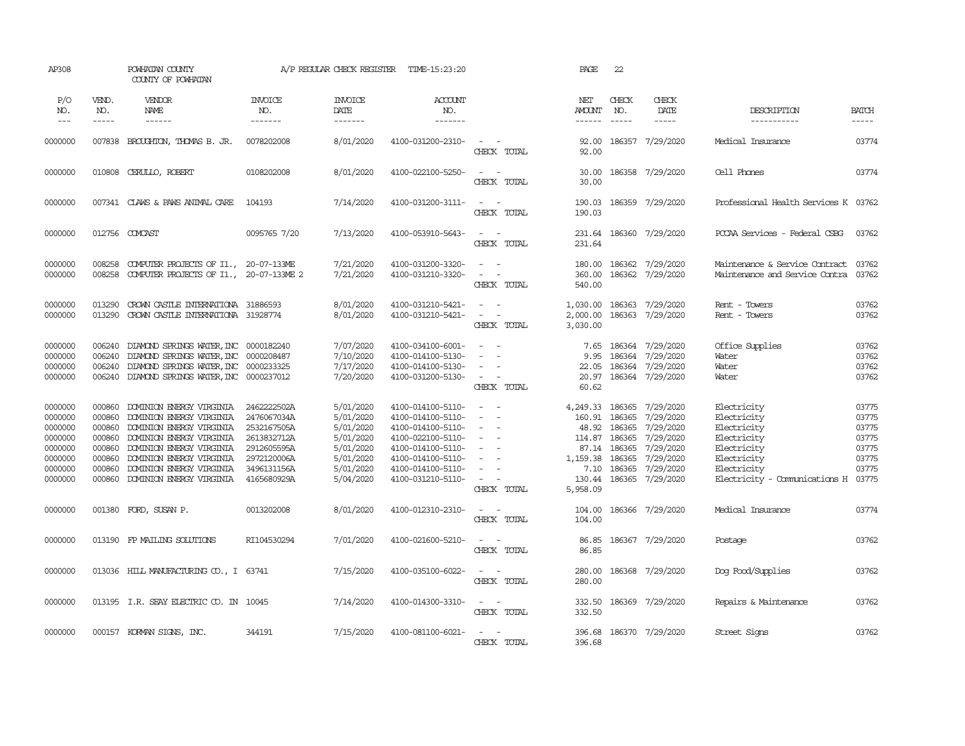| AP308                                                                                |                                                                              | POWHATAN COUNTY<br>COUNTY OF POWHATAN                                                                                                                                                                                                                                                                                                                                                                                                                                                                    |                                                                                                                      | A/P REGULAR CHECK REGISTER                                                                           | TIME-15:23:20                                                                                                                                                        |                                                                                                                            |             | PAGE                                                                                     | 22                                                                 |                                                                                                             |                                                                                                                                              |                                                             |
|--------------------------------------------------------------------------------------|------------------------------------------------------------------------------|----------------------------------------------------------------------------------------------------------------------------------------------------------------------------------------------------------------------------------------------------------------------------------------------------------------------------------------------------------------------------------------------------------------------------------------------------------------------------------------------------------|----------------------------------------------------------------------------------------------------------------------|------------------------------------------------------------------------------------------------------|----------------------------------------------------------------------------------------------------------------------------------------------------------------------|----------------------------------------------------------------------------------------------------------------------------|-------------|------------------------------------------------------------------------------------------|--------------------------------------------------------------------|-------------------------------------------------------------------------------------------------------------|----------------------------------------------------------------------------------------------------------------------------------------------|-------------------------------------------------------------|
| P/O<br>NO.<br>$---$                                                                  | VEND.<br>NO.<br>$\frac{1}{2}$                                                | VENDOR<br>NAME<br>$\begin{array}{cccccccccc} \multicolumn{2}{c}{} & \multicolumn{2}{c}{} & \multicolumn{2}{c}{} & \multicolumn{2}{c}{} & \multicolumn{2}{c}{} & \multicolumn{2}{c}{} & \multicolumn{2}{c}{} & \multicolumn{2}{c}{} & \multicolumn{2}{c}{} & \multicolumn{2}{c}{} & \multicolumn{2}{c}{} & \multicolumn{2}{c}{} & \multicolumn{2}{c}{} & \multicolumn{2}{c}{} & \multicolumn{2}{c}{} & \multicolumn{2}{c}{} & \multicolumn{2}{c}{} & \multicolumn{2}{c}{} & \multicolumn{2}{c}{} & \mult$ | <b>INVOICE</b><br>NO.<br>$- - - - - - -$                                                                             | <b>INVOICE</b><br>DATE<br>-------                                                                    | ACCOUNT<br>NO.<br>$- - - - - - -$                                                                                                                                    |                                                                                                                            |             | NET<br><b>AMOUNT</b><br>$- - - - - -$                                                    | CHECK<br>NO.<br>$- - - - -$                                        | CHECK<br>DATE<br>$\frac{1}{2}$                                                                              | DESCRIPTION<br>-----------                                                                                                                   | <b>BATCH</b><br>-----                                       |
| 0000000                                                                              | 007838                                                                       | BROUGHTON, THOMAS B. JR.                                                                                                                                                                                                                                                                                                                                                                                                                                                                                 | 0078202008                                                                                                           | 8/01/2020                                                                                            | 4100-031200-2310-                                                                                                                                                    | $\overline{\phantom{a}}$                                                                                                   | CHECK TOTAL | 92.00<br>92.00                                                                           |                                                                    | 186357 7/29/2020                                                                                            | Medical Insurance                                                                                                                            | 03774                                                       |
| 0000000                                                                              | 010808                                                                       | CERULLO, ROBERT                                                                                                                                                                                                                                                                                                                                                                                                                                                                                          | 0108202008                                                                                                           | 8/01/2020                                                                                            | 4100-022100-5250-                                                                                                                                                    | $\sim$<br>$\sim$                                                                                                           | CHECK TOTAL | 30.00<br>30.00                                                                           |                                                                    | 186358 7/29/2020                                                                                            | Cell Phones                                                                                                                                  | 03774                                                       |
| 0000000                                                                              |                                                                              | 007341 CLAWS & PAWS ANIMAL CARE                                                                                                                                                                                                                                                                                                                                                                                                                                                                          | 104193                                                                                                               | 7/14/2020                                                                                            | 4100-031200-3111-                                                                                                                                                    | $\sim$ $-$<br>$\sim$<br>CHECK TOTAL                                                                                        |             | 190.03<br>190.03                                                                         |                                                                    | 186359 7/29/2020                                                                                            | Professional Health Services K 03762                                                                                                         |                                                             |
| 0000000                                                                              |                                                                              | 012756 COMCAST                                                                                                                                                                                                                                                                                                                                                                                                                                                                                           | 0095765 7/20                                                                                                         | 7/13/2020                                                                                            | 4100-053910-5643-                                                                                                                                                    | $\sim$<br>$\sim$ $-$                                                                                                       | CHECK TOTAL | 231.64<br>231.64                                                                         |                                                                    | 186360 7/29/2020                                                                                            | PCCAA Services - Federal CSBG                                                                                                                | 03762                                                       |
| 0000000<br>0000000                                                                   | 008258<br>008258                                                             | COMPUTER PROJECTS OF I1., 20-07-133ME<br>COMPUTER PROJECTS OF I1., 20-07-133ME 2                                                                                                                                                                                                                                                                                                                                                                                                                         |                                                                                                                      | 7/21/2020<br>7/21/2020                                                                               | 4100-031200-3320-<br>4100-031210-3320-                                                                                                                               | $\omega_{\rm{max}}$ and $\omega_{\rm{max}}$<br>$\sim$<br>$\sim$                                                            | CHECK TOTAL | 180.00<br>360.00<br>540.00                                                               |                                                                    | 186362 7/29/2020<br>186362 7/29/2020                                                                        | Maintenance & Service Contract<br>Maintenance and Service Contra 03762                                                                       | 03762                                                       |
| 0000000<br>0000000                                                                   | 013290<br>013290                                                             | CROWN CASTLE INTERNATIONA 31886593<br>CROWN CASTLE INTERNATIONA 31928774                                                                                                                                                                                                                                                                                                                                                                                                                                 |                                                                                                                      | 8/01/2020<br>8/01/2020                                                                               | 4100-031210-5421-<br>4100-031210-5421-                                                                                                                               | $\sim$<br>$\sim$<br>$\sim$                                                                                                 | CHECK TOTAL | 1,030.00<br>2,000.00<br>3,030.00                                                         | 186363                                                             | 7/29/2020<br>186363 7/29/2020                                                                               | Rent - Towers<br>Rent - Towers                                                                                                               | 03762<br>03762                                              |
| 0000000<br>0000000<br>0000000<br>0000000                                             | 006240<br>006240<br>006240<br>006240                                         | DIAMOND SPRINGS WATER, INC 0000182240<br>DIAMOND SPRINGS WATER, INC 0000208487<br>DIAMOND SPRINGS WATER, INC 0000233325<br>DIAMOND SPRINGS WATER, INC 0000237012                                                                                                                                                                                                                                                                                                                                         |                                                                                                                      | 7/07/2020<br>7/10/2020<br>7/17/2020<br>7/20/2020                                                     | 4100-034100-6001-<br>4100-014100-5130-<br>4100-014100-5130-<br>4100-031200-5130-                                                                                     | $\sim$<br>$\sim$<br>$\sim$<br>$\sim$<br>$\sim$                                                                             | CHECK TOTAL | 7.65<br>9.95<br>22.05<br>20.97<br>60.62                                                  | 186364<br>186364                                                   | 7/29/2020<br>7/29/2020<br>186364 7/29/2020<br>186364 7/29/2020                                              | Office Supplies<br>Water<br>Water<br>Water                                                                                                   | 03762<br>03762<br>03762<br>03762                            |
| 0000000<br>0000000<br>0000000<br>0000000<br>0000000<br>0000000<br>0000000<br>0000000 | 000860<br>000860<br>000860<br>000860<br>000860<br>000860<br>000860<br>000860 | DOMINION ENERGY VIRGINIA<br>DOMINION ENERGY VIRGINIA<br>DOMINION ENERGY VIRGINIA<br>DOMINION ENERGY VIRGINIA<br>DOMINION ENERGY VIRGINIA<br>DOMINION ENERGY VIRGINIA<br>DOMINION ENERGY VIRGINIA<br>DOMINION ENERGY VIRGINIA                                                                                                                                                                                                                                                                             | 2462222502A<br>2476067034A<br>2532167505A<br>2613832712A<br>2912605595A<br>2972120006A<br>3496131156A<br>4165680929A | 5/01/2020<br>5/01/2020<br>5/01/2020<br>5/01/2020<br>5/01/2020<br>5/01/2020<br>5/01/2020<br>5/04/2020 | 4100-014100-5110-<br>4100-014100-5110-<br>4100-014100-5110-<br>4100-022100-5110-<br>4100-014100-5110-<br>4100-014100-5110-<br>4100-014100-5110-<br>4100-031210-5110- | $\sim$<br>$\sim$ $\sim$<br>$\overline{\phantom{a}}$<br>$\sim$<br>$\sim$<br>$\sim$<br>$\equiv$<br>$\equiv$<br>$\sim$ $\sim$ | CHECK TOTAL | 4,249.33<br>160.91<br>48.92<br>114.87<br>87.14<br>1,159.38<br>7.10<br>130.44<br>5,958.09 | 186365<br>186365<br>186365<br>186365<br>186365<br>186365<br>186365 | 7/29/2020<br>7/29/2020<br>7/29/2020<br>7/29/2020<br>7/29/2020<br>7/29/2020<br>7/29/2020<br>186365 7/29/2020 | Electricity<br>Electricity<br>Electricity<br>Electricity<br>Electricity<br>Electricity<br>Electricity<br>Electricity - Comunications H 03775 | 03775<br>03775<br>03775<br>03775<br>03775<br>03775<br>03775 |
| 0000000                                                                              |                                                                              | 001380 FORD, SUSAN P.                                                                                                                                                                                                                                                                                                                                                                                                                                                                                    | 0013202008                                                                                                           | 8/01/2020                                                                                            | 4100-012310-2310-                                                                                                                                                    | $\sim$ $ \sim$                                                                                                             | CHECK TOTAL | 104.00<br>104.00                                                                         |                                                                    | 186366 7/29/2020                                                                                            | Medical Insurance                                                                                                                            | 03774                                                       |
| 0000000                                                                              |                                                                              | 013190 FP MAILING SOLUTIONS                                                                                                                                                                                                                                                                                                                                                                                                                                                                              | RI104530294                                                                                                          | 7/01/2020                                                                                            | 4100-021600-5210-                                                                                                                                                    | $\sim$ $ -$                                                                                                                | CHECK TOTAL | 86.85<br>86.85                                                                           |                                                                    | 186367 7/29/2020                                                                                            | Postage                                                                                                                                      | 03762                                                       |
| 0000000                                                                              |                                                                              | 013036 HILL MANUFACTURING CO., I 63741                                                                                                                                                                                                                                                                                                                                                                                                                                                                   |                                                                                                                      | 7/15/2020                                                                                            | 4100-035100-6022-                                                                                                                                                    | $\sim$ $ \sim$                                                                                                             | CHECK TOTAL | 280.00<br>280.00                                                                         |                                                                    | 186368 7/29/2020                                                                                            | Dog Food/Supplies                                                                                                                            | 03762                                                       |
| 0000000                                                                              |                                                                              | 013195 I.R. SEAY ELECTRIC CO. IN 10045                                                                                                                                                                                                                                                                                                                                                                                                                                                                   |                                                                                                                      | 7/14/2020                                                                                            | 4100-014300-3310-                                                                                                                                                    | $\sim$ $ -$                                                                                                                | CHECK TOTAL | 332.50<br>332.50                                                                         |                                                                    | 186369 7/29/2020                                                                                            | Repairs & Maintenance                                                                                                                        | 03762                                                       |
| 0000000                                                                              |                                                                              | 000157 KORMAN SIGNS, INC.                                                                                                                                                                                                                                                                                                                                                                                                                                                                                | 344191                                                                                                               | 7/15/2020                                                                                            | 4100-081100-6021-                                                                                                                                                    | $\sim$<br>$\sim$                                                                                                           | CHECK TOTAL | 396.68<br>396.68                                                                         |                                                                    | 186370 7/29/2020                                                                                            | Street Signs                                                                                                                                 | 03762                                                       |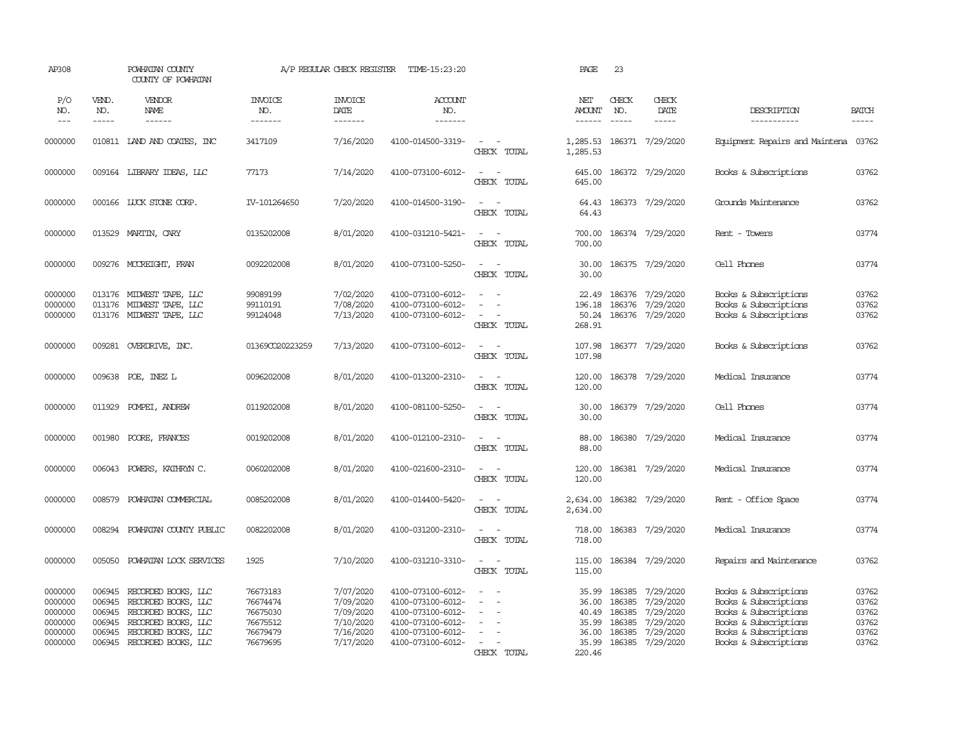| AP308                                                          |                                                | POWHATAN COUNTY<br>COUNTY OF POWHATAN                                                                                                         |                                                                      | A/P REGULAR CHECK REGISTER                                                 | TIME-15:23:20                                                                                                              |                                                                                                                                                                                 | PAGE                                                         | 23                                             |                                                                                   |                                                                                                                                                    |                                                    |
|----------------------------------------------------------------|------------------------------------------------|-----------------------------------------------------------------------------------------------------------------------------------------------|----------------------------------------------------------------------|----------------------------------------------------------------------------|----------------------------------------------------------------------------------------------------------------------------|---------------------------------------------------------------------------------------------------------------------------------------------------------------------------------|--------------------------------------------------------------|------------------------------------------------|-----------------------------------------------------------------------------------|----------------------------------------------------------------------------------------------------------------------------------------------------|----------------------------------------------------|
| P/O<br>NO.<br>$---$                                            | VEND.<br>NO.<br>-----                          | <b>VENDOR</b><br>NAME                                                                                                                         | <b>INVOICE</b><br>NO.<br>-------                                     | <b>INVOICE</b><br>DATE<br>$- - - - - - -$                                  | ACCOUNT<br>NO.<br>-------                                                                                                  |                                                                                                                                                                                 | NET<br>AMOUNT<br><b>______</b>                               | CHECK<br>NO.<br>$---$                          | CHECK<br>DATE<br>$- - - - -$                                                      | DESCRIPTION<br>-----------                                                                                                                         | <b>BATCH</b><br>$\frac{1}{2}$                      |
| 0000000                                                        |                                                | 010811 LAND AND COATES, INC                                                                                                                   | 3417109                                                              | 7/16/2020                                                                  | 4100-014500-3319-                                                                                                          | $\sim$<br>$\sim$ $-$<br>CHECK TOTAL                                                                                                                                             | 1,285.53<br>1,285.53                                         |                                                | 186371 7/29/2020                                                                  | Equipment Repairs and Maintena 03762                                                                                                               |                                                    |
| 0000000                                                        |                                                | 009164 LIBRARY IDEAS, LLC                                                                                                                     | 77173                                                                | 7/14/2020                                                                  | 4100-073100-6012-                                                                                                          | $\omega_{\rm{max}}$ and $\omega_{\rm{max}}$<br>CHECK TOTAL                                                                                                                      | 645.00<br>645.00                                             |                                                | 186372 7/29/2020                                                                  | Books & Subscriptions                                                                                                                              | 03762                                              |
| 0000000                                                        |                                                | 000166 LUCK STONE CORP.                                                                                                                       | IV-101264650                                                         | 7/20/2020                                                                  | 4100-014500-3190-                                                                                                          | $\sim$<br>$\sim$<br>CHECK TOTAL                                                                                                                                                 | 64.43<br>64.43                                               |                                                | 186373 7/29/2020                                                                  | Grounds Maintenance                                                                                                                                | 03762                                              |
| 0000000                                                        |                                                | 013529 MARTIN, CARY                                                                                                                           | 0135202008                                                           | 8/01/2020                                                                  | 4100-031210-5421-                                                                                                          | $\sim$ $ \sim$<br>CHECK TOTAL                                                                                                                                                   | 700.00<br>700.00                                             |                                                | 186374 7/29/2020                                                                  | Rent - Towers                                                                                                                                      | 03774                                              |
| 0000000                                                        |                                                | 009276 MCCREIGHT, FRAN                                                                                                                        | 0092202008                                                           | 8/01/2020                                                                  | 4100-073100-5250-                                                                                                          | $\sim$ $\sim$<br>CHECK TOTAL                                                                                                                                                    | 30.00<br>30.00                                               |                                                | 186375 7/29/2020                                                                  | Cell Phones                                                                                                                                        | 03774                                              |
| 0000000<br>0000000<br>0000000                                  |                                                | 013176 MIDWEST TAPE, LLC<br>013176 MIDWEST TAPE, LLC<br>013176 MIDWEST TAPE, LLC                                                              | 99089199<br>99110191<br>99124048                                     | 7/02/2020<br>7/08/2020<br>7/13/2020                                        | 4100-073100-6012-<br>4100-073100-6012-<br>4100-073100-6012-                                                                | $\overline{a}$<br>$\sim$<br>$\sim$<br>CHECK TOTAL                                                                                                                               | 22.49<br>196.18<br>50.24<br>268.91                           |                                                | 186376 7/29/2020<br>186376 7/29/2020<br>186376 7/29/2020                          | Books & Subscriptions<br>Books & Subscriptions<br>Books & Subscriptions                                                                            | 03762<br>03762<br>03762                            |
| 0000000                                                        |                                                | 009281 OVERDRIVE, INC.                                                                                                                        | 01369CO20223259                                                      | 7/13/2020                                                                  | 4100-073100-6012-                                                                                                          | $\sim$ $ -$<br>CHECK TOTAL                                                                                                                                                      | 107.98<br>107.98                                             |                                                | 186377 7/29/2020                                                                  | Books & Subscriptions                                                                                                                              | 03762                                              |
| 0000000                                                        |                                                | 009638 POE, INEZ L                                                                                                                            | 0096202008                                                           | 8/01/2020                                                                  | 4100-013200-2310-                                                                                                          | $\sim$<br>$\sim$ $-$<br>CHECK TOTAL                                                                                                                                             | 120.00<br>120.00                                             |                                                | 186378 7/29/2020                                                                  | Medical Insurance                                                                                                                                  | 03774                                              |
| 0000000                                                        |                                                | 011929 POMPEI, ANDREW                                                                                                                         | 0119202008                                                           | 8/01/2020                                                                  | 4100-081100-5250-                                                                                                          | $\sim$ $ \sim$<br>CHECK TOTAL                                                                                                                                                   | 30.00<br>30.00                                               |                                                | 186379 7/29/2020                                                                  | Cell Phones                                                                                                                                        | 03774                                              |
| 0000000                                                        | 001980                                         | POORE, FRANCES                                                                                                                                | 0019202008                                                           | 8/01/2020                                                                  | 4100-012100-2310-                                                                                                          | $\sim$ $\sim$<br>CHECK TOTAL                                                                                                                                                    | 88.00<br>88.00                                               |                                                | 186380 7/29/2020                                                                  | Medical Insurance                                                                                                                                  | 03774                                              |
| 0000000                                                        | 006043                                         | POWERS, KATHRYN C.                                                                                                                            | 0060202008                                                           | 8/01/2020                                                                  | 4100-021600-2310-                                                                                                          | $\sim$ $ -$<br>CHECK TOTAL                                                                                                                                                      | 120.00<br>120.00                                             |                                                | 186381 7/29/2020                                                                  | Medical Insurance                                                                                                                                  | 03774                                              |
| 0000000                                                        | 008579                                         | POWHATAN COMMERCIAL                                                                                                                           | 0085202008                                                           | 8/01/2020                                                                  | 4100-014400-5420-                                                                                                          | $\overline{\phantom{a}}$<br>$\sim$<br>CHECK TOTAL                                                                                                                               | 2,634.00<br>2,634.00                                         |                                                | 186382 7/29/2020                                                                  | Rent - Office Space                                                                                                                                | 03774                                              |
| 0000000                                                        | 008294                                         | POWHATAN COUNTY PUBLIC                                                                                                                        | 0082202008                                                           | 8/01/2020                                                                  | 4100-031200-2310-                                                                                                          | $\sim$ $ \sim$<br>CHECK TOTAL                                                                                                                                                   | 718.00<br>718.00                                             |                                                | 186383 7/29/2020                                                                  | Medical Insurance                                                                                                                                  | 03774                                              |
| 0000000                                                        | 005050                                         | POWHATAN LOCK SERVICES                                                                                                                        | 1925                                                                 | 7/10/2020                                                                  | 4100-031210-3310-                                                                                                          | $\sim$<br>$\sim$<br>CHECK TOTAL                                                                                                                                                 | 115.00<br>115.00                                             |                                                | 186384 7/29/2020                                                                  | Repairs and Maintenance                                                                                                                            | 03762                                              |
| 0000000<br>0000000<br>0000000<br>0000000<br>0000000<br>0000000 | 006945<br>006945<br>006945<br>006945<br>006945 | RECORDED BOOKS, LLC<br>RECORDED BOOKS, LLC<br>RECORDED BOOKS, LLC<br>RECORDED BOOKS, LLC<br>RECORDED BOOKS, LLC<br>006945 RECORDED BOOKS, LLC | 76673183<br>76674474<br>76675030<br>76675512<br>76679479<br>76679695 | 7/07/2020<br>7/09/2020<br>7/09/2020<br>7/10/2020<br>7/16/2020<br>7/17/2020 | 4100-073100-6012-<br>4100-073100-6012-<br>4100-073100-6012-<br>4100-073100-6012-<br>4100-073100-6012-<br>4100-073100-6012- | $\frac{1}{2} \left( \frac{1}{2} \right) \left( \frac{1}{2} \right) = \frac{1}{2} \left( \frac{1}{2} \right)$<br>$\sim$<br>$\equiv$<br>$\equiv$<br>$\sim$ $ \sim$<br>CHECK TOTAL | 35.99<br>36.00<br>40.49<br>35.99<br>36.00<br>35.99<br>220.46 | 186385<br>186385<br>186385<br>186385<br>186385 | 7/29/2020<br>7/29/2020<br>7/29/2020<br>7/29/2020<br>7/29/2020<br>186385 7/29/2020 | Books & Subscriptions<br>Books & Subscriptions<br>Books & Subscriptions<br>Books & Subscriptions<br>Books & Subscriptions<br>Books & Subscriptions | 03762<br>03762<br>03762<br>03762<br>03762<br>03762 |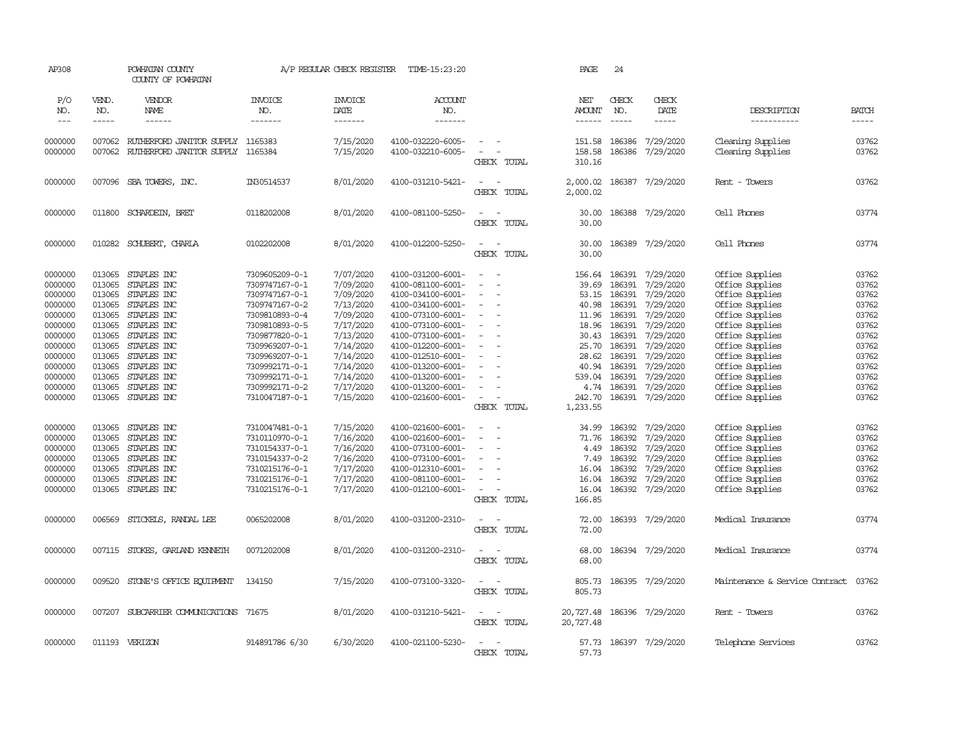| AP308                                                                                                                                       |                                                                                                  | POWHATAN COUNTY<br>COUNTY OF POWHATAN                                                                                                                                                                                |                                                                                                                                                                                                                                        | A/P REGULAR CHECK REGISTER                                                                                                                                            | TIME-15:23:20                                                                                                                                                                                                                                                                 |                                                                                                                                              |             | PAGE                                                                                                                            | 24                                                                                                                             |                                                                                                                                                                       |                                                                                                                                                                                                                                                     |                                                                                                                   |
|---------------------------------------------------------------------------------------------------------------------------------------------|--------------------------------------------------------------------------------------------------|----------------------------------------------------------------------------------------------------------------------------------------------------------------------------------------------------------------------|----------------------------------------------------------------------------------------------------------------------------------------------------------------------------------------------------------------------------------------|-----------------------------------------------------------------------------------------------------------------------------------------------------------------------|-------------------------------------------------------------------------------------------------------------------------------------------------------------------------------------------------------------------------------------------------------------------------------|----------------------------------------------------------------------------------------------------------------------------------------------|-------------|---------------------------------------------------------------------------------------------------------------------------------|--------------------------------------------------------------------------------------------------------------------------------|-----------------------------------------------------------------------------------------------------------------------------------------------------------------------|-----------------------------------------------------------------------------------------------------------------------------------------------------------------------------------------------------------------------------------------------------|-------------------------------------------------------------------------------------------------------------------|
| P/O<br>NO.<br>$\qquad \qquad - -$                                                                                                           | VEND.<br>NO.<br>-----                                                                            | VENDOR<br><b>NAME</b><br>$- - - - - -$                                                                                                                                                                               | <b>INVOICE</b><br>NO.<br>-------                                                                                                                                                                                                       | <b>INVOICE</b><br>DATE<br>-------                                                                                                                                     | <b>ACCOUNT</b><br>NO.<br>-------                                                                                                                                                                                                                                              |                                                                                                                                              |             | NET<br><b>AMOUNT</b><br>------                                                                                                  | CHECK<br>NO.<br>$\frac{1}{2}$                                                                                                  | CHECK<br>DATE<br>-----                                                                                                                                                | DESCRIPTION<br>-----------                                                                                                                                                                                                                          | <b>BATCH</b><br>$\cdots$                                                                                          |
| 0000000<br>0000000                                                                                                                          | 007062                                                                                           | RUIHERFORD JANITOR SUPPLY 1165383<br>007062 RUIHERFORD JANITOR SUPPLY 1165384                                                                                                                                        |                                                                                                                                                                                                                                        | 7/15/2020<br>7/15/2020                                                                                                                                                | 4100-032220-6005-<br>4100-032210-6005-                                                                                                                                                                                                                                        | $\sim$<br>$\sim$<br>$\overline{\phantom{0}}$                                                                                                 | CHECK TOTAL | 151.58<br>158.58<br>310.16                                                                                                      | 186386<br>186386                                                                                                               | 7/29/2020<br>7/29/2020                                                                                                                                                | Cleaning Supplies<br>Cleaning Supplies                                                                                                                                                                                                              | 03762<br>03762                                                                                                    |
| 0000000                                                                                                                                     | 007096                                                                                           | SBA TOWERS, INC.                                                                                                                                                                                                     | IN30514537                                                                                                                                                                                                                             | 8/01/2020                                                                                                                                                             | 4100-031210-5421-                                                                                                                                                                                                                                                             | $\sim$<br>$\overline{\phantom{a}}$                                                                                                           | CHECK TOTAL | 2,000.02<br>2,000.02                                                                                                            | 186387                                                                                                                         | 7/29/2020                                                                                                                                                             | Rent - Towers                                                                                                                                                                                                                                       | 03762                                                                                                             |
| 0000000                                                                                                                                     | 011800                                                                                           | SCHARDEIN, BRET                                                                                                                                                                                                      | 0118202008                                                                                                                                                                                                                             | 8/01/2020                                                                                                                                                             | 4100-081100-5250-                                                                                                                                                                                                                                                             | $\sim$                                                                                                                                       | CHECK TOTAL | 30.00<br>30.00                                                                                                                  |                                                                                                                                | 186388 7/29/2020                                                                                                                                                      | Cell Phones                                                                                                                                                                                                                                         | 03774                                                                                                             |
| 0000000                                                                                                                                     |                                                                                                  | 010282 SCHUBERT, CHARLA                                                                                                                                                                                              | 0102202008                                                                                                                                                                                                                             | 8/01/2020                                                                                                                                                             | 4100-012200-5250-                                                                                                                                                                                                                                                             | $\sim$<br>$\sim$                                                                                                                             | CHECK TOTAL | 30.00<br>30.00                                                                                                                  | 186389                                                                                                                         | 7/29/2020                                                                                                                                                             | Cell Phones                                                                                                                                                                                                                                         | 03774                                                                                                             |
| 0000000<br>0000000<br>0000000<br>0000000<br>0000000<br>0000000<br>0000000<br>0000000<br>0000000<br>0000000<br>0000000<br>0000000<br>0000000 | 013065<br>013065<br>013065<br>013065<br>013065<br>013065<br>013065<br>013065<br>013065<br>013065 | STAPLES INC<br>STAPLES INC<br>STAPLES INC<br>STAPLES INC<br>STAPLES INC<br>STAPLES INC<br>STAPLES INC<br>013065 STAPLES INC<br>STAPLES INC<br>STAPLES INC<br>STAPLES INC<br>013065 STAPLES INC<br>013065 STAPLES INC | 7309605209-0-1<br>7309747167-0-1<br>7309747167-0-1<br>7309747167-0-2<br>7309810893-0-4<br>7309810893-0-5<br>7309877820-0-1<br>7309969207-0-1<br>7309969207-0-1<br>7309992171-0-1<br>7309992171-0-1<br>7309992171-0-2<br>7310047187-0-1 | 7/07/2020<br>7/09/2020<br>7/09/2020<br>7/13/2020<br>7/09/2020<br>7/17/2020<br>7/13/2020<br>7/14/2020<br>7/14/2020<br>7/14/2020<br>7/14/2020<br>7/17/2020<br>7/15/2020 | 4100-031200-6001-<br>4100-081100-6001-<br>4100-034100-6001-<br>4100-034100-6001-<br>4100-073100-6001-<br>4100-073100-6001-<br>4100-073100-6001-<br>4100-012200-6001-<br>4100-012510-6001-<br>4100-013200-6001-<br>4100-013200-6001-<br>4100-013200-6001-<br>4100-021600-6001- | $\sim$<br>$\sim$<br>$\sim$<br>$\sim$<br>$\overline{\phantom{a}}$<br>$\sim$<br>$\overline{\phantom{a}}$<br>$\overline{\phantom{a}}$<br>$\sim$ | CHECK TOTAL | 156.64<br>39.69<br>53.15<br>40.98<br>11.96<br>18.96<br>30.43<br>25.70<br>28.62<br>40.94<br>539.04<br>4.74<br>242.70<br>1,233.55 | 186391<br>186391<br>186391<br>186391<br>186391<br>186391<br>186391<br>186391<br>186391<br>186391<br>186391<br>186391<br>186391 | 7/29/2020<br>7/29/2020<br>7/29/2020<br>7/29/2020<br>7/29/2020<br>7/29/2020<br>7/29/2020<br>7/29/2020<br>7/29/2020<br>7/29/2020<br>7/29/2020<br>7/29/2020<br>7/29/2020 | Office Supplies<br>Office Supplies<br>Office Supplies<br>Office Supplies<br>Office Supplies<br>Office Supplies<br>Office Supplies<br>Office Supplies<br>Office Supplies<br>Office Supplies<br>Office Supplies<br>Office Supplies<br>Office Supplies | 03762<br>03762<br>03762<br>03762<br>03762<br>03762<br>03762<br>03762<br>03762<br>03762<br>03762<br>03762<br>03762 |
| 0000000<br>0000000<br>0000000<br>0000000<br>0000000<br>0000000<br>0000000                                                                   | 013065<br>013065<br>013065<br>013065<br>013065<br>013065                                         | STAPLES INC<br>STAPLES INC<br>STAPLES INC<br>STAPLES INC<br>STAPLES INC<br>STAPLES INC<br>013065 STAPLES INC                                                                                                         | 7310047481-0-1<br>7310110970-0-1<br>7310154337-0-1<br>7310154337-0-2<br>7310215176-0-1<br>7310215176-0-1<br>7310215176-0-1                                                                                                             | 7/15/2020<br>7/16/2020<br>7/16/2020<br>7/16/2020<br>7/17/2020<br>7/17/2020<br>7/17/2020                                                                               | 4100-021600-6001-<br>4100-021600-6001-<br>4100-073100-6001-<br>4100-073100-6001-<br>4100-012310-6001-<br>4100-081100-6001-<br>4100-012100-6001-                                                                                                                               | $\sim$<br>$\sim$<br>$\sim$<br>$\sim$                                                                                                         | CHECK TOTAL | 34.99<br>71.76<br>4.49<br>7.49<br>16.04<br>16.04<br>16.04<br>166.85                                                             | 186392<br>186392<br>186392<br>186392<br>186392<br>186392                                                                       | 7/29/2020<br>7/29/2020<br>7/29/2020<br>7/29/2020<br>7/29/2020<br>7/29/2020<br>186392 7/29/2020                                                                        | Office Supplies<br>Office Supplies<br>Office Supplies<br>Office Supplies<br>Office Supplies<br>Office Supplies<br>Office Supplies                                                                                                                   | 03762<br>03762<br>03762<br>03762<br>03762<br>03762<br>03762                                                       |
| 0000000                                                                                                                                     |                                                                                                  | 006569 STICKELS, RANDAL LEE                                                                                                                                                                                          | 0065202008                                                                                                                                                                                                                             | 8/01/2020                                                                                                                                                             | 4100-031200-2310-                                                                                                                                                                                                                                                             | $\sim$<br>$\overline{a}$                                                                                                                     | CHECK TOTAL | 72.00<br>72.00                                                                                                                  |                                                                                                                                | 186393 7/29/2020                                                                                                                                                      | Medical Insurance                                                                                                                                                                                                                                   | 03774                                                                                                             |
| 0000000                                                                                                                                     |                                                                                                  | 007115 STOKES, GARLAND KENNETH                                                                                                                                                                                       | 0071202008                                                                                                                                                                                                                             | 8/01/2020                                                                                                                                                             | 4100-031200-2310-                                                                                                                                                                                                                                                             | $\sim$<br>$\sim$                                                                                                                             | CHECK TOTAL | 68.00<br>68.00                                                                                                                  |                                                                                                                                | 186394 7/29/2020                                                                                                                                                      | Medical Insurance                                                                                                                                                                                                                                   | 03774                                                                                                             |
| 0000000                                                                                                                                     | 009520                                                                                           | STONE'S OFFICE EQUIPMENT                                                                                                                                                                                             | 134150                                                                                                                                                                                                                                 | 7/15/2020                                                                                                                                                             | 4100-073100-3320-                                                                                                                                                                                                                                                             | - 14                                                                                                                                         | CHECK TOTAL | 805.73<br>805.73                                                                                                                |                                                                                                                                | 186395 7/29/2020                                                                                                                                                      | Maintenance & Service Contract                                                                                                                                                                                                                      | 03762                                                                                                             |
| 0000000                                                                                                                                     |                                                                                                  | 007207 SUBCARRIER COMUNICATIONS 71675                                                                                                                                                                                |                                                                                                                                                                                                                                        | 8/01/2020                                                                                                                                                             | 4100-031210-5421-                                                                                                                                                                                                                                                             | $\sim$ $ \sim$                                                                                                                               | CHECK TOTAL | 20,727.48<br>20,727.48                                                                                                          |                                                                                                                                | 186396 7/29/2020                                                                                                                                                      | Rent - Towers                                                                                                                                                                                                                                       | 03762                                                                                                             |
| 0000000                                                                                                                                     |                                                                                                  | 011193 VERIZON                                                                                                                                                                                                       | 914891786 6/30                                                                                                                                                                                                                         | 6/30/2020                                                                                                                                                             | 4100-021100-5230-                                                                                                                                                                                                                                                             | $\overline{\phantom{a}}$                                                                                                                     | CHECK TOTAL | 57.73<br>57.73                                                                                                                  |                                                                                                                                | 186397 7/29/2020                                                                                                                                                      | Telephone Services                                                                                                                                                                                                                                  | 03762                                                                                                             |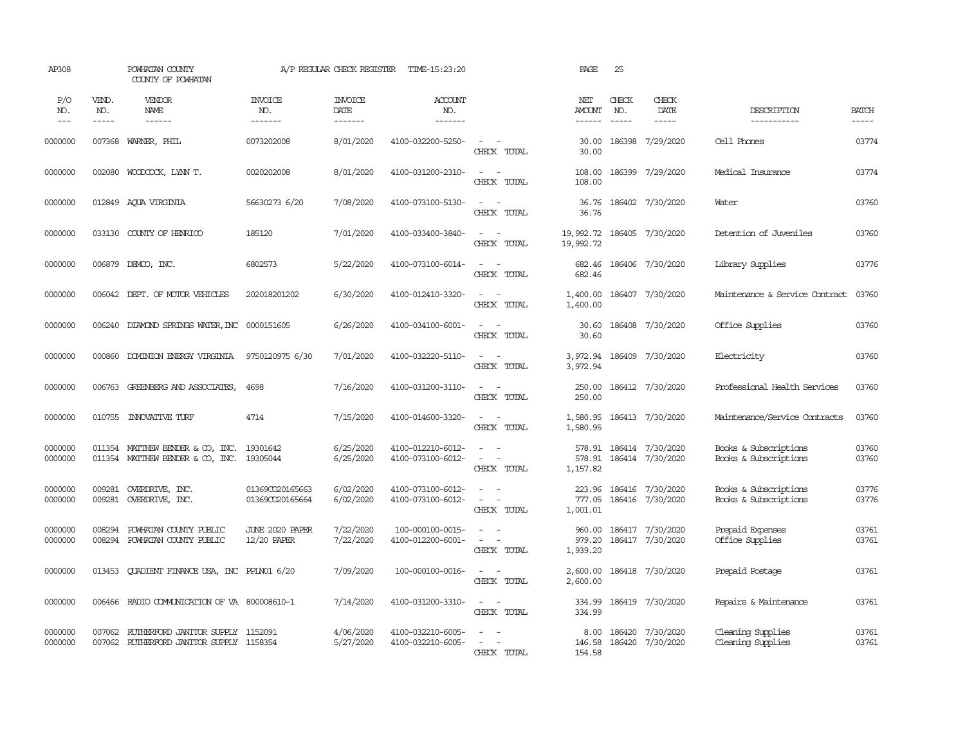| AP308               |                       | POWHATAN COUNTY<br>COUNTY OF POWHATAN                                         |                                    | A/P REGULAR CHECK REGISTER        | TIME-15:23:20                          |                                                                                | PAGE                                    | 25                            |                                                    |                                                |                       |
|---------------------|-----------------------|-------------------------------------------------------------------------------|------------------------------------|-----------------------------------|----------------------------------------|--------------------------------------------------------------------------------|-----------------------------------------|-------------------------------|----------------------------------------------------|------------------------------------------------|-----------------------|
| P/O<br>NO.<br>$---$ | VEND.<br>NO.<br>----- | VENDOR<br>NAME                                                                | <b>INVOICE</b><br>NO.<br>-------   | <b>INVOICE</b><br>DATE<br>------- | <b>ACCOUNT</b><br>NO.<br>-------       |                                                                                | NET<br>AMOUNT<br>$- - - - - -$          | CHECK<br>NO.<br>$\frac{1}{2}$ | CHECK<br>DATE<br>$\cdots$                          | DESCRIPTION<br>-----------                     | <b>BATCH</b><br>----- |
| 0000000             | 007368                | WARNER, PHIL                                                                  | 0073202008                         | 8/01/2020                         | 4100-032200-5250-                      | $\sim$ $\sim$<br>CHECK TOTAL                                                   | 30.00<br>30.00                          |                               | 186398 7/29/2020                                   | Cell Phones                                    | 03774                 |
| 0000000             | 002080                | WOODCOCK, LYNN T.                                                             | 0020202008                         | 8/01/2020                         | 4100-031200-2310-                      | $\sim$<br>$\sim$ $-$<br>CHECK TOTAL                                            | 108.00<br>108.00                        |                               | 186399 7/29/2020                                   | Medical Insurance                              | 03774                 |
| 0000000             |                       | 012849 ACUA VIRGINIA                                                          | 56630273 6/20                      | 7/08/2020                         | 4100-073100-5130-                      | $\sim$ $ -$<br>CHECK TOTAL                                                     | 36.76<br>36.76                          |                               | 186402 7/30/2020                                   | Water                                          | 03760                 |
| 0000000             |                       | 033130 COUNTY OF HENRICO                                                      | 185120                             | 7/01/2020                         | 4100-033400-3840-                      | $\sim$<br>$\sim$ $-$<br>CHECK TOTAL                                            | 19,992.72 186405 7/30/2020<br>19,992.72 |                               |                                                    | Detention of Juveniles                         | 03760                 |
| 0000000             |                       | 006879 DEMCO, INC.                                                            | 6802573                            | 5/22/2020                         | 4100-073100-6014-                      | $\sim$ $  -$<br>CHECK TOTAL                                                    | 682.46                                  |                               | 682.46 186406 7/30/2020                            | Library Supplies                               | 03776                 |
| 0000000             |                       | 006042 DEPT. OF MOTOR VEHICLES                                                | 202018201202                       | 6/30/2020                         | 4100-012410-3320-                      | $\sim$ $ -$<br>CHECK TOTAL                                                     | 1,400.00<br>1,400.00                    |                               | 186407 7/30/2020                                   | Maintenance & Service Contract                 | 03760                 |
| 0000000             |                       | 006240 DIAMOND SPRINGS WATER, INC 0000151605                                  |                                    | 6/26/2020                         | 4100-034100-6001-                      | $\sim$ $\sim$<br>CHECK TOTAL                                                   | 30.60<br>30.60                          |                               | 186408 7/30/2020                                   | Office Supplies                                | 03760                 |
| 0000000             | 000860                | DOMINION ENERGY VIRGINIA 9750120975 6/30                                      |                                    | 7/01/2020                         | 4100-032220-5110-                      | $\sim$<br>$\sim$<br>CHECK TOTAL                                                | 3,972.94<br>3,972.94                    |                               | 186409 7/30/2020                                   | Electricity                                    | 03760                 |
| 0000000             |                       | 006763 GREENBERG AND ASSOCIATES,                                              | 4698                               | 7/16/2020                         | 4100-031200-3110-                      | $\sim$ $ \sim$<br>CHECK TOTAL                                                  | 250.00<br>250.00                        |                               | 186412 7/30/2020                                   | Professional Health Services                   | 03760                 |
| 0000000             |                       | 010755 INNOVATIVE TURF                                                        | 4714                               | 7/15/2020                         | 4100-014600-3320-                      | $\sim$ $\sim$<br>CHECK TOTAL                                                   | 1,580.95<br>1,580.95                    |                               | 186413 7/30/2020                                   | Maintenance/Service Contracts                  | 03760                 |
| 0000000<br>0000000  | 011354<br>011354      | MATTHEW BENDER & CO, INC.<br>MATTHEW BENDER & CO, INC.                        | 19301642<br>19305044               | 6/25/2020<br>6/25/2020            | 4100-012210-6012-<br>4100-073100-6012- | $\sim$<br>$\sim$<br>$\omega_{\rm{max}}$ and $\omega_{\rm{max}}$<br>CHECK TOTAL | 578.91<br>1,157.82                      |                               | 578.91 186414 7/30/2020<br>186414 7/30/2020        | Books & Subscriptions<br>Books & Subscriptions | 03760<br>03760        |
| 0000000<br>0000000  |                       | 009281 OVERDRIVE, INC.<br>009281 OVERDRIVE, INC.                              | 01369CO20165663<br>01369CO20165664 | 6/02/2020<br>6/02/2020            | 4100-073100-6012-<br>4100-073100-6012- | $\sim$ $ \sim$<br>$\omega_{\rm{max}}$ and $\omega_{\rm{max}}$<br>CHECK TOTAL   | 1,001.01                                |                               | 223.96 186416 7/30/2020<br>777.05 186416 7/30/2020 | Books & Subscriptions<br>Books & Subscriptions | 03776<br>03776        |
| 0000000<br>0000000  | 008294<br>008294      | POWHATAN COUNTY PUBLIC<br>POWHATAN COUNTY PUBLIC                              | JUNE 2020 PAPER<br>12/20 PAPER     | 7/22/2020<br>7/22/2020            | 100-000100-0015-<br>4100-012200-6001-  | $\overline{\phantom{a}}$<br>CHECK TOTAL                                        | 960.00<br>979.20<br>1,939.20            |                               | 186417 7/30/2020<br>186417 7/30/2020               | Prepaid Expenses<br>Office Supplies            | 03761<br>03761        |
| 0000000             | 013453                | QUADIENT FINANCE USA, INC PPLN01 6/20                                         |                                    | 7/09/2020                         | 100-000100-0016-                       | $\sim$ $ \sim$<br>CHECK TOTAL                                                  | 2,600.00<br>2,600.00                    |                               | 186418 7/30/2020                                   | Prepaid Postage                                | 03761                 |
| 0000000             | 006466                | RADIO COMMUNICATION OF VA 800008610-1                                         |                                    | 7/14/2020                         | 4100-031200-3310-                      | $\sim$ $ \sim$<br>CHECK TOTAL                                                  | 334.99<br>334.99                        |                               | 186419 7/30/2020                                   | Repairs & Maintenance                          | 03761                 |
| 0000000<br>0000000  | 007062                | RUIHERFORD JANITOR SUPPLY 1152091<br>007062 RUIHERFORD JANITOR SUPPLY 1158354 |                                    | 4/06/2020<br>5/27/2020            | 4100-032210-6005-<br>4100-032210-6005- | $\sim$<br>$\sim$<br>$\sim$<br>CHECK TOTAL                                      | 8.00<br>146.58<br>154.58                |                               | 186420 7/30/2020<br>186420 7/30/2020               | Cleaning Supplies<br>Cleaning Supplies         | 03761<br>03761        |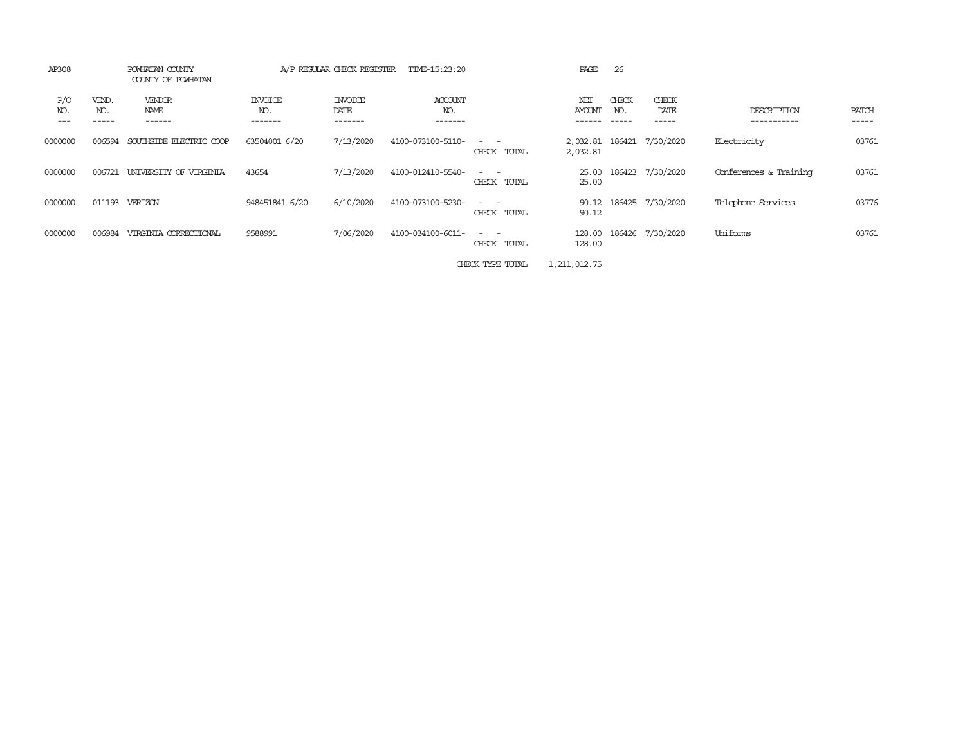| AP308                             |                        | POWHATAN COUNTY<br>COUNTY OF POWHATAN |                                  | A/P REGULAR CHECK REGISTER        | TIME-15:23:20             |                                                                                                                                          | PAGE                           | 26                     |                           |                            |                |
|-----------------------------------|------------------------|---------------------------------------|----------------------------------|-----------------------------------|---------------------------|------------------------------------------------------------------------------------------------------------------------------------------|--------------------------------|------------------------|---------------------------|----------------------------|----------------|
| P/O<br>NO.<br>$\qquad \qquad - -$ | VEND.<br>NO.<br>------ | VENDOR<br>NAME<br>------              | <b>INVOICE</b><br>NO.<br>------- | <b>INVOICE</b><br>DATE<br>------- | ACCOUNT<br>NO.<br>------- |                                                                                                                                          | NET<br><b>AMOUNT</b><br>------ | CHECK<br>NO.<br>------ | CHECK<br>DATE<br>-----    | DESCRIPTION<br>----------- | BATCH<br>----- |
| 0000000                           | 006594                 | SOUTHSIDE ELECTRIC COOP               | 63504001 6/20                    | 7/13/2020                         | 4100-073100-5110-         | $\frac{1}{2} \left( \frac{1}{2} \right) \left( \frac{1}{2} \right) = \frac{1}{2} \left( \frac{1}{2} \right)$<br>CHECK TOTAL              | 2,032.81                       |                        | 2,032.81 186421 7/30/2020 | Electricity                | 03761          |
| 0000000                           | 006721                 | UNIVERSITY OF VIRGINIA                | 43654                            | 7/13/2020                         | 4100-012410-5540-         | $\frac{1}{2} \left( \frac{1}{2} \right) \left( \frac{1}{2} \right) = \frac{1}{2} \left( \frac{1}{2} \right)$<br>TOTAL<br>CHECK           | 25.00<br>25.00                 |                        | 186423 7/30/2020          | Conferences & Training     | 03761          |
| 0000000                           | 011193                 | VERIZON                               | 948451841 6/20                   | 6/10/2020                         | 4100-073100-5230-         | $\frac{1}{2} \left( \frac{1}{2} \right) \left( \frac{1}{2} \right) \left( \frac{1}{2} \right) \left( \frac{1}{2} \right)$<br>CHECK TOTAL | 90.12<br>90.12                 |                        | 186425 7/30/2020          | Telephone Services         | 03776          |
| 0000000                           | 006984                 | VIRGINIA CORRECTIONAL                 | 9588991                          | 7/06/2020                         | 4100-034100-6011-         | $\frac{1}{2} \left( \frac{1}{2} \right) \left( \frac{1}{2} \right) = \frac{1}{2} \left( \frac{1}{2} \right)$<br>TOTAL<br>CHECK           | 128.00<br>128.00               |                        | 186426 7/30/2020          | Uniforms                   | 03761          |
|                                   |                        |                                       |                                  |                                   |                           |                                                                                                                                          |                                |                        |                           |                            |                |

CHECK TYPE TOTAL 1,211,012.75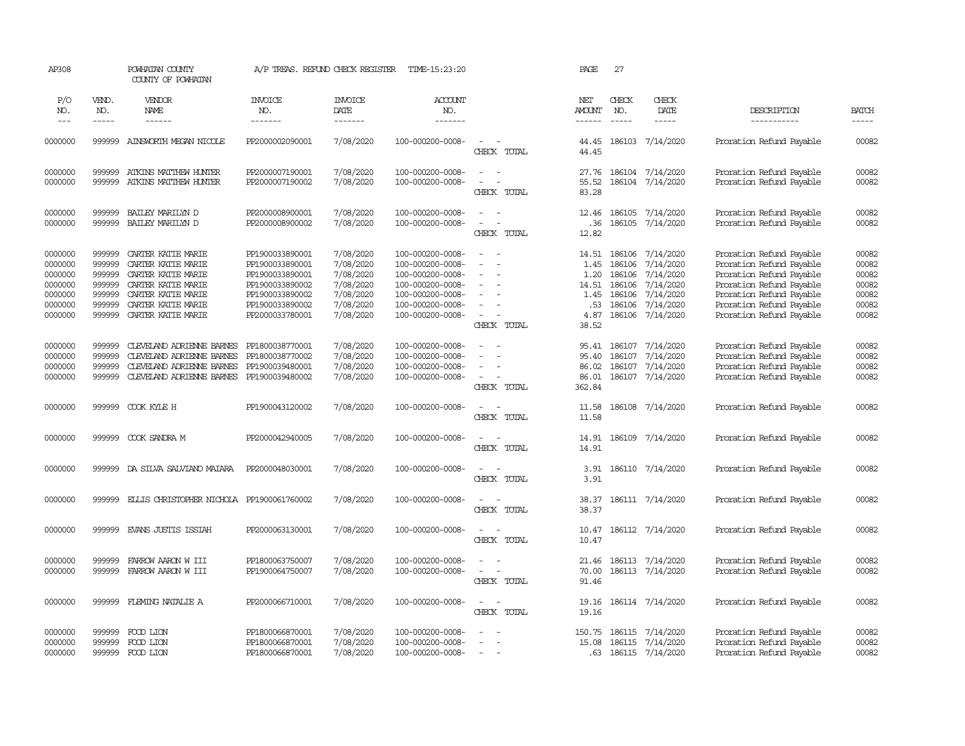| AP308               |                       | POWHATAN COUNTY<br>COUNTY OF POWHATAN     | A/P TREAS. REFUND CHECK REGISTER   |                                    | TIME-15:23:20                        |                                         | PAGE                            | 27                            |                        |                                                      |                             |
|---------------------|-----------------------|-------------------------------------------|------------------------------------|------------------------------------|--------------------------------------|-----------------------------------------|---------------------------------|-------------------------------|------------------------|------------------------------------------------------|-----------------------------|
| P/O<br>NO.<br>$---$ | VEND.<br>NO.<br>----- | VENDOR<br>NAME<br>$- - - - - -$           | <b>INVOICE</b><br>NO.<br>-------   | <b>INVOICE</b><br>DATE<br>-------- | ACCOUNT<br>NO.<br>$- - - - - - -$    |                                         | NET<br><b>AMOUNT</b><br>------- | CHECK<br>NO.<br>$- - - - - -$ | CHECK<br>DATE<br>----- | DESCRIPTION<br>-----------                           | <b>BATCH</b><br>$- - - - -$ |
| 0000000             | 999999                | AINSWORTH MEGAN NICOLE                    | PP2000002090001                    | 7/08/2020                          | 100-000200-0008-                     | $\equiv$                                | 44.45                           |                               | 186103 7/14/2020       | Proration Refund Payable                             | 00082                       |
|                     |                       |                                           |                                    |                                    |                                      | CHECK TOTAL                             | 44.45                           |                               |                        |                                                      |                             |
| 0000000             | 999999                | ATKINS MATTHEW HUNTER                     | PP2000007190001                    | 7/08/2020                          | 100-000200-0008-                     | $\sim$<br>$\sim$                        |                                 |                               | 27.76 186104 7/14/2020 | Proration Refund Payable                             | 00082                       |
| 0000000             | 999999                | ATKINS MATTHEW HUNTER                     | PP2000007190002                    | 7/08/2020                          | 100-000200-0008-                     | CHECK TOTAL                             | 55.52<br>83.28                  | 186104                        | 7/14/2020              | Proration Refund Payable                             | 00082                       |
| 0000000             | 999999                | BAILEY MARILYN D                          | PP2000008900001                    | 7/08/2020                          | 100-000200-0008-                     | $\equiv$                                | 12.46                           | 186105                        | 7/14/2020              | Proration Refund Payable                             | 00082                       |
| 0000000             | 999999                | BAILEY MARILYN D                          | PP2000008900002                    | 7/08/2020                          | 100-000200-0008-                     | $\sim$<br>CHECK TOTAL                   | . 36<br>12.82                   |                               | 186105 7/14/2020       | Proration Refund Payable                             | 00082                       |
|                     |                       |                                           |                                    |                                    |                                      |                                         |                                 |                               |                        |                                                      |                             |
| 0000000             | 999999<br>999999      | CARTER KATTE MARIE                        | PP1900033890001                    | 7/08/2020                          | 100-000200-0008-                     | $\equiv$                                | 14.51                           | 186106                        | 7/14/2020              | Proration Refund Payable                             | 00082                       |
| 0000000<br>0000000  | 999999                | CARTER KATTE MARIE<br>CARTER KATTE MARIE  | PP1900033890001<br>PP1900033890001 | 7/08/2020                          | 100-000200-0008-<br>100-000200-0008- | $\equiv$                                | 1.45<br>1.20                    | 186106<br>186106              | 7/14/2020<br>7/14/2020 | Proration Refund Payable<br>Proration Refund Payable | 00082<br>00082              |
| 0000000             | 999999                | CARTER KATTE MARIE                        | PP1900033890002                    | 7/08/2020<br>7/08/2020             | 100-000200-0008-                     | $\equiv$                                | 14.51                           | 186106                        | 7/14/2020              | Proration Refund Payable                             | 00082                       |
| 0000000             | 999999                | CARTER KATTE MARIE                        | PP1900033890002                    | 7/08/2020                          | 100-000200-0008-                     |                                         | 1.45                            | 186106                        | 7/14/2020              | Proration Refund Payable                             | 00082                       |
| 0000000             | 999999                | CARTER KATTE MARIE                        | PP1900033890002                    | 7/08/2020                          | 100-000200-0008-                     |                                         | .53                             | 186106                        | 7/14/2020              | Proration Refund Payable                             | 00082                       |
| 0000000             | 999999                | CARTER KATTE MARIE                        | PP2000033780001                    | 7/08/2020                          | 100-000200-0008-                     | $\sim$                                  | 4.87                            | 186106                        | 7/14/2020              | Proration Refund Payable                             | 00082                       |
|                     |                       |                                           |                                    |                                    |                                      | CHECK TOTAL                             | 38.52                           |                               |                        |                                                      |                             |
| 0000000             | 999999                | CLEVELAND ADRIENNE BARNES                 | PP1800038770001                    | 7/08/2020                          | 100-000200-0008-                     | $\equiv$                                |                                 |                               | 95.41 186107 7/14/2020 | Proration Refund Payable                             | 00082                       |
| 0000000             | 999999                | CLEVELAND ADRIENNE BARNES                 | PP1800038770002                    | 7/08/2020                          | 100-000200-0008-                     |                                         | 95.40                           | 186107                        | 7/14/2020              | Proration Refund Payable                             | 00082                       |
| 0000000             | 999999                | CLEVELAND ADRIENNE BARNES                 | PP1900039480001                    | 7/08/2020                          | 100-000200-0008-                     |                                         | 86.02                           | 186107                        | 7/14/2020              | Proration Refund Payable                             | 00082                       |
| 0000000             | 999999                | CLEVELAND ADRIENNE BARNES                 | PP1900039480002                    | 7/08/2020                          | 100-000200-0008-                     | $\overline{\phantom{a}}$<br>CHECK TOTAL | 86.01                           |                               | 186107 7/14/2020       | Proration Refund Payable                             | 00082                       |
|                     |                       |                                           |                                    |                                    |                                      |                                         | 362.84                          |                               |                        |                                                      |                             |
| 0000000             | 999999                | COOK KYLE H                               | PP1900043120002                    | 7/08/2020                          | 100-000200-0008-                     | - -<br>$\sim$                           | 11.58                           |                               | 186108 7/14/2020       | Proration Refund Payable                             | 00082                       |
|                     |                       |                                           |                                    |                                    |                                      | CHECK TOTAL                             | 11.58                           |                               |                        |                                                      |                             |
| 0000000             | 999999                | COOK SANDRA M                             | PP2000042940005                    | 7/08/2020                          | 100-000200-0008-                     | $\sim$<br>$\sim$                        | 14.91                           |                               | 186109 7/14/2020       | Proration Refund Payable                             | 00082                       |
|                     |                       |                                           |                                    |                                    |                                      | CHECK TOTAL                             | 14.91                           |                               |                        |                                                      |                             |
| 0000000             | 999999                | DA SILVA SALVIANO MAIARA                  | PP2000048030001                    | 7/08/2020                          | 100-000200-0008-                     | $\sim$<br>- -                           | 3.91                            |                               | 186110 7/14/2020       | Proration Refund Payable                             | 00082                       |
|                     |                       |                                           |                                    |                                    |                                      | CHECK TOTAL                             | 3.91                            |                               |                        |                                                      |                             |
| 0000000             | 999999                | ELLIS CHRISTOPHER NICHOLA PP1900061760002 |                                    | 7/08/2020                          | 100-000200-0008-                     | $\sim$                                  | 38.37                           |                               | 186111 7/14/2020       | Proration Refund Payable                             | 00082                       |
|                     |                       |                                           |                                    |                                    |                                      | CHECK TOTAL                             | 38.37                           |                               |                        |                                                      |                             |
| 0000000             | 999999                | EVANS JUSTIS ISSIAH                       | PP2000063130001                    | 7/08/2020                          | 100-000200-0008-                     | $\sim$<br>$\sim$                        | 10.47                           |                               | 186112 7/14/2020       | Proration Refund Payable                             | 00082                       |
|                     |                       |                                           |                                    |                                    |                                      | CHECK TOTAL                             | 10.47                           |                               |                        |                                                      |                             |
| 0000000             | 999999                | FARROW AARON W III                        | PP1800063750007                    | 7/08/2020                          | 100-000200-0008-                     | $\equiv$                                | 21.46                           |                               | 186113 7/14/2020       | Proration Refund Payable                             | 00082                       |
| 0000000             | 999999                | FARROW AARON W III                        | PP1900064750007                    | 7/08/2020                          | 100-000200-0008-                     |                                         | 70.00                           |                               | 186113 7/14/2020       | Proration Refund Payable                             | 00082                       |
|                     |                       |                                           |                                    |                                    |                                      | CHECK TOTAL                             | 91.46                           |                               |                        |                                                      |                             |
| 0000000             | 999999                | FIEMING NATALIE A                         | PP2000066710001                    | 7/08/2020                          | 100-000200-0008-                     | $\overline{\phantom{a}}$                | 19.16                           |                               | 186114 7/14/2020       | Proration Refund Payable                             | 00082                       |
|                     |                       |                                           |                                    |                                    |                                      | CHECK TOTAL                             | 19.16                           |                               |                        |                                                      |                             |
| 0000000             | 999999                | FOOD LION                                 | PP1800066870001                    | 7/08/2020                          | 100-000200-0008-                     |                                         | 150.75                          | 186115                        | 7/14/2020              | Proration Refund Payable                             | 00082                       |
| 0000000             | 999999                | FOOD LION                                 | PP1800066870001                    | 7/08/2020                          | 100-000200-0008-                     |                                         | 15.08                           |                               | 186115 7/14/2020       | Proration Refund Payable                             | 00082                       |
| 0000000             | 999999                | FOOD LION                                 | PP1800066870001                    | 7/08/2020                          | 100-000200-0008-                     |                                         |                                 |                               | .63 186115 7/14/2020   | Proration Refund Payable                             | 00082                       |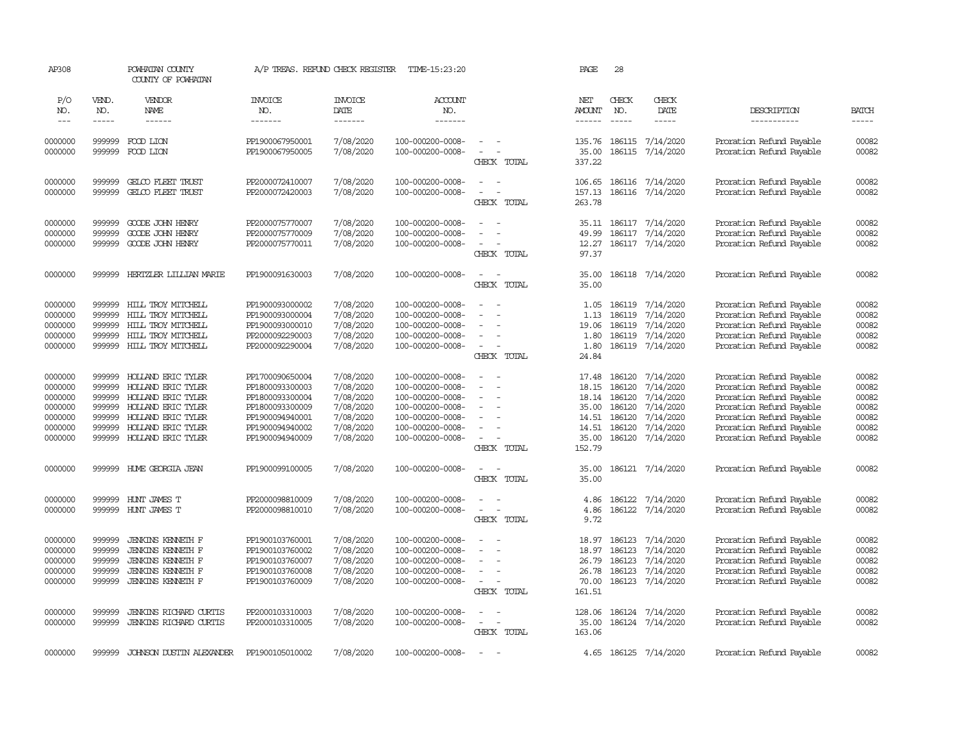| AP308              |                  | POWHATAN COUNTY<br>COUNTY OF POWHATAN    |                                    | A/P TREAS. REFUND CHECK REGISTER | TIME-15:23:20                        |                                    | PAGE                           | 28                 |                               |                                                      |                             |
|--------------------|------------------|------------------------------------------|------------------------------------|----------------------------------|--------------------------------------|------------------------------------|--------------------------------|--------------------|-------------------------------|------------------------------------------------------|-----------------------------|
| P/O                | VEND.            | VENDOR                                   | <b>INVOICE</b>                     | <b>INVOICE</b>                   | <b>ACCOUNT</b>                       |                                    | NET                            | CHECK              | CHECK                         |                                                      |                             |
| NO.<br>$---$       | NO.<br>-----     | NAME<br>$- - - - - -$                    | NO.<br>-------                     | DATE<br>$- - - - - - -$          | NO.<br>$- - - - - - -$               |                                    | <b>AMOUNT</b><br>$- - - - - -$ | NO.<br>$- - - - -$ | DATE<br>-----                 | DESCRIPTION<br>-----------                           | <b>BATCH</b><br>$- - - - -$ |
|                    |                  |                                          |                                    |                                  |                                      |                                    |                                |                    |                               |                                                      |                             |
| 0000000            | 999999           | FOOD LION                                | PP1900067950001                    | 7/08/2020                        | 100-000200-0008-                     | $\equiv$<br>$\equiv$               | 135.76                         | 186115             | 7/14/2020                     | Proration Refund Payable                             | 00082                       |
| 0000000            | 999999           | FOOD LION                                | PP1900067950005                    | 7/08/2020                        | 100-000200-0008-                     | CHECK TOTAL                        | 35.00<br>337.22                | 186115             | 7/14/2020                     | Proration Refund Payable                             | 00082                       |
|                    |                  |                                          |                                    |                                  |                                      | $\overline{\phantom{a}}$           |                                |                    |                               |                                                      |                             |
| 0000000<br>0000000 | 999999<br>999999 | GELCO FLEET TRUST<br>GELCO FLEET TRUST   | PP2000072410007<br>PP2000072420003 | 7/08/2020<br>7/08/2020           | 100-000200-0008-<br>100-000200-0008- | $\overline{\phantom{a}}$           | 106.65<br>157.13               | 186116             | 7/14/2020<br>186116 7/14/2020 | Proration Refund Payable<br>Proration Refund Payable | 00082<br>00082              |
|                    |                  |                                          |                                    |                                  |                                      | CHECK TOTAL                        | 263.78                         |                    |                               |                                                      |                             |
|                    |                  |                                          |                                    |                                  |                                      |                                    |                                |                    |                               |                                                      |                             |
| 0000000            | 999999           | GOODE JOHN HENRY                         | PP2000075770007                    | 7/08/2020                        | 100-000200-0008-                     |                                    | 35.11                          |                    | 186117 7/14/2020              | Proration Refund Payable                             | 00082                       |
| 0000000<br>0000000 | 999999<br>999999 | GOODE JOHN HENRY<br>GOODE JOHN HENRY     | PP2000075770009<br>PP2000075770011 | 7/08/2020<br>7/08/2020           | 100-000200-0008-<br>100-000200-0008- | $\overline{\phantom{a}}$           | 49.99<br>12.27                 | 186117             | 7/14/2020<br>186117 7/14/2020 | Proration Refund Payable<br>Proration Refund Payable | 00082<br>00082              |
|                    |                  |                                          |                                    |                                  |                                      | CHECK TOTAL                        | 97.37                          |                    |                               |                                                      |                             |
|                    |                  |                                          |                                    |                                  |                                      |                                    |                                |                    |                               |                                                      |                             |
| 0000000            | 999999           | HERTZLER LIILIAN MARIE                   | PP1900091630003                    | 7/08/2020                        | 100-000200-0008-                     | $\sim$                             | 35.00                          |                    | 186118 7/14/2020              | Proration Refund Payable                             | 00082                       |
|                    |                  |                                          |                                    |                                  |                                      | CHECK TOTAL                        | 35.00                          |                    |                               |                                                      |                             |
| 0000000            | 999999           | HILL TROY MITCHELL                       | PP1900093000002                    | 7/08/2020                        | 100-000200-0008-                     |                                    | 1.05                           | 186119             | 7/14/2020                     | Proration Refund Payable                             | 00082                       |
| 0000000            | 999999           | HILL TROY MITCHELL                       | PP1900093000004                    | 7/08/2020                        | 100-000200-0008-                     | $\equiv$                           | 1.13                           | 186119             | 7/14/2020                     | Proration Refund Payable                             | 00082                       |
| 0000000            | 999999           | HILL TROY MITCHELL                       | PP1900093000010                    | 7/08/2020                        | 100-000200-0008-                     | $\equiv$                           | 19.06                          | 186119             | 7/14/2020                     | Proration Refund Payable                             | 00082                       |
| 0000000            | 999999           | HILL TROY MITCHELL                       | PP2000092290003                    | 7/08/2020                        | 100-000200-0008-                     |                                    | 1.80                           | 186119             | 7/14/2020                     | Proration Refund Payable                             | 00082                       |
| 0000000            | 999999           | HILL TROY MITCHELL                       | PP2000092290004                    | 7/08/2020                        | 100-000200-0008-                     | $\sim$                             | 1.80                           |                    | 186119 7/14/2020              | Proration Refund Payable                             | 00082                       |
|                    |                  |                                          |                                    |                                  |                                      | CHECK TOTAL                        | 24.84                          |                    |                               |                                                      |                             |
| 0000000            | 999999           | HOLLAND ERIC TYLER                       | PP1700090650004                    | 7/08/2020                        | 100-000200-0008-                     | $\equiv$<br>$\sim$                 | 17.48                          | 186120             | 7/14/2020                     | Proration Refund Payable                             | 00082                       |
| 0000000            | 999999           | HOLLAND ERIC TYLER                       | PP1800093300003                    | 7/08/2020                        | 100-000200-0008-                     |                                    | 18.15                          | 186120             | 7/14/2020                     | Proration Refund Payable                             | 00082                       |
| 0000000            | 999999           | HOLLAND ERIC TYLER                       | PP1800093300004                    | 7/08/2020                        | 100-000200-0008-                     | $\sim$                             | 18.14                          | 186120             | 7/14/2020                     | Proration Refund Payable                             | 00082                       |
| 0000000            | 999999           | HOLLAND ERIC TYLER                       | PP1800093300009                    | 7/08/2020                        | 100-000200-0008-                     |                                    | 35.00                          | 186120             | 7/14/2020                     | Proration Refund Payable                             | 00082                       |
| 0000000<br>0000000 | 999999<br>999999 | HOLLAND ERIC TYLER<br>HOLLAND ERIC TYLER | PP1900094940001                    | 7/08/2020<br>7/08/2020           | 100-000200-0008-                     | $\overline{\phantom{a}}$<br>$\sim$ | 14.51                          | 186120<br>186120   | 7/14/2020<br>7/14/2020        | Proration Refund Payable                             | 00082<br>00082              |
| 0000000            | 999999           | HOLLAND ERIC TYLER                       | PP1900094940002<br>PP1900094940009 | 7/08/2020                        | 100-000200-0008-<br>100-000200-0008- | $\equiv$                           | 14.51<br>35.00                 |                    | 186120 7/14/2020              | Proration Refund Payable<br>Proration Refund Payable | 00082                       |
|                    |                  |                                          |                                    |                                  |                                      | CHECK TOTAL                        | 152.79                         |                    |                               |                                                      |                             |
|                    |                  |                                          |                                    |                                  |                                      |                                    |                                |                    |                               |                                                      |                             |
| 0000000            | 999999           | HUME GEORGIA JEAN                        | PP1900099100005                    | 7/08/2020                        | 100-000200-0008-                     | $\sim$<br>- -<br>CHECK TOTAL       | 35.00<br>35.00                 |                    | 186121 7/14/2020              | Proration Refund Payable                             | 00082                       |
|                    |                  |                                          |                                    |                                  |                                      |                                    |                                |                    |                               |                                                      |                             |
| 0000000            | 999999           | HUNT JAMES T                             | PP2000098810009                    | 7/08/2020                        | 100-000200-0008-                     | $\equiv$                           | 4.86                           | 186122             | 7/14/2020                     | Proration Refund Payable                             | 00082                       |
| 0000000            | 999999           | HUNT JAMES T                             | PP2000098810010                    | 7/08/2020                        | 100-000200-0008-                     |                                    | 4.86                           |                    | 186122 7/14/2020              | Proration Refund Payable                             | 00082                       |
|                    |                  |                                          |                                    |                                  |                                      | CHECK TOTAL                        | 9.72                           |                    |                               |                                                      |                             |
| 0000000            | 999999           | <b>JENKINS KENNETH F</b>                 | PP1900103760001                    | 7/08/2020                        | 100-000200-0008-                     |                                    | 18.97                          | 186123             | 7/14/2020                     | Proration Refund Payable                             | 00082                       |
| 0000000            | 999999           | <b>JENKINS KENNETH F</b>                 | PP1900103760002                    | 7/08/2020                        | 100-000200-0008-                     |                                    | 18.97                          | 186123             | 7/14/2020                     | Proration Refund Payable                             | 00082                       |
| 0000000            | 999999           | JENKINS KENNETH F                        | PP1900103760007                    | 7/08/2020                        | 100-000200-0008-                     | $\sim$                             | 26.79                          | 186123             | 7/14/2020                     | Proration Refund Payable                             | 00082                       |
| 0000000            | 999999           | <b>JENKINS KENNETH F</b>                 | PP1900103760008                    | 7/08/2020                        | 100-000200-0008-                     | $\overline{\phantom{a}}$           | 26.78                          | 186123             | 7/14/2020                     | Proration Refund Payable                             | 00082                       |
| 0000000            | 999999           | <b>JENKINS KENNETH F</b>                 | PP1900103760009                    | 7/08/2020                        | 100-000200-0008-                     | $\equiv$                           | 70.00                          |                    | 186123 7/14/2020              | Proration Refund Payable                             | 00082                       |
|                    |                  |                                          |                                    |                                  |                                      | CHECK TOTAL                        | 161.51                         |                    |                               |                                                      |                             |
| 0000000            | 999999           | <b>JENKINS RICHARD CURTIS</b>            | PP2000103310003                    | 7/08/2020                        | 100-000200-0008-                     | $\equiv$                           | 128.06                         |                    | 186124 7/14/2020              | Proration Refund Payable                             | 00082                       |
| 0000000            | 999999           | <b>JENKINS RICHARD CURTIS</b>            | PP2000103310005                    | 7/08/2020                        | 100-000200-0008-                     | $\overline{\phantom{a}}$           | 35.00                          |                    | 186124 7/14/2020              | Proration Refund Payable                             | 00082                       |
|                    |                  |                                          |                                    |                                  |                                      | CHECK TOTAL                        | 163.06                         |                    |                               |                                                      |                             |
| 0000000            | 999999           | <b>JOHNSON DUSTIN ALEXANDER</b>          | PP1900105010002                    | 7/08/2020                        | 100-000200-0008-                     | $\equiv$                           |                                |                    | 4.65 186125 7/14/2020         | Proration Refund Payable                             | 00082                       |
|                    |                  |                                          |                                    |                                  |                                      |                                    |                                |                    |                               |                                                      |                             |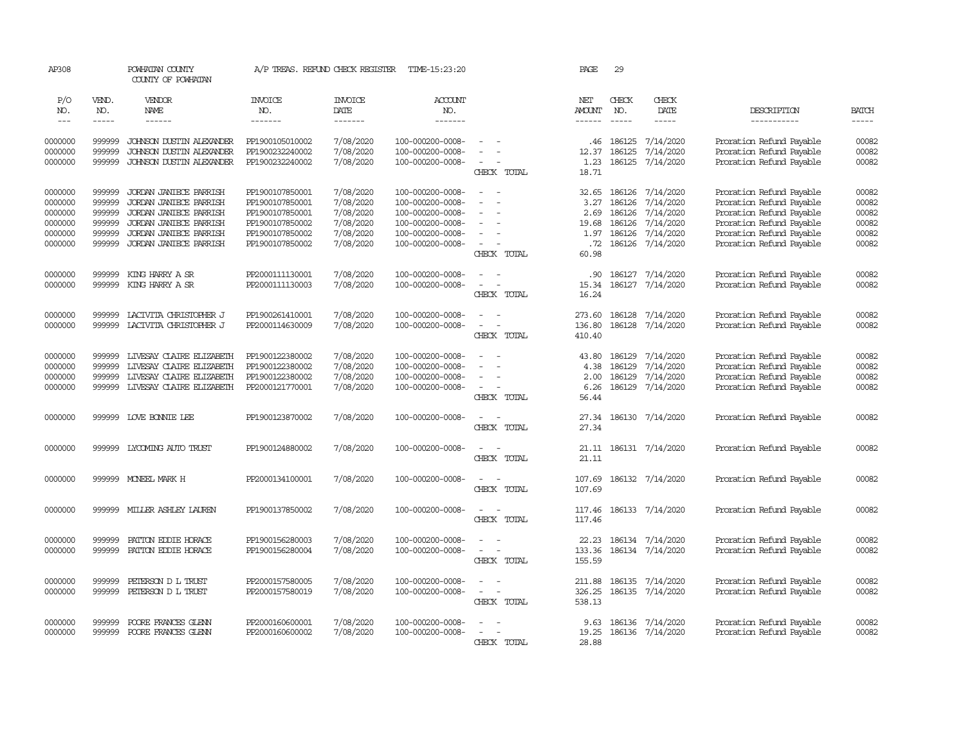| AP308                       |                             | POWHATAN COUNTY<br>COUNTY OF POWHATAN            | A/P TREAS. REFUND CHECK REGISTER   |                                   | TIME-15:23:20                            |                                                   | PAGE                           | 29                            |                                |                                                      |                       |
|-----------------------------|-----------------------------|--------------------------------------------------|------------------------------------|-----------------------------------|------------------------------------------|---------------------------------------------------|--------------------------------|-------------------------------|--------------------------------|------------------------------------------------------|-----------------------|
| P/O<br>NO.<br>$\frac{1}{2}$ | VEND.<br>NO.<br>$- - - - -$ | VENDOR<br>NAME<br>------                         | <b>INVOICE</b><br>NO.<br>-------   | <b>INVOICE</b><br>DATE<br>------- | <b>ACCOUNT</b><br>NO.<br>$- - - - - - -$ |                                                   | NET<br><b>AMOUNT</b><br>------ | CHECK<br>NO.<br>$\frac{1}{2}$ | CHECK<br>DATE<br>$\frac{1}{2}$ | DESCRIPTION<br>-----------                           | <b>BATCH</b><br>----- |
| 0000000                     | 999999                      | JOHNSON DUSTIN ALEXANDER                         | PP1900105010002                    | 7/08/2020                         | 100-000200-0008-                         |                                                   | .46                            | 186125                        | 7/14/2020                      | Proration Refund Payable                             | 00082                 |
| 0000000                     | 999999                      | JOHNSON DUSTIN ALEXANDER                         | PP1900232240002                    | 7/08/2020                         | 100-000200-0008-                         |                                                   | 12.37                          | 186125                        | 7/14/2020                      | Proration Refund Payable                             | 00082                 |
| 0000000                     | 999999                      | JOHNSON DUSTIN ALEXANDER                         | PP1900232240002                    | 7/08/2020                         | 100-000200-0008-                         | $\equiv$<br>CHECK TOTAL                           | 1.23<br>18.71                  | 186125                        | 7/14/2020                      | Proration Refund Payable                             | 00082                 |
| 0000000                     | 999999                      | JORDAN JANIECE PARRISH                           | PP1900107850001                    | 7/08/2020                         | 100-000200-0008-                         | $\equiv$                                          | 32.65                          | 186126                        | 7/14/2020                      | Proration Refund Payable                             | 00082                 |
| 0000000                     | 999999                      | JORDAN JANIECE PARRISH                           | PP1900107850001                    | 7/08/2020                         | 100-000200-0008-                         | $\sim$                                            | 3.27                           | 186126                        | 7/14/2020                      | Proration Refund Payable                             | 00082                 |
| 0000000<br>0000000          | 999999<br>999999            | JORDAN JANIECE PARRISH<br>JORDAN JANIECE PARRISH | PP1900107850001<br>PP1900107850002 | 7/08/2020<br>7/08/2020            | 100-000200-0008-<br>100-000200-0008-     |                                                   | 2.69<br>19.68                  | 186126<br>186126              | 7/14/2020<br>7/14/2020         | Proration Refund Payable<br>Proration Refund Payable | 00082<br>00082        |
| 0000000                     | 999999                      | JORDAN JANIECE PARRISH                           | PP1900107850002                    | 7/08/2020                         | 100-000200-0008-                         |                                                   | 1.97                           | 186126                        | 7/14/2020                      | Proration Refund Payable                             | 00082                 |
| 0000000                     | 999999                      | JORDAN JANIECE PARRISH                           | PP1900107850002                    | 7/08/2020                         | 100-000200-0008-                         | $\sim$                                            | .72                            |                               | 186126 7/14/2020               | Proration Refund Payable                             | 00082                 |
|                             |                             |                                                  |                                    |                                   |                                          | CHECK TOTAL                                       | 60.98                          |                               |                                |                                                      |                       |
| 0000000<br>0000000          | 999999<br>999999            | KING HARRY A SR<br>KING HARRY A SR               | PP2000111130001<br>PP2000111130003 | 7/08/2020<br>7/08/2020            | 100-000200-0008-<br>100-000200-0008-     | $\equiv$                                          | .90                            | 186127<br>186127              | 7/14/2020<br>7/14/2020         | Proration Refund Payable<br>Proration Refund Payable | 00082<br>00082        |
|                             |                             |                                                  |                                    |                                   |                                          | CHECK TOTAL                                       | 15.34<br>16.24                 |                               |                                |                                                      |                       |
| 0000000                     | 999999                      | LACIVITA CHRISTOPHER J                           | PP1900261410001                    | 7/08/2020                         | 100-000200-0008-                         |                                                   | 273.60                         | 186128                        | 7/14/2020                      | Proration Refund Payable                             | 00082                 |
| 0000000                     | 999999                      | LACIVITA CHRISTOPHER J                           | PP2000114630009                    | 7/08/2020                         | 100-000200-0008-                         | $\sim$<br>CHECK TOTAL                             | 136.80<br>410.40               | 186128                        | 7/14/2020                      | Proration Refund Payable                             | 00082                 |
| 0000000                     | 999999                      | LIVESAY CLAIRE ELIZABETH                         | PP1900122380002                    | 7/08/2020                         | 100-000200-0008-                         | $\equiv$                                          | 43.80                          | 186129                        | 7/14/2020                      | Proration Refund Payable                             | 00082                 |
| 0000000                     | 999999                      | LIVESAY CLAIRE ELIZABETH                         | PP1900122380002                    | 7/08/2020                         | 100-000200-0008-                         |                                                   | 4.38                           | 186129                        | 7/14/2020                      | Proration Refund Payable                             | 00082                 |
| 0000000                     | 999999                      | LIVESAY CLAIRE ELIZABETH                         | PP1900122380002                    | 7/08/2020                         | 100-000200-0008-                         |                                                   | 2.00                           | 186129                        | 7/14/2020                      | Proration Refund Payable                             | 00082                 |
| 0000000                     | 999999                      | LIVESAY CLAIRE ELIZABETH                         | PP2000121770001                    | 7/08/2020                         | 100-000200-0008-                         | $\equiv$<br>CHECK TOTAL                           | 6.26<br>56.44                  | 186129                        | 7/14/2020                      | Proration Refund Payable                             | 00082                 |
| 0000000                     |                             | 999999 LOVE BONNIE LEE                           | PP1900123870002                    | 7/08/2020                         | 100-000200-0008-                         | $\sim$                                            |                                |                               | 27.34 186130 7/14/2020         | Proration Refund Payable                             | 00082                 |
|                             |                             |                                                  |                                    |                                   |                                          | CHECK TOTAL                                       | 27.34                          |                               |                                |                                                      |                       |
| 0000000                     | 999999                      | LYCOMING AUTO TRUST                              | PP1900124880002                    | 7/08/2020                         | 100-000200-0008-                         | CHECK TOTAL                                       | 21.11                          |                               | 21.11 186131 7/14/2020         | Proration Refund Payable                             | 00082                 |
|                             |                             |                                                  |                                    |                                   |                                          |                                                   |                                |                               |                                |                                                      |                       |
| 0000000                     | 999999                      | MONEEL MARK H                                    | PP2000134100001                    | 7/08/2020                         | 100-000200-0008-                         | $\sim$<br>$\overline{\phantom{a}}$<br>CHECK TOTAL | 107.69<br>107.69               |                               | 186132 7/14/2020               | Proration Refund Payable                             | 00082                 |
| 0000000                     | 999999                      | MILLER ASHLEY LAUREN                             | PP1900137850002                    | 7/08/2020                         | 100-000200-0008-                         | $\sim$<br>$\sim$                                  | 117.46                         |                               | 186133 7/14/2020               | Proration Refund Payable                             | 00082                 |
|                             |                             |                                                  |                                    |                                   |                                          | CHECK TOTAL                                       | 117.46                         |                               |                                |                                                      |                       |
| 0000000                     | 999999                      | PATTON EDDIE HORACE                              | PP1900156280003                    | 7/08/2020                         | 100-000200-0008-                         |                                                   | 22.23                          |                               | 186134 7/14/2020               | Proration Refund Payable                             | 00082                 |
| 0000000                     | 999999                      | PATTON EDDIE HORACE                              | PP1900156280004                    | 7/08/2020                         | 100-000200-0008-                         | $\overline{\phantom{a}}$<br>CHECK TOTAL           | 133.36<br>155.59               |                               | 186134 7/14/2020               | Proration Refund Payable                             | 00082                 |
| 0000000                     | 999999                      | PETERSON D L TRUST                               | PP2000157580005                    | 7/08/2020                         | 100-000200-0008-                         | $\equiv$                                          | 211.88                         |                               | 186135 7/14/2020               | Proration Refund Payable                             | 00082                 |
| 0000000                     | 999999                      | PETERSON D L TRUST                               | PP2000157580019                    | 7/08/2020                         | 100-000200-0008-                         | $\equiv$<br>$\overline{\phantom{a}}$              | 326.25                         | 186135                        | 7/14/2020                      | Proration Refund Payable                             | 00082                 |
|                             |                             |                                                  |                                    |                                   |                                          | CHECK TOTAL                                       | 538.13                         |                               |                                |                                                      |                       |
| 0000000                     | 999999                      | POORE FRANCES GLENN                              | PP2000160600001                    | 7/08/2020                         | 100-000200-0008-                         |                                                   | 9.63                           | 186136                        | 7/14/2020                      | Proration Refund Payable                             | 00082                 |
| 0000000                     | 999999                      | POORE FRANCES GLENN                              | PP2000160600002                    | 7/08/2020                         | 100-000200-0008-                         | CHECK TOTAL                                       | 19.25<br>28.88                 |                               | 186136 7/14/2020               | Proration Refund Payable                             | 00082                 |
|                             |                             |                                                  |                                    |                                   |                                          |                                                   |                                |                               |                                |                                                      |                       |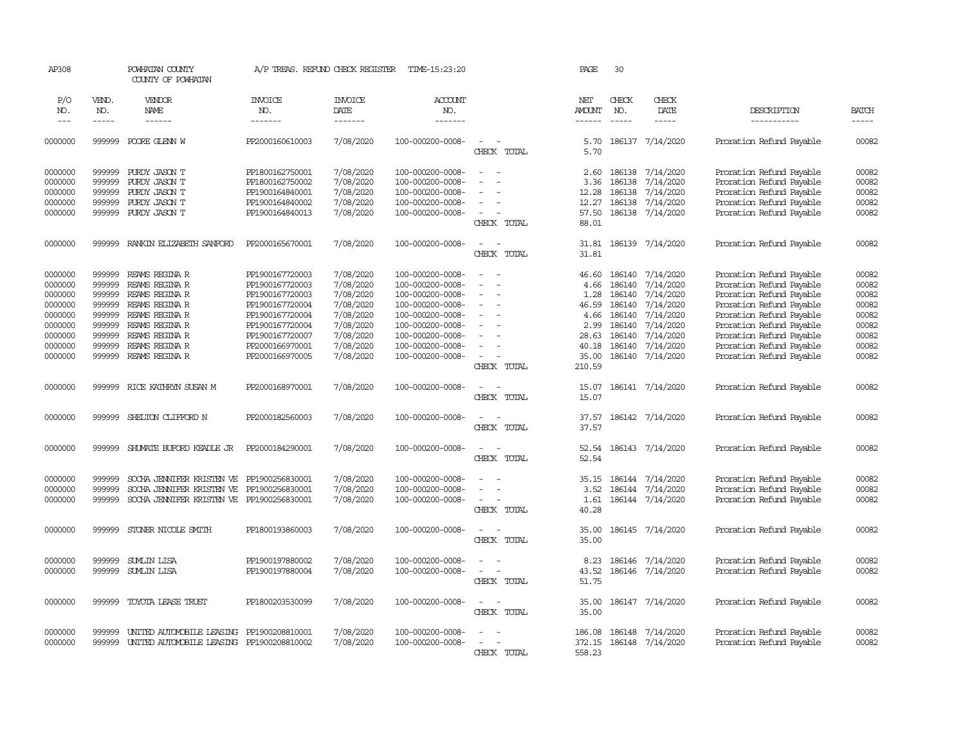| AP308      |              | POWHATAN COUNTY<br>COUNTY OF POWHATAN     |                 | A/P TREAS. REFUND CHECK REGISTER | TIME-15:23:20         |                          | PAGE                 | 30            |                  |                          |              |
|------------|--------------|-------------------------------------------|-----------------|----------------------------------|-----------------------|--------------------------|----------------------|---------------|------------------|--------------------------|--------------|
| P/O<br>NO. | VEND.<br>NO. | VENDOR<br><b>NAME</b>                     | INVOICE<br>NO.  | <b>INVOICE</b><br>DATE           | <b>ACCOUNT</b><br>NO. |                          | NET<br><b>AMOUNT</b> | CHECK<br>NO.  | CHECK<br>DATE    | DESCRIPTION              | <b>BATCH</b> |
| $---$      | $- - - - -$  | ------                                    | -------         | -------                          | -------               |                          | ------               | $\frac{1}{2}$ | $- - - - -$      | -----------              | $- - - - -$  |
| 0000000    | 999999       | POORE GLENN W                             | PP2000160610003 | 7/08/2020                        | 100-000200-0008-      | $\sim$<br>CHECK TOTAL    | 5.70<br>5.70         |               | 186137 7/14/2020 | Proration Refund Payable | 00082        |
| 0000000    | 999999       | PURDY JASON T                             | PP1800162750001 | 7/08/2020                        | 100-000200-0008-      | $\sim$                   | 2.60                 | 186138        | 7/14/2020        | Proration Refund Payable | 00082        |
| 0000000    | 999999       | PURDY JASON T                             | PP1800162750002 | 7/08/2020                        | 100-000200-0008-      |                          | 3.36                 | 186138        | 7/14/2020        | Proration Refund Payable | 00082        |
| 0000000    | 999999       | PURDY JASON T                             | PP1900164840001 | 7/08/2020                        | 100-000200-0008-      |                          | 12.28                | 186138        | 7/14/2020        | Proration Refund Payable | 00082        |
| 0000000    | 999999       | PURDY JASON T                             | PP1900164840002 | 7/08/2020                        | 100-000200-0008-      |                          | 12.27                | 186138        | 7/14/2020        | Proration Refund Payable | 00082        |
| 0000000    | 999999       | PURDY JASON T                             | PP1900164840013 | 7/08/2020                        | 100-000200-0008-      | $\equiv$                 | 57.50                |               | 186138 7/14/2020 | Proration Refund Payable | 00082        |
|            |              |                                           |                 |                                  |                       | CHECK TOTAL              | 88.01                |               |                  |                          |              |
| 0000000    | 999999       | RANKIN ELIZABETH SANFORD                  | PP2000165670001 | 7/08/2020                        | 100-000200-0008-      | $\sim$                   | 31.81                |               | 186139 7/14/2020 | Proration Refund Payable | 00082        |
|            |              |                                           |                 |                                  |                       | CHECK TOTAL              | 31.81                |               |                  |                          |              |
| 0000000    | 999999       | REAMS REGINA R                            | PP1900167720003 | 7/08/2020                        | 100-000200-0008-      |                          | 46.60                | 186140        | 7/14/2020        | Proration Refund Payable | 00082        |
| 0000000    | 999999       | REAMS REGINA R                            | PP1900167720003 | 7/08/2020                        | 100-000200-0008-      | $\sim$                   | 4.66                 | 186140        | 7/14/2020        | Proration Refund Payable | 00082        |
| 0000000    | 999999       | REAMS REGINA R                            | PP1900167720003 | 7/08/2020                        | 100-000200-0008-      |                          | 1.28                 | 186140        | 7/14/2020        | Proration Refund Payable | 00082        |
| 0000000    | 999999       | REAMS REGINA R                            | PP1900167720004 | 7/08/2020                        | 100-000200-0008-      |                          | 46.59                | 186140        | 7/14/2020        | Proration Refund Payable | 00082        |
| 0000000    | 999999       | REAMS REGINA R                            | PP1900167720004 | 7/08/2020                        | 100-000200-0008-      | $\equiv$                 | 4.66                 | 186140        | 7/14/2020        | Proration Refund Payable | 00082        |
| 0000000    | 999999       | REAMS REGINA R                            | PP1900167720004 | 7/08/2020                        | 100-000200-0008-      |                          | 2.99                 | 186140        | 7/14/2020        | Proration Refund Payable | 00082        |
| 0000000    | 999999       | REAMS REGINA R                            | PP1900167720007 | 7/08/2020                        | 100-000200-0008-      |                          | 28.63                | 186140        | 7/14/2020        | Proration Refund Payable | 00082        |
| 0000000    | 999999       | REAMS REGINA R                            | PP2000166970001 | 7/08/2020                        | 100-000200-0008-      |                          | 40.18                | 186140        | 7/14/2020        | Proration Refund Payable | 00082        |
| 0000000    | 999999       | REAMS REGINA R                            | PP2000166970005 | 7/08/2020                        | 100-000200-0008-      | $\equiv$                 | 35.00                | 186140        | 7/14/2020        | Proration Refund Payable | 00082        |
|            |              |                                           |                 |                                  |                       | CHECK TOTAL              | 210.59               |               |                  |                          |              |
| 0000000    | 999999       | RICE KATHRYN SUSAN M                      | PP2000168970001 | 7/08/2020                        | 100-000200-0008-      | $\overline{\phantom{a}}$ | 15.07                |               | 186141 7/14/2020 | Proration Refund Payable | 00082        |
|            |              |                                           |                 |                                  |                       | CHECK TOTAL              | 15.07                |               |                  |                          |              |
| 0000000    | 999999       | SHELTON CLIFFORD N                        | PP2000182560003 | 7/08/2020                        | 100-000200-0008-      | $\overline{\phantom{a}}$ | 37.57                |               | 186142 7/14/2020 | Proration Refund Payable | 00082        |
|            |              |                                           |                 |                                  |                       | CHECK TOTAL              | 37.57                |               |                  |                          |              |
| 0000000    | 999999       | SHUMATE BUFORD KEADLE JR                  | PP2000184290001 | 7/08/2020                        | 100-000200-0008-      | $\sim$                   | 52.54                |               | 186143 7/14/2020 | Proration Refund Payable | 00082        |
|            |              |                                           |                 |                                  |                       | CHECK TOTAL              | 52.54                |               |                  |                          |              |
| 0000000    | 999999       | SOCHA JENNIFER KRISTEN VE                 | PP1900256830001 | 7/08/2020                        | 100-000200-0008-      |                          | 35.15                | 186144        | 7/14/2020        | Proration Refund Payable | 00082        |
| 0000000    | 999999       | SOCHA JENNIFER KRISTEN VE                 | PP1900256830001 | 7/08/2020                        | 100-000200-0008-      | $\sim$                   | 3.52                 |               | 186144 7/14/2020 | Proration Refund Payable | 00082        |
| 0000000    | 999999       | SOCHA JENNIFER KRISTEN VE PP1900256830001 |                 | 7/08/2020                        | 100-000200-0008-      | $\blacksquare$           | 1.61                 |               | 186144 7/14/2020 | Proration Refund Payable | 00082        |
|            |              |                                           |                 |                                  |                       | CHECK TOTAL              | 40.28                |               |                  |                          |              |
| 0000000    | 999999       | STONER NICOLE SMITH                       | PP1800193860003 | 7/08/2020                        | 100-000200-0008-      | $\equiv$                 | 35.00                |               | 186145 7/14/2020 | Proration Refund Payable | 00082        |
|            |              |                                           |                 |                                  |                       | CHECK TOTAL              | 35.00                |               |                  |                          |              |
| 0000000    | 999999       | <b>SUMLIN LISA</b>                        | PP1900197880002 | 7/08/2020                        | 100-000200-0008-      | $\sim$                   | 8.23                 | 186146        | 7/14/2020        | Proration Refund Payable | 00082        |
| 0000000    | 999999       | <b>SUMLIN LISA</b>                        | PP1900197880004 | 7/08/2020                        | 100-000200-0008-      |                          | 43.52                |               | 186146 7/14/2020 | Proration Refund Payable | 00082        |
|            |              |                                           |                 |                                  |                       | CHECK TOTAL              | 51.75                |               |                  |                          |              |
| 0000000    | 999999       | TOYOTA LEASE TRUST                        | PP1800203530099 | 7/08/2020                        | 100-000200-0008-      | $\equiv$                 | 35.00                | 186147        | 7/14/2020        | Proration Refund Payable | 00082        |
|            |              |                                           |                 |                                  |                       | CHECK TOTAL              | 35.00                |               |                  |                          |              |
| 0000000    | 999999       | UNITED AUTOMOBILE LEASING                 | PP1900208810001 | 7/08/2020                        | 100-000200-0008-      |                          | 186.08               | 186148        | 7/14/2020        | Proration Refund Payable | 00082        |
| 0000000    | 999999       | UNITED AUTOMOBILE LEASING PP1900208810002 |                 | 7/08/2020                        | 100-000200-0008-      |                          | 372.15               |               | 186148 7/14/2020 | Proration Refund Payable | 00082        |
|            |              |                                           |                 |                                  |                       | CHECK TOTAL              | 558.23               |               |                  |                          |              |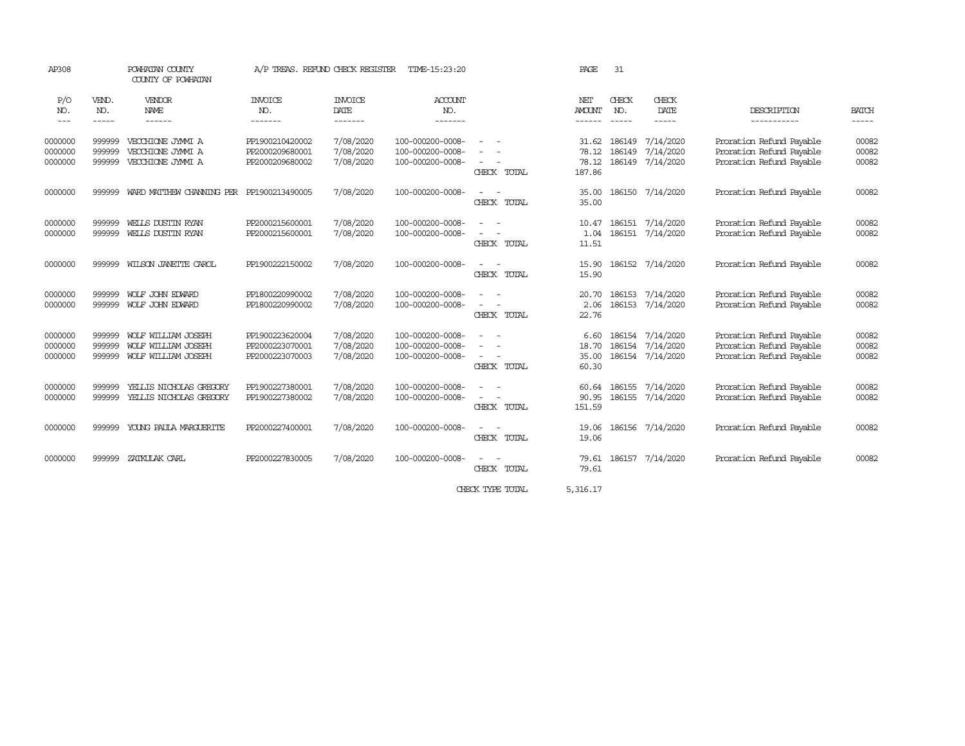| AP308                         |                            | POWHATAN COUNTY<br>COUNTY OF POWHATAN                             | A/P TREAS. REFUND CHECK REGISTER                      |                                     | TIME-15:23:20                                            |                                                           | PAGE                              | 31                            |                                                          |                                                                                  |                         |
|-------------------------------|----------------------------|-------------------------------------------------------------------|-------------------------------------------------------|-------------------------------------|----------------------------------------------------------|-----------------------------------------------------------|-----------------------------------|-------------------------------|----------------------------------------------------------|----------------------------------------------------------------------------------|-------------------------|
| P/O<br>NO.<br>$\cdots$        | VEND.<br>NO.<br>-----      | VENDOR<br><b>NAME</b><br>------                                   | <b>INVOICE</b><br>NO.<br>-------                      | <b>INVOICE</b><br>DATE<br>-------   | <b>ACCOUNT</b><br>NO.<br>-------                         |                                                           | NET<br><b>AMOUNT</b><br>------    | CHECK<br>NO.<br>$\frac{1}{2}$ | CHECK<br>DATE<br>$- - - - -$                             | DESCRIPTION<br>-----------                                                       | <b>BATCH</b><br>-----   |
| 0000000<br>0000000<br>0000000 | 999999<br>999999<br>999999 | VECCHIONE JYMMI A<br>VECCHIONE JYMMI A<br>VECCHIONE JYMNI A       | PP1900210420002<br>PP2000209680001<br>PP2000209680002 | 7/08/2020<br>7/08/2020<br>7/08/2020 | 100-000200-0008-<br>100-000200-0008-<br>100-000200-0008- | $\sim$ 100 $\sim$<br>CHECK TOTAL                          | 31.62<br>78.12<br>78.12<br>187.86 | 186149<br>186149              | 7/14/2020<br>7/14/2020<br>186149 7/14/2020               | Proration Refund Payable<br>Proration Refund Payable<br>Proration Refund Payable | 00082<br>00082<br>00082 |
| 0000000                       | 999999                     | WARD MATTHEW CHANNING PER PP1900213490005                         |                                                       | 7/08/2020                           | 100-000200-0008-                                         | $\overline{\phantom{a}}$<br>$\overline{a}$<br>CHECK TOTAL | 35.00<br>35.00                    |                               | 186150 7/14/2020                                         | Proration Refund Payable                                                         | 00082                   |
| 0000000<br>0000000            | 999999<br>999999           | WELLS DUSTIN RYAN<br>WELLS DUSTIN RYAN                            | PP2000215600001<br>PP2000215600001                    | 7/08/2020<br>7/08/2020              | 100-000200-0008-<br>100-000200-0008-                     | $\sim$<br>CHECK TOTAL                                     | 10.47<br>1.04<br>11.51            |                               | 186151 7/14/2020<br>186151 7/14/2020                     | Proration Refund Payable<br>Proration Refund Payable                             | 00082<br>00082          |
| 0000000                       | 999999                     | WILSON JANETTE CAROL                                              | PP1900222150002                                       | 7/08/2020                           | 100-000200-0008-                                         | $\sim$<br>$\sim$<br>CHECK TOTAL                           | 15.90<br>15.90                    |                               | 186152 7/14/2020                                         | Proration Refund Payable                                                         | 00082                   |
| 0000000<br>0000000            | 999999<br>999999           | WOLF JOHN EDWARD<br>WOLF JOHN EDWARD                              | PP1800220990002<br>PP1800220990002                    | 7/08/2020<br>7/08/2020              | 100-000200-0008-<br>100-000200-0008-                     | $\equiv$<br>$\overline{\phantom{a}}$<br>CHECK TOTAL       | 20.70<br>2.06<br>22.76            | 186153                        | 7/14/2020<br>186153 7/14/2020                            | Proration Refund Payable<br>Proration Refund Payable                             | 00082<br>00082          |
| 0000000<br>0000000<br>0000000 | 999999<br>999999<br>999999 | WOLF WILLIAM JOSEPH<br>WOLF WILLIAM JOSEPH<br>WOLF WILLIAM JOSEPH | PP1900223620004<br>PP2000223070001<br>PP2000223070003 | 7/08/2020<br>7/08/2020<br>7/08/2020 | 100-000200-0008-<br>100-000200-0008-<br>100-000200-0008- | $\sim$<br>$\sim$<br>CHECK TOTAL                           | 6.60<br>18.70<br>35.00<br>60.30   |                               | 186154 7/14/2020<br>186154 7/14/2020<br>186154 7/14/2020 | Proration Refund Payable<br>Proration Refund Payable<br>Proration Refund Payable | 00082<br>00082<br>00082 |
| 0000000<br>0000000            | 999999<br>999999           | YELLIS NICHOLAS GREGORY<br>YELLIS NICHOLAS GREGORY                | PP1900227380001<br>PP1900227380002                    | 7/08/2020<br>7/08/2020              | 100-000200-0008-<br>100-000200-0008-                     | $\sim$<br>$\sim$<br>CHECK TOTAL                           | 60.64<br>90.95<br>151.59          |                               | 186155 7/14/2020<br>186155 7/14/2020                     | Proration Refund Payable<br>Proration Refund Payable                             | 00082<br>00082          |
| 0000000                       | 999999                     | YOUNG PAULA MARGUERITE                                            | PP2000227400001                                       | 7/08/2020                           | 100-000200-0008-                                         | CHECK TOTAL                                               | 19.06<br>19.06                    |                               | 186156 7/14/2020                                         | Proration Refund Payable                                                         | 00082                   |
| 0000000                       | 999999                     | ZATKULAK CARL                                                     | PP2000227830005                                       | 7/08/2020                           | 100-000200-0008-                                         | $\sim$<br>$\sim$<br>CHECK TOTAL                           | 79.61<br>79.61                    |                               | 186157 7/14/2020                                         | Proration Refund Payable                                                         | 00082                   |
|                               |                            |                                                                   |                                                       |                                     |                                                          | CHECK TYPE TOTAL                                          | 5,316.17                          |                               |                                                          |                                                                                  |                         |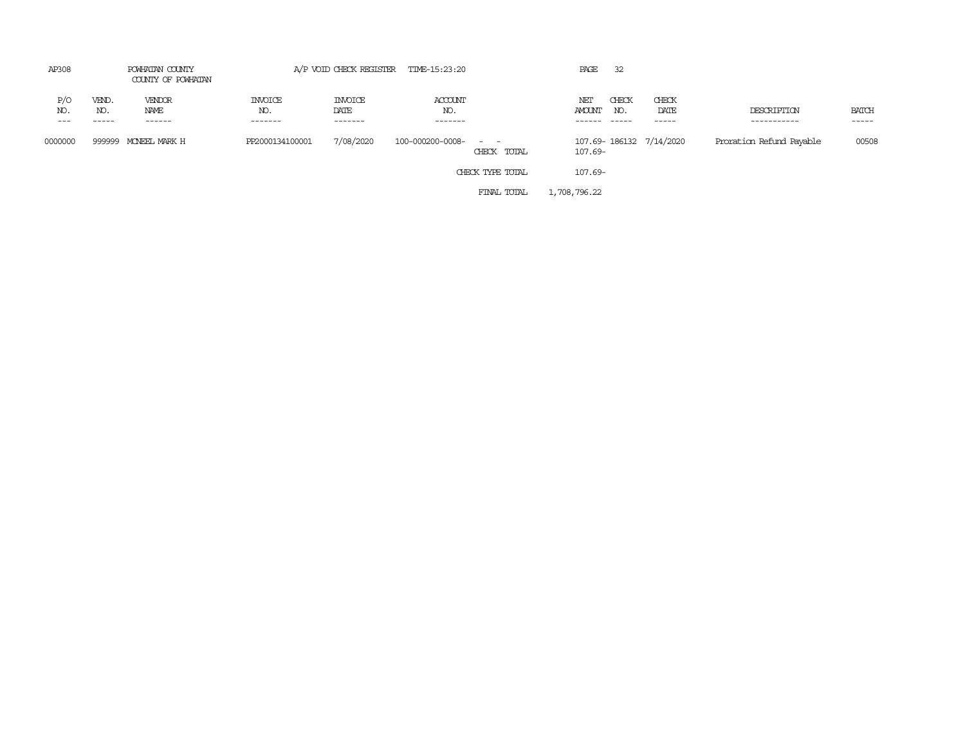| AP308      |                   | POWHATAN COUNTY<br>COUNTY OF POWHATAN |                                  |                                   | A/P VOID CHECK REGISTER TIME-15:23:20 |                                                                                                                             | PAGE                 | 32           |                         |                            |                       |
|------------|-------------------|---------------------------------------|----------------------------------|-----------------------------------|---------------------------------------|-----------------------------------------------------------------------------------------------------------------------------|----------------------|--------------|-------------------------|----------------------------|-----------------------|
| P/O<br>NO. | VEND.<br>NO.<br>. | VENDOR<br>NAME<br>------              | <b>INVOICE</b><br>NO.<br>------- | <b>INVOICE</b><br>DATE<br>------- | ACCOUNT<br>NO.<br>-------             |                                                                                                                             | NET<br><b>AMOUNT</b> | CHECK<br>NO. | CHECK<br>DATE<br>-----  | DESCRIPTION<br>----------- | <b>BATCH</b><br>----- |
| 0000000    | 999999            | MONEEL MARK H                         | PP2000134100001                  | 7/08/2020                         | 100-000200-0008-                      | $\frac{1}{2} \left( \frac{1}{2} \right) \left( \frac{1}{2} \right) = \frac{1}{2} \left( \frac{1}{2} \right)$<br>CHECK TOTAL | 107.69-              |              | 107.69-186132 7/14/2020 | Proration Refund Payable   | 00508                 |
|            |                   |                                       |                                  |                                   |                                       | CHECK TYPE TOTAL                                                                                                            | 107.69-              |              |                         |                            |                       |
|            |                   |                                       |                                  |                                   |                                       | FINAL TOTAL                                                                                                                 | 1,708,796.22         |              |                         |                            |                       |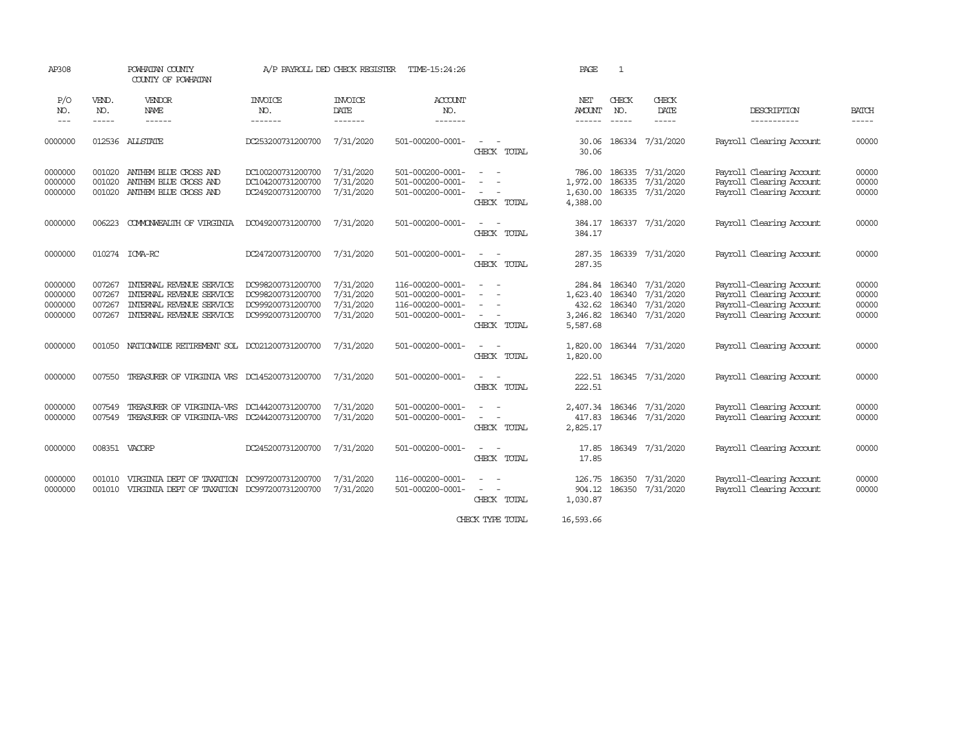| AP308      |              | POWHATAN COUNTY<br>COUNTY OF POWHATAN              | A/P PAYROLL DED CHECK REGISTER |                 | TIME-15:24:26    |                                                   | PAGE                 | $\mathbf{1}$ |                           |                            |                             |
|------------|--------------|----------------------------------------------------|--------------------------------|-----------------|------------------|---------------------------------------------------|----------------------|--------------|---------------------------|----------------------------|-----------------------------|
| P/O<br>NO. | VEND.<br>NO. | VENDOR                                             | <b>INVOICE</b><br>NO.          | <b>INVOICE</b>  | ACCOUNT<br>NO.   |                                                   | NET<br><b>AMOUNT</b> | CHECK        | CHECK<br>DATE             |                            |                             |
| $---$      | $- - - - -$  | NAME<br>------                                     | -------                        | DATE<br>------- | -------          |                                                   | $- - - - - -$        | NO.          | -----                     | DESCRIPTION<br>----------- | <b>BATCH</b><br>$- - - - -$ |
| 0000000    | 012536       | ALLSTATE                                           | DC253200731200700              | 7/31/2020       | 501-000200-0001- | $\sim$<br>CHECK TOTAL                             | 30.06<br>30.06       |              | 186334 7/31/2020          | Payroll Clearing Account   | 00000                       |
| 0000000    | 001020       | ANTHEM BLUE CROSS AND                              | DC100200731200700              | 7/31/2020       | 501-000200-0001- | $\sim$                                            | 786.00               |              | 186335 7/31/2020          | Payroll Clearing Account   | 00000                       |
| 0000000    | 001020       | ANIHEM BLUE CROSS AND                              | DC104200731200700              | 7/31/2020       | 501-000200-0001- | $\overline{\phantom{a}}$                          | 1,972.00             | 186335       | 7/31/2020                 | Payroll Clearing Account   | 00000                       |
| 0000000    | 001020       | ANIHEM BLUE CROSS AND                              | DC249200731200700              | 7/31/2020       | 501-000200-0001- | $\overline{\phantom{a}}$<br>CHECK TOTAL           | 1,630.00<br>4,388.00 |              | 186335 7/31/2020          | Payroll Clearing Account   | 00000                       |
| 0000000    | 006223       | COMONWEALTH OF VIRGINIA                            | DC049200731200700              | 7/31/2020       | 501-000200-0001- | $\sim$<br>$\overline{\phantom{a}}$<br>CHECK TOTAL | 384.17<br>384.17     |              | 186337 7/31/2020          | Payroll Clearing Account   | 00000                       |
| 0000000    |              | 010274 ICMA-RC                                     | DC247200731200700              | 7/31/2020       | 501-000200-0001- | $\sim$<br>$\sim$<br>CHECK TOTAL                   | 287.35<br>287.35     |              | 186339 7/31/2020          | Payroll Clearing Account   | 00000                       |
| 0000000    | 007267       | INIERNAL REVENUE SERVICE                           | DC998200731200700              | 7/31/2020       | 116-000200-0001- | $\sim$<br>$\sim$                                  | 284.84               | 186340       | 7/31/2020                 | Payroll-Clearing Account   | 00000                       |
| 0000000    | 007267       | INTERNAL REVENUE SERVICE                           | DC998200731200700              | 7/31/2020       | 501-000200-0001- | $\sim$                                            | 1,623.40             |              | 186340 7/31/2020          | Payroll Clearing Account   | 00000                       |
| 0000000    | 007267       | INTERNAL REVENUE SERVICE                           | DC999200731200700              | 7/31/2020       | 116-000200-0001- | $\overline{\phantom{a}}$                          | 432.62               |              | 186340 7/31/2020          | Payroll-Clearing Account   | 00000                       |
| 0000000    | 007267       | INTERNAL REVENUE SERVICE                           | DC999200731200700              | 7/31/2020       | 501-000200-0001- | $\sim$<br>$\sim$<br>CHECK TOTAL                   | 3,246.82<br>5,587.68 |              | 186340 7/31/2020          | Payroll Clearing Account   | 00000                       |
| 0000000    |              | 001050 NATIONWIDE RETIREMENT SOL DC021200731200700 |                                | 7/31/2020       | 501-000200-0001- | $\sim$ $ \sim$<br>CHECK TOTAL                     | 1,820.00<br>1,820.00 |              | 186344 7/31/2020          | Payroll Clearing Account   | 00000                       |
| 0000000    | 007550       | TREASURER OF VIRGINIA VRS DC145200731200700        |                                | 7/31/2020       | 501-000200-0001- | $\sim$<br>CHECK TOTAL                             | 222.51               |              | 222.51 186345 7/31/2020   | Payroll Clearing Account   | 00000                       |
| 0000000    | 007549       | TREASURER OF VIRGINIA-VRS                          | DC144200731200700              | 7/31/2020       | 501-000200-0001- |                                                   |                      |              | 2,407.34 186346 7/31/2020 | Payroll Clearing Account   | 00000                       |
| 0000000    | 007549       | TREASURER OF VIRGINIA-VRS DC244200731200700        |                                | 7/31/2020       | 501-000200-0001- | $\sim$ 100 $\sim$                                 | 417.83               |              | 186346 7/31/2020          | Payroll Clearing Account   | 00000                       |
|            |              |                                                    |                                |                 |                  | CHECK TOTAL                                       | 2,825.17             |              |                           |                            |                             |
| 0000000    |              | 008351 VACORP                                      | DC245200731200700              | 7/31/2020       | 501-000200-0001- | $\overline{\phantom{a}}$<br>CHECK TOTAL           | 17.85<br>17.85       |              | 186349 7/31/2020          | Payroll Clearing Account   | 00000                       |
| 0000000    | 001010       | VIRGINIA DEPT OF TAXATION DC997200731200700        |                                | 7/31/2020       | 116-000200-0001- |                                                   | 126.75               |              | 186350 7/31/2020          | Payroll-Clearing Account   | 00000                       |
| 0000000    | 001010       | VIRGINIA DEPT OF TAXATION DC997200731200700        |                                | 7/31/2020       | 501-000200-0001- | $\sim$ $ \sim$                                    | 904.12               |              | 186350 7/31/2020          | Payroll Clearing Account   | 00000                       |
|            |              |                                                    |                                |                 |                  | CHECK TOTAL                                       | 1,030.87             |              |                           |                            |                             |

CHECK TYPE TOTAL 16,593.66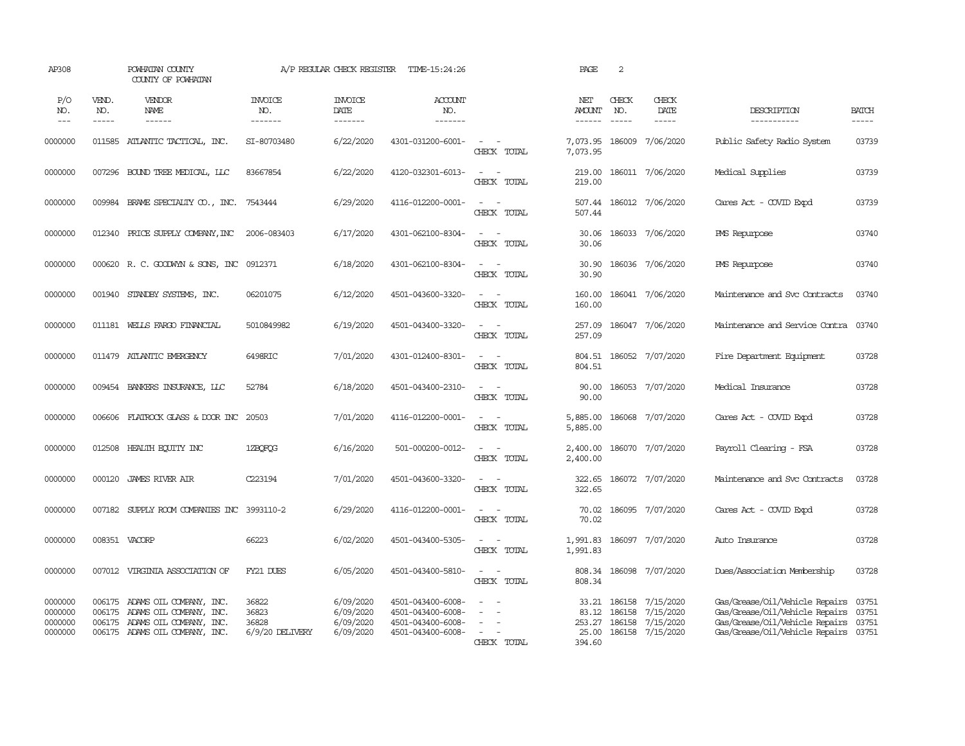| AP308                                    |                             | POWHATAN COUNTY<br>COUNTY OF POWHATAN                                                                                         |                                              | A/P REGULAR CHECK REGISTER                       | TIME-15:24:26                                                                    |                                                                     | PAGE                           | 2                                       |                                                         |                                                                                                                                            |                         |
|------------------------------------------|-----------------------------|-------------------------------------------------------------------------------------------------------------------------------|----------------------------------------------|--------------------------------------------------|----------------------------------------------------------------------------------|---------------------------------------------------------------------|--------------------------------|-----------------------------------------|---------------------------------------------------------|--------------------------------------------------------------------------------------------------------------------------------------------|-------------------------|
| P/O<br>NO.<br>$\frac{1}{2}$              | VEND.<br>NO.<br>$- - - - -$ | VENDOR<br><b>NAME</b>                                                                                                         | <b>INVOICE</b><br>NO.<br>-------             | <b>INVOICE</b><br>DATE<br>$- - - - - - -$        | <b>ACCOUNT</b><br>NO.<br>-------                                                 |                                                                     | NET<br><b>AMOUNT</b><br>------ | CHECK<br>NO.<br>$\frac{1}{2}$           | CHECK<br><b>DATE</b>                                    | DESCRIPTION<br>-----------                                                                                                                 | <b>BATCH</b><br>-----   |
| 0000000                                  | 011585                      | ATLANTIC TACTICAL, INC.                                                                                                       | SI-80703480                                  | 6/22/2020                                        | 4301-031200-6001-                                                                | $\overline{\phantom{a}}$<br>$\overline{\phantom{a}}$<br>CHECK TOTAL | 7,073.95<br>7,073.95           | 186009                                  | 7/06/2020                                               | Public Safety Radio System                                                                                                                 | 03739                   |
| 0000000                                  | 007296                      | BOUND TREE MEDICAL, LLC                                                                                                       | 83667854                                     | 6/22/2020                                        | 4120-032301-6013-                                                                | $\overline{\phantom{a}}$<br>$\sim$<br>CHECK TOTAL                   | 219.00<br>219.00               |                                         | 186011 7/06/2020                                        | Medical Supplies                                                                                                                           | 03739                   |
| 0000000                                  |                             | 009984 BRAME SPECIALITY CO., INC.                                                                                             | 7543444                                      | 6/29/2020                                        | 4116-012200-0001-                                                                | $\sim$<br>$\sim$<br>CHECK TOTAL                                     | 507.44<br>507.44               |                                         | 186012 7/06/2020                                        | Cares Act - COVID Expd                                                                                                                     | 03739                   |
| 0000000                                  | 012340                      | PRICE SUPPLY COMPANY, INC                                                                                                     | 2006-083403                                  | 6/17/2020                                        | 4301-062100-8304-                                                                | $\overline{\phantom{a}}$<br>- 14<br>CHECK TOTAL                     | 30.06<br>30.06                 |                                         | 186033 7/06/2020                                        | PMS Repurpose                                                                                                                              | 03740                   |
| 0000000                                  |                             | 000620 R.C. GOODWYN & SONS, INC 0912371                                                                                       |                                              | 6/18/2020                                        | 4301-062100-8304-                                                                | $\overline{\phantom{a}}$<br>$\sim$<br>CHECK TOTAL                   | 30.90<br>30.90                 |                                         | 186036 7/06/2020                                        | PMS Repurpose                                                                                                                              | 03740                   |
| 0000000                                  | 001940                      | STANDBY SYSTEMS, INC.                                                                                                         | 06201075                                     | 6/12/2020                                        | 4501-043600-3320-                                                                | $\sim$<br>$\sim$<br>CHECK TOTAL                                     | 160.00<br>160.00               |                                         | 186041 7/06/2020                                        | Maintenance and Svc Contracts                                                                                                              | 03740                   |
| 0000000                                  |                             | 011181 WELLS FARGO FINANCIAL                                                                                                  | 5010849982                                   | 6/19/2020                                        | 4501-043400-3320-                                                                | $\omega_{\rm{max}}$ and $\omega_{\rm{max}}$<br>CHECK TOTAL          | 257.09<br>257.09               |                                         | 186047 7/06/2020                                        | Maintenance and Service Contra 03740                                                                                                       |                         |
| 0000000                                  |                             | 011479 ATLANTIC EMERGENCY                                                                                                     | 6498RIC                                      | 7/01/2020                                        | 4301-012400-8301-                                                                | $\sim$<br>$\sim$<br>CHECK TOTAL                                     | 804.51                         |                                         | 804.51 186052 7/07/2020                                 | Fire Department Equipment                                                                                                                  | 03728                   |
| 0000000                                  |                             | 009454 BANKERS INSURANCE, LLC                                                                                                 | 52784                                        | 6/18/2020                                        | 4501-043400-2310-                                                                | $\sim$<br>$\sim$<br>CHECK TOTAL                                     | 90.00<br>90.00                 |                                         | 186053 7/07/2020                                        | Medical Insurance                                                                                                                          | 03728                   |
| 0000000                                  | 006606                      | FLATROCK GLASS & DOOR INC 20503                                                                                               |                                              | 7/01/2020                                        | 4116-012200-0001-                                                                | $\sim$<br>$\sim$ $-$<br>CHECK TOTAL                                 | 5,885.00<br>5,885.00           |                                         | 186068 7/07/2020                                        | Cares Act - COVID Expd                                                                                                                     | 03728                   |
| 0000000                                  | 012508                      | HEALTH ECUTTY INC                                                                                                             | 1ZBOFOG                                      | 6/16/2020                                        | 501-000200-0012-                                                                 | $\sim$ $  -$<br>CHECK TOTAL                                         | 2,400.00<br>2,400.00           |                                         | 186070 7/07/2020                                        | Payroll Clearing - FSA                                                                                                                     | 03728                   |
| 0000000                                  | 000120                      | JAMES RIVER AIR                                                                                                               | C223194                                      | 7/01/2020                                        | 4501-043600-3320-                                                                | $\sim 100$ km s $^{-1}$<br>CHECK TOTAL                              | 322.65<br>322.65               |                                         | 186072 7/07/2020                                        | Maintenance and Svc Contracts                                                                                                              | 03728                   |
| 0000000                                  | 007182                      | SUPPLY ROOM COMPANIES INC 3993110-2                                                                                           |                                              | 6/29/2020                                        | 4116-012200-0001-                                                                | $\sim$<br>$\sim$<br>CHECK TOTAL                                     | 70.02<br>70.02                 |                                         | 186095 7/07/2020                                        | Cares Act - COVID Expd                                                                                                                     | 03728                   |
| 0000000                                  |                             | 008351 VACORP                                                                                                                 | 66223                                        | 6/02/2020                                        | 4501-043400-5305-                                                                | $\sim$ $  -$<br>CHECK TOTAL                                         | 1,991.83                       |                                         | 1,991.83 186097 7/07/2020                               | Auto Insurance                                                                                                                             | 03728                   |
| 0000000                                  |                             | 007012 VIRGINIA ASSOCIATION OF                                                                                                | FY21 DUES                                    | 6/05/2020                                        | 4501-043400-5810-                                                                | $\sim$ $ \sim$<br>CHECK TOTAL                                       | 808.34                         |                                         | 808.34 186098 7/07/2020                                 | Dues/Association Membership                                                                                                                | 03728                   |
| 0000000<br>0000000<br>0000000<br>0000000 | 006175                      | 006175 ADAMS OIL COMPANY, INC.<br>ADAMS OIL COMPANY, INC.<br>006175 ADAMS OIL COMPANY, INC.<br>006175 ADAMS OIL COMPANY, INC. | 36822<br>36823<br>36828<br>$6/9/20$ DELIVERY | 6/09/2020<br>6/09/2020<br>6/09/2020<br>6/09/2020 | 4501-043400-6008-<br>4501-043400-6008-<br>4501-043400-6008-<br>4501-043400-6008- | ÷.<br>$\sim$<br>$\sim$<br>CHECK TOTAL                               | 83.12<br>25.00<br>394.60       | 33.21 186158<br>186158<br>253.27 186158 | 7/15/2020<br>7/15/2020<br>7/15/2020<br>186158 7/15/2020 | Gas/Grease/Oil/Vehicle Repairs<br>Gas/Grease/Oil/Vehicle Repairs<br>Gas/Grease/Oil/Vehicle Repairs<br>Gas/Grease/Oil/Vehicle Repairs 03751 | 03751<br>03751<br>03751 |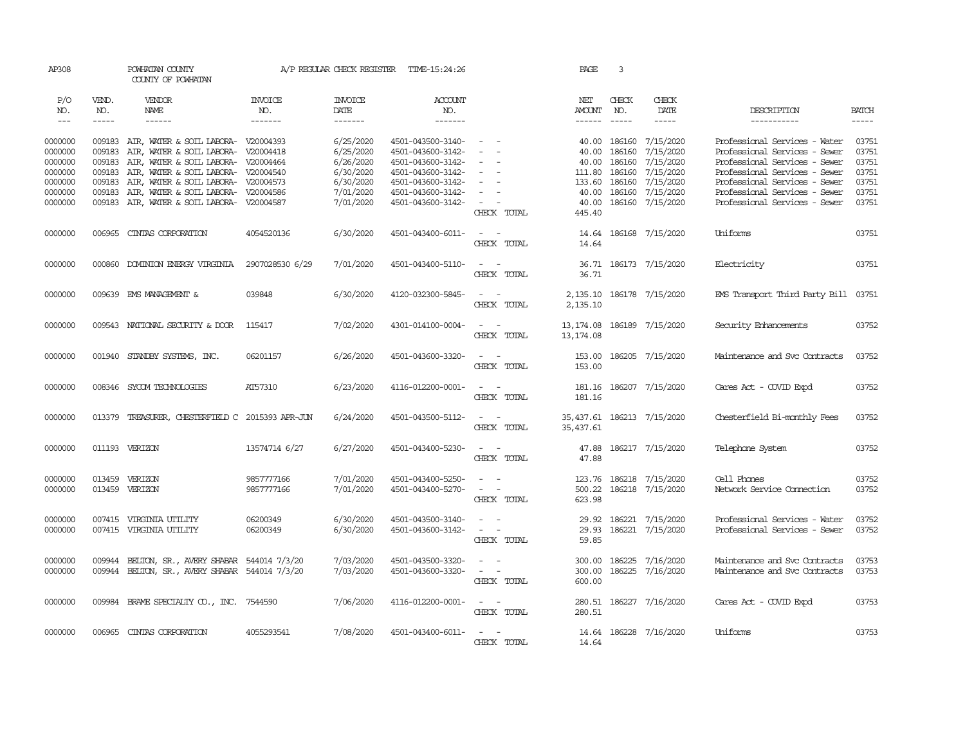| AP308              |                  | POWHATAN COUNTY<br>COUNTY OF POWHATAN                                              |                          | A/P REGULAR CHECK REGISTER | TIME-15:24:26                          |                                                                                                                                | PAGE                       | 3                |                                      |                                                                |                |
|--------------------|------------------|------------------------------------------------------------------------------------|--------------------------|----------------------------|----------------------------------------|--------------------------------------------------------------------------------------------------------------------------------|----------------------------|------------------|--------------------------------------|----------------------------------------------------------------|----------------|
| P/O<br>NO.         | VEND.<br>NO.     | VENDOR<br>NAME                                                                     | <b>INVOICE</b><br>NO.    | <b>INVOICE</b><br>DATE     | ACCOUNT<br>NO.                         |                                                                                                                                | NET<br>AMOUNT              | CHECK<br>NO.     | CHECK<br>DATE                        | DESCRIPTION                                                    | <b>BATCH</b>   |
| $---$              | $\frac{1}{2}$    | $- - - - - -$                                                                      | -------                  | --------                   | $- - - - - - -$                        |                                                                                                                                | $- - - - - -$              |                  | $- - - - -$                          | -----------                                                    | $\frac{1}{2}$  |
| 0000000<br>0000000 | 009183           | 009183 AIR, WATER & SOIL LABORA- V20004393<br>AIR, WATER & SOIL LABORA- V20004418  |                          | 6/25/2020<br>6/25/2020     | 4501-043500-3140-<br>4501-043600-3142- | $\sim$                                                                                                                         | 40.00<br>40.00             | 186160<br>186160 | 7/15/2020<br>7/15/2020               | Professional Services - Water<br>Professional Services - Sewer | 03751<br>03751 |
| 0000000            | 009183           | AIR, WATER & SOIL LABORA- V20004464                                                |                          | 6/26/2020                  | 4501-043600-3142-                      |                                                                                                                                | 40.00                      | 186160           | 7/15/2020                            | Professional Services - Sewer                                  | 03751          |
| 0000000<br>0000000 | 009183<br>009183 | AIR, WATER & SOIL LABORA- V20004540<br>AIR, WATER & SOIL LABORA- V20004573         |                          | 6/30/2020<br>6/30/2020     | 4501-043600-3142-<br>4501-043600-3142- | $\sim$<br>$\sim$                                                                                                               | 111.80<br>133.60           | 186160<br>186160 | 7/15/2020<br>7/15/2020               | Professional Services - Sewer<br>Professional Services - Sewer | 03751<br>03751 |
| 0000000            | 009183           | AIR, WATER & SOIL LABORA- V20004586                                                |                          | 7/01/2020                  | 4501-043600-3142-                      |                                                                                                                                | 40.00                      | 186160           | 7/15/2020                            | Professional Services - Sewer                                  | 03751          |
| 0000000            |                  | 009183 AIR, WATER & SOIL LABORA- V20004587                                         |                          | 7/01/2020                  | 4501-043600-3142-                      | $\sim$                                                                                                                         | 40.00                      |                  | 186160 7/15/2020                     | Professional Services - Sewer                                  | 03751          |
|                    |                  |                                                                                    |                          |                            |                                        | CHECK TOTAL                                                                                                                    | 445.40                     |                  |                                      |                                                                |                |
| 0000000            | 006965           | CINIAS CORPORATION                                                                 | 4054520136               | 6/30/2020                  | 4501-043400-6011-                      | $\sim$ $ -$<br>CHECK TOTAL                                                                                                     | 14.64<br>14.64             |                  | 186168 7/15/2020                     | Uniforms                                                       | 03751          |
| 0000000            | 000860           | DOMINION ENERGY VIRGINIA                                                           | 2907028530 6/29          | 7/01/2020                  | 4501-043400-5110-                      | $\sim$ $ -$<br>CHECK TOTAL                                                                                                     | 36.71                      |                  | 36.71 186173 7/15/2020               | Electricity                                                    | 03751          |
| 0000000            |                  | 009639 EMS MANAGEMENT &                                                            | 039848                   | 6/30/2020                  | 4120-032300-5845-                      | $\sim$ 100 $\sim$<br>CHECK TOTAL                                                                                               | 2,135.10<br>2,135.10       |                  | 186178 7/15/2020                     | EMS Transport Third Party Bill 03751                           |                |
| 0000000            |                  | 009543 NATIONAL SECURITY & DOOR                                                    | 115417                   | 7/02/2020                  | 4301-014100-0004-                      | $\sim$ $ \sim$<br>CHECK TOTAL                                                                                                  | 13, 174.08<br>13, 174.08   |                  | 186189 7/15/2020                     | Security Enhancements                                          | 03752          |
| 0000000            | 001940           | STANDBY SYSTEMS, INC.                                                              | 06201157                 | 6/26/2020                  | 4501-043600-3320-                      | $\sim$ $ \sim$<br>CHECK TOTAL                                                                                                  | 153.00<br>153.00           |                  | 186205 7/15/2020                     | Maintenance and Svc Contracts                                  | 03752          |
| 0000000            |                  | 008346 SYCOM TECHNOLOGIES                                                          | AT57310                  | 6/23/2020                  | 4116-012200-0001-                      | $\sim$ $ \sim$<br>CHECK TOTAL                                                                                                  | 181.16<br>181.16           |                  | 186207 7/15/2020                     | Cares Act - COVID Expd                                         | 03752          |
| 0000000            |                  | 013379 TREASURER, CHESTERFIELD C 2015393 APR-JUN                                   |                          | 6/24/2020                  | 4501-043500-5112-                      | $\sim$ $ \sim$<br>CHECK TOTAL                                                                                                  | 35,437.61                  |                  | 35,437.61 186213 7/15/2020           | Chesterfield Bi-monthly Fees                                   | 03752          |
| 0000000            |                  | 011193 VERIZON                                                                     | 13574714 6/27            | 6/27/2020                  | 4501-043400-5230-                      | $\sim$ 100 $\sim$<br>CHECK TOTAL                                                                                               | 47.88<br>47.88             |                  | 186217 7/15/2020                     | Telephone System                                               | 03752          |
| 0000000<br>0000000 |                  | 013459 VERIZON<br>013459 VERIZON                                                   | 9857777166<br>9857777166 | 7/01/2020<br>7/01/2020     | 4501-043400-5250-<br>4501-043400-5270- | $\overline{\phantom{a}}$<br>$\sim$<br>$\sim$ 100 $\sim$                                                                        | 123.76<br>500.22           |                  | 186218 7/15/2020<br>186218 7/15/2020 | Cell Phones<br>Network Service Connection                      | 03752<br>03752 |
|                    |                  |                                                                                    |                          |                            |                                        | CHECK TOTAL                                                                                                                    | 623.98                     |                  |                                      |                                                                |                |
| 0000000<br>0000000 |                  | 007415 VIRGINIA UTILITY<br>007415 VIRGINIA UTILITY                                 | 06200349<br>06200349     | 6/30/2020<br>6/30/2020     | 4501-043500-3140-<br>4501-043600-3142- | $\sim$ $ -$<br>$\sim$ $ \sim$<br>CHECK TOTAL                                                                                   | 29.92<br>29.93<br>59.85    |                  | 186221 7/15/2020<br>186221 7/15/2020 | Professional Services - Water<br>Professional Services - Sewer | 03752<br>03752 |
| 0000000<br>0000000 | 009944<br>009944 | BELTON, SR., AVERY SHABAR 544014 7/3/20<br>BELTON, SR., AVERY SHABAR 544014 7/3/20 |                          | 7/03/2020<br>7/03/2020     | 4501-043500-3320-<br>4501-043600-3320- | $\sim$ $\sim$<br>$\frac{1}{2} \left( \frac{1}{2} \right) \left( \frac{1}{2} \right) \left( \frac{1}{2} \right)$<br>CHECK TOTAL | 300.00<br>300.00<br>600.00 | 186225           | 7/16/2020<br>186225 7/16/2020        | Maintenance and Svc Contracts<br>Maintenance and Svc Contracts | 03753<br>03753 |
| 0000000            |                  | 009984 BRAME SPECIALTY CO., INC.                                                   | 7544590                  | 7/06/2020                  | 4116-012200-0001-                      | $\frac{1}{2} \left( \frac{1}{2} \right) \left( \frac{1}{2} \right) = \frac{1}{2} \left( \frac{1}{2} \right)$<br>CHECK TOTAL    | 280.51                     |                  | 280.51 186227 7/16/2020              | Cares Act - COVID Expd                                         | 03753          |
| 0000000            | 006965           | CINIAS CORPORATION                                                                 | 4055293541               | 7/08/2020                  | 4501-043400-6011-                      | $\sim$<br>$\sim$<br>CHECK TOTAL                                                                                                | 14.64<br>14.64             |                  | 186228 7/16/2020                     | Uniforms                                                       | 03753          |
|                    |                  |                                                                                    |                          |                            |                                        |                                                                                                                                |                            |                  |                                      |                                                                |                |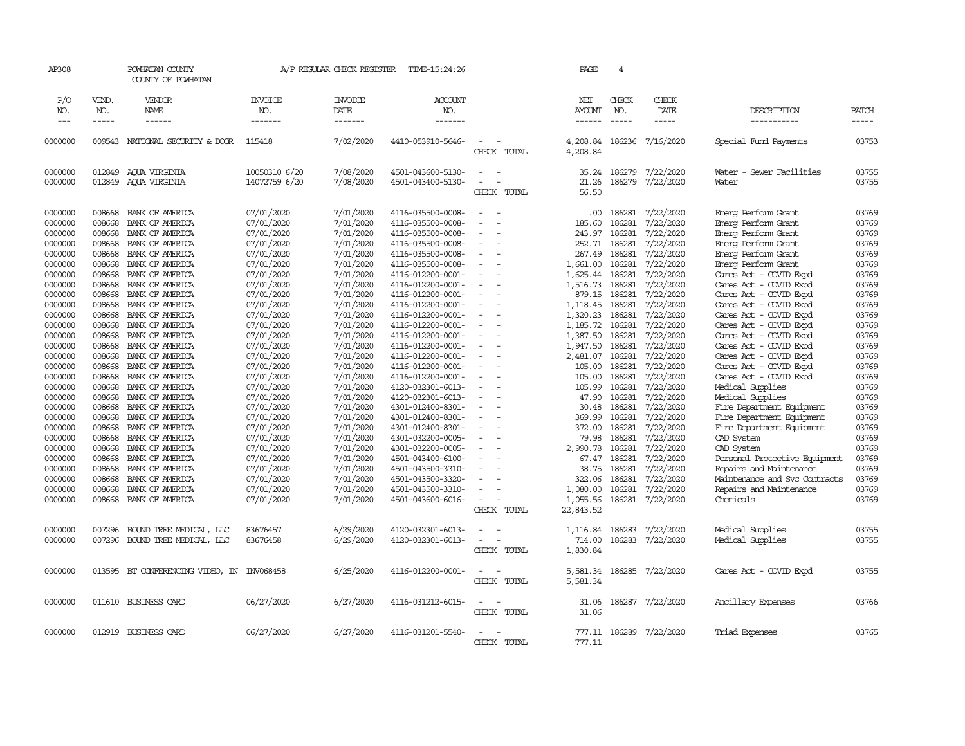| AP308                                                                                                                                                                                                                                                     |                                                                                                                                                                                                                                    | POWHATAN COUNTY<br>COUNTY OF POWHATAN                                                                                                                                                                                                                                                                                                                                                                                                             |                                                                                                                                                                                                                                                                                                                                | A/P REGULAR CHECK REGISTER                                                                                                                                                                                                                                                                              | TIME-15:24:26                                                                                                                                                                                                                                                                                                                                                                                                                                                                                   |                                                                                                                                                                                                                  | PAGE                                                                                                                                                                                                                                           | 4                                                                                                                                                                                                                                  |                                                                                                                                                                                                                                                                                                         |                                                                                                                                                                                                                                                                                                                                                                                                                                                                                                                                                                                   |                                                                                                                                                                                                             |
|-----------------------------------------------------------------------------------------------------------------------------------------------------------------------------------------------------------------------------------------------------------|------------------------------------------------------------------------------------------------------------------------------------------------------------------------------------------------------------------------------------|---------------------------------------------------------------------------------------------------------------------------------------------------------------------------------------------------------------------------------------------------------------------------------------------------------------------------------------------------------------------------------------------------------------------------------------------------|--------------------------------------------------------------------------------------------------------------------------------------------------------------------------------------------------------------------------------------------------------------------------------------------------------------------------------|---------------------------------------------------------------------------------------------------------------------------------------------------------------------------------------------------------------------------------------------------------------------------------------------------------|-------------------------------------------------------------------------------------------------------------------------------------------------------------------------------------------------------------------------------------------------------------------------------------------------------------------------------------------------------------------------------------------------------------------------------------------------------------------------------------------------|------------------------------------------------------------------------------------------------------------------------------------------------------------------------------------------------------------------|------------------------------------------------------------------------------------------------------------------------------------------------------------------------------------------------------------------------------------------------|------------------------------------------------------------------------------------------------------------------------------------------------------------------------------------------------------------------------------------|---------------------------------------------------------------------------------------------------------------------------------------------------------------------------------------------------------------------------------------------------------------------------------------------------------|-----------------------------------------------------------------------------------------------------------------------------------------------------------------------------------------------------------------------------------------------------------------------------------------------------------------------------------------------------------------------------------------------------------------------------------------------------------------------------------------------------------------------------------------------------------------------------------|-------------------------------------------------------------------------------------------------------------------------------------------------------------------------------------------------------------|
| P/O<br>NO.<br>$---$                                                                                                                                                                                                                                       | VEND.<br>NO.<br>$- - - - -$                                                                                                                                                                                                        | VENDOR<br>NAME<br>------                                                                                                                                                                                                                                                                                                                                                                                                                          | <b>INVOICE</b><br>NO.<br>-------                                                                                                                                                                                                                                                                                               | <b>INVOICE</b><br>DATE<br>-------                                                                                                                                                                                                                                                                       | <b>ACCOUNT</b><br>NO.<br>-------                                                                                                                                                                                                                                                                                                                                                                                                                                                                |                                                                                                                                                                                                                  | NET<br><b>AMOUNT</b><br>$- - - - - -$                                                                                                                                                                                                          | CHECK<br>NO.<br>$\frac{1}{2}$                                                                                                                                                                                                      | CHECK<br>DATE<br>$- - - - -$                                                                                                                                                                                                                                                                            | DESCRIPTION<br>-----------                                                                                                                                                                                                                                                                                                                                                                                                                                                                                                                                                        | <b>BATCH</b><br>$- - - - -$                                                                                                                                                                                 |
| 0000000                                                                                                                                                                                                                                                   |                                                                                                                                                                                                                                    | 009543 NATIONAL SECURITY & DOOR                                                                                                                                                                                                                                                                                                                                                                                                                   | 115418                                                                                                                                                                                                                                                                                                                         | 7/02/2020                                                                                                                                                                                                                                                                                               | 4410-053910-5646-                                                                                                                                                                                                                                                                                                                                                                                                                                                                               | CHECK TOTAL                                                                                                                                                                                                      | 4,208.84<br>4,208.84                                                                                                                                                                                                                           | 186236                                                                                                                                                                                                                             | 7/16/2020                                                                                                                                                                                                                                                                                               | Special Fund Payments                                                                                                                                                                                                                                                                                                                                                                                                                                                                                                                                                             | 03753                                                                                                                                                                                                       |
| 0000000<br>0000000                                                                                                                                                                                                                                        | 012849                                                                                                                                                                                                                             | 012849 AQUA VIRGINIA<br>AQUA VIRGINIA                                                                                                                                                                                                                                                                                                                                                                                                             | 10050310 6/20<br>14072759 6/20                                                                                                                                                                                                                                                                                                 | 7/08/2020<br>7/08/2020                                                                                                                                                                                                                                                                                  | 4501-043600-5130-<br>4501-043400-5130-                                                                                                                                                                                                                                                                                                                                                                                                                                                          | $\sim$<br>$\sim$<br>$\equiv$<br>CHECK TOTAL                                                                                                                                                                      | 35.24<br>21.26<br>56.50                                                                                                                                                                                                                        | 186279<br>186279                                                                                                                                                                                                                   | 7/22/2020<br>7/22/2020                                                                                                                                                                                                                                                                                  | Water - Sewer Facilities<br>Water                                                                                                                                                                                                                                                                                                                                                                                                                                                                                                                                                 | 03755<br>03755                                                                                                                                                                                              |
| 0000000<br>0000000<br>0000000<br>0000000<br>0000000<br>0000000<br>0000000<br>0000000<br>0000000<br>0000000<br>0000000<br>0000000<br>0000000<br>0000000<br>0000000<br>0000000<br>0000000<br>0000000<br>0000000<br>0000000<br>0000000<br>0000000<br>0000000 | 008668<br>008668<br>008668<br>008668<br>008668<br>008668<br>008668<br>008668<br>008668<br>008668<br>008668<br>008668<br>008668<br>008668<br>008668<br>008668<br>008668<br>008668<br>008668<br>008668<br>008668<br>008668<br>008668 | BANK OF AMERICA<br>BANK OF AMERICA<br>BANK OF AMERICA<br>BANK OF AMERICA<br>BANK OF AMERICA<br>BANK OF AMERICA<br>BANK OF AMERICA<br>BANK OF AMERICA<br>BANK OF AMERICA<br>BANK OF AMERICA<br>BANK OF AMERICA<br>BANK OF AMERICA<br>BANK OF AMERICA<br>BANK OF AMERICA<br>BANK OF AMERICA<br>BANK OF AMERICA<br>BANK OF AMERICA<br>BANK OF AMERICA<br>BANK OF AMERICA<br>BANK OF AMERICA<br>BANK OF AMERICA<br>BANK OF AMERICA<br>BANK OF AMERICA | 07/01/2020<br>07/01/2020<br>07/01/2020<br>07/01/2020<br>07/01/2020<br>07/01/2020<br>07/01/2020<br>07/01/2020<br>07/01/2020<br>07/01/2020<br>07/01/2020<br>07/01/2020<br>07/01/2020<br>07/01/2020<br>07/01/2020<br>07/01/2020<br>07/01/2020<br>07/01/2020<br>07/01/2020<br>07/01/2020<br>07/01/2020<br>07/01/2020<br>07/01/2020 | 7/01/2020<br>7/01/2020<br>7/01/2020<br>7/01/2020<br>7/01/2020<br>7/01/2020<br>7/01/2020<br>7/01/2020<br>7/01/2020<br>7/01/2020<br>7/01/2020<br>7/01/2020<br>7/01/2020<br>7/01/2020<br>7/01/2020<br>7/01/2020<br>7/01/2020<br>7/01/2020<br>7/01/2020<br>7/01/2020<br>7/01/2020<br>7/01/2020<br>7/01/2020 | 4116-035500-0008-<br>4116-035500-0008-<br>4116-035500-0008-<br>4116-035500-0008-<br>4116-035500-0008-<br>4116-035500-0008-<br>4116-012200-0001-<br>4116-012200-0001-<br>4116-012200-0001-<br>4116-012200-0001-<br>4116-012200-0001-<br>4116-012200-0001-<br>4116-012200-0001-<br>4116-012200-0001-<br>4116-012200-0001-<br>4116-012200-0001-<br>4116-012200-0001-<br>4120-032301-6013-<br>4120-032301-6013-<br>4301-012400-8301-<br>4301-012400-8301-<br>4301-012400-8301-<br>4301-032200-0005- | $\equiv$<br>$\overline{\phantom{a}}$<br>$\sim$<br>$\equiv$<br>$\blacksquare$<br>$\sim$<br>$\overline{\phantom{a}}$<br>$\equiv$<br>$\equiv$<br>$\sim$<br>$\overline{\phantom{a}}$<br>$\sim$<br>$\sim$<br>$\equiv$ | .00<br>185.60<br>243.97<br>252.71<br>267.49<br>1,661.00<br>1,625.44<br>1,516.73<br>879.15<br>1,118.45<br>1,320.23<br>1,185.72<br>1,387.50<br>1,947.50<br>2,481.07<br>105.00<br>105.00<br>105.99<br>47.90<br>30.48<br>369.99<br>372.00<br>79.98 | 186281<br>186281<br>186281<br>186281<br>186281<br>186281<br>186281<br>186281<br>186281<br>186281<br>186281<br>186281<br>186281<br>186281<br>186281<br>186281<br>186281<br>186281<br>186281<br>186281<br>186281<br>186281<br>186281 | 7/22/2020<br>7/22/2020<br>7/22/2020<br>7/22/2020<br>7/22/2020<br>7/22/2020<br>7/22/2020<br>7/22/2020<br>7/22/2020<br>7/22/2020<br>7/22/2020<br>7/22/2020<br>7/22/2020<br>7/22/2020<br>7/22/2020<br>7/22/2020<br>7/22/2020<br>7/22/2020<br>7/22/2020<br>7/22/2020<br>7/22/2020<br>7/22/2020<br>7/22/2020 | Emerg Perform Grant<br>Emerg Perform Grant<br>Emerg Perform Grant<br>Emerg Perform Grant<br>Emerg Perform Grant<br>Emerg Perform Grant<br>Cares Act - COVID Expd<br>Cares Act - COVID Expd<br>Cares Act - COVID Expd<br>Cares Act - COVID Expd<br>Cares Act - COVID Expd<br>Cares Act - COVID Expd<br>Cares Act - COVID Expd<br>Cares Act - COVID Expd<br>Cares Act - COVID Expd<br>Cares Act - COVID Expd<br>Cares Act - COVID Expd<br>Medical Supplies<br>Medical Supplies<br>Fire Department Equipment<br>Fire Department Equipment<br>Fire Department Equipment<br>CAD System | 03769<br>03769<br>03769<br>03769<br>03769<br>03769<br>03769<br>03769<br>03769<br>03769<br>03769<br>03769<br>03769<br>03769<br>03769<br>03769<br>03769<br>03769<br>03769<br>03769<br>03769<br>03769<br>03769 |
| 0000000<br>0000000<br>0000000<br>0000000<br>0000000<br>0000000                                                                                                                                                                                            | 008668<br>008668<br>008668<br>008668<br>008668<br>008668                                                                                                                                                                           | BANK OF AMERICA<br>BANK OF AMERICA<br>BANK OF AMERICA<br>BANK OF AMERICA<br>BANK OF AMERICA<br>BANK OF AMERICA                                                                                                                                                                                                                                                                                                                                    | 07/01/2020<br>07/01/2020<br>07/01/2020<br>07/01/2020<br>07/01/2020<br>07/01/2020                                                                                                                                                                                                                                               | 7/01/2020<br>7/01/2020<br>7/01/2020<br>7/01/2020<br>7/01/2020<br>7/01/2020                                                                                                                                                                                                                              | 4301-032200-0005-<br>4501-043400-6100-<br>4501-043500-3310-<br>4501-043500-3320-<br>4501-043500-3310-<br>4501-043600-6016-                                                                                                                                                                                                                                                                                                                                                                      | $\overline{\phantom{a}}$<br>$\overline{\phantom{a}}$<br>CHECK TOTAL                                                                                                                                              | 2,990.78<br>67.47<br>38.75<br>322.06<br>1,080.00<br>1,055.56<br>22,843.52                                                                                                                                                                      | 186281<br>186281<br>186281<br>186281<br>186281                                                                                                                                                                                     | 7/22/2020<br>7/22/2020<br>7/22/2020<br>7/22/2020<br>7/22/2020<br>186281 7/22/2020                                                                                                                                                                                                                       | CAD System<br>Personal Protective Equipment<br>Repairs and Maintenance<br>Maintenance and Svc Contracts<br>Repairs and Maintenance<br>Chemicals                                                                                                                                                                                                                                                                                                                                                                                                                                   | 03769<br>03769<br>03769<br>03769<br>03769<br>03769                                                                                                                                                          |
| 0000000<br>0000000                                                                                                                                                                                                                                        | 007296<br>007296                                                                                                                                                                                                                   | BOUND TREE MEDICAL, LLC<br>BOUND TREE MEDICAL, LLC                                                                                                                                                                                                                                                                                                                                                                                                | 83676457<br>83676458                                                                                                                                                                                                                                                                                                           | 6/29/2020<br>6/29/2020                                                                                                                                                                                                                                                                                  | 4120-032301-6013-<br>4120-032301-6013-                                                                                                                                                                                                                                                                                                                                                                                                                                                          | $\equiv$<br>$\equiv$<br>CHECK TOTAL                                                                                                                                                                              | 1,116.84<br>714.00<br>1,830.84                                                                                                                                                                                                                 | 186283<br>186283                                                                                                                                                                                                                   | 7/22/2020<br>7/22/2020                                                                                                                                                                                                                                                                                  | Medical Supplies<br>Medical Supplies                                                                                                                                                                                                                                                                                                                                                                                                                                                                                                                                              | 03755<br>03755                                                                                                                                                                                              |
| 0000000                                                                                                                                                                                                                                                   | 013595                                                                                                                                                                                                                             | BT CONFERENCING VIDEO, IN INV068458                                                                                                                                                                                                                                                                                                                                                                                                               |                                                                                                                                                                                                                                                                                                                                | 6/25/2020                                                                                                                                                                                                                                                                                               | 4116-012200-0001-                                                                                                                                                                                                                                                                                                                                                                                                                                                                               | $\sim$<br>$\sim$<br>CHECK TOTAL                                                                                                                                                                                  | 5,581.34<br>5,581.34                                                                                                                                                                                                                           | 186285                                                                                                                                                                                                                             | 7/22/2020                                                                                                                                                                                                                                                                                               | Cares Act - COVID Expd                                                                                                                                                                                                                                                                                                                                                                                                                                                                                                                                                            | 03755                                                                                                                                                                                                       |
| 0000000                                                                                                                                                                                                                                                   |                                                                                                                                                                                                                                    | 011610 BUSINESS CARD                                                                                                                                                                                                                                                                                                                                                                                                                              | 06/27/2020                                                                                                                                                                                                                                                                                                                     | 6/27/2020                                                                                                                                                                                                                                                                                               | 4116-031212-6015-                                                                                                                                                                                                                                                                                                                                                                                                                                                                               | $\sim$<br>$\sim$<br>CHECK TOTAL                                                                                                                                                                                  | 31.06<br>31.06                                                                                                                                                                                                                                 |                                                                                                                                                                                                                                    | 186287 7/22/2020                                                                                                                                                                                                                                                                                        | Ancillary Expenses                                                                                                                                                                                                                                                                                                                                                                                                                                                                                                                                                                | 03766                                                                                                                                                                                                       |
| 0000000                                                                                                                                                                                                                                                   |                                                                                                                                                                                                                                    | 012919 BUSINESS CARD                                                                                                                                                                                                                                                                                                                                                                                                                              | 06/27/2020                                                                                                                                                                                                                                                                                                                     | 6/27/2020                                                                                                                                                                                                                                                                                               | 4116-031201-5540-                                                                                                                                                                                                                                                                                                                                                                                                                                                                               | CHECK TOTAL                                                                                                                                                                                                      | 777.11                                                                                                                                                                                                                                         |                                                                                                                                                                                                                                    | 777.11 186289 7/22/2020                                                                                                                                                                                                                                                                                 | Triad Expenses                                                                                                                                                                                                                                                                                                                                                                                                                                                                                                                                                                    | 03765                                                                                                                                                                                                       |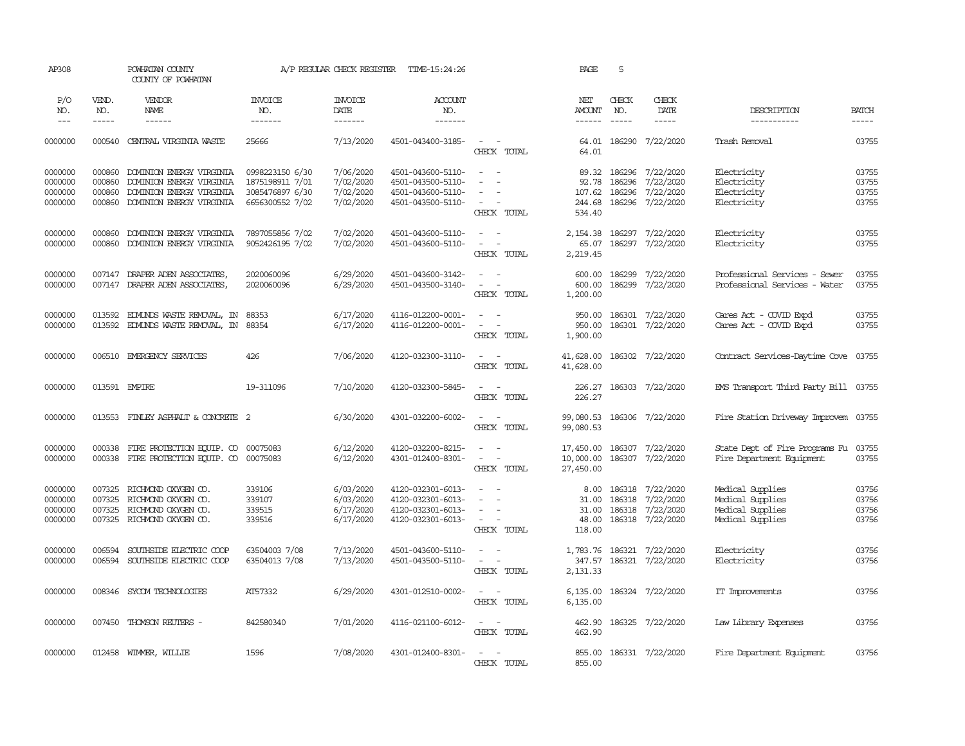| AP308                                    |                                      | POWHATAN COUNTY<br>COUNTY OF POWHATAN                                                                        |                                                                          | A/P REGULAR CHECK REGISTER                       | TIME-15:24:26                                                                    |                                                                                                                         | PAGE                                | 5                                |                                                                                                                                                                                                                                                                                                                                                                                                                                                                                     |                                                                              |                                  |
|------------------------------------------|--------------------------------------|--------------------------------------------------------------------------------------------------------------|--------------------------------------------------------------------------|--------------------------------------------------|----------------------------------------------------------------------------------|-------------------------------------------------------------------------------------------------------------------------|-------------------------------------|----------------------------------|-------------------------------------------------------------------------------------------------------------------------------------------------------------------------------------------------------------------------------------------------------------------------------------------------------------------------------------------------------------------------------------------------------------------------------------------------------------------------------------|------------------------------------------------------------------------------|----------------------------------|
| P/O<br>NO.                               | VEND.<br>NO.                         | VENDOR<br>NAME                                                                                               | <b>INVOICE</b><br>NO.                                                    | <b>INVOICE</b><br>DATE                           | ACCOUNT<br>NO.                                                                   |                                                                                                                         | NET<br><b>AMOUNT</b>                | CHECK<br>NO.                     | CHECK<br>DATE                                                                                                                                                                                                                                                                                                                                                                                                                                                                       | DESCRIPTION                                                                  | <b>BATCH</b>                     |
| $\qquad \qquad - -$                      | $- - - - -$                          | ------                                                                                                       | -------                                                                  | -------                                          | -------                                                                          |                                                                                                                         |                                     | $- - - - -$                      | $\begin{tabular}{ccccc} \multicolumn{2}{c}{} & \multicolumn{2}{c}{} & \multicolumn{2}{c}{} & \multicolumn{2}{c}{} & \multicolumn{2}{c}{} & \multicolumn{2}{c}{} & \multicolumn{2}{c}{} & \multicolumn{2}{c}{} & \multicolumn{2}{c}{} & \multicolumn{2}{c}{} & \multicolumn{2}{c}{} & \multicolumn{2}{c}{} & \multicolumn{2}{c}{} & \multicolumn{2}{c}{} & \multicolumn{2}{c}{} & \multicolumn{2}{c}{} & \multicolumn{2}{c}{} & \multicolumn{2}{c}{} & \multicolumn{2}{c}{} & \mult$ | -----------                                                                  | $\cdots$                         |
| 0000000                                  | 000540                               | CENTRAL VIRGINIA WASTE                                                                                       | 25666                                                                    | 7/13/2020                                        | 4501-043400-3185-                                                                | $\sim$ $\sim$<br>CHECK TOTAL                                                                                            | 64.01                               |                                  | 64.01 186290 7/22/2020                                                                                                                                                                                                                                                                                                                                                                                                                                                              | Trash Removal                                                                | 03755                            |
| 0000000<br>0000000<br>0000000<br>0000000 | 000860<br>000860<br>000860<br>000860 | DOMINION ENERGY VIRGINIA<br>DOMINION ENERGY VIRGINIA<br>DOMINION ENERGY VIRGINIA<br>DOMINION ENERGY VIRGINIA | 0998223150 6/30<br>1875198911 7/01<br>3085476897 6/30<br>6656300552 7/02 | 7/06/2020<br>7/02/2020<br>7/02/2020<br>7/02/2020 | 4501-043600-5110-<br>4501-043500-5110-<br>4501-043600-5110-<br>4501-043500-5110- | $\sim$<br>$\sim$<br>$\sim$<br>$\sim$<br>$\sim$<br>$\sim$ $\sim$<br>CHECK TOTAL                                          | 92.78<br>107.62<br>244.68<br>534.40 | 89.32 186296<br>186296<br>186296 | 7/22/2020<br>7/22/2020<br>7/22/2020<br>186296 7/22/2020                                                                                                                                                                                                                                                                                                                                                                                                                             | Electricity<br>Electricity<br>Electricity<br>Electricity                     | 03755<br>03755<br>03755<br>03755 |
| 0000000<br>0000000                       | 000860<br>000860                     | DOMINION ENERGY VIRGINIA<br>DOMINION ENERGY VIRGINIA                                                         | 7897055856 7/02<br>9052426195 7/02                                       | 7/02/2020<br>7/02/2020                           | 4501-043600-5110-<br>4501-043600-5110-                                           | $\sim$<br>$\overline{\phantom{a}}$<br>$\sim$<br>CHECK TOTAL                                                             | 2,154.38<br>65.07<br>2,219.45       | 186297                           | 7/22/2020<br>186297 7/22/2020                                                                                                                                                                                                                                                                                                                                                                                                                                                       | Electricity<br>Electricity                                                   | 03755<br>03755                   |
| 0000000<br>0000000                       |                                      | 007147 DRAPER ADEN ASSOCIATES,<br>007147 DRAPER ADEN ASSOCIATES,                                             | 2020060096<br>2020060096                                                 | 6/29/2020<br>6/29/2020                           | 4501-043600-3142-<br>4501-043500-3140-                                           | $\sim$<br>$\omega_{\rm{max}}$ and $\omega_{\rm{max}}$<br>CHECK TOTAL                                                    | 600.00<br>600.00<br>1,200.00        |                                  | 186299 7/22/2020<br>186299 7/22/2020                                                                                                                                                                                                                                                                                                                                                                                                                                                | Professional Services - Sewer<br>Professional Services - Water               | 03755<br>03755                   |
| 0000000<br>0000000                       | 013592<br>013592                     | <b>EDMINDS WASTE REMOVAL, IN</b><br><b>EDMINDS WASTE REMOVAL, IN</b>                                         | 88353<br>88354                                                           | 6/17/2020<br>6/17/2020                           | 4116-012200-0001-<br>4116-012200-0001-                                           | $\sim$<br>$\frac{1}{2} \left( \frac{1}{2} \right) \left( \frac{1}{2} \right) \left( \frac{1}{2} \right)$<br>CHECK TOTAL | 950.00<br>1,900.00                  |                                  | 950.00 186301 7/22/2020<br>186301 7/22/2020                                                                                                                                                                                                                                                                                                                                                                                                                                         | Cares Act - COVID Expd<br>Cares Act - COVID Expd                             | 03755<br>03755                   |
| 0000000                                  | 006510                               | EMERGENCY SERVICES                                                                                           | 426                                                                      | 7/06/2020                                        | 4120-032300-3110-                                                                | $\omega_{\rm{max}}$ and $\omega_{\rm{max}}$<br>CHECK TOTAL                                                              | 41,628.00<br>41,628.00              |                                  | 186302 7/22/2020                                                                                                                                                                                                                                                                                                                                                                                                                                                                    | Contract Services-Daytime Cove                                               | 03755                            |
| 0000000                                  |                                      | 013591 EMPIRE                                                                                                | 19-311096                                                                | 7/10/2020                                        | 4120-032300-5845-                                                                | $\overline{\phantom{a}}$<br>CHECK TOTAL                                                                                 | 226.27<br>226.27                    |                                  | 186303 7/22/2020                                                                                                                                                                                                                                                                                                                                                                                                                                                                    | EMS Transport Third Party Bill 03755                                         |                                  |
| 0000000                                  |                                      | 013553 FINLEY ASPHALT & CONCRETE 2                                                                           |                                                                          | 6/30/2020                                        | 4301-032200-6002-                                                                | $\sim$<br>$\sim$<br>CHECK TOTAL                                                                                         | 99,080.53                           |                                  | 99,080.53 186306 7/22/2020                                                                                                                                                                                                                                                                                                                                                                                                                                                          | Fire Station Driveway Improvem 03755                                         |                                  |
| 0000000<br>0000000                       | 000338<br>000338                     | FIRE PROTECTION EQUIP. CO 00075083<br>FIRE PROTECTION EQUIP. CO                                              | 00075083                                                                 | 6/12/2020<br>6/12/2020                           | 4120-032200-8215-<br>4301-012400-8301-                                           | $\sim$<br>$\sim$<br>$\overline{\phantom{a}}$<br>$\sim$ $-$<br>CHECK TOTAL                                               | 10,000.00<br>27,450.00              |                                  | 17,450.00 186307 7/22/2020<br>186307 7/22/2020                                                                                                                                                                                                                                                                                                                                                                                                                                      | State Dept of Fire Programs Fu<br>Fire Department Equipment                  | 03755<br>03755                   |
| 0000000<br>0000000<br>0000000<br>0000000 | 007325<br>007325<br>007325           | RICHMOND OXYGEN CO.<br>RICHMOND OXYGEN CO.<br>RICHMOND OXYGEN CO.<br>007325 RICHMOND OXYGEN CO.              | 339106<br>339107<br>339515<br>339516                                     | 6/03/2020<br>6/03/2020<br>6/17/2020<br>6/17/2020 | 4120-032301-6013-<br>4120-032301-6013-<br>4120-032301-6013-<br>4120-032301-6013- | $\overline{\phantom{a}}$<br>$\sim$ $\sim$<br>CHECK TOTAL                                                                | 8.00<br>31.00<br>31.00<br>118.00    | 186318                           | 7/22/2020<br>186318 7/22/2020<br>186318 7/22/2020<br>48.00 186318 7/22/2020                                                                                                                                                                                                                                                                                                                                                                                                         | Medical Supplies<br>Medical Supplies<br>Medical Supplies<br>Medical Supplies | 03756<br>03756<br>03756<br>03756 |
| 0000000<br>0000000                       | 006594<br>006594                     | SOUTHSIDE ELECTRIC COOP<br>SOUTHSIDE ELECTRIC COOP                                                           | 63504003 7/08<br>63504013 7/08                                           | 7/13/2020<br>7/13/2020                           | 4501-043600-5110-<br>4501-043500-5110-                                           | $\sim$<br>$\sim$<br>$\sim$ $ -$<br>CHECK TOTAL                                                                          | 347.57<br>2,131.33                  |                                  | 1,783.76 186321 7/22/2020<br>186321 7/22/2020                                                                                                                                                                                                                                                                                                                                                                                                                                       | Electricity<br>Electricity                                                   | 03756<br>03756                   |
| 0000000                                  | 008346                               | SYCOM TECHNOLOGIES                                                                                           | AT57332                                                                  | 6/29/2020                                        | 4301-012510-0002-                                                                | $\sim$ $ -$<br>CHECK TOTAL                                                                                              | 6,135.00                            |                                  | 6,135.00 186324 7/22/2020                                                                                                                                                                                                                                                                                                                                                                                                                                                           | IT Improvements                                                              | 03756                            |
| 0000000                                  |                                      | 007450 THOMSON REUTERS -                                                                                     | 842580340                                                                | 7/01/2020                                        | 4116-021100-6012-                                                                | $\sim$ $ \sim$<br>CHECK TOTAL                                                                                           | 462.90<br>462.90                    |                                  | 186325 7/22/2020                                                                                                                                                                                                                                                                                                                                                                                                                                                                    | Law Library Expenses                                                         | 03756                            |
| 0000000                                  |                                      | 012458 WIMMER, WILLIE                                                                                        | 1596                                                                     | 7/08/2020                                        | 4301-012400-8301-                                                                | $\sim$ $-$<br>CHECK TOTAL                                                                                               | 855.00                              |                                  | 855.00 186331 7/22/2020                                                                                                                                                                                                                                                                                                                                                                                                                                                             | Fire Department Equipment                                                    | 03756                            |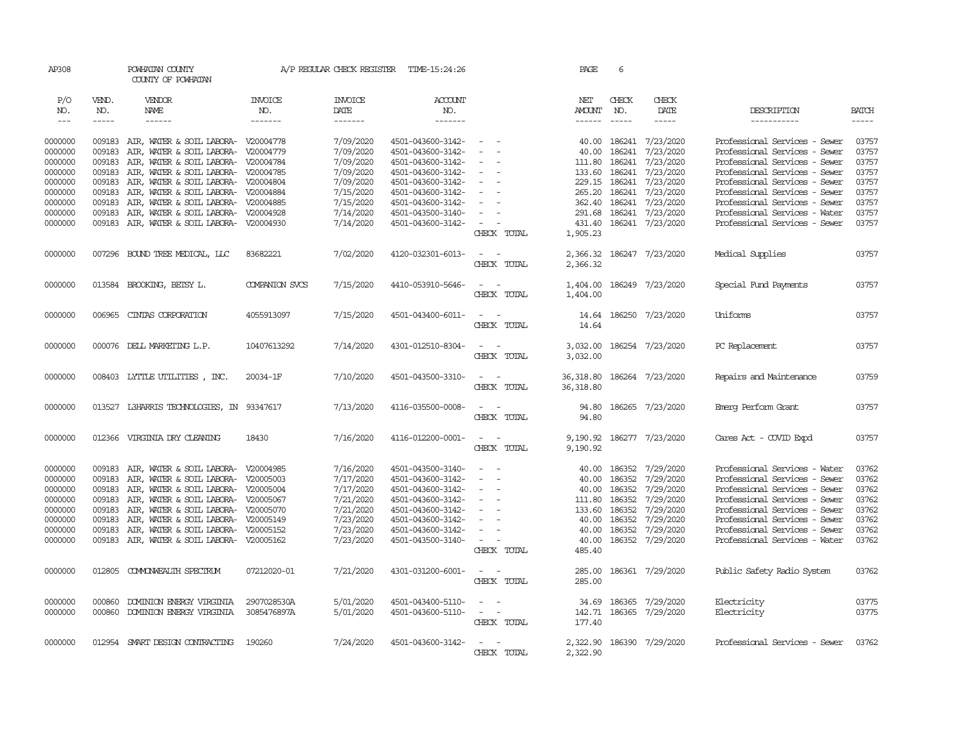| AP308         |              | POWHATAN COUNTY<br>COUNTY OF POWHATAN      |                       | A/P REGULAR CHECK REGISTER | TIME-15:24:26     |                                                      | PAGE          | 6            |                         |                               |              |
|---------------|--------------|--------------------------------------------|-----------------------|----------------------------|-------------------|------------------------------------------------------|---------------|--------------|-------------------------|-------------------------------|--------------|
| P/O<br>NO.    | VEND.<br>NO. | VENDOR<br>NAME                             | <b>INVOICE</b><br>NO. | <b>INVOICE</b><br>DATE     | ACCOUNT<br>NO.    |                                                      | NET<br>AMOUNT | CHECK<br>NO. | CHECK<br>DATE           | DESCRIPTION                   | <b>BATCH</b> |
| $\frac{1}{2}$ | -----        | $- - - - - -$                              | -------               | $- - - - - - -$            | -------           |                                                      | $- - - - - -$ |              | $- - - - -$             | -----------                   | -----        |
| 0000000       |              | 009183 AIR, WATER & SOIL LABORA- V20004778 |                       | 7/09/2020                  | 4501-043600-3142- | $\sim$                                               | 40.00         | 186241       | 7/23/2020               | Professional Services - Sewer | 03757        |
| 0000000       | 009183       | AIR, WATER & SOIL LABORA- V20004779        |                       | 7/09/2020                  | 4501-043600-3142- | $\sim$                                               | 40.00         | 186241       | 7/23/2020               | Professional Services - Sewer | 03757        |
| 0000000       | 009183       | AIR, WATER & SOIL LABORA- V20004784        |                       | 7/09/2020                  | 4501-043600-3142- |                                                      | 111.80        | 186241       | 7/23/2020               | Professional Services - Sewer | 03757        |
| 0000000       | 009183       | AIR, WATER & SOIL LABORA- V20004785        |                       | 7/09/2020                  | 4501-043600-3142- | $\overline{\phantom{a}}$<br>$\overline{\phantom{a}}$ | 133.60        | 186241       | 7/23/2020               | Professional Services - Sewer | 03757        |
| 0000000       | 009183       | AIR, WATER & SOIL LABORA- V20004804        |                       | 7/09/2020                  | 4501-043600-3142- | $\sim$                                               | 229.15        | 186241       | 7/23/2020               | Professional Services - Sewer | 03757        |
| 0000000       | 009183       | AIR, WATER & SOIL LABORA- V20004884        |                       | 7/15/2020                  | 4501-043600-3142- | $\sim$                                               | 265.20        | 186241       | 7/23/2020               | Professional Services - Sewer | 03757        |
| 0000000       | 009183       | AIR, WATER & SOIL LABORA- V20004885        |                       | 7/15/2020                  | 4501-043600-3142- | $\sim$                                               | 362.40        | 186241       | 7/23/2020               | Professional Services - Sewer | 03757        |
| 0000000       | 009183       | AIR, WATER & SOIL LABORA- V20004928        |                       | 7/14/2020                  | 4501-043500-3140- | $\equiv$                                             | 291.68        |              | 186241 7/23/2020        | Professional Services - Water | 03757        |
| 0000000       | 009183       | AIR, WATER & SOIL LABORA- V20004930        |                       | 7/14/2020                  | 4501-043600-3142- | $\sim$                                               | 431.40        |              | 186241 7/23/2020        | Professional Services - Sewer | 03757        |
|               |              |                                            |                       |                            |                   | CHECK TOTAL                                          | 1,905.23      |              |                         |                               |              |
| 0000000       |              | 007296 BOUND TREE MEDICAL, LLC             | 83682221              | 7/02/2020                  | 4120-032301-6013- | $\sim$<br>$\sim$                                     | 2,366.32      |              | 186247 7/23/2020        | Medical Supplies              | 03757        |
|               |              |                                            |                       |                            |                   | CHECK TOTAL                                          | 2,366.32      |              |                         |                               |              |
| 0000000       |              | 013584 BROOKING, BETSY L.                  | COMPANION SVCS        | 7/15/2020                  | 4410-053910-5646- | $\sim$                                               | 1,404.00      |              | 186249 7/23/2020        | Special Fund Payments         | 03757        |
|               |              |                                            |                       |                            |                   | CHECK TOTAL                                          | 1,404.00      |              |                         |                               |              |
| 0000000       | 006965       | CINIAS CORPORATION                         | 4055913097            | 7/15/2020                  | 4501-043400-6011- | $\sim$<br>$\sim$                                     | 14.64         |              | 186250 7/23/2020        | Uniforms                      | 03757        |
|               |              |                                            |                       |                            |                   | CHECK TOTAL                                          | 14.64         |              |                         |                               |              |
| 0000000       |              | 000076 DELL MARKETING L.P.                 | 10407613292           | 7/14/2020                  | 4301-012510-8304- | $\sim$ $-$<br>$\sim$                                 | 3,032.00      |              | 186254 7/23/2020        | PC Replacement                | 03757        |
|               |              |                                            |                       |                            |                   | CHECK TOTAL                                          | 3,032.00      |              |                         |                               |              |
| 0000000       |              | 008403 LYTTLE UTILITIES, INC.              | 20034-1F              | 7/10/2020                  | 4501-043500-3310- | $\sim$ $ \sim$                                       | 36, 318.80    |              | 186264 7/23/2020        | Repairs and Maintenance       | 03759        |
|               |              |                                            |                       |                            |                   | CHECK TOTAL                                          | 36,318.80     |              |                         |                               |              |
| 0000000       | 013527       | L3HARRIS TECHNOLOGIES, IN 93347617         |                       | 7/13/2020                  | 4116-035500-0008- | $\sim$ $\sim$                                        | 94.80         |              | 186265 7/23/2020        | Emerg Perform Grant           | 03757        |
|               |              |                                            |                       |                            |                   | CHECK TOTAL                                          | 94.80         |              |                         |                               |              |
| 0000000       | 012366       | VIRGINIA DRY CLEANING                      | 18430                 | 7/16/2020                  | 4116-012200-0001- | $\sim$ $ \sim$                                       | 9,190.92      |              | 186277 7/23/2020        | Cares Act - COVID Expd        | 03757        |
|               |              |                                            |                       |                            |                   | CHECK TOTAL                                          | 9,190.92      |              |                         |                               |              |
| 0000000       |              | 009183 AIR, WATER & SOIL LABORA- V20004985 |                       | 7/16/2020                  | 4501-043500-3140- | $\sim$                                               | 40.00         | 186352       | 7/29/2020               | Professional Services - Water | 03762        |
| 0000000       | 009183       | AIR, WATER & SOIL LABORA- V20005003        |                       | 7/17/2020                  | 4501-043600-3142- |                                                      | 40.00         | 186352       | 7/29/2020               | Professional Services - Sewer | 03762        |
| 0000000       | 009183       | AIR, WATER & SOIL LABORA- V20005004        |                       | 7/17/2020                  | 4501-043600-3142- | $\equiv$<br>$\overline{a}$                           | 40.00         | 186352       | 7/29/2020               | Professional Services - Sewer | 03762        |
| 0000000       | 009183       | AIR, WATER & SOIL LABORA- V20005067        |                       | 7/21/2020                  | 4501-043600-3142- | $\sim$                                               | 111.80        | 186352       | 7/29/2020               | Professional Services - Sewer | 03762        |
| 0000000       | 009183       | AIR, WATER & SOIL LABORA- V20005070        |                       | 7/21/2020                  | 4501-043600-3142- | $\sim$                                               | 133.60        | 186352       | 7/29/2020               | Professional Services - Sewer | 03762        |
| 0000000       | 009183       | AIR, WATER & SOIL LABORA- V20005149        |                       | 7/23/2020                  | 4501-043600-3142- | $\overline{\phantom{a}}$                             | 40.00         | 186352       | 7/29/2020               | Professional Services - Sewer | 03762        |
| 0000000       | 009183       | AIR, WATER & SOIL LABORA- V20005152        |                       | 7/23/2020                  | 4501-043600-3142- | $\sim$                                               | 40.00         | 186352       | 7/29/2020               | Professional Services - Sewer | 03762        |
| 0000000       | 009183       | AIR, WATER & SOIL LABORA- V20005162        |                       | 7/23/2020                  | 4501-043500-3140- | $\sim$ $\sim$                                        | 40.00         |              | 186352 7/29/2020        | Professional Services - Water | 03762        |
|               |              |                                            |                       |                            |                   | CHECK TOTAL                                          | 485.40        |              |                         |                               |              |
| 0000000       | 012805       | COMMONWEALTH SPECTRUM                      | 07212020-01           | 7/21/2020                  | 4301-031200-6001- | $\overline{\phantom{a}}$<br>$\sim$                   | 285.00        |              | 186361 7/29/2020        | Public Safety Radio System    | 03762        |
|               |              |                                            |                       |                            |                   | CHECK TOTAL                                          | 285.00        |              |                         |                               |              |
| 0000000       | 000860       | DOMINION ENERGY VIRGINIA                   | 2907028530A           | 5/01/2020                  | 4501-043400-5110- | $\overline{\phantom{a}}$                             | 34.69         | 186365       | 7/29/2020               | Electricity                   | 03775        |
| 0000000       | 000860       | DOMINION ENERGY VIRGINIA                   | 3085476897A           | 5/01/2020                  | 4501-043600-5110- | $\sim$<br>$\sim$                                     |               |              | 142.71 186365 7/29/2020 | Electricity                   | 03775        |
|               |              |                                            |                       |                            |                   | CHECK TOTAL                                          | 177.40        |              |                         |                               |              |
| 0000000       |              | 012954 SMART DESIGN CONTRACTING            | 190260                | 7/24/2020                  | 4501-043600-3142- | $\sim$<br>$\sim$                                     | 2,322.90      |              | 186390 7/29/2020        | Professional Services - Sewer | 03762        |
|               |              |                                            |                       |                            |                   | CHECK TOTAL                                          | 2,322.90      |              |                         |                               |              |